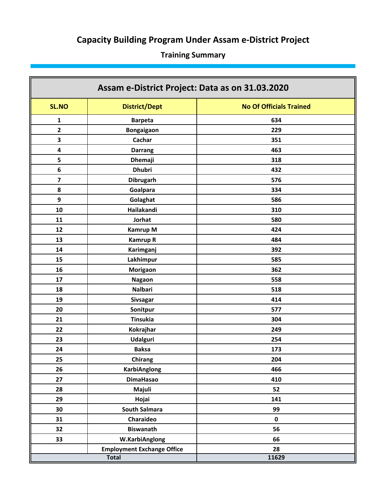# **Capacity Building Program Under Assam e‐District Project**

# **Training Summary**

| Assam e-District Project: Data as on 31.03.2020 |                                   |                                |  |
|-------------------------------------------------|-----------------------------------|--------------------------------|--|
| <b>SL.NO</b>                                    | <b>District/Dept</b>              | <b>No Of Officials Trained</b> |  |
| $\mathbf{1}$                                    | <b>Barpeta</b>                    | 634                            |  |
| $\overline{\mathbf{2}}$                         | Bongaigaon                        | 229                            |  |
| 3                                               | Cachar                            | 351                            |  |
| 4                                               | <b>Darrang</b>                    | 463                            |  |
| 5                                               | <b>Dhemaji</b>                    | 318                            |  |
| $\bf 6$                                         | <b>Dhubri</b>                     | 432                            |  |
| $\overline{\mathbf{z}}$                         | <b>Dibrugarh</b>                  | 576                            |  |
| 8                                               | Goalpara                          | 334                            |  |
| 9                                               | Golaghat                          | 586                            |  |
| 10                                              | Hailakandi                        | 310                            |  |
| 11                                              | <b>Jorhat</b>                     | 580                            |  |
| 12                                              | <b>Kamrup M</b>                   | 424                            |  |
| 13                                              | <b>Kamrup R</b>                   | 484                            |  |
| 14                                              | Karimganj                         | 392                            |  |
| 15                                              | Lakhimpur                         | 585                            |  |
| 16<br>Morigaon                                  |                                   | 362                            |  |
| 17                                              | Nagaon                            | 558                            |  |
| 18                                              | <b>Nalbari</b>                    | 518                            |  |
| 19<br><b>Sivsagar</b>                           |                                   | 414                            |  |
| 20<br>Sonitpur                                  |                                   | 577                            |  |
| 21                                              | <b>Tinsukia</b>                   | 304                            |  |
| 22                                              | Kokrajhar                         | 249                            |  |
| 23                                              | <b>Udalguri</b>                   | 254                            |  |
| 24                                              | <b>Baksa</b>                      | 173                            |  |
| 25                                              | Chirang                           | 204                            |  |
| 26                                              | <b>KarbiAnglong</b>               | 466                            |  |
| 27                                              | <b>DimaHasao</b>                  | 410                            |  |
| 28                                              | Majuli                            | 52                             |  |
| 29                                              | Hojai                             | 141                            |  |
| 30                                              | <b>South Salmara</b>              | 99                             |  |
| 31                                              | Charaideo                         | $\mathbf 0$                    |  |
| 32                                              | <b>Biswanath</b>                  | 56                             |  |
| 33                                              | W.KarbiAnglong                    | 66                             |  |
|                                                 | <b>Employment Exchange Office</b> | 28                             |  |
|                                                 | <b>Total</b>                      | 11629                          |  |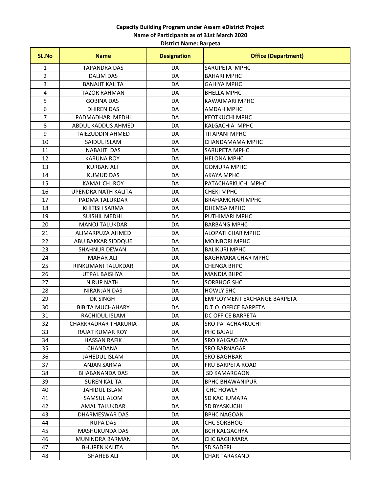**District Name: Barpeta**

| <b>SL.No</b>   | <b>Name</b>                 | <b>Designation</b> | <b>Office (Department)</b>         |
|----------------|-----------------------------|--------------------|------------------------------------|
| 1              | <b>TAPANDRA DAS</b>         | DA                 | SARUPETA MPHC                      |
| $\overline{2}$ | <b>DALIM DAS</b>            | DA                 | <b>BAHARI MPHC</b>                 |
| 3              | <b>BANAJIT KALITA</b>       | DA                 | <b>GAHIYA MPHC</b>                 |
| 4              | <b>TAZOR RAHMAN</b>         | DA                 | <b>BHELLA MPHC</b>                 |
| 5              | <b>GOBINA DAS</b>           | DA                 | <b>KAWAIMARI MPHC</b>              |
| 6              | <b>DHIREN DAS</b>           | DA                 | <b>AMDAH MPHC</b>                  |
| 7              | PADMADHAR MEDHI             | DA                 | <b>KEOTKUCHI MPHC</b>              |
| 8              | ABDUL KADDUS AHMED          | DA                 | KALGACHIA MPHC                     |
| 9              | <b>TAIEZUDDIN AHMED</b>     | DA                 | <b>TITAPANI MPHC</b>               |
| 10             | SAIDUL ISLAM                | DA                 | CHANDAMAMA MPHC                    |
| 11             | <b>NABAJIT DAS</b>          | DA                 | <b>SARUPETA MPHC</b>               |
| 12             | <b>KARUNA ROY</b>           | DA                 | <b>HELONA MPHC</b>                 |
| 13             | <b>KURBAN ALI</b>           | DA                 | <b>GOMURA MPHC</b>                 |
| 14             | <b>KUMUD DAS</b>            | DA                 | <b>AKAYA MPHC</b>                  |
| 15             | <b>KAMAL CH. ROY</b>        | DA                 | PATACHARKUCHI MPHC                 |
| 16             | UPENDRA NATH KALITA         | DA                 | <b>CHEKI MPHC</b>                  |
| 17             | PADMA TALUKDAR              | DA                 | <b>BRAHAMCHARI MPHC</b>            |
| 18             | <b>KHITISH SARMA</b>        | DA                 | <b>DHEMSA MPHC</b>                 |
| 19             | <b>SUISHIL MEDHI</b>        | DA                 | PUTHIMARI MPHC                     |
| 20             | <b>MANOJ TALUKDAR</b>       | DA                 | <b>BARBANG MPHC</b>                |
| 21             | ALIMARPUZA AHMED            | DA                 | <b>ALOPATI CHAR MPHC</b>           |
| 22             | ABU BAKKAR SIDDQUE          | DA                 | <b>MOINBORI MPHC</b>               |
| 23             | <b>SHAHNUR DEWAN</b>        | DA                 | <b>BALIKURI MPHC</b>               |
| 24             | <b>MAHAR ALI</b>            | DA                 | <b>BAGHMARA CHAR MPHC</b>          |
| 25             | RINKUMANI TALUKDAR          | DA                 | <b>CHENGA BHPC</b>                 |
| 26             | UTPAL BAISHYA               | DA                 | <b>MANDIA BHPC</b>                 |
| 27             | <b>NIRUP NATH</b>           | DA                 | SORBHOG SHC                        |
| 28             | <b>NIRANJAN DAS</b>         | DA                 | <b>HOWLY SHC</b>                   |
| 29             | <b>DK SINGH</b>             | DA                 | <b>EMPLOYMENT EXCHANGE BARPETA</b> |
| 30             | <b>BIBITA MUCHAHARY</b>     | DA                 | D.T.O. OFFICE BARPETA              |
| 31             | RACHIDUL ISLAM              | DA                 | DC OFFICE BARPETA                  |
| 32             | <b>CHARKRADRAR THAKURIA</b> | DA                 | <b>SRO PATACHARKUCHI</b>           |
| 33             | RAJAT KUMAR ROY             | DA                 | PHC BAJALI                         |
| 34             | <b>HASSAN RAFIK</b>         | DA                 | SRO KALGACHYA                      |
| 35             | CHANDANA                    | DA                 | <b>SRO BARNAGAR</b>                |
| 36             | JAHEDUL ISLAM               | DA                 | <b>SRO BAGHBAR</b>                 |
| 37             | ANJAN SARMA                 | DA                 | <b>FRU BARPETA ROAD</b>            |
| 38             | BHABANANDA DAS              | DA                 | SD KAMARGAON                       |
| 39             | SUREN KALITA                | DA                 | BPHC BHAWANIPUR                    |
| 40             | <b>JAHIDUL ISLAM</b>        | DA                 | <b>CHC HOWLY</b>                   |
| 41             | <b>SAMSUL ALOM</b>          | DA                 | SD KACHUMARA                       |
| 42             | AMAL TALUKDAR               | DA                 | SD BYASKUCHI                       |
| 43             | DHARMESWAR DAS              | DA                 | <b>BPHC NAGOAN</b>                 |
| 44             | <b>RUPA DAS</b>             | DA                 | <b>CHC SORBHOG</b>                 |
| 45             | <b>MASHUKUNDA DAS</b>       | DA                 | <b>BCH KALGACHYA</b>               |
| 46             | MUNINDRA BARMAN             | DA                 | <b>CHC BAGHMARA</b>                |
| 47             | <b>BHUPEN KALITA</b>        | DA                 | <b>SD SADERI</b>                   |
| 48             | SHAHEB ALI                  | DA                 | <b>CHAR TARAKANDI</b>              |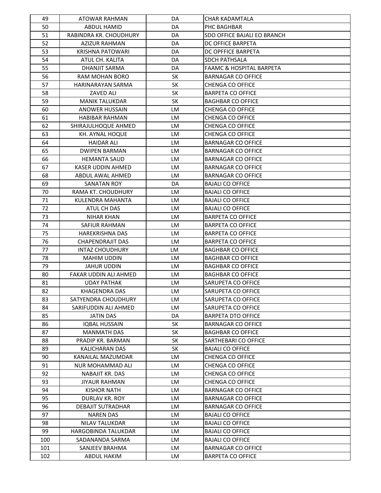| 49  | ATOWAR RAHMAN              | DA        | <b>CHAR KADAMTALA</b>               |
|-----|----------------------------|-----------|-------------------------------------|
| 50  | <b>ABDUL HAMID</b>         | DA        | PHC BAGHBAR                         |
| 51  | RABINDRA KR. CHOUDHURY     | DA        | SDO OFFICE BAJALI EO BRANCH         |
| 52  | <b>AZIZUR RAHMAN</b>       | DA        | DC OFFICE BARPETA                   |
| 53  | <b>KRISHNA PATOWARI</b>    | DA        | DC OPFFICE BARPETA                  |
| 54  | ATUL CH. KALITA            | DA        | <b>SDCH PATHSALA</b>                |
| 55  | DHANJIT SARMA              | DA        | <b>FAAMC &amp; HOSPITAL BARPETA</b> |
| 56  | RAM MOHAN BORO             | <b>SK</b> | <b>BARNAGAR CO OFFICE</b>           |
| 57  | HARINARAYAN SARMA          | <b>SK</b> | <b>CHENGA CO OFFICE</b>             |
| 58  | ZAVED ALI                  | <b>SK</b> | <b>BARPETA CO OFFICE</b>            |
| 59  | <b>MANIK TALUKDAR</b>      | <b>SK</b> | <b>BAGHBAR CO OFFICE</b>            |
| 60  | <b>ANOWER HUSSAIN</b>      | LM        | <b>CHENGA CO OFFICE</b>             |
| 61  | <b>HABIBAR RAHMAN</b>      | LM        | <b>CHENGA CO OFFICE</b>             |
| 62  | SHIRAJULHOQUE AHMED        | LM        | <b>CHENGA CO OFFICE</b>             |
| 63  | KH. AYNAL HOQUE            | LM        | <b>CHENGA CO OFFICE</b>             |
| 64  | <b>HAIDAR ALI</b>          | LM        | <b>BARNAGAR CO OFFICE</b>           |
| 65  | <b>DWIPEN BARMAN</b>       | LM        | <b>BARNAGAR CO OFFICE</b>           |
| 66  | <b>HEMANTA SAUD</b>        | LM        | <b>BARNAGAR CO OFFICE</b>           |
| 67  | <b>KASER UDDIN AHMED</b>   | LM        | <b>BARNAGAR CO OFFICE</b>           |
| 68  | ABDUL AWAL AHMED           | LM        | <b>BARNAGAR CO OFFICE</b>           |
| 69  | <b>SANATAN ROY</b>         | DA        | <b>BAJALI CO OFFICE</b>             |
| 70  | RAMA KT. CHOUDHURY         | LM        | <b>BAJALI CO OFFICE</b>             |
| 71  | KULENDRA MAHANTA           | LM        | <b>BAJALI CO OFFICE</b>             |
| 72  | ATUL CH DAS                | LM        | <b>BAJALI CO OFFICE</b>             |
| 73  | <b>NIHAR KHAN</b>          | LM        | <b>BARPETA CO OFFICE</b>            |
| 74  | SAFIUR RAHMAN              | LM        | <b>BARPETA CO OFFICE</b>            |
| 75  | <b>HAREKRISHNA DAS</b>     | LM        | <b>BARPETA CO OFFICE</b>            |
| 76  | <b>CHAPENDRAJIT DAS</b>    | LM        | <b>BARPETA CO OFFICE</b>            |
| 77  | <b>INTAZ CHOUDHURY</b>     | LM        | <b>BAGHBAR CO OFFICE</b>            |
| 78  | <b>MAHIM UDDIN</b>         | LM        | <b>BAGHBAR CO OFFICE</b>            |
| 79  | <b>JAHUR UDDIN</b>         | LM        | <b>BAGHBAR CO OFFICE</b>            |
| 80  | FAKAR UDDIN ALI AHMED      | LM        | <b>BAGHBAR CO OFFICE</b>            |
| 81  | <b>UDAY PATHAK</b>         | LM        | SARUPETA CO OFFICE                  |
| 82  | KHAGENDRA DAS              | LM        | SARUPETA CO OFFICE                  |
| 83  | SATYENDRA CHOUDHURY        | LM        | SARUPETA CO OFFICE                  |
| 84  | SARIFUDDIN ALI AHMED       | LM        | SARUPETA CO OFFICE                  |
| 85  | <b>JATIN DAS</b>           | DA        | <b>BARPETA DTO OFFICE</b>           |
| 86  | <b>IQBAL HUSSAIN</b>       | <b>SK</b> | BARNAGAR CO OFFICE                  |
| 87  | <b>MANMATH DAS</b>         | <b>SK</b> | <b>BAGHBAR CO OFFICE</b>            |
| 88  | PRADIP KR. BARMAN          | <b>SK</b> | SARTHEBARI CO OFFICE                |
| 89  | KALICHARAN DAS             | <b>SK</b> | <b>BAJALI CO OFFICE</b>             |
| 90  | KANAILAL MAZUMDAR          | LM        | <b>CHENGA CO OFFICE</b>             |
| 91  | <b>NUR MOHAMMAD ALI</b>    | LM        | <b>CHENGA CO OFFICE</b>             |
| 92  | NABAJIT KR. DAS            | LM        | <b>CHENGA CO OFFICE</b>             |
| 93  | JIYAUR RAHMAN              | LM        | <b>CHENGA CO OFFICE</b>             |
| 94  | <b>KISHOR NATH</b>         | LM        | <b>BARNAGAR CO OFFICE</b>           |
| 95  | DURLAV KR. ROY             | LM        | <b>BARNAGAR CO OFFICE</b>           |
| 96  | <b>DEBAJIT SUTRADHAR</b>   | LM        | <b>BARNAGAR CO OFFICE</b>           |
| 97  | <b>NAREN DAS</b>           | LM        | <b>BAJALI CO OFFICE</b>             |
| 98  | NILAV TALUKDAR             | LM        | <b>BAJALI CO OFFICE</b>             |
| 99  | <b>HARGOBINDA TALUKDAR</b> | LM        | <b>BAJALI CO OFFICE</b>             |
| 100 |                            | LM        | <b>BAJALI CO OFFICE</b>             |
|     | SADANANDA SARMA            |           |                                     |
| 101 | SANJEEV BRAHMA             | LM        | <b>BARNAGAR CO OFFICE</b>           |
| 102 | ABDUL HAKIM                | LM        | <b>BARPETA CO OFFICE</b>            |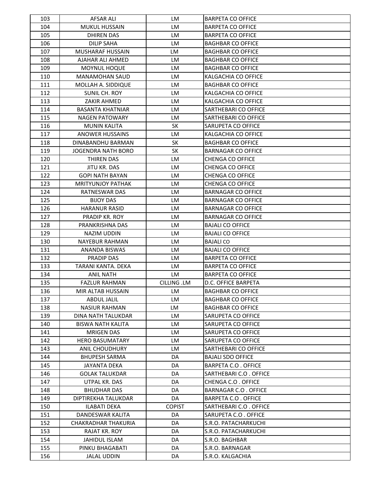| 103 | <b>AFSAR ALI</b>          | LM            | <b>BARPETA CO OFFICE</b>    |
|-----|---------------------------|---------------|-----------------------------|
| 104 | <b>MUKUL HUSSAIN</b>      | LM            | <b>BARPETA CO OFFICE</b>    |
| 105 | <b>DHIREN DAS</b>         | LM            | <b>BARPETA CO OFFICE</b>    |
| 106 | <b>DILIP SAHA</b>         | LM            | <b>BAGHBAR CO OFFICE</b>    |
| 107 | MUSHARAF HUSSAIN          | <b>LM</b>     | <b>BAGHBAR CO OFFICE</b>    |
| 108 | AJAHAR ALI AHMED          | LM            | <b>BAGHBAR CO OFFICE</b>    |
| 109 | MOYNUL HOQUE              | LM            | <b>BAGHBAR CO OFFICE</b>    |
| 110 | <b>MANAMOHAN SAUD</b>     | LM            | KALGACHIA CO OFFICE         |
| 111 | MOLLAH A. SIDDIQUE        | LM            | <b>BAGHBAR CO OFFICE</b>    |
| 112 | SUNIL CH. ROY             | LM            | KALGACHIA CO OFFICE         |
| 113 | <b>ZAKIR AHMED</b>        | LM            | KALGACHIA CO OFFICE         |
| 114 | <b>BASANTA KHATNIAR</b>   | LM            | SARTHEBARI CO OFFICE        |
| 115 | <b>NAGEN PATOWARY</b>     | LM            | SARTHEBARI CO OFFICE        |
| 116 | <b>MUNIN KALITA</b>       | SK            | SARUPETA CO OFFICE          |
| 117 | <b>ANOWER HUSSAINS</b>    | LM            | KALGACHIA CO OFFICE         |
| 118 | DINABANDHU BARMAN         | SK            | <b>BAGHBAR CO OFFICE</b>    |
| 119 | <b>JOGENDRA NATH BORO</b> | <b>SK</b>     | <b>BARNAGAR CO OFFICE</b>   |
| 120 | THIREN DAS                | LM            | <b>CHENGA CO OFFICE</b>     |
| 121 | JITU KR. DAS              | <b>LM</b>     | <b>CHENGA CO OFFICE</b>     |
| 122 | <b>GOPI NATH BAYAN</b>    | LM            | <b>CHENGA CO OFFICE</b>     |
| 123 | MRITYUNJOY PATHAK         | LM            | <b>CHENGA CO OFFICE</b>     |
| 124 | <b>RATNESWAR DAS</b>      | LM            | <b>BARNAGAR CO OFFICE</b>   |
| 125 | <b>BIJOY DAS</b>          | LM            | <b>BARNAGAR CO OFFICE</b>   |
| 126 | <b>HARANUR RASID</b>      | LM            | <b>BARNAGAR CO OFFICE</b>   |
| 127 | PRADIP KR. ROY            | LM            | <b>BARNAGAR CO OFFICE</b>   |
| 128 | PRANKRISHNA DAS           | LM            | <b>BAJALI CO OFFICE</b>     |
| 129 | NAZIM UDDIN               | LM            | <b>BAJALI CO OFFICE</b>     |
| 130 | <b>NAYEBUR RAHMAN</b>     | LM            | <b>BAJALI CO</b>            |
| 131 | ANANDA BISWAS             | LM            | <b>BAJALI CO OFFICE</b>     |
| 132 | PRADIP DAS                | LM            | <b>BARPETA CO OFFICE</b>    |
| 133 | TARANI KANTA. DEKA        | LM            | <b>BARPETA CO OFFICE</b>    |
| 134 | <b>ANIL NATH</b>          | LM            | <b>BARPETA CO OFFICE</b>    |
| 135 | <b>FAZLUR RAHMAN</b>      | CILLING .LM   | D.C. OFFICE BARPETA         |
| 136 | MIR ALTAB HUSSAIN         | LM            | <b>BAGHBAR CO OFFICE</b>    |
| 137 | <b>ABDUL JALIL</b>        | LM            | <b>BAGHBAR CO OFFICE</b>    |
| 138 | <b>NASIUR RAHMAN</b>      | LM            | <b>BAGHBAR CO OFFICE</b>    |
| 139 | <b>DINA NATH TALUKDAR</b> | LM            | SARUPETA CO OFFICE          |
| 140 | BISWA NATH KALITA         | LM            | SARUPETA CO OFFICE          |
| 141 | <b>MRIGEN DAS</b>         | LM            | SARUPETA CO OFFICE          |
| 142 | <b>HERO BASUMATARY</b>    | LM            | SARUPETA CO OFFICE          |
| 143 | ANIL CHOUDHURY            | LM            | SARTHEBARI CO OFFICE        |
| 144 | <b>BHUPESH SARMA</b>      | DA            | <b>BAJALI SDO OFFICE</b>    |
| 145 | JAYANTA DEKA              | DA            | <b>BARPETA C.O. OFFICE</b>  |
| 146 | <b>GOLAK TALUKDAR</b>     | DA            | SARTHEBARI C.O. OFFICE      |
| 147 | UTPAL KR. DAS             | DA            | CHENGA C.O. OFFICE          |
| 148 | <b>BHUDHAR DAS</b>        | DA            | <b>BARNAGAR C.O. OFFICE</b> |
| 149 | DIPTIREKHA TALUKDAR       | DA            | BARPETA C.O. OFFICE         |
| 150 | <b>ILABATI DEKA</b>       | <b>COPIST</b> | SARTHEBARI C.O. OFFICE      |
| 151 | DANDESWAR KALITA          | DA            | SARUPETA C.O. OFFICE        |
| 152 | CHAKRADHAR THAKURIA       | DA            | S.R.O. PATACHARKUCHI        |
| 153 | RAJAT KR. ROY             | DA            | S.R.O. PATACHARKUCHI        |
| 154 | <b>JAHIDUL ISLAM</b>      | DA            | S.R.O. BAGHBAR              |
| 155 | PINKU BHAGABATI           | DA            | S.R.O. BARNAGAR             |
|     |                           | DA            | S.R.O. KALGACHIA            |
| 156 | <b>JALAL UDDIN</b>        |               |                             |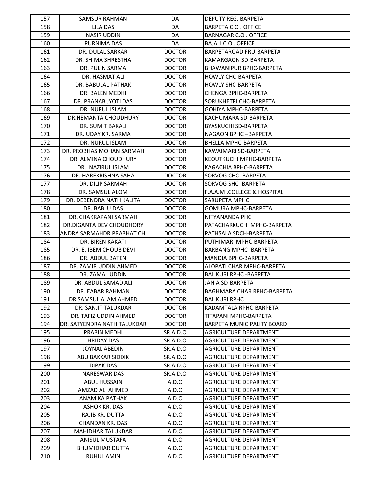| 157 | SAMSUR RAHMAN               | DA            | DEPUTY REG. BARPETA                                 |
|-----|-----------------------------|---------------|-----------------------------------------------------|
| 158 | <b>LILA DAS</b>             | DA            | BARPETA C.O. OFFICE                                 |
| 159 | <b>NASIR UDDIN</b>          | DA            | <b>BARNAGAR C.O. OFFICE</b>                         |
| 160 | PURNIMA DAS                 | DA            | BAJALI C.O. OFFICE                                  |
| 161 | DR. DULAL SARKAR            | <b>DOCTOR</b> | BARPETAROAD FRU-BARPETA                             |
| 162 | DR. SHIMA SHRESTHA          | <b>DOCTOR</b> | KAMARGAON SD-BARPETA                                |
| 163 | DR. PULIN SARMA             | <b>DOCTOR</b> | BHAWANIPUR BPHC-BARPETA                             |
| 164 | DR. HASMAT ALI              | <b>DOCTOR</b> | <b>HOWLY CHC-BARPETA</b>                            |
| 165 | DR. BABULAL PATHAK          | <b>DOCTOR</b> | <b>HOWLY SHC-BARPETA</b>                            |
| 166 | DR. BALEN MEDHI             | <b>DOCTOR</b> | <b>CHENGA BPHC-BARPETA</b>                          |
| 167 | DR. PRANAB JYOTI DAS        | <b>DOCTOR</b> | SORUKHETRI CHC-BARPETA                              |
| 168 | DR. NURUL ISLAM             | <b>DOCTOR</b> | GOHIYA MPHC-BARPETA                                 |
| 169 | DR.HEMANTA CHOUDHURY        | <b>DOCTOR</b> | KACHUMARA SD-BARPETA                                |
| 170 | DR. SUMIT BAKALI            | <b>DOCTOR</b> | <b>BYASKUCHI SD-BARPETA</b>                         |
| 171 | DR. UDAY KR. SARMA          | <b>DOCTOR</b> | NAGAON BPHC-BARPETA                                 |
| 172 | DR. NURUL ISLAM             | <b>DOCTOR</b> | BHELLA MPHC-BARPETA                                 |
| 173 | DR. PROBHAS MOHAN SARMAH    | <b>DOCTOR</b> | KAWAIMARI SD-BARPETA                                |
| 174 | DR. ALMINA CHOUDHURY        | <b>DOCTOR</b> | KEOUTKUCHI MPHC-BARPETA                             |
| 175 | DR. NAZIRUL ISLAM           | <b>DOCTOR</b> | KAGACHIA BPHC-BARPETA                               |
| 176 | DR. HAREKRISHNA SAHA        | <b>DOCTOR</b> | SORVOG CHC - BARPETA                                |
| 177 | DR. DILIP SARMAH            | <b>DOCTOR</b> | SORVOG SHC - BARPETA                                |
| 178 | DR. SAMSUL ALOM             | <b>DOCTOR</b> | <b>F.A.A.M .COLLEGE &amp; HOSPITAL</b>              |
| 179 | DR. DEBENDRA NATH KALITA    | <b>DOCTOR</b> | SARUPETA MPHC                                       |
| 180 | DR. BABLU DAS               | <b>DOCTOR</b> | <b>GOMURA MPHC-BARPETA</b>                          |
| 181 | DR. CHAKRAPANI SARMAH       | <b>DOCTOR</b> | NITYANANDA PHC                                      |
|     |                             |               |                                                     |
| 182 | DR.DIGANTA DEV CHOUDHORY    | <b>DOCTOR</b> | PATACHARKUCHI MPHC-BARPETA<br>PATHSALA SDCH-BARPETA |
| 183 | ANDRA SARMAHDR.PRABHAT CHI  | <b>DOCTOR</b> |                                                     |
| 184 | DR. BIREN KAKATI            | <b>DOCTOR</b> | PUTHIMARI MPHC-BARPETA                              |
| 185 | DR. E. IBEM CHOUB DEVI      | <b>DOCTOR</b> | BARBANG MPHC-BARPETA                                |
| 186 | DR. ABDUL BATEN             | <b>DOCTOR</b> | MANDIA BPHC-BARPETA                                 |
| 187 | DR. ZAMIR UDDIN AHMED       | <b>DOCTOR</b> | ALOPATI CHAR MPHC-BARPETA                           |
| 188 | DR. ZAMAL UDDIN             | <b>DOCTOR</b> | <b>BALIKURI RPHC - BARPETA</b>                      |
| 189 | DR. ABDUL SAMAD ALI         | <b>DOCTOR</b> | <b>JANIA SD-BARPETA</b>                             |
| 190 | DR. EABAR RAHMAN            | <b>DOCTOR</b> | BAGHMARA CHAR RPHC-BARPETA                          |
| 191 | DR.SAMSUL ALAM AHMED        | <b>DOCTOR</b> | <b>BALIKURI RPHC</b>                                |
| 192 | DR. SANJIT TALUKDAR         | <b>DOCTOR</b> | KADAMTALA RPHC-BARPETA                              |
| 193 | DR. TAFIZ UDDIN AHMED       | <b>DOCTOR</b> | TITAPANI MPHC-BARPETA                               |
| 194 | DR. SATYENDRA NATH TALUKDAR | <b>DOCTOR</b> | BARPETA MUNICIPALITY BOARD                          |
| 195 | PRABIN MEDHI                | SR.A.D.O      | <b>AGRICULTURE DEPARTMENT</b>                       |
| 196 | <b>HRIDAY DAS</b>           | SR.A.D.O      | <b>AGRICULTURE DEPARTMENT</b>                       |
| 197 | <b>JOYNAL ABEDIN</b>        | SR.A.D.O      | AGRICULTURE DEPARTMENT                              |
| 198 | ABU BAKKAR SIDDIK           | SR.A.D.O      | AGRICULTURE DEPARTMENT                              |
| 199 | <b>DIPAK DAS</b>            | SR.A.D.O      | AGRICULTURE DEPARTMENT                              |
| 200 | <b>NARESWAR DAS</b>         | SR.A.D.O      | <b>AGRICULTURE DEPARTMENT</b>                       |
| 201 | <b>ABUL HUSSAIN</b>         | A.D.O         | AGRICULTURE DEPARTMENT                              |
| 202 | AMZAD ALI AHMED             | A.D.O         | AGRICULTURE DEPARTMENT                              |
| 203 | ANAMIKA PATHAK              | A.D.O         | AGRICULTURE DEPARTMENT                              |
| 204 | ASHOK KR. DAS               | A.D.O         | AGRICULTURE DEPARTMENT                              |
| 205 | RAJIB KR. DUTTA             | A.D.O         | AGRICULTURE DEPARTMENT                              |
| 206 | <b>CHANDAN KR. DAS</b>      | A.D.O         | AGRICULTURE DEPARTMENT                              |
| 207 | <b>MAHIDHAR TALUKDAR</b>    | A.D.O         | AGRICULTURE DEPARTMENT                              |
| 208 | ANISUL MUSTAFA              | A.D.O         | AGRICULTURE DEPARTMENT                              |
| 209 | <b>BHUMIDHAR DUTTA</b>      | A.D.O         | AGRICULTURE DEPARTMENT                              |
| 210 | <b>RUHUL AMIN</b>           | A.D.O         | AGRICULTURE DEPARTMENT                              |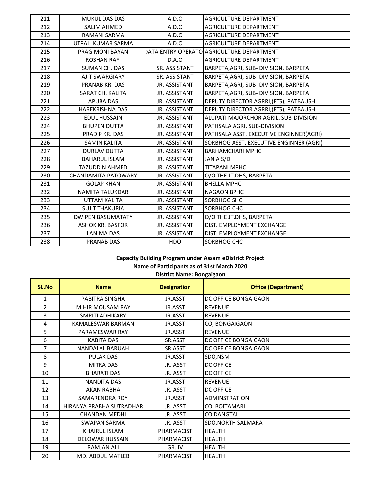| 211 | <b>MUKUL DAS DAS</b>       | A.D.O                | <b>AGRICULTURE DEPARTMENT</b>            |
|-----|----------------------------|----------------------|------------------------------------------|
| 212 | <b>SALIM AHMED</b>         | A.D.O                | <b>AGRICULTURE DEPARTMENT</b>            |
| 213 | RAMANI SARMA               | A.D.O                | AGRICULTURE DEPARTMENT                   |
| 214 | UTPAL KUMAR SARMA          | A.D.O                | <b>AGRICULTURE DEPARTMENT</b>            |
| 215 | PRAG MONI BAYAN            |                      | ATA ENTRY OPERATO AGRICULTURE DEPARTMENT |
| 216 | <b>ROSHAN RAFI</b>         | D.A.O                | AGRICULTURE DEPARTMENT                   |
| 217 | SUMAN CH. DAS              | SR. ASSISTANT        | BARPETA, AGRI, SUB- DIVISION, BARPETA    |
| 218 | <b>AJIT SWARGIARY</b>      | SR. ASSISTANT        | BARPETA, AGRI, SUB- DIVISION, BARPETA    |
| 219 | PRANAB KR. DAS             | JR. ASSISTANT        | BARPETA, AGRI, SUB- DIVISION, BARPETA    |
| 220 | SARAT CH. KALITA           | JR. ASSISTANT        | BARPETA, AGRI, SUB- DIVISION, BARPETA    |
| 221 | <b>APUBA DAS</b>           | JR. ASSISTANT        | DEPUTY DIRECTOR AGRRI, (FTS), PATBAUSHI  |
| 222 | <b>HAREKRISHNA DAS</b>     | JR. ASSISTANT        | DEPUTY DIRECTOR AGRRI, (FTS), PATBAUSHI  |
| 223 | <b>EDUL HUSSAIN</b>        | JR. ASSISTANT        | ALUPATI MAJORCHOR AGRIL. SUB-DIVISION    |
| 224 | <b>BHUPEN DUTTA</b>        | JR. ASSISTANT        | PATHSALA AGRI, SUB-DIVISION              |
| 225 | PRADIP KR. DAS             | JR. ASSISTANT        | PATHSALA ASST. EXECUTIVE ENGINNER(AGRI)  |
| 226 | <b>SAMIN KALITA</b>        | JR. ASSISTANT        | SORBHOG ASST. EXECUTIVE ENGINNER (AGRI)  |
| 227 | <b>DURLAV DUTTA</b>        | JR. ASSISTANT        | <b>BARHAMCHARI MPHC</b>                  |
| 228 | <b>BAHARUL ISLAM</b>       | JR. ASSISTANT        | JANIA S/D                                |
| 229 | <b>TAZUDDIN AHMED</b>      | JR. ASSISTANT        | <b>TITAPANI MPHC</b>                     |
| 230 | <b>CHANDAMITA PATOWARY</b> | JR. ASSISTANT        | O/O THE JT.DHS, BARPETA                  |
| 231 | <b>GOLAP KHAN</b>          | JR. ASSISTANT        | <b>BHELLA MPHC</b>                       |
| 232 | NAMITA TALUKDAR            | JR. ASSISTANT        | <b>NAGAON BPHC</b>                       |
| 233 | UTTAM KALITA               | JR. ASSISTANT        | <b>SORBHOG SHC</b>                       |
| 234 | <b>SUJIT THAKURIA</b>      | JR. ASSISTANT        | SORBHOG CHC                              |
| 235 | <b>DWIPEN BASUMATATY</b>   | JR. ASSISTANT        | O/O THE JT.DHS, BARPETA                  |
| 236 | <b>ASHOK KR. BASFOR</b>    | JR. ASSISTANT        | DIST. EMPLOYMENT EXCHANGE                |
| 237 | <b>LANIMA DAS</b>          | <b>JR. ASSISTANT</b> | DIST. EMPLOYMENT EXCHANGE                |
| 238 | <b>PRANAB DAS</b>          | <b>HDO</b>           | SORBHOG CHC                              |

**District Name: Bongaigaon**

| <b>SL.No</b>   | <b>Name</b>              | <b>Designation</b> | <b>Office (Department)</b> |
|----------------|--------------------------|--------------------|----------------------------|
| 1              | PABITRA SINGHA           | JR.ASST            | DC OFFICE BONGAIGAON       |
| $\overline{2}$ | <b>MIHIR MOUSAM RAY</b>  | JR.ASST            | <b>REVENUE</b>             |
| 3              | SMRITI ADHIKARY          | JR.ASST            | <b>REVENUE</b>             |
| 4              | <b>KAMALESWAR BARMAN</b> | JR.ASST            | CO, BONGAIGAON             |
| 5              | PARAMESWAR RAY           | JR.ASST            | <b>REVENUE</b>             |
| 6              | <b>KABITA DAS</b>        | SR.ASST            | DC OFFICE BONGAIGAON       |
| 7              | <b>NANDALAL BARUAH</b>   | SR.ASST            | DC OFFICE BONGAIGAON       |
| 8              | <b>PULAK DAS</b>         | JR.ASST            | SDO, NSM                   |
| 9              | <b>MITRA DAS</b>         | JR. ASST           | <b>DC OFFICE</b>           |
| 10             | <b>BHARATI DAS</b>       | JR. ASST           | <b>DC OFFICE</b>           |
| 11             | <b>NANDITA DAS</b>       | JR.ASST            | <b>REVENUE</b>             |
| 12             | <b>AKAN RABHA</b>        | JR. ASST           | <b>DC OFFICE</b>           |
| 13             | SAMARENDRA ROY           | JR.ASST            | <b>ADMINSTRATION</b>       |
| 14             | HIRANYA PRABHA SUTRADHAR | JR. ASST           | CO, BOITAMARI              |
| 15             | CHANDAN MEDHI            | JR. ASST           | CO, DANGTAL                |
| 16             | SWAPAN SARMA             | JR. ASST           | SDO, NORTH SALMARA         |
| 17             | <b>KHAIRUL ISLAM</b>     | <b>PHARMACIST</b>  | <b>HEALTH</b>              |
| 18             | DELOWAR HUSSAIN          | PHARMACIST         | <b>HEALTH</b>              |
| 19             | <b>RAMJAN ALI</b>        | GR. IV             | <b>HEALTH</b>              |
| 20             | <b>MD. ABDUL MATLEB</b>  | <b>PHARMACIST</b>  | <b>HEALTH</b>              |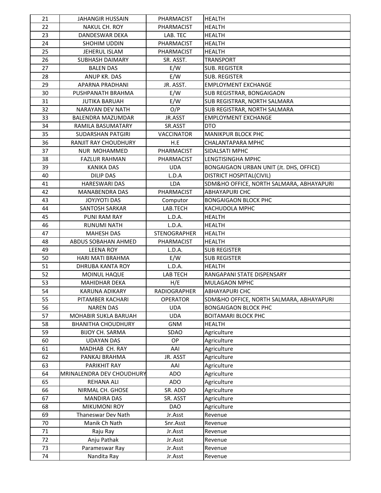| 21       | <b>JAHANGIR HUSSAIN</b>   | PHARMACIST          | <b>HEALTH</b>                            |
|----------|---------------------------|---------------------|------------------------------------------|
| 22       | <b>NAKUL CH. ROY</b>      | PHARMACIST          | <b>HEALTH</b>                            |
| 23       | DANDESWAR DEKA            | LAB. TEC            | <b>HEALTH</b>                            |
| 24       | SHOHIM UDDIN              | PHARMACIST          | <b>HEALTH</b>                            |
| 25       | JEHERUL ISLAM             | PHARMACIST          | <b>HEALTH</b>                            |
| 26       | <b>SUBHASH DAIMARY</b>    | SR. ASST.           | <b>TRANSPORT</b>                         |
| 27       | <b>BALEN DAS</b>          | E/W                 | <b>SUB. REGISTER</b>                     |
| 28       | ANUP KR. DAS              | E/W                 | <b>SUB. REGISTER</b>                     |
| 29       | APARNA PRADHANI           | JR. ASST.           | <b>EMPLOYMENT EXCHANGE</b>               |
| 30       | PUSHPANATH BRAHMA         | E/W                 | <b>SUB REGISTRAR, BONGAIGAON</b>         |
| 31       | <b>JUTIKA BARUAH</b>      | E/W                 | SUB REGISTRAR, NORTH SALMARA             |
| 32       | NARAYAN DEV NATH          | O/P                 | SUB REGISTRAR, NORTH SALMARA             |
| 33       | BALENDRA MAZUMDAR         | JR.ASST             | <b>EMPLOYMENT EXCHANGE</b>               |
| 34       | RAMILA BASUMATARY         | SR.ASST             | <b>DTO</b>                               |
| 35       | <b>SUDARSHAN PATGIRI</b>  | <b>VACCINATOR</b>   | <b>MANIKPUR BLOCK PHC</b>                |
| 36       | RANJIT RAY CHOUDHURY      | H.E                 | <b>CHALANTAPARA MPHC</b>                 |
| 37       | NUR MOHAMMED              | PHARMACIST          | SIDALSATI MPHC                           |
| 38       | <b>FAZLUR RAHMAN</b>      | PHARMACIST          | LENGTISINGHA MPHC                        |
| 39       | <b>KANIKA DAS</b>         | <b>UDA</b>          | BONGAIGAON URBAN UNIT (Jt. DHS, OFFICE)  |
| 40       | <b>DILIP DAS</b>          | L.D.A               | DISTRICT HOSPITAL(CIVIL)                 |
| 41       | <b>HARESWARI DAS</b>      | <b>LDA</b>          | SDM&HO OFFICE, NORTH SALMARA, ABHAYAPURI |
| 42       | <b>MANABENDRA DAS</b>     | PHARMACIST          | <b>ABHAYAPURI CHC</b>                    |
| 43       | JOYJYOTI DAS              | Computor            | <b>BONGAIGAON BLOCK PHC</b>              |
| 44       | SANTOSH SARKAR            | LAB.TECH            | KACHUDOLA MPHC                           |
| 45       | PUNI RAM RAY              | L.D.A.              | <b>HEALTH</b>                            |
| 46       | <b>RUNUMI NATH</b>        | L.D.A.              | <b>HEALTH</b>                            |
| 47       | <b>MAHESH DAS</b>         | <b>STENOGRAPHER</b> | <b>HEALTH</b>                            |
| 48       | ABDUS SOBAHAN AHMED       | PHARMACIST          | <b>HEALTH</b>                            |
| 49       | <b>LEENA ROY</b>          | L.D.A.              | <b>SUB REGISTER</b>                      |
| 50       | HARI MATI BRAHMA          | E/W                 | <b>SUB REGISTER</b>                      |
| 51       | DHRUBA KANTA ROY          | L.D.A.              | <b>HEALTH</b>                            |
| 52       | MOINUL HAQUE              | LAB TECH            | RANGAPANI STATE DISPENSARY               |
| 53       | <b>MAHIDHAR DEKA</b>      | H/E                 | <b>MULAGAON MPHC</b>                     |
| 54       | <b>KARUNA ADIKARY</b>     | <b>RADIOGRAPHER</b> | <b>ABHAYAPURI CHC</b>                    |
| 55       | PITAMBER KACHARI          | <b>OPERATOR</b>     | SDM&HO OFFICE, NORTH SALMARA, ABHAYAPURI |
| 56       | <b>NAREN DAS</b>          | <b>UDA</b>          | <b>BONGAIGAON BLOCK PHC</b>              |
| 57       | MOHABIR SUKLA BARUAH      | <b>UDA</b>          | <b>BOITAMARI BLOCK PHC</b>               |
| 58       | <b>BHANITHA CHOUDHURY</b> | <b>GNM</b>          | <b>HEALTH</b>                            |
| 59       | <b>BIJOY CH. SARMA</b>    | SDAO                | Agriculture                              |
| 60       | <b>UDAYAN DAS</b>         | OP                  | Agriculture                              |
| 61       | MADHAB CH. RAY            | AAI                 | Agriculture                              |
| 62       | PANKAJ BRAHMA             | JR. ASST            | Agriculture                              |
| 63       | PARIKHIT RAY              | AAI                 | Agriculture                              |
| 64       | MRINALENDRA DEV CHOUDHURY | <b>ADO</b>          | Agriculture                              |
| 65       | <b>REHANA ALI</b>         | ADO                 | Agriculture                              |
| 66       | NIRMAL CH. GHOSE          | SR. ADO             | Agriculture                              |
| 67       | <b>MANDIRA DAS</b>        | SR. ASST            | Agriculture                              |
| 68       | <b>MIKUMONI ROY</b>       | <b>DAO</b>          | Agriculture                              |
| 69       | Thaneswar Dev Nath        |                     |                                          |
|          |                           | Jr.Asst             | Revenue                                  |
| 70<br>71 | Manik Ch Nath             | Snr.Asst            | Revenue                                  |
| 72       | Raju Ray<br>Anju Pathak   | Jr.Asst<br>Jr.Asst  | Revenue                                  |
|          |                           |                     | Revenue                                  |
| 73       | Parameswar Ray            | Jr.Asst             | Revenue                                  |
| 74       | Nandita Ray               | Jr.Asst             | Revenue                                  |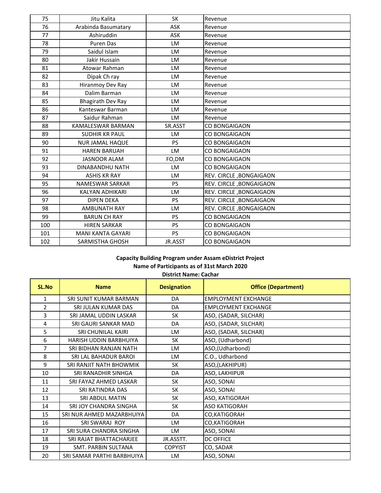| 75  | Jitu Kalita              | <b>SK</b>  | Revenue                 |
|-----|--------------------------|------------|-------------------------|
| 76  | Arabinda Basumatary      | <b>ASK</b> | Revenue                 |
| 77  | Ashiruddin               | <b>ASK</b> | Revenue                 |
| 78  | <b>Puren Das</b>         | LM         | Revenue                 |
| 79  | Saidul Islam             | LM         | Revenue                 |
| 80  | Jakir Hussain            | LM         | Revenue                 |
| 81  | Atowar Rahman            | LM         | Revenue                 |
| 82  | Dipak Ch ray             | LM         | Revenue                 |
| 83  | Hiranmoy Dev Ray         | LM         | Revenue                 |
| 84  | Dalim Barman             | LM         | Revenue                 |
| 85  | Bhagirath Dev Ray        | LM         | Revenue                 |
| 86  | Kanteswar Barman         | LM         | Revenue                 |
| 87  | Saidur Rahman            | LM         | Revenue                 |
| 88  | <b>KAMALESWAR BARMAN</b> | SR.ASST    | <b>CO BONGAIGAON</b>    |
| 89  | <b>SUDHIR KR PAUL</b>    | LM         | CO BONGAIGAON           |
| 90  | <b>NUR JAMAL HAQUE</b>   | <b>PS</b>  | CO BONGAIGAON           |
| 91  | <b>HAREN BARUAH</b>      | LM         | CO BONGAIGAON           |
| 92  | <b>JASNOOR ALAM</b>      | FO,DM      | CO BONGAIGAON           |
| 93  | DINABANDHU NATH          | LM         | <b>CO BONGAIGAON</b>    |
| 94  | <b>ASHIS KR RAY</b>      | LM         | REV. CIRCLE, BONGAIGAON |
| 95  | <b>NAMESWAR SARKAR</b>   | <b>PS</b>  | REV. CIRCLE, BONGAIGAON |
| 96  | KALYAN ADHIKARI          | LM         | REV. CIRCLE, BONGAIGAON |
| 97  | <b>DIPEN DEKA</b>        | PS         | REV. CIRCLE, BONGAIGAON |
| 98  | <b>AMBUNATH RAY</b>      | LM         | REV. CIRCLE, BONGAIGAON |
| 99  | <b>BARUN CH RAY</b>      | PS         | CO BONGAIGAON           |
| 100 | <b>HIREN SARKAR</b>      | PS         | CO BONGAIGAON           |
| 101 | <b>MANI KANTA GAYARI</b> | <b>PS</b>  | CO BONGAIGAON           |
| 102 | SARMISTHA GHOSH          | JR.ASST    | <b>CO BONGAIGAON</b>    |

**District Name: Cachar**

| SL.No          | <b>Name</b>                  | <b>Designation</b> | <b>Office (Department)</b> |
|----------------|------------------------------|--------------------|----------------------------|
| $\mathbf{1}$   | SRI SUNIT KUMAR BARMAN       | DA                 | <b>EMPLOYMENT EXCHANGE</b> |
| $\overline{2}$ | SRI JULAN KUMAR DAS          | DA                 | <b>EMPLOYMENT EXCHANGE</b> |
| 3              | SRI JAMAL UDDIN LASKAR       | <b>SK</b>          | ASO, (SADAR, SILCHAR)      |
| 4              | SRI GAURI SANKAR MAD         | DA                 | ASO, (SADAR, SILCHAR)      |
| 5              | SRI CHUNILAL KAIRI           | LM                 | ASO, (SADAR, SILCHAR)      |
| 6              | HARISH UDDIN BARBHUIYA       | <b>SK</b>          | ASO, (Udharbond)           |
| 7              | SRI BIDHAN RANJAN NATH       | <b>LM</b>          | ASO,(Udharbond)            |
| 8              | <b>SRI LAL BAHADUR BAROI</b> | <b>LM</b>          | C.O., Udharbond            |
| 9              | SRI RANJIT NATH BHOWMIK      | <b>SK</b>          | ASO,(LAKHIPUR)             |
| 10             | SRI RANADHIR SINHGA          | DA                 | ASO, LAKHIPUR              |
| 11             | SRI FAYAZ AHMED LASKAR       | <b>SK</b>          | ASO, SONAI                 |
| 12             | SRI RATINDRA DAS             | <b>SK</b>          | ASO, SONAI                 |
| 13             | <b>SRI ABDUL MATIN</b>       | <b>SK</b>          | ASO, KATIGORAH             |
| 14             | SRI JOY CHANDRA SINGHA       | <b>SK</b>          | <b>ASO KATIGORAH</b>       |
| 15             | SRI NUR AHMED MAZARBHUIYA    | DA                 | CO, KATIGORAH              |
| 16             | <b>SRI SWARAJ ROY</b>        | <b>LM</b>          | CO, KATIGORAH              |
| 17             | SRI SURA CHANDRA SINGHA      | <b>LM</b>          | ASO, SONAI                 |
| 18             | SRI RAJAT BHATTACHARJEE      | JR.ASSTT.          | <b>DC OFFICE</b>           |
| 19             | <b>SMT. PARBIN SULTANA</b>   | <b>COPYIST</b>     | CO, SADAR                  |
| 20             | SRI SAMAR PARTHI BARBHUIYA   | LM.                | ASO, SONAI                 |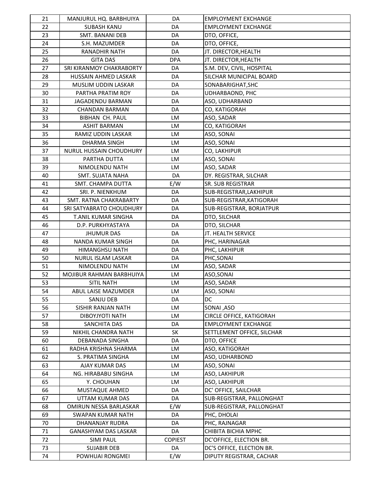| 21 | MANJURUL HQ. BARBHUIYA         | DA             | <b>EMPLOYMENT EXCHANGE</b>  |
|----|--------------------------------|----------------|-----------------------------|
| 22 | <b>SUBASH KANU</b>             | DA             | <b>EMPLOYMENT EXCHANGE</b>  |
| 23 | SMT. BANANI DEB                | DA             | DTO, OFFICE,                |
| 24 | S.H. MAZUMDER                  | DA             | DTO, OFFICE,                |
| 25 | RANADHIR NATH                  | DA             | JT. DIRECTOR, HEALTH        |
| 26 | <b>GITA DAS</b>                | <b>DPA</b>     | JT. DIRECTOR, HEALTH        |
| 27 | SRI KIRANMOY CHAKRABORTY       | DA             | S.M. DEV, CIVIL, HOSPITAL   |
| 28 | HUSSAIN AHMED LASKAR           | DA             | SILCHAR MUNICIPAL BOARD     |
| 29 | MUSLIM UDDIN LASKAR            | DA             | SONABARIGHAT, SHC           |
| 30 | PARTHA PRATIM ROY              | DA             | UDHARBAOND, PHC             |
| 31 | <b>JAGADENDU BARMAN</b>        | DA             | ASO, UDHARBAND              |
| 32 | <b>CHANDAN BARMAN</b>          | DA             | CO, KATIGORAH               |
| 33 | <b>BIBHAN CH. PAUL</b>         | LM             | ASO, SADAR                  |
| 34 | <b>ASHIT BARMAN</b>            | LM             | CO, KATIGORAH               |
| 35 | RAMIZ UDDIN LASKAR             | LM             | ASO, SONAI                  |
| 36 | DHARMA SINGH                   | LM             | ASO, SONAI                  |
| 37 | <b>NURUL HUSSAIN CHOUDHURY</b> | LM             | CO, LAKHIPUR                |
| 38 | PARTHA DUTTA                   | LM             | ASO, SONAI                  |
| 39 | NIMOLENDU NATH                 | LM             | ASO, SADAR                  |
| 40 | <b>SMT. SUJATA NAHA</b>        | DA             | DY. REGISTRAR, SILCHAR      |
| 41 | SMT. CHAMPA DUTTA              | E/W            | SR. SUB REGISTRAR           |
| 42 | SRI. P. NIENKHUM               | DA             | SUB-REGISTRAR, LAKHIPUR     |
| 43 | SMT. RATNA CHAKRABARTY         | DA             | SUB-REGISTRAR, KATIGORAH    |
| 44 | SRI SATYABRATO CHOUDHURY       | DA             | SUB-REGISTRAR, BORJATPUR    |
| 45 | T.ANIL KUMAR SINGHA            | DA             | DTO, SILCHAR                |
| 46 | D.P. PURKHYASTAYA              | DA             | DTO, SILCHAR                |
| 47 | <b>JHUMUR DAS</b>              | DA             | JT. HEALTH SERVICE          |
| 48 | NANDA KUMAR SINGH              | DA             | PHC, HARINAGAR              |
| 49 | HIMANGHSU NATH                 | DA             | PHC, LAKHIPUR               |
| 50 | NURUL ISLAM LASKAR             | DA             | PHC, SONAI                  |
| 51 | NIMOLENDU NATH                 | LM             | ASO, SADAR                  |
| 52 | MOJIBUR RAHMAN BARBHUIYA       | LM             | ASO, SONAI                  |
| 53 | SITIL NATH                     | LM             | ASO, SADAR                  |
| 54 | ABUL LAISE MAZUMDER            | LM             | ASO, SONAI                  |
| 55 | SANJU DEB                      | DA             | DC                          |
| 56 | SISHIR RANJAN NATH             | LM             | SONAI, ASO                  |
| 57 | <b>DIBOYJYOTI NATH</b>         | LM             | CIRCLE OFFICE, KATIGORAH    |
| 58 | SANCHITA DAS                   | DA             | <b>EMPLOYMENT EXCHANGE</b>  |
| 59 | NIKHIL CHANDRA NATH            | SK             | SETTLEMENT OFFICE, SILCHAR  |
| 60 | DEBANADA SINGHA                | DA             | DTO, OFFICE                 |
| 61 | RADHA KRISHNA SHARMA           | LM             | ASO, KATIGORAH              |
| 62 | S. PRATIMA SINGHA              | LM             | ASO, UDHARBOND              |
| 63 | AJAY KUMAR DAS                 | LM             |                             |
| 64 | NG. HIRABABU SINGHA            |                | ASO, SONAI<br>ASO, LAKHIPUR |
| 65 | Y. CHOUHAN                     | LM<br>LM       | ASO, LAKHIPUR               |
| 66 | MUSTAQUE AHMED                 | DA             | DC' OFFICE, SAILCHAR        |
|    |                                |                |                             |
| 67 | UTTAM KUMAR DAS                | DA             | SUB-REGISTRAR, PALLONGHAT   |
| 68 | OMIRUN NESSA BARLASKAR         | E/W            | SUB-REGISTRAR, PALLONGHAT   |
| 69 | SWAPAN KUMAR NATH              | DA             | PHC, DHOLAI                 |
| 70 | DHANANJAY RUDRA                | DA             | PHC, RAJNAGAR               |
| 71 | <b>GANASHYAM DAS LASKAR</b>    | DA             | CHIBITA BICHIA MPHC         |
| 72 | <b>SIMI PAUL</b>               | <b>COPIEST</b> | DC'OFFICE, ELECTION BR.     |
| 73 | <b>SUJABIR DEB</b>             | DA             | DC'S OFFICE, ELECTION BR.   |
| 74 | POWHUAI RONGMEI                | E/W            | DIPUTY REGISTRAR, CACHAR    |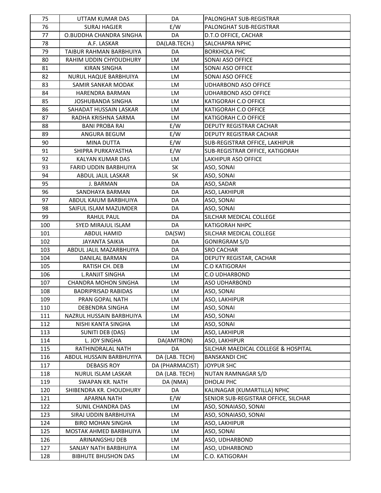| 75  | UTTAM KUMAR DAS              | DA              | PALONGHAT SUB-REGISTRAR              |
|-----|------------------------------|-----------------|--------------------------------------|
| 76  | <b>SURAJ HAGJER</b>          | E/W             | PALONGHAT SUB-REGISTRAR              |
| 77  | O.BUDDHA CHANDRA SINGHA      | DA              | D.T.O OFFICE, CACHAR                 |
| 78  | A.F. LASKAR                  | DA(LAB.TECH.)   | SALCHAPRA NPHC                       |
| 79  | TAIBUR RAHMAN BARBHUIYA      | DA              | <b>BORKHOLA PHC</b>                  |
| 80  | RAHIM UDDIN CHYOUDHURY       | LM              | SONAI ASO OFFICE                     |
| 81  | <b>KIRAN SINGHA</b>          | LM              | SONAI ASO OFFICE                     |
| 82  | NURUL HAQUE BARBHUIYA        | LM              | SONAI ASO OFFICE                     |
| 83  | SAMIR SANKAR MODAK           | LM              | <b>UDHARBOND ASO OFFICE</b>          |
| 84  | HARENDRA BARMAN              | <b>LM</b>       | <b>UDHARBOND ASO OFFICE</b>          |
| 85  | <b>JOSHUBANDA SINGHA</b>     | <b>LM</b>       | KATIGORAH C.O OFFICE                 |
| 86  | SAHADAT HUSSAIN LASKAR       | LM              | KATIGORAH C.O OFFICE                 |
| 87  | RADHA KRISHNA SARMA          | <b>LM</b>       | KATIGORAH C.O OFFICE                 |
| 88  | <b>BANI PROBA RAI</b>        | E/W             | DEPUTY REGISTRAR CACHAR              |
| 89  | ANGURA BEGUM                 | E/W             | DEPUTY REGISTRAR CACHAR              |
| 90  | <b>MINA DUTTA</b>            | E/W             | SUB-REGISTRAR OFFICE, LAKHIPUR       |
| 91  | SHIPRA PURKAYASTHA           | E/W             | SUB-REGISTRAR OFFICE, KATIGORAH      |
| 92  | KALYAN KUMAR DAS             | LM              | <b>LAKHIPUR ASO OFFICE</b>           |
| 93  | <b>FARID UDDIN BARBHUIYA</b> | SK              | ASO, SONAI                           |
| 94  | ABDUL JALIL LASKAR           | <b>SK</b>       | ASO, SONAI                           |
| 95  | J. BARMAN                    | DA              | ASO, SADAR                           |
| 96  | SANDHAYA BARMAN              | DA              | ASO, LAKHIPUR                        |
| 97  | ABDUL KAIUM BARBHUIYA        | DA              | ASO, SONAI                           |
| 98  | SAIFUL ISLAM MAZUMDER        | DA              |                                      |
| 99  |                              | DA              | ASO, SONAI                           |
|     | RAHUL PAUL                   | DA              | SILCHAR MEDICAL COLLEGE              |
| 100 | SYED MIRAJUL ISLAM           |                 | <b>KATIGORAH NHPC</b>                |
| 101 | ABDUL HAMID                  | DA(SW)          | SILCHAR MEDICAL COLLEGE              |
| 102 | <b>JAYANTA SAIKIA</b>        | DA              | <b>GONIRGRAM S/D</b>                 |
| 103 | ABDUL JALIL MAZARBHUIYA      | DA              | <b>SRO CACHAR</b>                    |
| 104 | <b>DANILAL BARMAN</b>        | DA              | DEPUTY REGISTAR, CACHAR              |
| 105 | RATISH CH. DEB               | LM              | <b>C.O KATIGORAH</b>                 |
| 106 | <b>L.RANJIT SINGHA</b>       | LM              | <b>C.O UDHARBOND</b>                 |
| 107 | <b>CHANDRA MOHON SINGHA</b>  | LM              | <b>ASO UDHARBOND</b>                 |
| 108 | <b>BADRIPRISAD RABIDAS</b>   | LM              | ASO, SONAI                           |
| 109 | PRAN GOPAL NATH              | LM              | ASO, LAKHIPUR                        |
| 110 | DEBENDRA SINGHA              | LM              | ASO, SONAI                           |
| 111 | NAZRUL HUSSAIN BARBHUIYA     | LM              | ASO, SONAI                           |
| 112 | NISHI KANTA SINGHA           | LM              | ASO, SONAI                           |
| 113 | SUNITI DEB (DAS)             | LM              | ASO, LAKHIPUR                        |
| 114 | L. JOY SINGHA                | DA(AMTRON)      | ASO, LAKHIPUR                        |
| 115 | RATHINDRALAL NATH            | DA              | SILCHAR MAEDICAL COLLEGE & HOSPITAL  |
| 116 | ABDUL HUSSAIN BARBHUYIYA     | DA (LAB. TECH)  | <b>BANSKANDI CHC</b>                 |
| 117 | DEBASIS ROY                  | DA (PHARMACIST) | <b>JOYPUR SHC</b>                    |
| 118 | NURUL ISLAM LASKAR           | DA (LAB. TECH)  | NUTAN RAMNAGAR S/D                   |
| 119 | SWAPAN KR. NATH              | DA (NMA)        | <b>DHOLAI PHC</b>                    |
| 120 | SHIBENDRA KR. CHOUDHURY      | DA              | KALINAGAR (KUMARTILLA) NPHC          |
| 121 | APARNA NATH                  | E/W             | SENIOR SUB-REGISTRAR OFFICE, SILCHAR |
| 122 | SUNIL CHANDRA DAS            | LM              | ASO, SONAIASO, SONAI                 |
| 123 | SIRAJ UDDIN BARBHUIYA        | LM              | ASO, SONAIASO, SONAI                 |
| 124 | <b>BIRO MOHAN SINGHA</b>     | LM              | ASO, LAKHIPUR                        |
| 125 | MOSTAK AHMED BARBHUIYA       | LM              | ASO, SONAI                           |
| 126 | ARINANGSHU DEB               | LM              | ASO, UDHARBOND                       |
| 127 | SANJAY NATH BARBHUIYA        | LM              | ASO, UDHARBOND                       |
| 128 | <b>BIBHUTE BHUSHON DAS</b>   | LM              | C.O. KATIGORAH                       |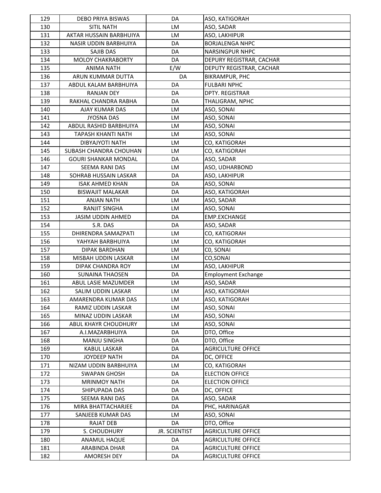| 129 | DEBO PRIYA BISWAS           | DA                   | ASO, KATIGORAH             |
|-----|-----------------------------|----------------------|----------------------------|
| 130 | <b>SITIL NATH</b>           | LM                   | ASO, SADAR                 |
| 131 | AKTAR HUSSAIN BARBHUIYA     | <b>LM</b>            | ASO, LAKHIPUR              |
| 132 | NASIR UDDIN BARBHUIYA       | DA                   | <b>BORJALENGA NHPC</b>     |
| 133 | SAJIB DAS                   | DA                   | NARSINGPUR NHPC            |
| 134 | <b>MOLOY CHAKRABORTY</b>    | DA                   | DEPURY REGISTRAR, CACHAR   |
| 135 | ANIMA NATH                  | E/W                  | DEPUTY REGISTRAR, CACHAR   |
| 136 | ARUN KUMMAR DUTTA           | DA                   | <b>BIKRAMPUR, PHC</b>      |
| 137 | ABDUL KALAM BARBHUIYA       | DA                   | <b>FULBARI NPHC</b>        |
| 138 | <b>RANJAN DEY</b>           | DA                   | <b>DPTY. REGISTRAR</b>     |
| 139 | RAKHAL CHANDRA RABHA        | DA                   | THALIGRAM, NPHC            |
| 140 | AJAY KUMAR DAS              | LM                   | ASO, SONAI                 |
| 141 | <b>JYOSNA DAS</b>           | LM                   | ASO, SONAI                 |
| 142 | ABDUL RASHID BARBHUIYA      | LM                   | ASO, SONAI                 |
| 143 | TAPASH KHANTI NATH          | LM                   | ASO, SONAI                 |
| 144 | DIBYAJYOTI NATH             | LM                   | CO, KATIGORAH              |
| 145 | SUBASH CHANDRA CHOUHAN      | LM                   | CO, KATIGORAH              |
| 146 | <b>GOURI SHANKAR MONDAL</b> | DA                   | ASO, SADAR                 |
| 147 | SEEMA RANI DAS              | LM                   | ASO, UDHARBOND             |
| 148 | SOHRAB HUSSAIN LASKAR       | DA                   | ASO, LAKHIPUR              |
| 149 | <b>ISAK AHMED KHAN</b>      | DA                   | ASO, SONAI                 |
| 150 | <b>BISWAJIT MALAKAR</b>     | DA                   | ASO, KATIGORAH             |
| 151 | <b>ANJAN NATH</b>           | LM                   | ASO, SADAR                 |
| 152 | RANJIT SINGHA               | LM                   | ASO, SONAI                 |
| 153 | <b>JASIM UDDIN AHMED</b>    | DA                   | EMP.EXCHANGE               |
| 154 | S.R. DAS                    | DA                   | ASO, SADAR                 |
| 155 | DHIRENDRA SAMAZPATI         | LM                   | CO, KATIGORAH              |
| 156 | YAHYAH BARBHUIYA            | LM                   | CO, KATIGORAH              |
| 157 | DIPAK BARDHAN               | LM                   | CO, SONAI                  |
| 158 | MISBAH UDDIN LASKAR         | LM                   | CO, SONAI                  |
| 159 | DIPAK CHANDRA ROY           | LM                   | ASO, LAKHIPUR              |
| 160 | SUNAINA THAOSEN             | DA                   | <b>Employment Exchange</b> |
| 161 | ABUL LASIE MAZUMDER         | LM                   | ASO, SADAR                 |
| 162 | SALIM UDDIN LASKAR          | LM                   | ASO, KATIGORAH             |
| 163 | AMARENDRA KUMAR DAS         | LM                   | ASO, KATIGORAH             |
| 164 | RAMIZ UDDIN LASKAR          | LM                   | ASO, SONAI                 |
| 165 | MINAZ UDDIN LASKAR          | LM                   | ASO, SONAI                 |
| 166 | ABUL KHAYR CHOUDHURY        | LM                   | ASO, SONAI                 |
| 167 | A.I.MAZARBHUIYA             | DA                   | DTO, Office                |
| 168 | MANJU SINGHA                | DA                   | DTO, Office                |
| 169 | KABUL LASKAR                | DA                   | <b>AGRICULTURE OFFICE</b>  |
| 170 | JOYDEEP NATH                | DA                   | DC, OFFICE                 |
| 171 | NIZAM UDDIN BARBHUIYA       | LM                   | CO, KATIGORAH              |
| 172 | <b>SWAPAN GHOSH</b>         | DA                   | <b>ELECTION OFFICE</b>     |
| 173 | <b>MRINMOY NATH</b>         | DA                   | <b>ELECTION OFFICE</b>     |
| 174 | SHIPUPADA DAS               | DA                   | DC, OFFICE                 |
| 175 | SEEMA RANI DAS              | DA                   | ASO, SADAR                 |
| 176 | MIRA BHATTACHARJEE          | DA                   | PHC, HARINAGAR             |
| 177 | SANJEEB KUMAR DAS           | LM                   | ASO, SONAI                 |
| 178 | RAJAT DEB                   | DA                   | DTO, Office                |
| 179 | S. CHOUDHURY                | <b>JR. SCIENTIST</b> | <b>AGRICULTURE OFFICE</b>  |
| 180 | ANAMUL HAQUE                | DA                   | <b>AGRICULTURE OFFICE</b>  |
| 181 | ARABINDA DHAR               | DA                   | <b>AGRICULTURE OFFICE</b>  |
| 182 | AMORESH DEY                 | DA                   | <b>AGRICULTURE OFFICE</b>  |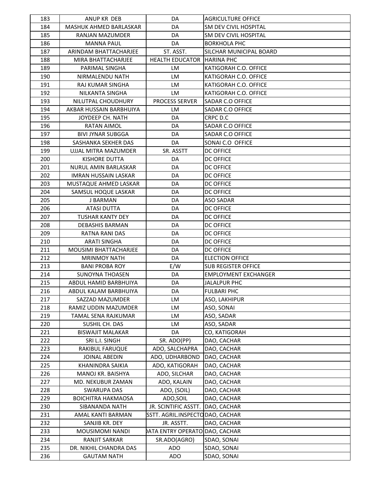| 183 | ANUP KR DEB                  | DA                               | <b>AGRICULTURE OFFICE</b>    |
|-----|------------------------------|----------------------------------|------------------------------|
| 184 | MASHUK AHMED BARLASKAR       | DA                               | SM DEV CIVIL HOSPITAL        |
| 185 | RANJAN MAZUMDER              | DA                               | <b>SM DEV CIVIL HOSPITAL</b> |
| 186 | <b>MANNA PAUL</b>            | DA                               | <b>BORKHOLA PHC</b>          |
| 187 | ARINDAM BHATTACHARJEE        | ST. ASST.                        | SILCHAR MUNICIPAL BOARD      |
| 188 | MIRA BHATTACHARJEE           | <b>HEALTH EDUCATOR</b>           | <b>HARINA PHC</b>            |
| 189 | PARIMAL SINGHA               | LM                               | KATIGORAH C.O. OFFICE        |
| 190 | NIRMALENDU NATH              | <b>LM</b>                        | KATIGORAH C.O. OFFICE        |
| 191 | RAJ KUMAR SINGHA             | LM                               | KATIGORAH C.O. OFFICE        |
| 192 | NILKANTA SINGHA              | LM                               | KATIGORAH C.O. OFFICE        |
| 193 | NILUTPAL CHOUDHURY           | <b>PROCESS SERVER</b>            | SADAR C.O OFFICE             |
| 194 | AKBAR HUSSAIN BARBHUIYA      | LM                               | SADAR C.O OFFICE             |
| 195 | JOYDEEP CH. NATH             | DA                               | CRPC D.C                     |
| 196 | RATAN AIMOL                  | DA                               | SADAR C.O OFFICE             |
| 197 | <b>BIVI JYNAR SUBGGA</b>     | DA                               | SADAR C.O OFFICE             |
| 198 | SASHANKA SEKHER DAS          | DA                               | SONAI C.O OFFICE             |
| 199 | UJJAL MITRA MAZUMDER         | SR. ASSTT                        | <b>DC OFFICE</b>             |
| 200 | <b>KISHORE DUTTA</b>         | DA                               | <b>DC OFFICE</b>             |
| 201 | NURUL AMIN BARLASKAR         | DA                               | <b>DC OFFICE</b>             |
| 202 | <b>IMRAN HUSSAIN LASKAR</b>  | DA                               | <b>DC OFFICE</b>             |
| 203 | MUSTAQUE AHMED LASKAR        | DA                               | <b>DC OFFICE</b>             |
| 204 | SAMSUL HOQUE LASKAR          | DA                               | <b>DC OFFICE</b>             |
| 205 | J BARMAN                     | DA                               | <b>ASO SADAR</b>             |
| 206 | <b>ATASI DUTTA</b>           | DA                               | <b>DC OFFICE</b>             |
| 207 | <b>TUSHAR KANTY DEY</b>      | DA                               | <b>DC OFFICE</b>             |
| 208 | <b>DEBASHIS BARMAN</b>       | DA                               | <b>DC OFFICE</b>             |
| 209 | RATNA RANI DAS               | DA                               | <b>DC OFFICE</b>             |
| 210 | <b>ARATI SINGHA</b>          | DA                               | <b>DC OFFICE</b>             |
| 211 | <b>MOUSIMI BHATTACHARJEE</b> | DA                               | <b>DC OFFICE</b>             |
| 212 | <b>MRINMOY NATH</b>          | DA                               | <b>ELECTION OFFICE</b>       |
| 213 | <b>BANI PROBA ROY</b>        | E/W                              | <b>SUB REGISTER OFFICE</b>   |
| 214 | <b>SUNOYNA THOASEN</b>       | DA                               | <b>EMPLOYMENT EXCHANGER</b>  |
| 215 | ABDUL HAMID BARBHUIYA        | DA                               | <b>JALALPUR PHC</b>          |
| 216 | ABDUL KALAM BARBHUIYA        | DA                               | <b>FULBARI PHC</b>           |
| 217 | SAZZAD MAZUMDER              | LM                               | ASO, LAKHIPUR                |
| 218 | RAMIZ UDDIN MAZUMDER         | LM                               | ASO, SONAI                   |
| 219 | TAMAL SENA RAJKUMAR          | LM                               | ASO, SADAR                   |
| 220 | SUSHIL CH. DAS               | LM                               | ASO, SADAR                   |
| 221 | <b>BISWAJIT MALAKAR</b>      | DA                               | CO, KATIGORAH                |
| 222 | SRI L.I. SINGH               | SR. ADO(PP)                      | DAO, CACHAR                  |
| 223 | RAKIBUL FARUQUE              | ADO, SALCHAPRA                   | DAO, CACHAR                  |
| 224 | JOINAL ABEDIN                | ADO, UDHARBOND                   | DAO, CACHAR                  |
| 225 | KHANINDRA SAIKIA             | ADO, KATIGORAH                   | DAO, CACHAR                  |
| 226 | MANOJ KR. BAISHYA            | ADO, SILCHAR                     | DAO, CACHAR                  |
| 227 | MD. NEKUBUR ZAMAN            | ADO, KALAIN                      | DAO, CACHAR                  |
| 228 | <b>SWARUPA DAS</b>           | ADO, (SOIL)                      | DAO, CACHAR                  |
| 229 | <b>BOICHITRA HAKMAOSA</b>    | ADO, SOIL                        | DAO, CACHAR                  |
| 230 | SIBANANDA NATH               | JR. SCINTIFIC ASSTT.             | DAO, CACHAR                  |
| 231 | AMAL KANTI BARMAN            | SSTT. AGRIL.INSPECTO DAO, CACHAR |                              |
| 232 | SANJIB KR. DEY               | JR. ASSTT.                       | DAO, CACHAR                  |
| 233 | MOUSIMOMI NANDI              | <b>ATA ENTRY OPERATO</b>         | DAO, CACHAR                  |
| 234 | RANJIT SARKAR                | SR.ADO(AGRO)                     | SDAO, SONAI                  |
| 235 | DR. NIKHIL CHANDRA DAS       | ADO                              | SDAO, SONAI                  |
| 236 | <b>GAUTAM NATH</b>           | ADO                              | SDAO, SONAI                  |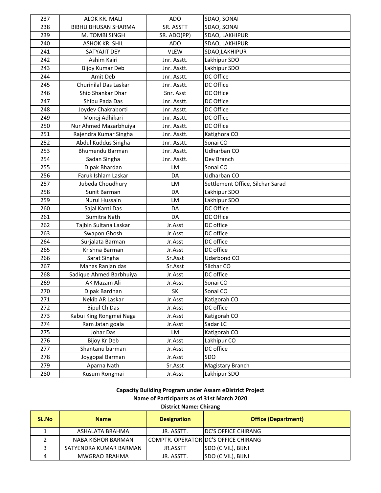| 237 | ALOK KR. MALI              | <b>ADO</b>  | SDAO, SONAI                      |
|-----|----------------------------|-------------|----------------------------------|
| 238 | <b>BIBHU BHUSAN SHARMA</b> | SR. ASSTT   | SDAO, SONAI                      |
| 239 | M. TOMBI SINGH             | SR. ADO(PP) | SDAO, LAKHIPUR                   |
| 240 | <b>ASHOK KR. SHIL</b>      | <b>ADO</b>  | SDAO, LAKHIPUR                   |
| 241 | SATYAJIT DEY               | <b>VLEW</b> | SDAO,LAKHIPUR                    |
| 242 | Ashim Kairi                | Jnr. Asstt. | Lakhipur SDO                     |
| 243 | <b>Bijoy Kumar Deb</b>     | Jnr. Asstt. | Lakhipur SDO                     |
| 244 | Amit Deb                   | Jnr. Asstt. | DC Office                        |
| 245 | Churinilal Das Laskar      | Jnr. Asstt. | DC Office                        |
| 246 | Shib Shankar Dhar          | Snr. Asst   | DC Office                        |
| 247 | Shibu Pada Das             | Jnr. Asstt. | DC Office                        |
| 248 | Joydev Chakraborti         | Jnr. Asstt. | DC Office                        |
| 249 | Monoj Adhikari             | Jnr. Asstt. | DC Office                        |
| 250 | Nur Ahmed Mazarbhuiya      | Jnr. Asstt. | DC Office                        |
| 251 | Rajendra Kumar Singha      | Jnr. Asstt. | Katighora CO                     |
| 252 | Abdul Kuddus Singha        | Jnr. Asstt. | Sonai CO                         |
| 253 | Bhumendu Barman            | Jnr. Asstt. | Udharban CO                      |
| 254 | Sadan Singha               | Jnr. Asstt. | Dev Branch                       |
| 255 | Dipak Bhardan              | LM          | Sonai CO                         |
| 256 | Faruk Ishlam Laskar        | DA          | Udharban CO                      |
| 257 | Jubeda Choudhury           | LM          | Settlement Office, Silchar Sarad |
| 258 | Sunit Barman               | DA          | Lakhipur SDO                     |
| 259 | Nurul Hussain              | LM          | Lakhipur SDO                     |
| 260 | Sajal Kanti Das            | DA          | DC Office                        |
| 261 | Sumitra Nath               | DA          | DC Office                        |
| 262 | Tajbin Sultana Laskar      | Jr.Asst     | DC office                        |
| 263 | Swapon Ghosh               | Jr.Asst     | DC office                        |
| 264 | Surjalata Barman           | Jr.Asst     | DC office                        |
| 265 | Krishna Barman             | Jr.Asst     | DC office                        |
| 266 | Sarat Singha               | Sr.Asst     | Udarbond CO                      |
| 267 | Manas Ranjan das           | Sr.Asst     | Silchar CO                       |
| 268 | Sadique Ahmed Barbhuiya    | Jr.Asst     | DC office                        |
| 269 | AK Mazam Ali               | Jr.Asst     | Sonai CO                         |
| 270 | Dipak Bardhan              | <b>SK</b>   | Sonai CO                         |
| 271 | Nekib AR Laskar            | Jr.Asst     | Katigorah CO                     |
| 272 | <b>Bipul Ch Das</b>        | Jr.Asst     | DC office                        |
| 273 | Kabui King Rongmei Naga    | Jr.Asst     | Katigorah CO                     |
| 274 | Ram Jatan goala            | Jr.Asst     | Sadar LC                         |
| 275 | Johar Das                  | LM          | Katigorah CO                     |
| 276 | Bijoy Kr Deb               | Jr.Asst     | Lakhipur CO                      |
| 277 | Shantanu barman            | Jr.Asst     | DC office                        |
| 278 | Joygopal Barman            | Jr.Asst     | SDO                              |
| 279 | Aparna Nath                | Sr.Asst     | Magistary Branch                 |
| 280 | Kusum Rongmai              | Jr.Asst     | Lakhipur SDO                     |

**Capacity Building Program under Assam eDistrict Project Name of Participants as of 31st March 2020 District Name: Chirang**

| <b>SL.No</b> | <b>Name</b>            | <b>Designation</b> | <b>Office (Department)</b>           |
|--------------|------------------------|--------------------|--------------------------------------|
|              | ASHALATA BRAHMA        | JR. ASSTT.         | <b>IDC'S OFFICE CHIRANG</b>          |
|              | NABA KISHOR BARMAN     |                    | COMPTR. OPERATOR DC'S OFFICE CHIRANG |
|              | SATYENDRA KUMAR BARMAN | JR.ASSTT           | <b>SDO (CIVIL), BIJNI</b>            |
|              | <b>MWGRAO BRAHMA</b>   | JR. ASSTT.         | SDO (CIVIL), BIJNI                   |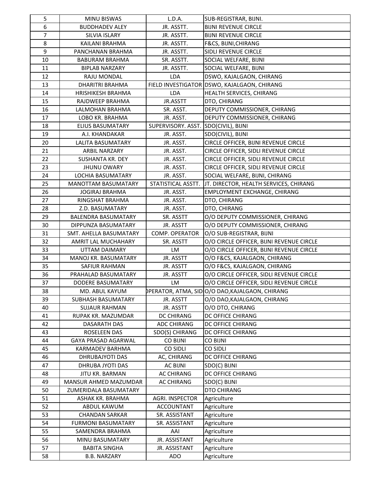| 5              | MINU BISWAS                | L.D.A.             | SUB-REGISTRAR, BIJNI.                           |
|----------------|----------------------------|--------------------|-------------------------------------------------|
| 6              | <b>BUDDHADEV ALEY</b>      | JR. ASSTT.         | <b>BIJNI REVENUE CIRCLE</b>                     |
| $\overline{7}$ | SILVIA ISLARY              | JR. ASSTT.         | <b>BIJNI REVENUE CIRCLE</b>                     |
| 8              | KAILANI BRAHMA             | JR. ASSTT.         | F&CS, BIJNI, CHIRANG                            |
| 9              | PANCHANAN BRAHMA           | JR. ASSTT.         | SIDLI REVENUE CIRCLE                            |
| 10             | <b>BABURAM BRAHMA</b>      | SR. ASSTT.         | SOCIAL WELFARE, BIJNI                           |
| 11             | <b>BIPLAB NARZARY</b>      | JR. ASSTT.         | SOCIAL WELFARE, BIJNI                           |
| 12             | RAJU MONDAL                | <b>LDA</b>         | DSWO, KAJALGAON, CHIRANG                        |
| 13             | DHARITRI BRAHMA            |                    | FIELD INVESTIGATOR DSWO, KAJALGAON, CHIRANG     |
| 14             | <b>HRISHIKESH BRAHMA</b>   | <b>LDA</b>         | HEALTH SERVICES, CHIRANG                        |
| 15             | RAJDWEEP BRAHMA            | JR.ASSTT           | DTO, CHIRANG                                    |
| 16             | LALMOHAN BRAHMA            | SR. ASST.          | DEPUTY COMMISSIONER, CHIRANG                    |
| 17             | LOBO KR. BRAHMA            | JR. ASST.          | DEPUTY COMMISSIONER, CHIRANG                    |
| 18             | ELIUS BASUMATARY           | SUPERVISORY. ASST. | SDO(CIVIL), BIJNI                               |
| 19             | A.I. KHANDAKAR             | JR. ASST.          | SDO(CIVIL), BIJNI                               |
| 20             | LALITA BASUMATARY          | JR. ASST.          | CIRCLE OFFICER, BIJNI REVENUE CIRCLE            |
| 21             | ARBIL NARZARY              | JR. ASST.          | CIRCLE OFFICER, SIDLI REVENUE CIRCLE            |
| 22             | SUSHANTA KR. DEY           | JR. ASST.          | CIRCLE OFFICER, SIDLI REVENUE CIRCLE            |
| 23             | <b>JHUNU OWARY</b>         | JR. ASST.          | CIRCLE OFFICER, SIDLI REVENUE CIRCLE            |
| 24             | <b>LOCHIA BASUMATARY</b>   | JR. ASST.          | SOCIAL WELFARE, BIJNI, CHIRANG                  |
| 25             | <b>MANOTTAM BASUMATARY</b> | STATISTICAL ASSTT. | JT. DIRECTOR, HEALTH SERVICES, CHIRANG          |
| 26             | <b>JOGIRAJ BRAHMA</b>      | JR. ASST.          | EMPLOYMENT EXCHANGE, CHIRANG                    |
| 27             | RINGSHAT BRAHMA            | JR. ASST.          | DTO, CHIRANG                                    |
| 28             | Z.D. BASUMATARY            | JR. ASST.          | DTO, CHIRANG                                    |
| 29             | <b>BALENDRA BASUMATARY</b> | SR. ASSTT          | O/O DEPUTY COMMISSIONER, CHIRANG                |
| 30             | DIPPUNZA BASUMATARY        | JR. ASSTT          | O/O DEPUTY COMMISSIONER, CHIRANG                |
| 31             | SMT. AHELLA BASUMATARY     | COMP. OPERATOR     | O/O SUB-REGISTRAR, BIJNI                        |
| 32             | AMRIT LAL MUCHAHARY        | SR. ASSTT          | O/O CIRCLE OFFICER, BIJNI REVENUE CIRCLE        |
| 33             | UTTAM DAIMARY              | LM                 | O/O CIRCLE OFFICER, BIJNI REVENUE CIRCLE        |
| 34             | MANOJ KR. BASUMATARY       | JR. ASSTT          | O/O F&CS, KAJALGAON, CHIRANG                    |
| 35             | SAFIUR RAHMAN              | JR. ASSTT          | O/O F&CS, KAJALGAON, CHIRANG                    |
| 36             | PRAHALAD BASUMATARY        | JR. ASSTT          | O/O CIRCLE OFFICER, SIDLI REVENUE CIRCLE        |
| 37             | DODERE BASUMATARY          | <b>LM</b>          | O/O CIRCLE OFFICER, SIDLI REVENUE CIRCLE        |
| 38             | MD. ABUL KAYUM             |                    | PPERATOR, ATMA, SIDOO/O DAO, KAJALGAON, CHIRANG |
| 39             | SUBHASH BASUMATARY         | JR. ASSTT          | O/O DAO, KAJALGAON, CHIRANG                     |
| 40             | <b>SUJAUR RAHMAN</b>       | JR. ASSTT          | O/O DTO, CHIRANG                                |
| 41             | RUPAK KR. MAZUMDAR         | <b>DC CHIRANG</b>  | DC OFFICE CHIRANG                               |
| 42             | <b>DASARATH DAS</b>        | ADC CHIRANG        | DC OFFICE CHIRANG                               |
| 43             | ROSELEEN DAS               | SDO(S) CHIRANG     | DC OFFICE CHIRANG                               |
| 44             | GAYA PRASAD AGARWAL        | <b>CO BIJNI</b>    | CO BIJNI                                        |
| 45             | KARMADEV BARHMA            | <b>CO SIDLI</b>    | <b>CO SIDLI</b>                                 |
| 46             | DHRUBAJYOTI DAS            | AC, CHIRANG        | DC OFFICE CHIRANG                               |
| 47             | DHRUBA JYOTI DAS           | <b>AC BIJNI</b>    | SDO(C) BIJNI                                    |
| 48             | JITU KR. BARMAN            | <b>AC CHIRANG</b>  | DC OFFICE CHIRANG                               |
| 49             | MANSUR AHMED MAZUMDAR      | AC CHIRANG         | SDO(C) BIJNI                                    |
| 50             | ZUMERIDALA BASUMATARY      |                    | DTO CHIRANG                                     |
| 51             | ASHAK KR. BRAHMA           | AGRI. INSPECTOR    | Agriculture                                     |
| 52             | ABDUL KAWUM                | <b>ACCOUNTANT</b>  | Agriculture                                     |
| 53             | <b>CHANDAN SARKAR</b>      | SR. ASSISTANT      | Agriculture                                     |
| 54             | <b>FURMONI BASUMATARY</b>  | SR. ASSISTANT      | Agriculture                                     |
| 55             | SAMENDRA BRAHMA            | AAI                | Agriculture                                     |
| 56             | MINU BASUMATARY            | JR. ASSISTANT      | Agriculture                                     |
| 57             | <b>BABITA SINGHA</b>       | JR. ASSISTANT      | Agriculture                                     |
| 58             | <b>B.B. NARZARY</b>        | ADO                | Agriculture                                     |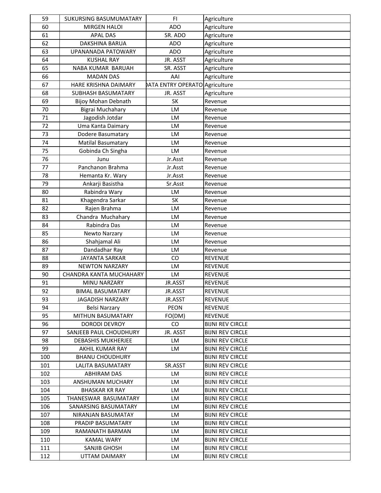| 59  | SUKURSING BASUMUMATARY    | FI.                                  | Agriculture             |
|-----|---------------------------|--------------------------------------|-------------------------|
| 60  | <b>MIRGEN HALOI</b>       | <b>ADO</b>                           | Agriculture             |
| 61  | <b>APAL DAS</b>           | SR. ADO                              | Agriculture             |
| 62  | DAKSHINA BARUA            | <b>ADO</b>                           | Agriculture             |
| 63  | UPANANADA PATOWARY        | <b>ADO</b>                           | Agriculture             |
| 64  | <b>KUSHAL RAY</b>         | JR. ASST                             | Agriculture             |
| 65  | NABA KUMAR BARUAH         | SR. ASST                             | Agriculture             |
| 66  | <b>MADAN DAS</b>          | AAI                                  | Agriculture             |
| 67  | HARE KRISHNA DAIMARY      | <b>ATA ENTRY OPERATO Agriculture</b> |                         |
| 68  | SUBHASH BASUMATARY        | JR. ASST                             | Agriculture             |
| 69  | Bijoy Mohan Debnath       | <b>SK</b>                            | Revenue                 |
| 70  | Bigrai Muchahary          | LM                                   | Revenue                 |
| 71  | Jagodish Jotdar           | LM                                   | Revenue                 |
| 72  | Uma Kanta Daimary         | LM                                   | Revenue                 |
| 73  | Dodere Basumatary         | LM                                   | Revenue                 |
| 74  | <b>Matilal Basumatary</b> | LM                                   | Revenue                 |
| 75  | Gobinda Ch Singha         | LM                                   | Revenue                 |
| 76  | Junu                      | Jr.Asst                              | Revenue                 |
| 77  | Panchanon Brahma          | Jr.Asst                              | Revenue                 |
| 78  | Hemanta Kr. Wary          | Jr.Asst                              | Revenue                 |
| 79  | Ankarji Basistha          | Sr.Asst                              | Revenue                 |
| 80  | Rabindra Wary             | LM                                   | Revenue                 |
| 81  | Khagendra Sarkar          | SK                                   | Revenue                 |
| 82  | Rajen Brahma              | LM                                   | Revenue                 |
| 83  | Chandra Muchahary         | LM                                   | Revenue                 |
| 84  | Rabindra Das              | LM                                   | Revenue                 |
| 85  | Newto Narzary             | LM                                   | Revenue                 |
| 86  | Shahjamal Ali             | LM                                   | Revenue                 |
| 87  | Dandadhar Ray             | LM                                   | Revenue                 |
| 88  | <b>JAYANTA SARKAR</b>     | CO                                   | <b>REVENUE</b>          |
| 89  | <b>NEWTON NARZARY</b>     | LM                                   | <b>REVENUE</b>          |
| 90  | CHANDRA KANTA MUCHAHARY   | LM                                   | <b>REVENUE</b>          |
| 91  | MINU NARZARY              | JR.ASST                              | <b>REVENUE</b>          |
| 92  | <b>BIMAL BASUMATARY</b>   | JR.ASST                              | <b>REVENUE</b>          |
| 93  | <b>JAGADISH NARZARY</b>   | JR.ASST                              | <b>REVENUE</b>          |
| 94  | <b>Belsi Narzary</b>      | PEON                                 | <b>REVENUE</b>          |
| 95  | MITHUN BASUMATARY         | FO(DM)                               | <b>REVENUE</b>          |
| 96  | DORODI DEVROY             | CO.                                  | <b>BIJNI REV CIRCLE</b> |
| 97  | SANJEEB PAUL CHOUDHURY    | JR. ASST                             | <b>BIJNI REV CIRCLE</b> |
| 98  | <b>DEBASHIS MUKHERJEE</b> | LM                                   | <b>BIJNI REV CIRCLE</b> |
| 99  | AKHIL KUMAR RAY           | LM                                   | <b>BIJNI REV CIRCLE</b> |
| 100 | <b>BHANU CHOUDHURY</b>    |                                      | <b>BIJNI REV CIRCLE</b> |
| 101 | LALITA BASUMATARY         | SR.ASST                              | <b>BIJNI REV CIRCLE</b> |
| 102 | <b>ABHIRAM DAS</b>        | LM                                   | <b>BIJNI REV CIRCLE</b> |
| 103 | ANSHUMAN MUCHARY          | LM                                   | <b>BIJNI REV CIRCLE</b> |
| 104 | <b>BHASKAR KR RAY</b>     | LM                                   | <b>BIJNI REV CIRCLE</b> |
| 105 | THANESWAR BASUMATARY      | LM                                   | <b>BIJNI REV CIRCLE</b> |
| 106 | SANARSING BASUMATARY      | <b>LM</b>                            | <b>BIJNI REV CIRCLE</b> |
| 107 | NIRANJAN BASUMATAY        | LM                                   | <b>BIJNI REV CIRCLE</b> |
| 108 | PRADIP BASUMATARY         | LM                                   | <b>BIJNI REV CIRCLE</b> |
| 109 | RAMANATH BARMAN           | LM                                   | <b>BIJNI REV CIRCLE</b> |
| 110 | <b>KAMAL WARY</b>         | LM                                   | <b>BIJNI REV CIRCLE</b> |
| 111 | SANJIB GHOSH              | LM                                   | <b>BIJNI REV CIRCLE</b> |
| 112 |                           | LM                                   | <b>BIJNI REV CIRCLE</b> |
|     | UTTAM DAIMARY             |                                      |                         |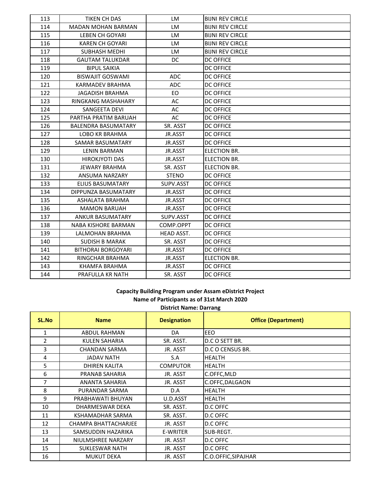| 113 | TIKEN CH DAS               | LM           | <b>BIJNI REV CIRCLE</b> |
|-----|----------------------------|--------------|-------------------------|
| 114 | <b>MADAN MOHAN BARMAN</b>  | <b>LM</b>    | <b>BIJNI REV CIRCLE</b> |
| 115 | LEBEN CH GOYARI            | LM           | <b>BIJNI REV CIRCLE</b> |
| 116 | <b>KAREN CH GOYARI</b>     | <b>LM</b>    | <b>BIJNI REV CIRCLE</b> |
| 117 | SUBHASH MEDHI              | LM.          | <b>BIJNI REV CIRCLE</b> |
| 118 | <b>GAUTAM TALUKDAR</b>     | DC.          | DC OFFICE               |
| 119 | <b>BIPUL SAIKIA</b>        |              | <b>DC OFFICE</b>        |
| 120 | <b>BISWAJIT GOSWAMI</b>    | <b>ADC</b>   | <b>DC OFFICE</b>        |
| 121 | <b>KARMADEV BRAHMA</b>     | <b>ADC</b>   | <b>DC OFFICE</b>        |
| 122 | <b>JAGADISH BRAHMA</b>     | EO.          | <b>DC OFFICE</b>        |
| 123 | RINGKANG MASHAHARY         | AC           | <b>DC OFFICE</b>        |
| 124 | SANGEETA DEVI              | AC           | <b>DC OFFICE</b>        |
| 125 | PARTHA PRATIM BARUAH       | AC           | <b>DC OFFICE</b>        |
| 126 | <b>BALENDRA BASUMATARY</b> | SR. ASST     | <b>DC OFFICE</b>        |
| 127 | <b>LOBO KR BRAHMA</b>      | JR.ASST      | <b>DC OFFICE</b>        |
| 128 | SAMAR BASUMATARY           | JR.ASST      | <b>DC OFFICE</b>        |
| 129 | <b>LENIN BARMAN</b>        | JR.ASST      | <b>ELECTION BR.</b>     |
| 130 | <b>HIROKJYOTI DAS</b>      | JR.ASST      | ELECTION BR.            |
| 131 | <b>JEWARY BRAHMA</b>       | SR. ASST     | <b>ELECTION BR.</b>     |
| 132 | ANSUMA NARZARY             | <b>STENO</b> | <b>DC OFFICE</b>        |
| 133 | ELIUS BASUMATARY           | SUPV.ASST    | <b>DC OFFICE</b>        |
| 134 | DIPPUNZA BASUMATARY        | JR.ASST      | <b>DC OFFICE</b>        |
| 135 | ASHALATA BRAHMA            | JR.ASST      | <b>DC OFFICE</b>        |
| 136 | <b>MAMON BARUAH</b>        | JR.ASST      | <b>DC OFFICE</b>        |
| 137 | <b>ANKUR BASUMATARY</b>    | SUPV.ASST    | <b>DC OFFICE</b>        |
| 138 | NABA KISHORE BARMAN        | COMP.OPPT    | <b>DC OFFICE</b>        |
| 139 | LALMOHAN BRAHMA            | HEAD ASST.   | <b>DC OFFICE</b>        |
| 140 | <b>SUDISH B MARAK</b>      | SR. ASST     | <b>DC OFFICE</b>        |
| 141 | <b>BITHORAI BORGOYARI</b>  | JR.ASST      | <b>DC OFFICE</b>        |
| 142 | RINGCHAR BRAHMA            | JR.ASST      | ELECTION BR.            |
| 143 | KHAMFA BRAHMA              | JR.ASST      | <b>DC OFFICE</b>        |
| 144 | PRAFULLA KR NATH           | SR. ASST     | <b>DC OFFICE</b>        |

### **Capacity Building Program under Assam eDistrict Project Name of Participants as of 31st March 2020 District Name: Darrang**

| <b>Protect Native: Darrang</b> |                       |                    |                            |
|--------------------------------|-----------------------|--------------------|----------------------------|
| SL.No                          | <b>Name</b>           | <b>Designation</b> | <b>Office (Department)</b> |
| 1                              | <b>ABDUL RAHMAN</b>   | DA                 | EEO                        |
| 2                              | KULEN SAHARIA         | SR. ASST.          | D.C O SETT BR.             |
| 3                              | <b>CHANDAN SARMA</b>  | JR. ASST           | D.C O CENSUS BR.           |
| 4                              | <b>JADAV NATH</b>     | S.A                | <b>HEALTH</b>              |
| 5.                             | DHIREN KALITA         | <b>COMPUTOR</b>    | <b>HEALTH</b>              |
| 6                              | PRANAB SAHARIA        | JR. ASST           | C.OFFC, MLD                |
| $\overline{7}$                 | <b>ANANTA SAHARIA</b> | JR. ASST           | C.OFFC, DALGAON            |
| 8                              | PURANDAR SARMA        | D.A                | <b>HEALTH</b>              |
| 9                              | PRABHAWATI BHUYAN     | U.D.ASST           | <b>HEALTH</b>              |
| 10                             | DHARMESWAR DEKA       | SR. ASST.          | D.C OFFC                   |
| 11                             | KSHAMADHAR SARMA      | SR. ASST.          | D.C OFFC                   |
| 12                             | CHAMPA BHATTACHARJEE  | JR. ASST           | D.C OFFC                   |
| 13                             | SAMSUDDIN HAZARIKA    | E-WRITER           | SUB-REGT.                  |
| 14                             | NIULMSHREE NARZARY    | JR. ASST           | D.C OFFC                   |
| 15                             | SUKLESWAR NATH        | JR. ASST           | D.C OFFC                   |
| 16                             | <b>MUKUT DEKA</b>     | JR. ASST           | C.O.OFFIC, SIPAJHAR        |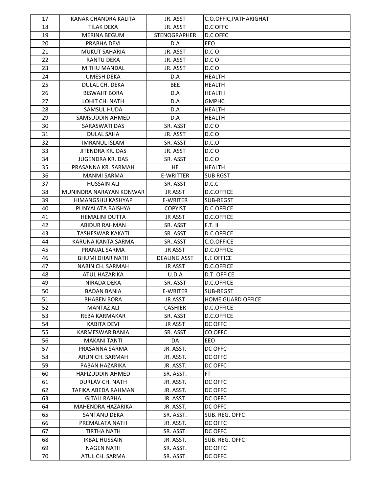| 17 | KANAK CHANDRA KALITA    | JR. ASST            | C.O.OFFIC, PATHARIGHAT   |
|----|-------------------------|---------------------|--------------------------|
| 18 | <b>TILAK DEKA</b>       | JR. ASST            | D.C OFFC                 |
| 19 | <b>MERINA BEGUM</b>     | <b>STENOGRAPHER</b> | D.C OFFC                 |
| 20 | PRABHA DEVI             | D.A                 | EEO                      |
| 21 | <b>MUKUT SAHARIA</b>    | JR. ASST            | D.CO                     |
| 22 | <b>RANTU DEKA</b>       | JR. ASST            | D.C O                    |
| 23 | <b>MITHU MANDAL</b>     | JR. ASST            | D.CO                     |
| 24 | <b>UMESH DEKA</b>       | D.A                 | <b>HEALTH</b>            |
| 25 | DULAL CH. DEKA          | <b>BEE</b>          | <b>HEALTH</b>            |
| 26 | <b>BISWAJIT BORA</b>    | D.A                 | <b>HEALTH</b>            |
| 27 | LOHIT CH. NATH          | D.A                 | <b>GMPHC</b>             |
| 28 | SAMSUL HUDA             | D.A                 | HEALTH                   |
| 29 | SAMSUDDIN AHMED         | D.A                 | <b>HEALTH</b>            |
| 30 | SARASWATI DAS           | SR. ASST            | D.CO                     |
| 31 | <b>DULAL SAHA</b>       | JR. ASST            | D.CO                     |
| 32 | <b>IMRANUL ISLAM</b>    | SR. ASST            | D.C.O                    |
| 33 | JITENDRA KR. DAS        | JR. ASST            | D.C O                    |
| 34 | JUGENDRA KR. DAS        | SR. ASST            | D.CO                     |
| 35 | PRASANNA KR. SARMAH     | <b>HE</b>           | <b>HEALTH</b>            |
| 36 | <b>MANMI SARMA</b>      | <b>E-WRITTER</b>    | <b>SUB RGST</b>          |
| 37 | <b>HUSSAIN ALI</b>      | SR. ASST            | D.C.C                    |
| 38 | MUNINDRA NARAYAN KONWAR | <b>JR ASST</b>      | D.C.OFFICE               |
| 39 | HIMANGSHU KASHYAP       | E-WRITER            | SUB-REGST                |
| 40 | PUNYALATA BAISHYA       | <b>COPYIST</b>      | D.C.OFFICE               |
| 41 | <b>HEMALINI DUTTA</b>   | <b>JR ASST</b>      | <b>D.C.OFFICE</b>        |
| 42 | ABIDUR RAHMAN           | SR. ASST            | $F.T.$ II                |
| 43 | TASHESWAR KAKATI        | SR. ASST            | D.C.OFFICE               |
| 44 | KARUNA KANTA SARMA      | SR. ASST            | C.O.OFFICE               |
| 45 | PRANJAL SARMA           | <b>JR ASST</b>      | D.C.OFFICE               |
| 46 | BHUMI DHAR NATH         | <b>DEALING ASST</b> | <b>E.E OFFICE</b>        |
| 47 | NABIN CH. SARMAH        | <b>JR ASST</b>      | D.C.OFFICE               |
| 48 | ATUL HAZARIKA           | U.D.A               | D.T. OFFICE              |
| 49 | NIRADA DEKA             | SR. ASST            | D.C.OFFICE               |
| 50 | BADAN BANIA             | E-WRITER            | SUB-REGST                |
| 51 | <b>BHABEN BORA</b>      | <b>JR ASST</b>      | <b>HOME GUARD OFFICE</b> |
| 52 | <b>MANTAZ ALI</b>       | <b>CASHIER</b>      | D.C.OFFICE               |
| 53 | REBA KARMAKAR           | SR. ASST            | D.C.OFFICE               |
| 54 | <b>KABITA DEVI</b>      | JR ASST             | DC OFFC                  |
| 55 | KARMESWAR BANIA         | SR. ASST            | CO OFFC                  |
| 56 | <b>MAKANI TANTI</b>     | DA                  | EEO                      |
| 57 | PRASANNA SARMA          | JR. ASST.           | DC OFFC                  |
| 58 | ARUN CH. SARMAH         | JR. ASST.           | DC OFFC                  |
| 59 | PABAN HAZARIKA          | JR. ASST.           | DC OFFC                  |
| 60 | <b>HAFIZUDDIN AHMED</b> | SR. ASST.           | FT.                      |
| 61 | DURLAV CH. NATH         | JR. ASST.           | DC OFFC                  |
| 62 | TAFIKA ABEDA RAHMAN     | JR. ASST.           | DC OFFC                  |
| 63 | <b>GITALI RABHA</b>     | JR. ASST.           | DC OFFC                  |
| 64 | MAHENDRA HAZARIKA       | JR. ASST.           | DC OFFC                  |
| 65 | SANTANU DEKA            | SR. ASST.           | SUB. REG. OFFC           |
| 66 | PREMALATA NATH          | JR. ASST.           | DC OFFC                  |
| 67 | TIRTHA NATH             | SR. ASST.           | DC OFFC                  |
| 68 | <b>IKBAL HUSSAIN</b>    | JR. ASST.           | SUB. REG. OFFC           |
| 69 | <b>NAGEN NATH</b>       | SR. ASST.           | DC OFFC                  |
| 70 | ATUL CH. SARMA          | SR. ASST.           | DC OFFC                  |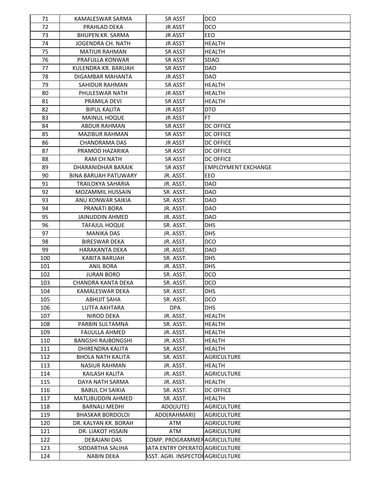| 71  | KAMALESWAR SARMA            | <b>SR ASST</b>                    | DCO                        |
|-----|-----------------------------|-----------------------------------|----------------------------|
| 72  | PRAHLAD DEKA                | <b>JR ASST</b>                    | DCO                        |
| 73  | <b>BHUPEN KR. SARMA</b>     | <b>JR ASST</b>                    | EEO                        |
| 74  | JOGENDRA CH. NATH           | <b>JR ASST</b>                    | <b>HEALTH</b>              |
| 75  | <b>MATIUR RAHMAN</b>        | <b>SR ASST</b>                    | <b>HEALTH</b>              |
| 76  | PRAFULLA KONWAR             | SR ASST                           | SDAO                       |
| 77  | KULENDRA KR. BARUAH         | SR ASST                           | DAO                        |
| 78  | DIGAMBAR MAHANTA            | <b>JR ASST</b>                    | <b>DAO</b>                 |
| 79  | SAHIDUR RAHMAN              | <b>SR ASST</b>                    | <b>HEALTH</b>              |
| 80  | PHULESWAR NATH              | <b>JR ASST</b>                    | HEALTH                     |
| 81  | PRAMILA DEVI                | <b>SR ASST</b>                    | <b>HEALTH</b>              |
| 82  | <b>BIPUL KALITA</b>         | <b>JR ASST</b>                    | DTO                        |
| 83  | <b>MAINUL HOQUE</b>         | <b>JR ASST</b>                    | FT.                        |
| 84  | ABDUR RAHMAN                | <b>SR ASST</b>                    | <b>DC OFFICE</b>           |
| 85  | <b>MAZIBUR RAHMAN</b>       | <b>SR ASST</b>                    | <b>DC OFFICE</b>           |
| 86  | CHANDRAMA DAS               | <b>JR ASST</b>                    | <b>DC OFFICE</b>           |
| 87  | PRAMOD HAZARIKA             | <b>SR ASST</b>                    | <b>DC OFFICE</b>           |
| 88  | <b>RAM CH NATH</b>          | <b>SR ASST</b>                    | <b>DC OFFICE</b>           |
| 89  | DHARANIDHAR BARAIK          | <b>SR ASST</b>                    | <b>EMPLOYMENT EXCHANGE</b> |
| 90  | <b>BINA BARUAH PATUWARY</b> | JR. ASST.                         | EEO                        |
| 91  | TRAILOKYA SAHARIA           | JR. ASST.                         | <b>DAO</b>                 |
| 92  | <b>MOZAMMIL HUSSAIN</b>     | SR. ASST.                         | <b>DAO</b>                 |
| 93  | ANU KONWAR SAIKIA           | SR. ASST.                         | <b>DAO</b>                 |
| 94  | PRANATI BORA                | JR. ASST.                         | <b>DAO</b>                 |
| 95  | <b>JAINUDDIN AHMED</b>      | JR. ASST.                         | <b>DAO</b>                 |
| 96  | <b>TAFAJUL HOQUE</b>        | SR. ASST.                         | DHS                        |
| 97  | <b>MANIKA DAS</b>           | JR. ASST.                         | <b>DHS</b>                 |
| 98  | <b>BIRESWAR DEKA</b>        | JR. ASST.                         | DCO                        |
| 99  | HARAKANTA DEKA              | JR. ASST.                         | <b>DAO</b>                 |
| 100 | <b>KABITA BARUAH</b>        | SR. ASST.                         | <b>DHS</b>                 |
| 101 | <b>ANIL BORA</b>            | JR. ASST.                         | <b>DHS</b>                 |
| 102 | <b>JURAN BORO</b>           | SR. ASST.                         | DCO.                       |
| 103 | CHANDRA KANTA DEKA          | SR. ASST.                         | <b>DCO</b>                 |
| 104 | KAMALESWAR DEKA             | SR. ASST.                         | <b>DHS</b>                 |
| 105 | <b>ABHIJIT SAHA</b>         | SR. ASST.                         | DCO                        |
| 106 | <b>LUTFA AKHTARA</b>        | <b>DPA</b>                        | <b>DHS</b>                 |
| 107 | <b>NIROD DEKA</b>           | JR. ASST.                         | <b>HEALTH</b>              |
| 108 | PARBIN SULTAMNA             | SR. ASST.                         | <b>HEALTH</b>              |
| 109 | <b>FAIJULLA AHMED</b>       | JR. ASST.                         | <b>HEALTH</b>              |
| 110 | <b>BANGSHI RAJBONGSHI</b>   | JR. ASST.                         | <b>HEALTH</b>              |
| 111 | DHIRENDRA KALITA            | SR. ASST.                         | <b>HEALTH</b>              |
| 112 | <b>BHOLA NATH KALITA</b>    | SR. ASST.                         | <b>AGRICULTURE</b>         |
| 113 | <b>NASIUR RAHMAN</b>        | JR. ASST.                         | <b>HEALTH</b>              |
| 114 | KAILASH KALITA              | JR. ASST.                         | <b>AGRICULTURE</b>         |
| 115 | DAYA NATH SARMA             | JR. ASST.                         | <b>HEALTH</b>              |
| 116 | <b>BABUL CH SAIKIA</b>      | SR. ASST.                         | <b>DC OFFICE</b>           |
| 117 | <b>MATLIBUDDIN AHMED</b>    | SR. ASST.                         | <b>HEALTH</b>              |
| 118 | <b>BARNALI MEDHI</b>        | ADO(JUTE)                         | <b>AGRICULTURE</b>         |
| 119 | <b>BHASKAR BORDOLOI</b>     | ADO(RAHMARI)                      | <b>AGRICULTURE</b>         |
| 120 | DR. KALYAN KR. BORAH        | ATM                               | <b>AGRICULTURE</b>         |
| 121 | DR. LIAKOT HSSAIN           | ATM                               | <b>AGRICULTURE</b>         |
| 122 | DEBAJANI DAS                | COMP. PROGRAMMEFAAGRICULTURE      |                            |
| 123 | SIDDARTHA SALIHA            | ATA ENTRY OPERATO AGRICULTURE     |                            |
| 124 | <b>NABIN DEKA</b>           | ASST. AGRI. INSPECTOI AGRICULTURE |                            |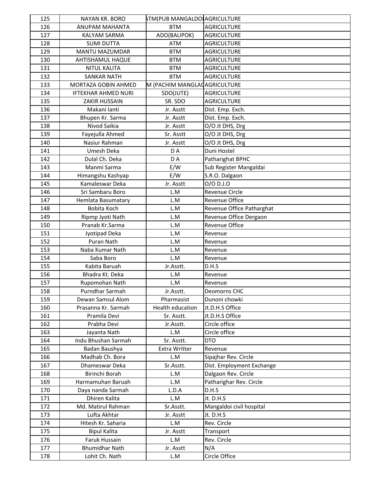| 125 | NAYAN KR. BORO             | <b>ATM(PUB MANGALDO AGRICULTURE</b> |                           |
|-----|----------------------------|-------------------------------------|---------------------------|
| 126 | ANUPAM MAHANTA             | <b>BTM</b>                          | <b>AGRICULTURE</b>        |
| 127 | KALYAM SARMA               | ADO(BALIPOK)                        | <b>AGRICULTURE</b>        |
| 128 | <b>SUMI DUTTA</b>          | ATM                                 | <b>AGRICULTURE</b>        |
| 129 | MANTU MAZUMDAR             | <b>BTM</b>                          | <b>AGRICULTURE</b>        |
| 130 | AHTISHAMUL HAQUE           | <b>BTM</b>                          | <b>AGRICULTURE</b>        |
| 131 | <b>NITUL KALITA</b>        | <b>BTM</b>                          | <b>AGRICULTURE</b>        |
| 132 | <b>SANKAR NATH</b>         | <b>BTM</b>                          | <b>AGRICULTURE</b>        |
| 133 | MORTAZA GOBIN AHMED        | M (PACHIM MANGLADAGRICULTURE        |                           |
| 134 | <b>IFTEKHAR AHMED NURI</b> | SDO(JUTE)                           | <b>AGRICULTURE</b>        |
| 135 | <b>ZAKIR HUSSAIN</b>       | SR. SDO                             | <b>AGRICULTURE</b>        |
| 136 | Makani lanti               | Jr. Asstt                           | Dist. Emp. Exch.          |
| 137 | Bhupen Kr. Sarma           | Jr. Asstt                           | Dist. Emp. Exch.          |
| 138 | Nivod Saikia               | Jr. Asstt                           | O/O Jt DHS, Drg           |
| 139 | Fayejulla Ahmed            | Sr. Asstt                           | O/O Jt DHS, Drg           |
| 140 | Nasiur Rahman              | Jr. Asstt                           | O/O Jt DHS, Drg           |
| 141 | Umesh Deka                 | D A                                 | Duni Hostel               |
| 142 | Dulal Ch. Deka             | DA                                  | Patharighat BPHC          |
| 143 | Manmi Sarma                | E/W                                 | Sub Register Mangaldai    |
| 144 | Himangshu Kashyap          | E/W                                 | S.R.O. Dalgaon            |
| 145 | Kamaleswar Deka            | Jr. Asstt                           | 0/0 D.J.0                 |
| 146 | Sri Sambaru Boro           | L.M                                 | Revenue Circle            |
| 147 | Hemlata Basumatary         | L.M                                 | Revenue Office            |
| 148 | Bobita Koch                | L.M                                 | Revenue Office Patharghat |
| 149 | Ripmp Jyoti Nath           | L.M                                 | Revenue Office Dergaon    |
| 150 | Pranab Kr.Sarma            | L.M                                 | Revenue Office            |
| 151 | Jyotipad Deka              | L.M                                 | Revenue                   |
| 152 | Puran Nath                 | L.M                                 | Revenue                   |
| 153 | Naba Kumar Nath            | L.M                                 | Revenue                   |
| 154 | Saba Boro                  | L.M                                 | Revenue                   |
| 155 | Kabita Baruah              | Jr.Asstt.                           | D.H.S                     |
| 156 | Bhadra Kt. Deka            | L.M                                 | Revenue                   |
| 157 | Rupomohan Nath             | L.M                                 | Revenue                   |
| 158 | Purndhar Sarmah            | Jr.Asstt.                           | Deomorns CHC              |
| 159 | Dewan Samsul Alom          | Pharmasist                          | Dunoni chowki             |
| 160 | Prasanna Kr. Sarmah        | Health education                    | Jt.D.H.S Office           |
| 161 | Pramila Devi               | Sr. Asstt.                          | Jt.D.H.S Office           |
| 162 | Prabha Devi                | Jr.Asstt.                           | Circle office             |
| 163 | Jayanta Nath               | L.M                                 | Circle office             |
| 164 | Indu Bhushan Sarmah        | Sr. Asstt.                          | <b>DTO</b>                |
| 165 | Badan Baushya              | Extra Writter                       | Revenue                   |
| 166 | Madhab Ch. Bora            | L.M                                 | Sipajhar Rev. Circle      |
| 167 | Dhameswar Deka             | Sr.Asstt.                           | Dist. Employment Exchange |
| 168 | Birinchi Borah             | L.M                                 | Dalgaon Rev. Circle       |
| 169 | Harmamuhan Baruah          | L.M                                 | Patharighar Rev. Circle   |
| 170 | Daya nanda Sarmah          | L.D.A                               | D.H.S                     |
| 171 | Dhiren Kalita              | L.M                                 | Jt. D.H.S                 |
| 172 | Md. Matirul Rahman         | Sr.Asstt.                           | Mangaldoi civil hospital  |
| 173 | Lufta Akhtar               | Jr. Asstt                           | Jt. D.H.S                 |
| 174 | Hitesh Kr. Saharia         | L.M                                 | Rev. Circle               |
| 175 | <b>Bipul Kalita</b>        | Jr. Asstt                           | Transport                 |
| 176 | Faruk Hussain              | L.M                                 | Rev. Circle               |
| 177 | <b>Bhumidhar Nath</b>      | Jr. Asstt                           | N/A                       |
| 178 | Lohit Ch. Nath             | L.M                                 | Circle Office             |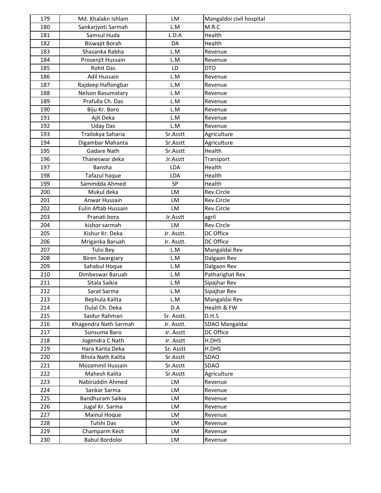| 179 | Md. Khalakn Ishlam       | <b>LM</b>  | Mangaldoi civil hospital |
|-----|--------------------------|------------|--------------------------|
| 180 | Sankarjyoti Sarmah       | L.M        | M.R.C                    |
| 181 | Samsul Huda              | L.D.A      | Health                   |
| 182 | Biswajit Borah           | DA         | Health                   |
| 183 | Shasanka Rabha           | L.M        | Revenue                  |
| 184 | Prosenjit Hussain        | L.M        | Revenue                  |
| 185 | <b>Rohit Das</b>         | LD         | <b>DTO</b>               |
| 186 | Adil Hussain             | L.M        | Revenue                  |
| 187 | Rajdeep Haflongbar       | L.M        | Revenue                  |
| 188 | Nelson Basumatary        | L.M        | Revenue                  |
| 189 | Prafulla Ch. Das         | L.M        | Revenue                  |
| 190 | Biju Kr. Boro            | L.M        | Revenue                  |
| 191 | Ajit Deka                | L.M        | Revenue                  |
| 192 | <b>Uday Das</b>          | L.M        | Revenue                  |
| 193 | Trailokya Saharia        | Sr.Asstt   | Agriculture              |
| 194 | Digambar Mahanta         | Sr.Asstt   | Agriculture              |
| 195 | Gadare Nath              | Sr.Asstt   | Health                   |
| 196 | Thaneswar deka           | Jr.Asstt   | Transport                |
| 197 | Bansha                   | LDA        | Health                   |
| 198 | Tafazul haque            | LDA        | Health                   |
| 199 | Sammdda Ahmed            | SP         | Health                   |
| 200 | Mukul deka               | LM         | Rev.Circle               |
| 201 | Anwar Hussain            | LM         | Rev.Circle               |
| 202 | Eulin Aftab Hussain      | LM         | Rev.Circle               |
| 203 | Pranati bora             | Jr.Asstt   | agril                    |
| 204 | kishor sarmah            | LM         | Rev.Circle               |
| 205 | Kishur Kr. Deka          | Jr. Asstt. | DC Office                |
| 206 | Mriganka Baruah          | Jr. Asstt. | DC Office                |
| 207 | Tulsi Bey                | L.M        | Mangaldai Rev            |
| 208 | <b>Biren Swargiary</b>   | L.M        | Dalgaon Rev              |
| 209 | Sahabul Hoque            | L.M        | Dalgaon Rev              |
| 210 | Dimbeswar Baruah         | L.M        | Patharighat Rev          |
| 211 | Sitala Saikia            | L.M        | Sipajhar Rev             |
| 212 | Sarat Sarma              | L.M        | Sipajhar Rev             |
| 213 | Bephula Kalita           | L.M        | Mangaldai Rev            |
| 214 | Dulal Ch. Deka           | D.A        | Health & FW              |
| 215 | Saidur Rahman            | Sr. Asstt. | D.H.S                    |
| 216 | Khagendra Nath Sarmah    | Jr. Asstt. | SDAO Mangaldai           |
| 217 | Sunsuma Baro             | Jr. Asstt  | DC Office                |
| 218 | Jogendra C Nath          | Jr. Asstt  | H.DHS                    |
| 219 | Hara Kanta Deka          | Sr. Asstt  | H.DHS                    |
| 220 | <b>Bhola Nath Kalita</b> | Sr.Asstt   | SDAO                     |
| 221 | Mozammil Hussain         | Sr.Asstt   | SDAO                     |
| 222 | Mahesh Kalita            | Sr.Asstt   | Agriculture              |
| 223 | Nabiruddin Ahmed         | LM         | Revenue                  |
| 224 | Sankar Sarma             | LM         | Revenue                  |
| 225 | Bandhuram Saikia         | LM         | Revenue                  |
| 226 | Jugal Kr. Sarma          | LM         | Revenue                  |
| 227 | Mainul Hoque             | LM         | Revenue                  |
| 228 | Tulshi Das               | LM         | Revenue                  |
| 229 | Champarm Keot            | LM         | Revenue                  |
| 230 | Babul Bordoloi           | LM         | Revenue                  |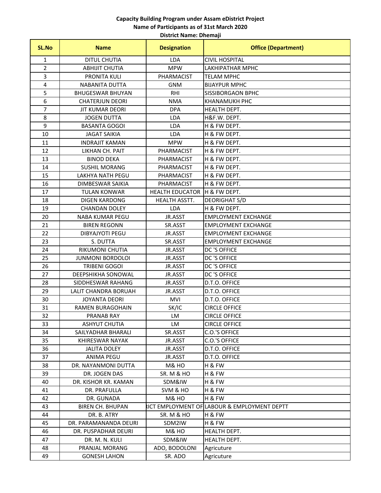### **District Name: Dhemaji Capacity Building Program under Assam eDistrict Project Name of Participants as of 31st March 2020**

| <b>SL.No</b> | <b>Name</b>             | <b>Designation</b>     | <b>Office (Department)</b>                   |
|--------------|-------------------------|------------------------|----------------------------------------------|
| 1            | <b>DITUL CHUTIA</b>     | LDA                    | <b>CIVIL HOSPITAL</b>                        |
| 2            | <b>ABHIJIT CHUTIA</b>   | <b>MPW</b>             | LAKHIPATHAR MPHC                             |
| 3            | PRONITA KULI            | PHARMACIST             | <b>TELAM MPHC</b>                            |
| 4            | NABANITA DUTTA          | <b>GNM</b>             | <b>BIJAYPUR MPHC</b>                         |
| 5            | <b>BHUGESWAR BHUYAN</b> | <b>RHI</b>             | <b>SISSIBORGAON BPHC</b>                     |
| 6            | <b>CHATERJUN DEORI</b>  | <b>NMA</b>             | <b>KHANAMUKH PHC</b>                         |
| 7            | <b>JIT KUMAR DEORI</b>  | <b>DPA</b>             | HEALTH DEPT.                                 |
| 8            | <b>JOGEN DUTTA</b>      | LDA                    | H&F.W. DEPT.                                 |
| 9            | <b>BASANTA GOGOI</b>    | LDA                    | H & FW DEPT.                                 |
| 10           | <b>JAGAT SAIKIA</b>     | LDA                    | H & FW DEPT.                                 |
| 11           | <b>INDRAJIT KAMAN</b>   | <b>MPW</b>             | H & FW DEPT.                                 |
| 12           | LIKHAN CH. PAIT         | PHARMACIST             | H & FW DEPT.                                 |
| 13           | <b>BINOD DEKA</b>       | PHARMACIST             | H & FW DEPT.                                 |
| 14           | <b>SUSHIL MORANG</b>    | PHARMACIST             | H & FW DEPT.                                 |
| 15           | <b>LAKHYA NATH PEGU</b> | PHARMACIST             | H & FW DEPT.                                 |
| 16           | DIMBESWAR SAIKIA        | PHARMACIST             | H & FW DEPT.                                 |
| 17           | <b>TULAN KONWAR</b>     | <b>HEALTH EDUCATOR</b> | H & FW DEPT.                                 |
| 18           | <b>DIGEN KARDONG</b>    | HEALTH ASSTT.          | DEORIGHAT S/D                                |
| 19           | <b>CHANDAN DOLEY</b>    | <b>LDA</b>             | H & FW DEPT.                                 |
| 20           | <b>NABA KUMAR PEGU</b>  | JR.ASST                | <b>EMPLOYMENT EXCHANGE</b>                   |
| 21           | <b>BIREN REGONN</b>     | SR.ASST                | <b>EMPLOYMENT EXCHANGE</b>                   |
| 22           | <b>DIBYAJYOTI PEGU</b>  | JR.ASST                | <b>EMPLOYMENT EXCHANGE</b>                   |
| 23           | S. DUTTA                | SR.ASST                | <b>EMPLOYMENT EXCHANGE</b>                   |
| 24           | RIKUMONI CHUTIA         | JR.ASST                | DC 'S OFFICE                                 |
| 25           | <b>JUNMONI BORDOLOI</b> | JR.ASST                | DC 'S OFFICE                                 |
| 26           | <b>TRIBENI GOGOI</b>    | JR.ASST                | DC 'S OFFICE                                 |
| 27           | DEEPSHIKHA SONOWAL      | JR.ASST                | DC 'S OFFICE                                 |
| 28           | SIDDHESWAR RAHANG       | JR.ASST                | D.T.O. OFFICE                                |
| 29           | LALIT CHANDRA BORUAH    | JR.ASST                | D.T.O. OFFICE                                |
| 30           | <b>JOYANTA DEORI</b>    | MVI                    | D.T.O. OFFICE                                |
| 31           | RAMEN BURAGOHAIN        | SK/IC                  | <b>CIRCLE OFFICE</b>                         |
| 32           | PRANAB RAY              | LM                     | <b>CIRCLE OFFICE</b>                         |
| 33           | <b>ASHYUT CHUTIA</b>    | LM                     | <b>CIRCLE OFFICE</b>                         |
| 34           | SAILYADHAR BHARALI      | SR.ASST                | C.O.'S OFFICE                                |
| 35           | KHIRESWAR NAYAK         | JR.ASST                | C.O.'S OFFICE                                |
| 36           | <b>JALITA DOLEY</b>     | JR.ASST                | D.T.O. OFFICE                                |
| 37           | <b>ANIMA PEGU</b>       | JR.ASST                | D.T.O. OFFICE                                |
| 38           | DR. NAYANMONI DUTTA     | M& HO                  | H & FW                                       |
| 39           | DR. JOGEN DAS           | <b>SR. M &amp; HO</b>  | H & FW                                       |
| 40           | DR. KISHOR KR. KAMAN    | SDM&IW                 | H & FW                                       |
| 41           | DR. PRAFULLA            | SVM & HO               | H & FW                                       |
| 42           | DR. GUNADA              | M& HO                  | H & FW                                       |
| 43           | <b>BIREN CH. BHUPAN</b> |                        | RICT EMPLOYMENT OF LABOUR & EMPLOYMENT DEPTT |
| 44           | DR. B. ATRY             | <b>SR. M &amp; HO</b>  | H & FW                                       |
| 45           | DR. PARAMANANDA DEURI   | SDM2IW                 | H & FW                                       |
| 46           | DR. PUSPADHAR DEURI     | M& HO                  | HEALTH DEPT.                                 |
| 47           | DR. M. N. KULI          | SDM&IW                 | HEALTH DEPT.                                 |
| 48           | PRANJAL MORANG          | ADO, BODOLONI          | Agricuture                                   |
| 49           | <b>GONESH LAHON</b>     | SR. ADO                | Agricuture                                   |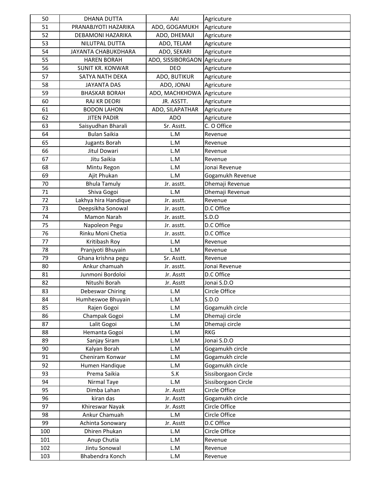| 50  | <b>DHANA DUTTA</b>      | AAI               | Agricuture          |
|-----|-------------------------|-------------------|---------------------|
| 51  | PRANABJYOTI HAZARIKA    | ADO, GOGAMUKH     | Agricuture          |
| 52  | DEBAMONI HAZARIKA       | ADO, DHEMAJI      | Agricuture          |
| 53  | NILUTPAL DUTTA          | ADO, TELAM        | Agricuture          |
| 54  | JAYANTA CHABUKDHARA     | ADO, SEKARI       | Agricuture          |
| 55  | <b>HAREN BORAH</b>      | ADO, SISSIBORGAON | Agricuture          |
| 56  | <b>SUNIT KR. KONWAR</b> | <b>DEO</b>        | Agricuture          |
| 57  | SATYA NATH DEKA         | ADO, BUTIKUR      | Agricuture          |
| 58  | <b>JAYANTA DAS</b>      | ADO, JONAI        | Agricuture          |
| 59  | <b>BHASKAR BORAH</b>    | ADO, MACHKHOWA    | Agricuture          |
| 60  | <b>RAJ KR DEORI</b>     | JR. ASSTT.        | Agricuture          |
| 61  | <b>BODON LAHON</b>      | ADO, SILAPATHAR   | Agricuture          |
| 62  | <b>JITEN PADIR</b>      | <b>ADO</b>        | Agricuture          |
| 63  | Saisyudhan Bharali      | Sr. Asstt.        | C. O Office         |
| 64  | <b>Bulan Saikia</b>     | L.M               | Revenue             |
| 65  | Jugants Borah           | L.M               | Revenue             |
| 66  | Jitul Dowari            | L.M               | Revenue             |
| 67  | Jitu Saikia             | L.M               | Revenue             |
| 68  | Mintu Regon             | L.M               | Jonai Revenue       |
| 69  | Ajit Phukan             | L.M               | Gogamukh Revenue    |
| 70  | <b>Bhula Tamuly</b>     | Jr. asstt.        | Dhemaji Revenue     |
| 71  | Shiva Gogoi             | L.M               | Dhemaji Revenue     |
| 72  | Lakhya hira Handique    | Jr. asstt.        | Revenue             |
| 73  | Deepsikha Sonowal       | Jr. asstt.        | D.C Office          |
| 74  | Mamon Narah             | Jr. asstt.        | S.D.O               |
| 75  | Napoleon Pegu           | Jr. asstt.        | D.C Office          |
| 76  | Rinku Moni Chetia       | Jr. asstt.        | D.C Office          |
| 77  | Kritibash Roy           | L.M               | Revenue             |
| 78  | Pranjyoti Bhuyain       | L.M               | Revenue             |
| 79  | Ghana krishna pegu      | Sr. Asstt.        | Revenue             |
| 80  | Ankur chamuah           | Jr. asstt.        | Jonai Revenue       |
| 81  | Junmoni Bordoloi        | Jr. Asstt         | D.C Office          |
| 82  | Nitushi Borah           | Jr. Asstt         | Jonai S.D.O         |
| 83  | Debeswar Chiring        | L.M               | Circle Office       |
| 84  | Humheswoe Bhuyain       | L.M               | S.D.O               |
| 85  | Rajen Gogoi             | L.M               | Gogamukh circle     |
| 86  | Champak Gogoi           | L.M               | Dhemaji circle      |
| 87  | Lalit Gogoi             | L.M               | Dhemaji circle      |
| 88  | Hemanta Gogoi           | L.M               | <b>RKG</b>          |
| 89  | Sanjay Siram            | L.M               | Jonai S.D.O         |
| 90  | Kalyan Borah            | L.M               | Gogamukh circle     |
| 91  | Cheniram Konwar         | L.M               | Gogamukh circle     |
| 92  | Humen Handique          | L.M               | Gogamukh circle     |
| 93  | Prema Saikia            | S.K               | Sissiborgaon Circle |
| 94  | Nirmal Taye             | L.M               | Sissiborgaon Circle |
| 95  | Dimba Lahan             | Jr. Asstt         | Circle Office       |
| 96  | kiran das               | Jr. Asstt         | Gogamukh circle     |
| 97  | Khireswar Nayak         | Jr. Asstt         | Circle Office       |
| 98  | Ankur Chamuah           | L.M               | Circle Office       |
| 99  | Achinta Sonowary        | Jr. Asstt         | D.C Office          |
| 100 | Dhiren Phukan           | L.M               | Circle Office       |
| 101 | Anup Chutia             | L.M               | Revenue             |
| 102 | Jintu Sonowal           | L.M               | Revenue             |
| 103 | Bhabendra Konch         | L.M               | Revenue             |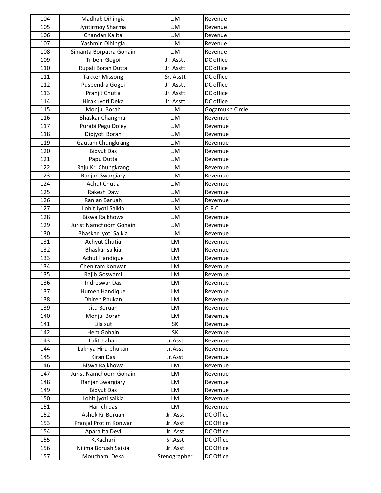| 104 | Madhab Dihingia         | L.M          | Revenue         |
|-----|-------------------------|--------------|-----------------|
| 105 | Jyotirmoy Sharma        | L.M          | Revenue         |
| 106 | Chandan Kalita          | L.M          | Revenue         |
| 107 | Yashmin Dihingia        | L.M          | Revenue         |
| 108 | Simanta Borpatra Gohain | L.M          | Revenue         |
| 109 | Tribeni Gogoi           | Jr. Asstt    | DC office       |
| 110 | Rupali Borah Dutta      | Jr. Asstt    | DC office       |
| 111 | <b>Takker Missong</b>   | Sr. Asstt    | DC office       |
| 112 | Puspendra Gogoi         | Jr. Asstt    | DC office       |
| 113 | Pranjit Chutia          | Jr. Asstt    | DC office       |
| 114 | Hirak Jyoti Deka        | Jr. Asstt    | DC office       |
| 115 | Monjul Borah            | L.M          | Gogamukh Circle |
| 116 | Bhaskar Changmai        | L.M          | Revemue         |
| 117 | Purabi Pegu Doley       | L.M          | Revemue         |
| 118 | Dipjyoti Borah          | L.M          | Revemue         |
| 119 | Gautam Chungkrang       | L.M          | Revemue         |
| 120 | <b>Bidyut Das</b>       | L.M          | Revemue         |
| 121 | Papu Dutta              | L.M          | Revemue         |
| 122 | Raju Kr. Chungkrang     | L.M          | Revemue         |
| 123 | Ranjan Swargiary        | L.M          | Revemue         |
| 124 | <b>Achut Chutia</b>     | L.M          | Revemue         |
| 125 | Rakesh Daw              | L.M          | Revemue         |
| 126 | Ranjan Baruah           | L.M          | Revemue         |
| 127 | Lohit Jyoti Saikia      | L.M          | G.R.C           |
| 128 | Biswa Rajkhowa          | L.M          | Revemue         |
| 129 | Jurist Namchoom Gohain  | L.M          | Revemue         |
| 130 | Bhaskar Jyoti Saikia    | L.M          | Revemue         |
| 131 | Achyut Chutia           | LM           | Revemue         |
| 132 | Bhaskar saikia          | LM           | Revemue         |
| 133 | <b>Achut Handique</b>   | LM           | Revemue         |
| 134 | Cheniram Konwar         | LM           | Revemue         |
| 135 | Rajib Goswami           | LM           | Revemue         |
| 136 | <b>Indreswar Das</b>    | LM           | Revemue         |
| 137 | Humen Handique          | LM           | Revemue         |
| 138 | Dhiren Phukan           | LM           | Revemue         |
| 139 | Jitu Boruah             | LM           | Revemue         |
| 140 | Monjul Borah            | LM           | Revemue         |
| 141 | Lila sut                | SK           | Revemue         |
| 142 | Hem Gohain              | SK           | Revemue         |
| 143 | Lalit Lahan             | Jr.Asst      | Revemue         |
| 144 | Lakhya Hiru phukan      | Jr.Asst      | Revemue         |
| 145 | <b>Kiran Das</b>        | Jr.Asst      | Revemue         |
| 146 | Biswa Rajkhowa          | LM           | Revemue         |
| 147 | Jurist Namchoom Gohain  | LM           | Revemue         |
| 148 | Ranjan Swargiary        | LM           | Revemue         |
| 149 | <b>Bidyut Das</b>       | <b>LM</b>    | Revemue         |
| 150 | Lohit jyoti saikia      | LM           | Revemue         |
| 151 | Hari ch das             | LM           | Revemue         |
| 152 | Ashok Kr.Boruah         | Jr. Asst     | DC Office       |
| 153 | Pranjal Protim Konwar   | Jr. Asst     | DC Office       |
| 154 | Aparajita Devi          | Jr. Asst     | DC Office       |
| 155 | K.Kachari               | Sr.Asst      | DC Office       |
| 156 | Nilima Boruah Saikia    | Jr. Asst     | DC Office       |
| 157 | Mouchami Deka           |              | DC Office       |
|     |                         | Stenographer |                 |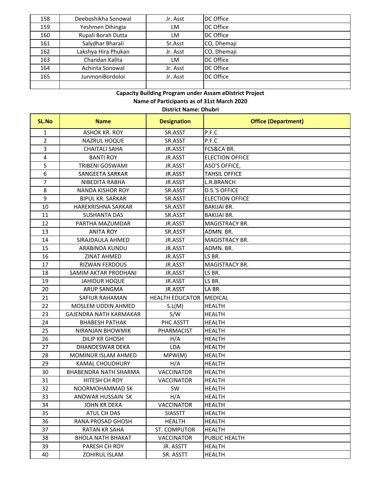| 158 | Deeboshikha Sonowal    | Jr. Asst | DC Office   |
|-----|------------------------|----------|-------------|
| 159 | Yeshmen Dihingia       | LM       | DC Office   |
| 160 | Rupali Borah Dutta     | LM       | DC Office   |
| 161 | Salydhar Bharali       | Sr.Asst  | CO, Dhemaji |
| 162 | Lakshya Hira Phukan    | Jr. Asst | CO, Dhemaji |
| 163 | Chandan Kalita         | LM       | DC Office   |
| 164 | Achinta Sonowal        | Jr. Asst | DC Office   |
| 165 | <b>JunmoniBordoloi</b> | Jr. Asst | DC Office   |
|     |                        |          |             |

**District Name: Dhubri**

| SL.No          | <b>Name</b>                  | <b>Designation</b>     | <b>Office (Department)</b> |
|----------------|------------------------------|------------------------|----------------------------|
| $\mathbf{1}$   | <b>ASHOK KR. ROY</b>         | SR.ASST                | P.F.C                      |
| $\overline{2}$ | <b>NAZRUL HOQUE</b>          | SR.ASST                | P.F.C                      |
| 3              | <b>CHAITALI SAHA</b>         | JR.ASST                | FCS&CA BR.                 |
| 4              | <b>BANTI ROY</b>             | JR.ASST                | <b>ELECTION OFFICE</b>     |
| 5              | <b>TRIBENI GOSWAMI</b>       | JR.ASST                | ASO'S OFFICE,              |
| 6              | SANGEETA SARKAR              | JR.ASST                | <b>TAHSIL OFFICE</b>       |
| 7              | NIBEDITA RABHA               | JR.ASST                | L.R.BRANCH                 |
| 8              | <b>NANDA KISHOR ROY</b>      | SR.ASST                | <b>D.S.'S OFFICE</b>       |
| 9              | <b>BIPUL KR. SARKAR</b>      | SR.ASST                | <b>ELECTION OFFICE</b>     |
| 10             | HAREKRISHNA SARKAR           | SR.ASST                | <b>BAKIJAI BR.</b>         |
| 11             | <b>SUSHANTA DAS</b>          | SR.ASST                | <b>BAKIJAI BR.</b>         |
| 12             | PARTHA MAZUMDAR              | JR.ASST                | MAGISTRACY BR.             |
| 13             | <b>ANITA ROY</b>             | SR.ASST                | ADMN. BR.                  |
| 14             | SIRAJDAULA AHMED             | JR.ASST                | MAGISTRACY BR.             |
| 15             | ARABINDA KUNDU               | JR.ASST                | ADMN. BR.                  |
| 16             | <b>ZINAT AHMED</b>           | JR.ASST                | LS BR.                     |
| 17             | <b>RIZWAN FERDOUS</b>        | JR.ASST                | MAGISTRACY BR.             |
| 18             | SAMIM AKTAR PRODHANI         | JR.ASST                | LS BR.                     |
| 19             | <b>JAHIDUR HOQUE</b>         | JR.ASST                | LS BR.                     |
| 20             | <b>ARUP SANGMA</b>           | JR.ASST                | LA BR.                     |
| 21             | SAFIUR RAHAMAN               | <b>HEALTH EDUCATOR</b> | MEDICAL                    |
| 22             | MOSLEM UDDIN AHMED           | S.L(M)                 | <b>HEALTH</b>              |
| 23             | GAJENDRA NATH KARMAKAR       | S/W                    | <b>HEALTH</b>              |
| 24             | <b>BHABESH PATHAK</b>        | PHC ASSTT              | <b>HEALTH</b>              |
| 25             | <b>NIRANJAN BHOWMIK</b>      | <b>PHARMACIST</b>      | <b>HEALTH</b>              |
| 26             | <b>DILIP KR GHOSH</b>        | H/A                    | <b>HEALTH</b>              |
| 27             | DHANDESWAR DEKA              | LDA                    | <b>HEALTH</b>              |
| 28             | <b>MOMINUR ISLAM AHMED</b>   | MPW(M)                 | <b>HEALTH</b>              |
| 29             | <b>KAMAL CHOUDHURY</b>       | H/A                    | <b>HEALTH</b>              |
| 30             | <b>BHABENDRA NATH SHARMA</b> | <b>VACCINATOR</b>      | <b>HEALTH</b>              |
| 31             | HITESH CH ROY                | <b>VACCINATOR</b>      | <b>HEALTH</b>              |
| 32             | NOORMOHAMMAD SK              | SW                     | <b>HEALTH</b>              |
| 33             | ANOWAR HUSSAIN SK            | H/A                    | <b>HEALTH</b>              |
| 34             | JOHN KR DEKA                 | <b>VACCINATOR</b>      | <b>HEALTH</b>              |
| 35             | ATUL CH DAS                  | <b>SIASSTT</b>         | <b>HEALTH</b>              |
| 36             | RANA PROSAD GHOSH            | <b>HEALTH</b>          | <b>HEALTH</b>              |
| 37             | <b>RATAN KR SAHA</b>         | ST. COMPUTOR           | <b>HEALTH</b>              |
| 38             | <b>BHOLA NATH BHAKAT</b>     | <b>VACCINATOR</b>      | PUBLIC HEALTH              |
| 39             | PARESH CH ROY                | JR. ASSTT              | <b>HEALTH</b>              |
| 40             | ZOHIRUL ISLAM                | SR. ASSTT              | <b>HEALTH</b>              |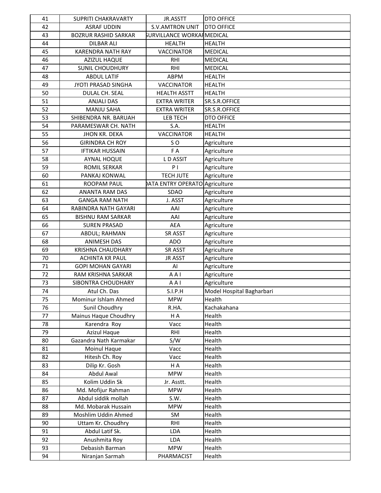| 41 | <b>SUPRITI CHAKRAVARTY</b>  | JR.ASSTT                      | <b>DTO OFFICE</b>         |
|----|-----------------------------|-------------------------------|---------------------------|
| 42 | <b>ASRAF UDDIN</b>          | <b>S.V.AMTRON UNIT</b>        | <b>DTO OFFICE</b>         |
| 43 | <b>BOZRUR RASHID SARKAR</b> | SURVILLANCE WORKAI MEDICAL    |                           |
| 44 | <b>DILBAR ALI</b>           | <b>HEALTH</b>                 | <b>HEALTH</b>             |
| 45 | <b>KARENDRA NATH RAY</b>    | <b>VACCINATOR</b>             | <b>MEDICAL</b>            |
| 46 | <b>AZIZUL HAQUE</b>         | <b>RHI</b>                    | <b>MEDICAL</b>            |
| 47 | <b>SUNIL CHOUDHURY</b>      | <b>RHI</b>                    | <b>MEDICAL</b>            |
| 48 | <b>ABDUL LATIF</b>          | ABPM                          | <b>HEALTH</b>             |
| 49 | JYOTI PRASAD SINGHA         | <b>VACCINATOR</b>             | <b>HEALTH</b>             |
| 50 | DULAL CH. SEAL              | <b>HEALTH ASSTT</b>           | <b>HEALTH</b>             |
| 51 | <b>ANJALI DAS</b>           | <b>EXTRA WRITER</b>           | SR.S.R.OFFICE             |
| 52 | <b>MANJU SAHA</b>           | <b>EXTRA WRITER</b>           | SR.S.R.OFFICE             |
| 53 | SHIBENDRA NR. BARUAH        | LEB TECH                      | <b>DTO OFFICE</b>         |
| 54 | PARAMESWAR CH. NATH         | S.A.                          | <b>HEALTH</b>             |
| 55 | JHON KR. DEKA               | <b>VACCINATOR</b>             | <b>HEALTH</b>             |
| 56 | <b>GIRINDRA CH ROY</b>      | SO <sub>1</sub>               | Agriculture               |
| 57 | <b>IFTIKAR HUSSAIN</b>      | F A                           | Agriculture               |
| 58 | <b>AYNAL HOQUE</b>          | LD ASSIT                      | Agriculture               |
| 59 | <b>ROMIL SERKAR</b>         | P <sub>1</sub>                | Agriculture               |
| 60 | PANKAJ KONWAL               | <b>TECH JUTE</b>              | Agriculture               |
| 61 | ROOPAM PAUL                 | ATA ENTRY OPERATO Agriculture |                           |
| 62 | <b>ANANTA RAM DAS</b>       | <b>SDAO</b>                   | Agriculture               |
| 63 | <b>GANGA RAM NATH</b>       | J. ASST                       | Agriculture               |
| 64 | RABINDRA NATH GAYARI        | AAI                           | Agriculture               |
| 65 | <b>BISHNU RAM SARKAR</b>    | AAI                           | Agriculture               |
| 66 | <b>SUREN PRASAD</b>         | <b>AEA</b>                    | Agriculture               |
| 67 | ABDUL; RAHMAN               | SR ASST                       | Agriculture               |
| 68 | <b>ANIMESH DAS</b>          | <b>ADO</b>                    | Agriculture               |
| 69 | <b>KRISHNA CHAUDHARY</b>    | SR ASST                       | Agriculture               |
| 70 | <b>ACHINTA KR PAUL</b>      | <b>JR ASST</b>                | Agriculture               |
| 71 | <b>GOPI MOHAN GAYARI</b>    | AI                            | Agriculture               |
| 72 | RAM KRISHNA SARKAR          | AAI                           | Agriculture               |
| 73 | SIBONTRA CHOUDHARY          | AAI                           | Agriculture               |
| 74 | Atul Ch. Das                | S.I.P.H                       | Model Hospital Bagharbari |
| 75 | Mominur Ishlam Ahmed        | <b>MPW</b>                    | Health                    |
| 76 | Sunil Choudhry              | R.HA.                         | Kachakahana               |
| 77 | Mainus Haque Choudhry       | H A                           | Health                    |
| 78 | Karendra Roy                | Vacc                          | Health                    |
| 79 | Azizul Haque                | RHI                           | Health                    |
| 80 | Gazandra Nath Karmakar      | S/W                           | Health                    |
| 81 | Moinul Haque                | Vacc                          | Health                    |
| 82 | Hitesh Ch. Roy              | Vacc                          | Health                    |
| 83 | Dilip Kr. Gosh              | H A                           | Health                    |
| 84 | Abdul Awal                  | <b>MPW</b>                    | Health                    |
| 85 | Kolim Uddin Sk              | Jr. Asstt.                    | Health                    |
| 86 | Md. Mofijur Rahman          | <b>MPW</b>                    | Health                    |
| 87 | Abdul siddik mollah         | S.W.                          | Health                    |
| 88 | Md. Mobarak Hussain         | <b>MPW</b>                    | Health                    |
| 89 | Moshlim Uddin Ahmed         | SM                            | Health                    |
| 90 | Uttam Kr. Choudhry          | RHI                           | Health                    |
| 91 | Abdul Latif Sk.             | LDA                           | Health                    |
| 92 | Anushmita Roy               | LDA                           | Health                    |
| 93 | Debasish Barman             | <b>MPW</b>                    | Health                    |
| 94 | Niranjan Sarmah             | PHARMACIST                    | Health                    |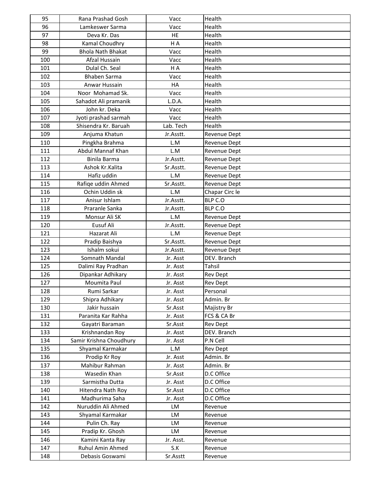| 95         | Rana Prashad Gosh                    | Vacc      | Health              |
|------------|--------------------------------------|-----------|---------------------|
| 96         | Lamkeswer Sarma                      | Vacc      | Health              |
| 97         | Deva Kr. Das                         | HE        | Health              |
| 98         | Kamal Choudhry                       | H A       | Health              |
| 99         | <b>Bhola Nath Bhakat</b>             | Vacc      | Health              |
| 100        | Afzal Hussain                        | Vacc      | Health              |
| 101        | Dulal Ch. Seal                       | H A       | Health              |
| 102        | <b>Bhaben Sarma</b>                  | Vacc      | Health              |
| 103        | Anwar Hussain                        | HA        | Health              |
| 104        | Noor Mohamad Sk.                     | Vacc      | Health              |
| 105        | Sahadot Ali pramanik                 | L.D.A.    | Health              |
| 106        | John kr. Deka                        | Vacc      | Health              |
| 107        | Jyoti prashad sarmah                 | Vacc      | Health              |
| 108        | Shisendra Kr. Baruah                 | Lab. Tech | Health              |
| 109        | Anjuma Khatun                        | Jr.Asstt. | Revenue Dept        |
| 110        | Pingkha Brahma                       | L.M       | Revenue Dept        |
| 111        | <b>Abdul Mannaf Khan</b>             | L.M       | Revenue Dept        |
| 112        | Binila Barma                         | Jr.Asstt. | Revenue Dept        |
| 113        | Ashok Kr.Kalita                      | Sr.Asstt. | Revenue Dept        |
| 114        | Hafiz uddin                          | L.M       | Revenue Dept        |
| 115        | Rafige uddin Ahmed                   | Sr.Asstt. | <b>Revenue Dept</b> |
| 116        | Ochin Uddin sk                       | L.M       | Chapar Circ le      |
| 117        | Anisur Ishlam                        | Jr.Asstt. | BLP C.O             |
| 118        | Praranle Sanka                       | Jr.Asstt. | BLP C.O             |
| 119        | Monsur Ali SK                        | L.M       | Revenue Dept        |
| 120        | Eusuf Ali                            | Jr.Asstt. | Revenue Dept        |
| 121        | Hazarat Ali                          | L.M       | Revenue Dept        |
| 122        | Pradip Baishya                       | Sr.Asstt. | Revenue Dept        |
| 123        | Ishalm sokui                         | Jr.Asstt. | Revenue Dept        |
| 124        | Somnath Mandal                       | Jr. Asst  | DEV. Branch         |
| 125        | Dalimi Ray Pradhan                   | Jr. Asst  | <b>Tahsil</b>       |
| 126        | Dipankar Adhikary                    | Jr. Asst  | Rev Dept            |
| 127        | Moumita Paul                         | Jr. Asst  | <b>Rev Dept</b>     |
| 128        | Rumi Sarkar                          | Jr. Asst  | Personal            |
| 129        | Shipra Adhikary                      | Jr. Asst  | Admin. Br           |
| 130        | Jakir hussain                        | Sr.Asst   | Majistry Br         |
| 131        | Paranita Kar Rahha                   | Jr. Asst  | FCS & CA Br         |
| 132        | Gayatri Baraman                      | Sr.Asst   | <b>Rev Dept</b>     |
| 133        | Krishnandan Roy                      | Jr. Asst  | DEV. Branch         |
| 134        | Samir Krishna Choudhury              | Jr. Asst  | P.N Cell            |
| 135        | Shyamal Karmakar                     | L.M       | Rev Dept            |
| 136        | Prodip Kr Roy                        | Jr. Asst  | Admin. Br           |
| 137        | Mahibur Rahman                       | Jr. Asst  | Admin. Br           |
| 138        | Wasedin Khan                         | Sr.Asst   | D.C Office          |
| 139        | Sarmistha Dutta                      | Jr. Asst  | D.C Office          |
| 140        | Hitendra Nath Roy                    | Sr.Asst   | D.C Office          |
| 141<br>142 | Madhurima Saha<br>Nuruddin Ali Ahmed | Jr. Asst  | D.C Office          |
| 143        | Shyamal Karmakar                     | LM<br>LM  | Revenue             |
| 144        | Pulin Ch. Ray                        | LM        | Revenue<br>Revenue  |
| 145        | Pradip Kr. Ghosh                     | LM        | Revenue             |
| 146        | Kamini Kanta Ray                     | Jr. Asst. | Revenue             |
| 147        | Ruhul Amin Ahmed                     | S.K       | Revenue             |
| 148        | Debasis Goswami                      | Sr.Asstt  | Revenue             |
|            |                                      |           |                     |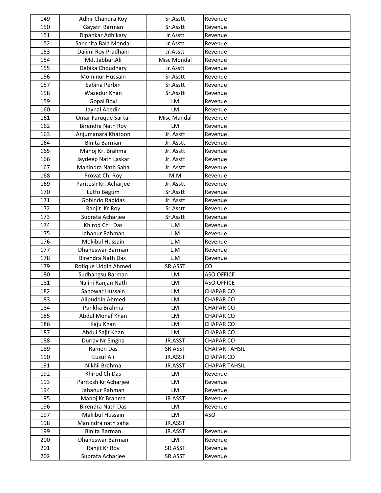| 149 | Adhir Chandra Roy        | Sr.Asstt    | Revenue              |
|-----|--------------------------|-------------|----------------------|
| 150 | Gayatri Barman           | Sr.Asstt    | Revenue              |
| 151 | Dipankar Adhikary        | Jr.Asstt    | Revenue              |
| 152 | Sanchita Bala Mondal     | Jr.Asstt    | Revenue              |
| 153 | Dalimi Roy Pradhani      | Jr.Asstt    | Revenue              |
| 154 | Md. Jabbar.Ali           | Misc Mondal | Revenue              |
| 155 | Debika Choudhary         | Jr.Asstt    | Revenue              |
| 156 | Mominur Hussain          | Sr.Asstt    | Revenue              |
| 157 | Sabina Perbin            | Sr.Asstt    | Revenue              |
| 158 | Wazedur Khan             | Sr.Asstt    | Revenue              |
| 159 | <b>Gopal Boxi</b>        | LM          | Revenue              |
| 160 | Jaynal Abedin            | LM          | Revenue              |
| 161 | Omar Faruque Sarkar      | Misc Mandal | Revenue              |
| 162 | Birendra Nath Roy        | LM          | Revenue              |
| 163 | Anjumanara Khatoon       | Jr. Asstt   | Revenue              |
| 164 | Binita Barman            | Jr. Asstt   | Revenue              |
| 165 | Manoj Kr. Brahma         | Jr. Asstt   | Revenue              |
| 166 | Jaydeep Nath Laskar      | Jr. Asstt   | Revenue              |
| 167 | Manindra Nath Saha       | Jr. Asstt   | Revenue              |
| 168 | Provat Ch. Roy           | M.M         | Revenue              |
| 169 | Paritosh Kr. Acharjee    | Jr. Asstt   | Revenue              |
| 170 | Lutfo Begum              | Sr.Asstt    | Revenue              |
| 171 | Gobindo Rabidas          | Jr. Asstt   | Revenue              |
| 172 | Ranjit Kr Roy            | Sr.Asstt    | Revenue              |
| 173 | Subrata Acharjee         | Sr.Asstt    | Revenue              |
| 174 | Khirod Ch. Das           | L.M         | Revenue              |
| 175 | Jahanur Rahman           | L.M         | Revenue              |
| 176 | Mokibul Hussain          | L.M         | Revenue              |
| 177 | Dhaneswar Barman         | L.M         | Revenue              |
| 178 | <b>Birendra Nath Das</b> | L.M         | Revenue              |
| 179 | Rofique Uddin Ahmed      | SR.ASST     | CO                   |
| 180 | Sudhangsu Barman         | <b>LM</b>   | <b>ASO OFFICE</b>    |
| 181 | Nalini Ranjan Nath       | LM          | <b>ASO OFFICE</b>    |
| 182 | Sanowar Hussain          | <b>LM</b>   | <b>CHAPAR CO</b>     |
| 183 | Alipuddin Ahmed          | LM          | <b>CHAPAR CO</b>     |
| 184 | Punkha Brahma            | LM          | <b>CHAPAR CO</b>     |
| 185 | Abdul Monaf Khan         | LM          | <b>CHAPAR CO</b>     |
| 186 | Kaju Khan                | LM          | <b>CHAPAR CO</b>     |
| 187 | Abdul Sajit Khan         | LM          | <b>CHAPAR CO</b>     |
| 188 | Durlav Nr Singha         | JR.ASST     | <b>CHAPAR CO</b>     |
| 189 | Ramen Das                | SR.ASST     | <b>CHAPAR TAHSIL</b> |
| 190 | Eusuf Ali                | JR.ASST     | <b>CHAPAR CO</b>     |
| 191 | Nikhil Brahma            | JR.ASST     | <b>CHAPAR TAHSIL</b> |
| 192 | Khirod Ch Das            | LM          | Revenue              |
| 193 | Paritosh Kr Acharjee     | LM          | Revenue              |
| 194 | Jahanur Rahman           | LM          | Revenue              |
| 195 | Manoj Kr Brahma          | JR.ASST     | Revenue              |
| 196 | Birendra Nath Das        | LM          | Revenue              |
| 197 | Makibul Hussain          | LM          | ASO                  |
| 198 | Manindra nath saha       | JR.ASST     |                      |
| 199 | Binita Barman            | JR.ASST     | Revenue              |
| 200 | Dhaneswar Barman         | LM          | Revenue              |
| 201 | Ranjit Kr Roy            | SR.ASST     | Revenue              |
| 202 | Subrata Acharjee         | SR.ASST     | Revenue              |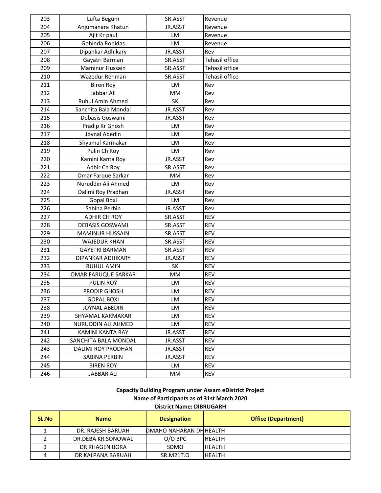| 203 | Lufta Begum            | SR.ASST   | Revenue               |
|-----|------------------------|-----------|-----------------------|
| 204 | Anjumanara Khatun      | JR.ASST   | Revenue               |
| 205 | Ajit Kr paul           | LM        | Revenue               |
| 206 | Gobinda Robidas        | LM        | Revenue               |
| 207 | Dipankar Adhikary      | JR.ASST   | Rev                   |
| 208 | Gayatri Barman         | SR.ASST   | <b>Tehasil office</b> |
| 209 | Maminur Hussain        | SR.ASST   | Tehasil office        |
| 210 | Wazedur Rehman         | SR.ASST   | Tehasil office        |
| 211 | <b>Biren Roy</b>       | LM        | Rev                   |
| 212 | Jabbar Ali             | MМ        | Rev                   |
| 213 | Ruhul Amin Ahmed       | SK        | Rev                   |
| 214 | Sanchita Bala Mondal   | JR.ASST   | Rev                   |
| 215 | Debasis Goswami        | JR.ASST   | Rev                   |
| 216 | Pradip Kr Ghosh        | LM        | Rev                   |
| 217 | Joynal Abedin          | LM        | Rev                   |
| 218 | Shyamal Karmakar       | LM        | Rev                   |
| 219 | Pulin Ch Roy           | LM        | Rev                   |
| 220 | Kamini Kanta Roy       | JR.ASST   | Rev                   |
| 221 | Adhir Ch Roy           | SR.ASST   | Rev                   |
| 222 | Omar Farque Sarkar     | МM        | Rev                   |
| 223 | Nuruddin Ali Ahmed     | LM        | Rev                   |
| 224 | Dalimi Roy Pradhan     | JR.ASST   | Rev                   |
| 225 | Gopal Boxi             | LM        | Rev                   |
| 226 | Sabina Perbin          | JR.ASST   | Rev                   |
| 227 | <b>ADHIR CH ROY</b>    | SR.ASST   | <b>REV</b>            |
| 228 | <b>DEBASIS GOSWAMI</b> | SR.ASST   | <b>REV</b>            |
| 229 | <b>MAMINUR HUSSAIN</b> | SR.ASST   | <b>REV</b>            |
| 230 | <b>WAJEDUR KHAN</b>    | SR.ASST   | <b>REV</b>            |
| 231 | <b>GAYETRI BARMAN</b>  | SR.ASST   | <b>REV</b>            |
| 232 | DIPANKAR ADHIKARY      | JR.ASST   | <b>REV</b>            |
| 233 | <b>RUHUL AMIN</b>      | <b>SK</b> | <b>REV</b>            |
| 234 | OMAR FARUQUE SARKAR    | MM        | <b>REV</b>            |
| 235 | <b>PULIN ROY</b>       | LM        | <b>REV</b>            |
| 236 | PRODIP GHOSH           | LM        | <b>REV</b>            |
| 237 | <b>GOPAL BOXI</b>      | LM        | <b>REV</b>            |
| 238 | <b>JOYNAL ABEDIN</b>   | LM        | <b>REV</b>            |
| 239 | SHYAMAL KARMAKAR       | LM        | <b>REV</b>            |
| 240 | NURUDDIN ALI AHMED     | LM        | REV                   |
| 241 | KAMINI KANTA RAY       | JR.ASST   | <b>REV</b>            |
| 242 | SANCHITA BALA MONDAL   | JR.ASST   | <b>REV</b>            |
| 243 | DALIMI ROY PRODHAN     | JR.ASST   | <b>REV</b>            |
| 244 | SABINA PERBIN          | JR.ASST   | <b>REV</b>            |
| 245 | <b>BIREN ROY</b>       | LM        | <b>REV</b>            |
| 246 | <b>JABBAR ALI</b>      | MМ        | REV                   |

**Capacity Building Program under Assam eDistrict Project Name of Participants as of 31st March 2020 District Name: DIBRUGARH**

| <b>SL.No</b> | <b>Name</b>        | <b>Designation</b>     | <b>Office (Department)</b> |
|--------------|--------------------|------------------------|----------------------------|
|              | DR. RAJESH BARUAH  | DMAHO NAHARAN DHHEALTH |                            |
|              | DR.DEBA KR.SONOWAL | $O/O$ BPC              | <b>HEALTH</b>              |
|              | DR KHAGEN BORA     | <b>SDMO</b>            | <b>HFALTH</b>              |
|              | DR KALPANA BARUAH  | SR.M21T.O              | <b>HEALTH</b>              |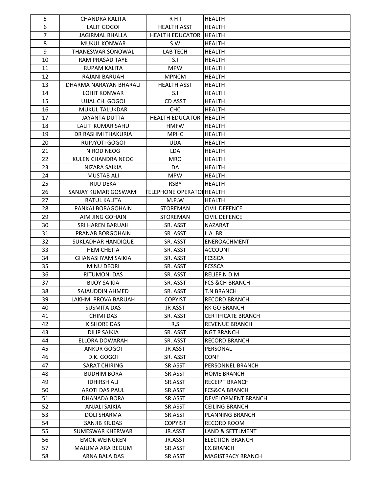| 5              | <b>CHANDRA KALITA</b>     | $R$ HI                           | <b>HEALTH</b>             |
|----------------|---------------------------|----------------------------------|---------------------------|
| 6              | LALIT GOGOI               | <b>HEALTH ASST</b>               | <b>HEALTH</b>             |
| $\overline{7}$ | <b>JAGIRMAL BHALLA</b>    | <b>HEALTH EDUCATOR</b>           | <b>HEALTH</b>             |
| 8              | <b>MUKUL KONWAR</b>       | S.W                              | <b>HEALTH</b>             |
| 9              | <b>THANESWAR SONOWAL</b>  | LAB TECH                         | <b>HEALTH</b>             |
| 10             | RAM PRASAD TAYE           | S.I                              | <b>HEALTH</b>             |
| 11             | <b>RUPAM KALITA</b>       | MPW                              | <b>HEALTH</b>             |
| 12             | <b>RAJANI BARUAH</b>      | <b>MPNCM</b>                     | <b>HEALTH</b>             |
| 13             | DHARMA NARAYAN BHARALI    | <b>HEALTH ASST</b>               | <b>HEALTH</b>             |
| 14             | <b>LOHIT KONWAR</b>       | S.I                              | <b>HEALTH</b>             |
| 15             | UJJAL CH. GOGOI           | <b>CD ASST</b>                   | <b>HEALTH</b>             |
| 16             | <b>MUKUL TALUKDAR</b>     | <b>CHC</b>                       | <b>HEALTH</b>             |
| 17             | <b>JAYANTA DUTTA</b>      | <b>HEALTH EDUCATOR</b>           | <b>HEALTH</b>             |
| 18             | LALIT KUMAR SAHU          | <b>HMFW</b>                      | <b>HEALTH</b>             |
| 19             | DR RASHMI THAKURIA        | <b>MPHC</b>                      | <b>HEALTH</b>             |
| 20             | RUPJYOTI GOGOI            | UDA                              | HEALTH                    |
| 21             | NIROD NEOG                | LDA                              | <b>HEALTH</b>             |
| 22             | <b>KULEN CHANDRA NEOG</b> | <b>MRO</b>                       | <b>HEALTH</b>             |
| 23             | NIZARA SAIKIA             | DA                               | <b>HEALTH</b>             |
| 24             | <b>MUSTAB ALI</b>         | <b>MPW</b>                       | <b>HEALTH</b>             |
| 25             | <b>RIJU DEKA</b>          | <b>RSBY</b>                      | <b>HEALTH</b>             |
| 26             | SANJAY KUMAR GOSWAMI      | <b>FELEPHONE OPERATOI HEALTH</b> |                           |
| 27             | <b>RATUL KALITA</b>       | M.P.W                            | <b>HEALTH</b>             |
| 28             | PANKAJ BORAGOHAIN         | <b>STOREMAN</b>                  | <b>CIVIL DEFENCE</b>      |
| 29             | AIM JING GOHAIN           | <b>STOREMAN</b>                  | <b>CIVIL DEFENCE</b>      |
| 30             | SRI HAREN BARUAH          | SR. ASST                         | <b>NAZARAT</b>            |
| 31             | PRANAB BORGOHAIN          | SR. ASST                         | L.A. BR                   |
| 32             | SUKLADHAR HANDIQUE        | SR. ASST                         | ENEROACHMENT              |
| 33             | <b>HEM CHETIA</b>         | SR. ASST                         | <b>ACCOUNT</b>            |
| 34             | <b>GHANASHYAM SAIKIA</b>  | SR. ASST                         | <b>FCSSCA</b>             |
| 35             | <b>MINU DEORI</b>         | SR. ASST                         | <b>FCSSCA</b>             |
| 36             | <b>RITUMONI DAS</b>       | SR. ASST                         | RELIEF N D.M              |
| 37             | <b>BIJOY SAIKIA</b>       | SR. ASST                         | <b>FCS &amp;CH BRANCH</b> |
| 38             | SAJAUDDIN AHMED           | SR. ASST                         | <b>T.N BRANCH</b>         |
| 39             | LAKHMI PROVA BARUAH       | <b>COPYIST</b>                   | <b>RECORD BRANCH</b>      |
| 40             | <b>SUSMITA DAS</b>        | <b>JR ASST</b>                   | <b>RK GO BRANCH</b>       |
| 41             | CHIMI DAS                 | SR. ASST                         | <b>CERTIFICATE BRANCH</b> |
| 42             | <b>KISHORE DAS</b>        | R,S                              | <b>REVENUE BRANCH</b>     |
| 43             | <b>DILIP SAIKIA</b>       | SR. ASST                         | <b>NGT BRANCH</b>         |
| 44             | ELLORA DOWARAH            | SR. ASST                         | <b>RECORD BRANCH</b>      |
| 45             | <b>ANKUR GOGOI</b>        | <b>JR ASST</b>                   | PERSONAL                  |
| 46             | D.K. GOGOI                | SR. ASST                         | CONF                      |
| 47             | <b>SARAT CHIRING</b>      | SR.ASST                          | PERSONNEL BRANCH          |
| 48             | <b>BUDHIM BORA</b>        | SR.ASST                          | <b>HOME BRANCH</b>        |
| 49             | <b>IDHIRSH ALI</b>        | SR.ASST                          | <b>RECEIPT BRANCH</b>     |
| 50             | <b>AROTI DAS PAUL</b>     | SR.ASST                          | <b>FCS&amp;CA BRANCH</b>  |
| 51             | DHANADA BORA              | SR.ASST                          | DEVELOPMENT BRANCH        |
| 52             | ANJALI SAIKIA             | SR.ASST                          | <b>CEILING BRANCH</b>     |
| 53             | <b>DOLI SHARMA</b>        | SR.ASST                          | PLANNING BRANCH           |
| 54             | SANJIB KR.DAS             | <b>COPYIST</b>                   | <b>RECORD ROOM</b>        |
| 55             | SUMESWAR KHERWAR          | JR.ASST                          | LAND & SETTLMENT          |
| 56             | <b>EMOK WEINGKEN</b>      | JR.ASST                          | <b>ELECTION BRANCH</b>    |
| 57             | MAJUMA ARA BEGUM          | SR.ASST                          | EX.BRANCH                 |
| 58             | ARNA BALA DAS             | SR.ASST                          | MAGISTRACY BRANCH         |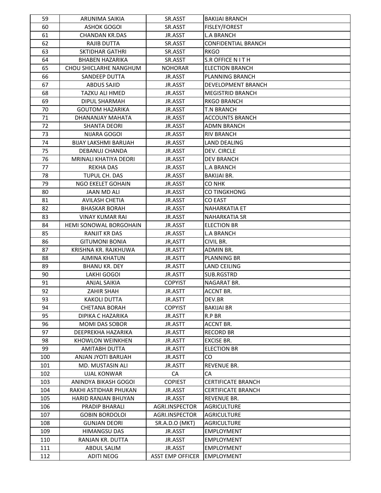| 59  | ARUNIMA SAIKIA                | SR.ASST                 | <b>BAKIJAI BRANCH</b>      |
|-----|-------------------------------|-------------------------|----------------------------|
| 60  | <b>ASHOK GOGOI</b>            | SR.ASST                 | FISLEY/FOREST              |
| 61  | <b>CHANDAN KR.DAS</b>         | JR.ASST                 | <b>L.A BRANCH</b>          |
| 62  | RAJIB DUTTA                   | SR.ASST                 | <b>CONFIDENTIAL BRANCH</b> |
| 63  | <b>SKTIDHAR GATHRI</b>        | SR.ASST                 | <b>RKGO</b>                |
| 64  | <b>BHABEN HAZARIKA</b>        | SR.ASST                 | S.R OFFICE N IT H          |
| 65  | CHOU SHICLARHE NANGHUM        | <b>NOHORAR</b>          | <b>ELECTION BRANCH</b>     |
| 66  | SANDEEP DUTTA                 | JR.ASST                 | <b>PLANNING BRANCH</b>     |
| 67  | <b>ABDUS SAJID</b>            | JR.ASST                 | <b>DEVELOPMENT BRANCH</b>  |
| 68  | TAZKU ALI HMED                | JR.ASST                 | <b>MEGISTRID BRANCH</b>    |
| 69  | DIPUL SHARMAH                 | JR.ASST                 | <b>RKGO BRANCH</b>         |
| 70  | <b>GOUTOM HAZARIKA</b>        | JR.ASST                 | <b>T.N BRANCH</b>          |
| 71  | DHANANJAY MAHATA              | JR.ASST                 | <b>ACCOUNTS BRANCH</b>     |
| 72  | <b>SHANTA DEORI</b>           | JR.ASST                 | ADMN BRANCH                |
| 73  | NIJARA GOGOI                  | JR.ASST                 | <b>RIV BRANCH</b>          |
| 74  | <b>BIJAY LAKSHMI BARUAH</b>   | JR.ASST                 | LAND DEALING               |
| 75  | DEBANUJ CHANDA                | JR.ASST                 | DEV. CIRCLE                |
| 76  | MRINALI KHATIYA DEORI         | JR.ASST                 | <b>DEV BRANCH</b>          |
| 77  | <b>REKHA DAS</b>              | JR.ASST                 | <b>L.A BRANCH</b>          |
| 78  | TUPUL CH. DAS                 | JR.ASST                 | <b>BAKIJAI BR.</b>         |
| 79  | NGO EKELET GOHAIN             | JR.ASST                 | CO NHK                     |
| 80  | JAAN MD ALI                   | JR.ASST                 | <b>CO TINGKHONG</b>        |
| 81  | <b>AVILASH CHETIA</b>         | JR.ASST                 | <b>CO EAST</b>             |
| 82  | <b>BHASKAR BORAH</b>          | JR.ASST                 | <b>NAHARKATIA ET</b>       |
| 83  | <b>VINAY KUMAR RAI</b>        | JR.ASST                 | <b>NAHARKATIA SR</b>       |
| 84  | <b>HEMI SONOWAL BORGOHAIN</b> | JR.ASST                 | <b>ELECTION BR</b>         |
| 85  | <b>RANJIT KR DAS</b>          | JR.ASST                 | <b>L.A BRANCH</b>          |
| 86  | <b>GITUMONI BONIA</b>         | JR, ASTT                | CIVIL BR.                  |
| 87  | KRISHNA KR. RAJKHUWA          | JR.ASTT                 | ADMIN BR.                  |
| 88  | <b>AJMINA KHATUN</b>          | JR.ASTT                 | <b>PLANNING BR</b>         |
| 89  | <b>BHANU KR. DEY</b>          | JR.ASTT                 | LAND CEILING               |
| 90  | LAKHI GOGOI                   | JR.ASTT                 | SUB.RGSTRD                 |
| 91  | <b>ANJAL SAIKIA</b>           | <b>COPYIST</b>          | NAGARAT BR.                |
| 92  | ZAHIR SHAH                    | JR.ASTT                 | ACCNT BR.                  |
| 93  | <b>KAKOLI DUTTA</b>           | JR.ASTT                 | DEV.BR                     |
| 94  | <b>CHETANA BORAH</b>          | <b>COPYIST</b>          | <b>BAKIJAI BR</b>          |
| 95  | DIPIKA C HAZARIKA             | JR.ASTT                 | R.P BR                     |
| 96  | <b>MOMI DAS SOBOR</b>         | JR.ASTT                 | <b>ACCNT BR.</b>           |
| 97  | DEEPREKHA HAZARIKA            | JR.ASTT                 | <b>RECORD BR</b>           |
| 98  | <b>KHOWLON WEINKHEN</b>       | JR.ASTT                 | <b>EXCISE BR.</b>          |
| 99  | <b>AMITABH DUTTA</b>          | JR.ASTT                 | <b>ELECTION BR</b>         |
| 100 | ANJAN JYOTI BARUAH            | JR.ASTT                 | CO                         |
| 101 | MD. MUSTASIN ALI              | JR.ASTT                 | REVENUE BR.                |
| 102 | <b>UJAL KONWAR</b>            | CA                      | CA                         |
| 103 | ANINDYA BIKASH GOGOI          | <b>COPIEST</b>          | <b>CERTIFICATE BRANCH</b>  |
| 104 | RAKHI ASTIDHAR PHUKAN         | JR.ASST                 | <b>CERTIFICATE BRANCH</b>  |
| 105 | <b>HARID RANJAN BHUYAN</b>    | JR.ASST                 | REVENUE BR.                |
| 106 | PRADIP BHARALI                | AGRI.INSPECTOR          | <b>AGRICULTURE</b>         |
| 107 | <b>GOBIN BORDOLOI</b>         | AGRI.INSPECTOR          | <b>AGRICULTURE</b>         |
| 108 | <b>GUNJAN DEORI</b>           | SR.A.D.O (MKT)          | <b>AGRICULTURE</b>         |
| 109 | HIMANGSU DAS                  | JR.ASST                 | <b>EMPLOYMENT</b>          |
| 110 | RANJAN KR. DUTTA              | JR.ASST                 | <b>EMPLOYMENT</b>          |
| 111 | ABDUL SALIM                   | JR.ASST                 | <b>EMPLOYMENT</b>          |
| 112 | <b>ADITI NEOG</b>             | <b>ASST EMP OFFICER</b> | <b>EMPLOYMENT</b>          |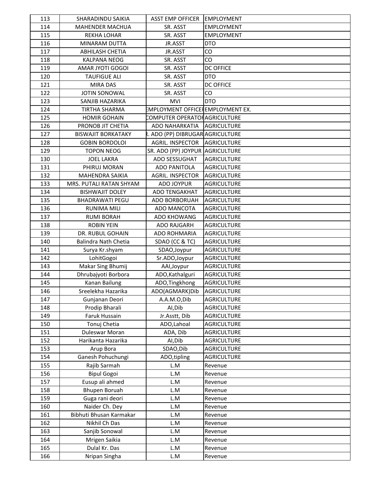| 113 | SHARADINDU SAIKIA           | <b>ASST EMP OFFICER</b>                 | <b>EMPLOYMENT</b>  |
|-----|-----------------------------|-----------------------------------------|--------------------|
| 114 | <b>MAHENDER MACHUA</b>      | SR. ASST                                | <b>EMPLOYMENT</b>  |
| 115 | <b>REKHA LOHAR</b>          | SR. ASST                                | <b>EMPLOYMENT</b>  |
| 116 | MINARAM DUTTA               | JR.ASST                                 | <b>DTO</b>         |
| 117 | <b>ABHILASH CHETIA</b>      | JR.ASST                                 | CO                 |
| 118 | <b>KALPANA NEOG</b>         | SR. ASST                                | CO                 |
| 119 | AMAR JYOTI GOGOI            | SR. ASST                                | <b>DC OFFICE</b>   |
| 120 | <b>TAUFIGUE ALI</b>         | SR. ASST                                | <b>DTO</b>         |
| 121 | <b>MIRA DAS</b>             | SR. ASST                                | <b>DC OFFICE</b>   |
| 122 | <b>JOTIN SONOWAL</b>        | SR. ASST                                | CO                 |
| 123 | SANJIB HAZARIKA             | <b>MVI</b>                              | <b>DTO</b>         |
| 124 | <b>TIRTHA SHARMA</b>        | <b>EMPLOYMENT OFFICE EMPLOYMENT EX.</b> |                    |
| 125 | <b>HOMIR GOHAIN</b>         | COMPUTER OPERATORAGRICULTURE            |                    |
| 126 | PRONOB JIT CHETIA           | ADO NAHARKATIA                          | <b>AGRICULTURE</b> |
| 127 | <b>BISWAJIT BORKATAKY</b>   | ، ADO (PP) DIBRUGAR AGRICULTURE         |                    |
| 128 | <b>GOBIN BORDOLOI</b>       | <b>AGRIL. INSPECTOR</b>                 | <b>AGRICULTURE</b> |
| 129 | <b>TOPON NEOG</b>           | SR. ADO (PP) JOYPUR AGRICULTURE         |                    |
| 130 | <b>JOEL LAKRA</b>           | ADO SESSUGHAT                           | <b>AGRICULTURE</b> |
| 131 | PHIRUJ MORAN                | <b>ADO PANITOLA</b>                     | <b>AGRICULTURE</b> |
| 132 | <b>MAHENDRA SAIKIA</b>      | <b>AGRIL. INSPECTOR</b>                 | <b>AGRICULTURE</b> |
| 133 | MRS. PUTALI RATAN SHYAM     | ADO JOYPUR                              | <b>AGRICULTURE</b> |
| 134 | <b>BISHWAJIT DOLEY</b>      | <b>ADO TENGAKHAT</b>                    | <b>AGRICULTURE</b> |
| 135 | <b>BHADRAWATI PEGU</b>      | <b>ADO BORBORUAH</b>                    | <b>AGRICULTURE</b> |
| 136 | <b>RUNIMA MILI</b>          | ADO MANCOTA                             | <b>AGRICULTURE</b> |
| 137 | <b>RUMI BORAH</b>           | <b>ADO KHOWANG</b>                      | AGRICULTURE        |
| 138 | <b>ROBIN YEIN</b>           | <b>ADO RAJGARH</b>                      | <b>AGRICULTURE</b> |
| 139 | DR. RUBUL GOHAIN            | <b>ADO ROHMARIA</b>                     | <b>AGRICULTURE</b> |
| 140 | <b>Balindra Nath Chetia</b> | SDAO (CC & TC)                          | <b>AGRICULTURE</b> |
| 141 | Surya Kr.shyam              | SDAO, Joypur                            | <b>AGRICULTURE</b> |
| 142 | LohitGogoi                  | Sr.ADO,Joypur                           | <b>AGRICULTURE</b> |
| 143 | Makar Sing Bhumij           | AAI, Joypur                             | <b>AGRICULTURE</b> |
| 144 | Dhrubajyoti Borbora         | ADO, Kathalguri                         | <b>AGRICULTURE</b> |
| 145 | Kanan Bailung               | ADO, Tingkhong                          | <b>AGRICULTURE</b> |
| 146 | Sreelekha Hazarika          | ADO(AGMARK)Dib                          | <b>AGRICULTURE</b> |
| 147 | Gunjanan Deori              | A.A.M.O,Dib                             | <b>AGRICULTURE</b> |
| 148 | Prodip Bharali              | Al, Dib                                 | <b>AGRICULTURE</b> |
| 149 | Faruk Hussain               | Jr.Asstt, Dib                           | <b>AGRICULTURE</b> |
| 150 | Tonuj Chetia                | ADO, Lahoal                             | <b>AGRICULTURE</b> |
| 151 | Duleswar Moran              | ADA, Dib                                | <b>AGRICULTURE</b> |
| 152 | Harikanta Hazarika          | Al, Dib                                 | AGRICULTURE        |
| 153 | Arup Bora                   | SDAO, Dib                               | <b>AGRICULTURE</b> |
| 154 | Ganesh Pohuchungi           | ADO,tipling                             | <b>AGRICULTURE</b> |
| 155 | Rajib Sarmah                | L.M                                     | Revenue            |
| 156 | <b>Bipul Gogoi</b>          | L.M                                     | Revenue            |
| 157 | Eusup ali ahmed             | L.M                                     | Revenue            |
| 158 | <b>Bhupen Boruah</b>        | L.M                                     | Revenue            |
| 159 | Guga rani deori             | L.M                                     | Revenue            |
| 160 | Naider Ch. Dey              | L.M                                     | Revenue            |
| 161 | Bibhuti Bhusan Karmakar     | L.M                                     | Revenue            |
| 162 | Nikhil Ch Das               | L.M                                     | Revenue            |
| 163 | Sanjib Sonowal              | L.M                                     | Revenue            |
| 164 | Mrigen Saikia               | L.M                                     | Revenue            |
| 165 | Dulal Kr. Das               | L.M                                     | Revenue            |
| 166 | Nripan Singha               | L.M                                     | Revenue            |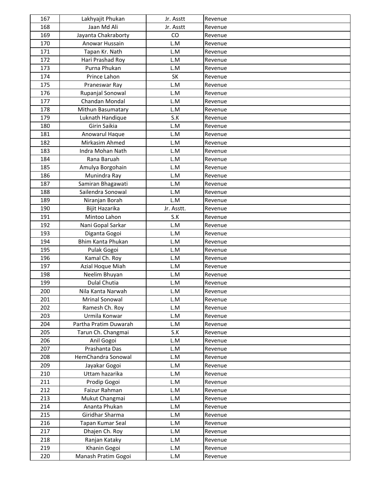| 167 | Lakhyajit Phukan      | Jr. Asstt  | Revenue |
|-----|-----------------------|------------|---------|
| 168 | Jaan Md Ali           | Jr. Asstt  | Revenue |
| 169 | Jayanta Chakraborty   | CO         | Revenue |
| 170 | Anowar Hussain        | L.M        | Revenue |
| 171 | Tapan Kr. Nath        | L.M        | Revenue |
| 172 | Hari Prashad Roy      | L.M        | Revenue |
| 173 | Purna Phukan          | L.M        | Revenue |
| 174 | Prince Lahon          | SK         | Revenue |
| 175 | Praneswar Ray         | L.M        | Revenue |
| 176 | Rupanjal Sonowal      | L.M        | Revenue |
| 177 | Chandan Mondal        | L.M        | Revenue |
| 178 | Mithun Basumatary     | L.M        | Revenue |
| 179 | Luknath Handique      | S.K        | Revenue |
| 180 | Girin Saikia          | L.M        | Revenue |
| 181 | Anowarul Haque        | L.M        | Revenue |
| 182 | Mirkasim Ahmed        | L.M        | Revenue |
| 183 | Indra Mohan Nath      | L.M        | Revenue |
| 184 | Rana Baruah           | L.M        | Revenue |
| 185 | Amulya Borgohain      | L.M        | Revenue |
| 186 | Munindra Ray          | L.M        | Revenue |
| 187 | Samiran Bhagawati     | L.M        | Revenue |
| 188 | Sailendra Sonowal     | L.M        | Revenue |
| 189 | Niranjan Borah        | L.M        | Revenue |
| 190 | Bijit Hazarika        | Jr. Asstt. | Revenue |
| 191 | Mintoo Lahon          | S.K        | Revenue |
| 192 | Nani Gopal Sarkar     | L.M        | Revenue |
| 193 | Diganta Gogoi         | L.M        | Revenue |
| 194 | Bhim Kanta Phukan     | L.M        | Revenue |
| 195 | Pulak Gogoi           | L.M        | Revenue |
| 196 | Kamal Ch. Roy         | L.M        | Revenue |
| 197 | Azial Hoque Miah      | L.M        | Revenue |
| 198 | Neelim Bhuyan         | L.M        | Revenue |
| 199 | <b>Dulal Chutia</b>   | L.M        | Revenue |
| 200 | Nila Kanta Narwah     | L.M        | Revenue |
| 201 | <b>Mrinal Sonowal</b> | L.M        | Revenue |
| 202 | Ramesh Ch. Roy        | L.M        | Revenue |
| 203 | Urmila Konwar         | L.M        | Revenue |
| 204 | Partha Pratim Duwarah | L.M        | Revenue |
| 205 | Tarun Ch. Changmai    | S.K        | Revenue |
| 206 | Anil Gogoi            | L.M        | Revenue |
| 207 | Prashanta Das         | L.M        | Revenue |
| 208 | HemChandra Sonowal    | L.M        | Revenue |
| 209 | Jayakar Gogoi         | L.M        | Revenue |
| 210 | Uttam hazarika        | L.M        | Revenue |
| 211 | Prodip Gogoi          | L.M        |         |
| 212 | Faizur Rahman         | L.M        | Revenue |
| 213 |                       | L.M        | Revenue |
| 214 | Mukut Changmai        |            | Revenue |
|     | Ananta Phukan         | L.M        | Revenue |
| 215 | Giridhar Sharma       | L.M        | Revenue |
| 216 | Tapan Kumar Seal      | L.M        | Revenue |
| 217 | Dhajen Ch. Roy        | L.M        | Revenue |
| 218 | Ranjan Kataky         | L.M        | Revenue |
| 219 | Khanin Gogoi          | L.M        | Revenue |
| 220 | Manash Pratim Gogoi   | L.M        | Revenue |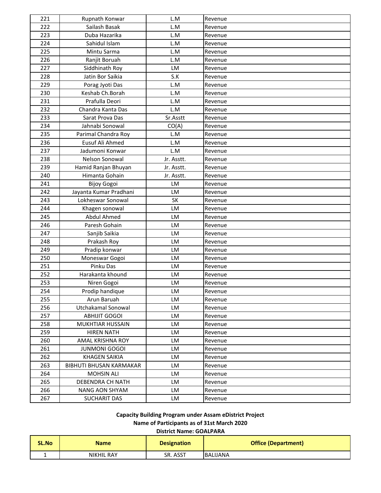| 221 | Rupnath Konwar                 | L.M        | Revenue |
|-----|--------------------------------|------------|---------|
| 222 | Sailash Basak                  | L.M        | Revenue |
| 223 | Duba Hazarika                  | L.M        | Revenue |
| 224 | Sahidul Islam                  | L.M        | Revenue |
| 225 | Mintu Sarma                    | L.M        | Revenue |
| 226 | Ranjit Boruah                  | L.M        | Revenue |
| 227 | Siddhinath Roy                 | LM         | Revenue |
| 228 | Jatin Bor Saikia               | S.K        | Revenue |
| 229 | Porag Jyoti Das                | L.M        | Revenue |
| 230 | Keshab Ch.Borah                | L.M        | Revenue |
| 231 | Prafulla Deori                 | L.M        | Revenue |
| 232 | Chandra Kanta Das              | L.M        | Revenue |
| 233 | Sarat Prova Das                | Sr.Asstt   | Revenue |
| 234 | Jahnabi Sonowal                | CO(A)      | Revenue |
| 235 | Parimal Chandra Roy            | L.M        | Revenue |
| 236 | Eusuf Ali Ahmed                | L.M        | Revenue |
| 237 | Jadumoni Konwar                | L.M        | Revenue |
| 238 | Nelson Sonowal                 | Jr. Asstt. | Revenue |
| 239 | Hamid Ranjan Bhuyan            | Jr. Asstt. | Revenue |
| 240 | Himanta Gohain                 | Jr. Asstt. | Revenue |
| 241 | <b>Bijoy Gogoi</b>             | LM         | Revenue |
| 242 | Jayanta Kumar Pradhani         | <b>LM</b>  | Revenue |
| 243 | Lokheswar Sonowal              | <b>SK</b>  | Revenue |
| 244 | Khagen sonowal                 | LM         | Revenue |
| 245 | Abdul Ahmed                    | LM         | Revenue |
| 246 | Paresh Gohain                  | LM         | Revenue |
| 247 | Sanjib Saikia                  | LM         | Revenue |
| 248 | Prakash Roy                    | LM         | Revenue |
| 249 | Pradip konwar                  | <b>LM</b>  | Revenue |
| 250 | Moneswar Gogoi                 | LM         | Revenue |
| 251 | Pinku Das                      | LM         | Revenue |
| 252 | Harakanta khound               | LM         | Revenue |
| 253 | Niren Gogoi                    | LM         | Revenue |
| 254 | Prodip handique                | LM         | Revenue |
| 255 | Arun Baruah                    | LM         | Revenue |
| 256 | Utchakamal Sonowal             | LM         | Revenue |
| 257 | <b>ABHIJIT GOGOI</b>           | LM         | Revenue |
| 258 | <b>MUKHTIAR HUSSAIN</b>        | LM         | Revenue |
| 259 | <b>HIREN NATH</b>              | LM         | Revenue |
| 260 | AMAL KRISHNA ROY               | LM         | Revenue |
| 261 | <b>JUNMONI GOGOI</b>           | LM         | Revenue |
| 262 | <b>KHAGEN SAIKIA</b>           | LM         | Revenue |
| 263 | <b>BIBHUTI BHUSAN KARMAKAR</b> | LM         | Revenue |
| 264 | <b>MOHSIN ALI</b>              | LM         | Revenue |
| 265 | DEBENDRA CH NATH               | LM         | Revenue |
| 266 | <b>NANG AON SHYAM</b>          | LM         | Revenue |
| 267 | <b>SUCHARIT DAS</b>            | LM         | Revenue |

**Capacity Building Program under Assam eDistrict Project**

### **Name of Participants as of 31st March 2020**

#### **District Name: GOALPARA**

| SL.No | <b>Name</b>       | <b>Designation</b> | <b>Office (Department)</b> |
|-------|-------------------|--------------------|----------------------------|
|       | <b>NIKHIL RAY</b> | SR. ASST           | <b>BALIJANA</b>            |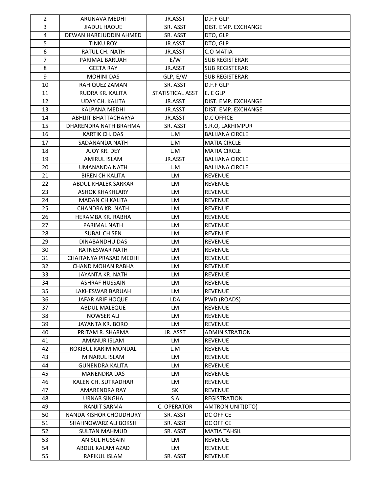| $\overline{2}$ | ARUNAVA MEDHI            | JR.ASST          | D.F.F GLP               |
|----------------|--------------------------|------------------|-------------------------|
| 3              | <b>JIADUL HAQUE</b>      | SR. ASST         | DIST. EMP. EXCHANGE     |
| 4              | DEWAN HAREJUDDIN AHMED   | SR. ASST         | DTO, GLP                |
| 5              | <b>TINKU ROY</b>         | JR.ASST          | DTO, GLP                |
| 6              | RATUL CH. NATH           | JR.ASST          | <b>C.O MATIA</b>        |
| 7              | PARIMAL BARUAH           | E/W              | <b>SUB REGISTERAR</b>   |
| 8              | <b>GEETA RAY</b>         | JR.ASST          | <b>SUB REGISTERAR</b>   |
| 9              | <b>MOHINI DAS</b>        | GLP, E/W         | <b>SUB REGISTERAR</b>   |
| 10             | RAHIQUEZ ZAMAN           | SR. ASST         | D.F.F GLP               |
| 11             | <b>RUDRA KR. KALITA</b>  | STATISTICAL ASST | E. E GLP                |
| 12             | UDAY CH. KALITA          | JR.ASST          | DIST. EMP. EXCHANGE     |
| 13             | KALPANA MEDHI            | JR.ASST          | DIST. EMP. EXCHANGE     |
| 14             | ABHIJIT BHATTACHARYA     | JR.ASST          | <b>D.C OFFICE</b>       |
| 15             | DHARENDRA NATH BRAHMA    | SR. ASST         | S.R.O, LAKHIMPUR        |
| 16             | KARTIK CH. DAS           | L.M              | <b>BALIJANA CIRCLE</b>  |
| 17             | SADANANDA NATH           | L.M              | <b>MATIA CIRCLE</b>     |
| 18             | AJOY KR. DEY             | L.M              | <b>MATIA CIRCLE</b>     |
| 19             | <b>AMIRUL ISLAM</b>      | JR.ASST          | <b>BALIJANA CIRCLE</b>  |
| 20             | UMANANDA NATH            | L.M              | <b>BALIJANA CIRCLE</b>  |
| 21             | <b>BIREN CH KALITA</b>   | LM               | <b>REVENUE</b>          |
| 22             | ABDUL KHALEK SARKAR      | LM               | <b>REVENUE</b>          |
| 23             | <b>ASHOK KHAKHLARY</b>   | LM               | <b>REVENUE</b>          |
| 24             | <b>MADAN CH KALITA</b>   | LM               | <b>REVENUE</b>          |
| 25             | <b>CHANDRA KR. NATH</b>  | <b>LM</b>        | <b>REVENUE</b>          |
| 26             | HERAMBA KR. RABHA        | LM               | <b>REVENUE</b>          |
| 27             | PARIMAL NATH             | LM               | <b>REVENUE</b>          |
| 28             | SUBAL CH SEN             | <b>LM</b>        | <b>REVENUE</b>          |
| 29             | DINABANDHU DAS           | <b>LM</b>        | <b>REVENUE</b>          |
| 30             | RATNESWAR NATH           | LM               | <b>REVENUE</b>          |
| 31             | CHAITANYA PRASAD MEDHI   | LM               | <b>REVENUE</b>          |
| 32             | <b>CHAND MOHAN RABHA</b> | LM               | <b>REVENUE</b>          |
| 33             | JAYANTA KR. NATH         | LM               | <b>REVENUE</b>          |
| 34             | <b>ASHRAF HUSSAIN</b>    | LM               | <b>REVENUE</b>          |
| 35             | LAKHESWAR BARUAH         | LM               | <b>REVENUE</b>          |
| 36             | JAFAR ARIF HOQUE         | <b>LDA</b>       | PWD (ROADS)             |
| 37             | ABDUL MALEQUE            | LM               | <b>REVENUE</b>          |
| 38             | <b>NOWSER ALI</b>        | LM               | REVENUE                 |
| 39             | JAYANTA KR. BORO         | LM               | REVENUE                 |
| 40             | PRITAM R. SHARMA         | JR. ASST         | <b>ADMINISTRATION</b>   |
| 41             | AMANUR ISLAM             | LM               | REVENUE                 |
| 42             | ROKIBUL KARIM MONDAL     | L.M              | <b>REVENUE</b>          |
| 43             | MINARUL ISLAM            | LM               | REVENUE                 |
| 44             | <b>GUNENDRA KALITA</b>   | LM               | <b>REVENUE</b>          |
| 45             | <b>MANENDRA DAS</b>      | LM               | <b>REVENUE</b>          |
| 46             | KALEN CH. SUTRADHAR      | LM               | REVENUE                 |
| 47             | AMARENDRA RAY            | <b>SK</b>        | <b>REVENUE</b>          |
| 48             | <b>URNAB SINGHA</b>      | S.A              | <b>REGISTRATION</b>     |
| 49             | RANJIT SARMA             | C. OPERATOR      | <b>AMTRON UNIT(DTO)</b> |
| 50             | NANDA KISHOR CHOUDHURY   | SR. ASST         | <b>DC OFFICE</b>        |
| 51             | SHAHNOWARZ ALI BOKSH     | SR. ASST         | <b>DC OFFICE</b>        |
| 52             | <b>SULTAN MAHMUD</b>     | SR. ASST         | <b>MATIA TAHSIL</b>     |
| 53             | <b>ANISUL HUSSAIN</b>    | LM               | <b>REVENUE</b>          |
| 54             | ABDUL KALAM AZAD         | LM               | <b>REVENUE</b>          |
| 55             | RAFIKUL ISLAM            | SR. ASST         | REVENUE                 |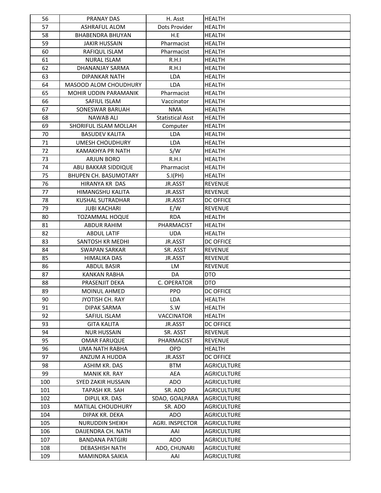| 56  | <b>PRANAY DAS</b>            | H. Asst                 | <b>HEALTH</b>      |
|-----|------------------------------|-------------------------|--------------------|
| 57  | ASHRAFUL ALOM                | Dots Provider           | <b>HEALTH</b>      |
| 58  | <b>BHABENDRA BHUYAN</b>      | H.E                     | <b>HEALTH</b>      |
| 59  | <b>JAKIR HUSSAIN</b>         | Pharmacist              | <b>HEALTH</b>      |
| 60  | RAFIQUL ISLAM                | Pharmacist              | <b>HEALTH</b>      |
| 61  | <b>NURAL ISLAM</b>           | R.H.I                   | <b>HEALTH</b>      |
| 62  | DHANANJAY SARMA              | R.H.I                   | <b>HEALTH</b>      |
| 63  | <b>DIPANKAR NATH</b>         | <b>LDA</b>              | <b>HEALTH</b>      |
| 64  | <b>MASOOD ALOM CHOUDHURY</b> | <b>LDA</b>              | <b>HEALTH</b>      |
| 65  | <b>MOHIR UDDIN PARAMANIK</b> | Pharmacist              | <b>HEALTH</b>      |
| 66  | SAFIUL ISLAM                 | Vaccinator              | <b>HEALTH</b>      |
| 67  | SONESWAR BARUAH              | <b>NMA</b>              | <b>HEALTH</b>      |
| 68  | <b>NAWAB ALI</b>             | <b>Statistical Asst</b> | <b>HEALTH</b>      |
| 69  | SHORIFUL ISLAM MOLLAH        | Computer                | <b>HEALTH</b>      |
| 70  | <b>BASUDEV KALITA</b>        | <b>LDA</b>              | <b>HEALTH</b>      |
| 71  | UMESH CHOUDHURY              | <b>LDA</b>              | <b>HEALTH</b>      |
| 72  | <b>KAMAKHYA PR NATH</b>      | S/W                     | <b>HEALTH</b>      |
| 73  | <b>ARJUN BORO</b>            | R.H.I                   | <b>HEALTH</b>      |
| 74  | ABU BAKKAR SIDDIQUE          | Pharmacist              | <b>HEALTH</b>      |
| 75  | <b>BHUPEN CH. BASUMOTARY</b> | S.I(PH)                 | <b>HEALTH</b>      |
| 76  | HIRANYA KR DAS               | JR.ASST                 | <b>REVENUE</b>     |
| 77  | HIMANGSHU KALITA             | JR.ASST                 | <b>REVENUE</b>     |
| 78  | <b>KUSHAL SUTRADHAR</b>      | JR.ASST                 | <b>DC OFFICE</b>   |
| 79  | <b>JUBI KACHARI</b>          | E/W                     | <b>REVENUE</b>     |
| 80  | <b>TOZAMMAL HOQUE</b>        | <b>RDA</b>              | <b>HEALTH</b>      |
| 81  | <b>ABDUR RAHIM</b>           | PHARMACIST              | <b>HEALTH</b>      |
| 82  | <b>ABDUL LATIF</b>           | <b>UDA</b>              | <b>HEALTH</b>      |
| 83  | SANTOSH KR MEDHI             | JR.ASST                 | <b>DC OFFICE</b>   |
| 84  | <b>SWAPAN SARKAR</b>         | SR. ASST                | <b>REVENUE</b>     |
| 85  | HIMALIKA DAS                 | JR.ASST                 | <b>REVENUE</b>     |
| 86  | <b>ABDUL BASIR</b>           | <b>LM</b>               | <b>REVENUE</b>     |
| 87  | <b>KANKAN RABHA</b>          | DA                      | <b>DTO</b>         |
| 88  | PRASENJIT DEKA               | C. OPERATOR             | <b>DTO</b>         |
| 89  | <b>MOINUL AHMED</b>          | <b>PPO</b>              | <b>DC OFFICE</b>   |
| 90  | JYOTISH CH. RAY              | <b>LDA</b>              | <b>HEALTH</b>      |
| 91  | <b>DIPAK SARMA</b>           | S.W                     | <b>HEALTH</b>      |
| 92  | SAFIUL ISLAM                 | <b>VACCINATOR</b>       | <b>HEALTH</b>      |
| 93  | <b>GITA KALITA</b>           | JR.ASST                 | <b>DC OFFICE</b>   |
| 94  | <b>NUR HUSSAIN</b>           | SR. ASST                | <b>REVENUE</b>     |
| 95  | <b>OMAR FARUQUE</b>          | PHARMACIST              | <b>REVENUE</b>     |
| 96  | UMA NATH RABHA               | <b>OPD</b>              | <b>HEALTH</b>      |
| 97  | ANZUM A HUDDA                | JR.ASST                 | <b>DC OFFICE</b>   |
| 98  | ASHIM KR. DAS                | <b>BTM</b>              | <b>AGRICULTURE</b> |
| 99  | MANIK KR. RAY                | AEA                     | <b>AGRICULTURE</b> |
| 100 | <b>SYED ZAKIR HUSSAIN</b>    | ADO                     | <b>AGRICULTURE</b> |
| 101 | TAPASH KR. SAH               | SR. ADO                 | <b>AGRICULTURE</b> |
| 102 | DIPUL KR. DAS                | SDAO, GOALPARA          | <b>AGRICULTURE</b> |
| 103 | <b>MATILAL CHOUDHURY</b>     | SR. ADO                 | AGRICULTURE        |
| 104 | DIPAK KR. DEKA               | ADO                     | <b>AGRICULTURE</b> |
| 105 | <b>NURUDDIN SHEIKH</b>       | <b>AGRI. INSPECTOR</b>  | <b>AGRICULTURE</b> |
| 106 | DAIJENDRA CH. NATH           | AAI                     | <b>AGRICULTURE</b> |
| 107 | <b>BANDANA PATGIRI</b>       | <b>ADO</b>              | <b>AGRICULTURE</b> |
| 108 | <b>DEBASHISH NATH</b>        | ADO, CHUNARI            | AGRICULTURE        |
| 109 | MAMINDRA SAIKIA              | AAI                     | AGRICULTURE        |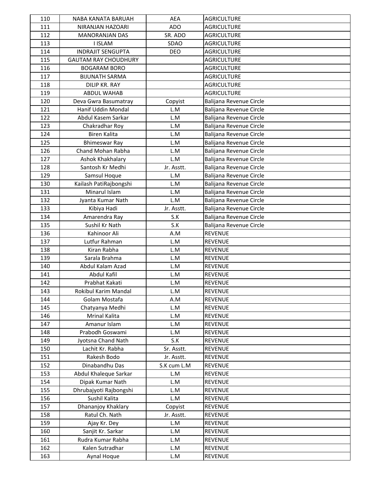| 110 | NABA KANATA BARUAH          | <b>AEA</b>  | <b>AGRICULTURE</b>      |
|-----|-----------------------------|-------------|-------------------------|
| 111 | NIRANJAN HAZOARI            | <b>ADO</b>  | <b>AGRICULTURE</b>      |
| 112 | <b>MANORANJAN DAS</b>       | SR. ADO     | <b>AGRICULTURE</b>      |
| 113 | <b>I ISLAM</b>              | SDAO        | <b>AGRICULTURE</b>      |
| 114 | <b>INDRAJIT SENGUPTA</b>    | <b>DEO</b>  | <b>AGRICULTURE</b>      |
| 115 | <b>GAUTAM RAY CHOUDHURY</b> |             | <b>AGRICULTURE</b>      |
| 116 | <b>BOGARAM BORO</b>         |             | AGRICULTURE             |
| 117 | <b>BIJUNATH SARMA</b>       |             | <b>AGRICULTURE</b>      |
| 118 | <b>DILIP KR. RAY</b>        |             | <b>AGRICULTURE</b>      |
| 119 | <b>ABDUL WAHAB</b>          |             | <b>AGRICULTURE</b>      |
| 120 | Deva Gwra Basumatray        | Copyist     | Balijana Revenue Circle |
| 121 | Hanif Uddin Mondal          | L.M         | Balijana Revenue Circle |
| 122 | Abdul Kasem Sarkar          | L.M         | Balijana Revenue Circle |
| 123 | Chakradhar Roy              | L.M         | Balijana Revenue Circle |
| 124 | <b>Biren Kalita</b>         | L.M         | Balijana Revenue Circle |
| 125 | <b>Bhimeswar Ray</b>        | L.M         | Balijana Revenue Circle |
| 126 | Chand Mohan Rabha           | L.M         | Balijana Revenue Circle |
| 127 | Ashok Khakhalary            | L.M         | Balijana Revenue Circle |
| 128 | Santosh Kr Medhi            | Jr. Asstt.  | Balijana Revenue Circle |
| 129 | Samsul Hoque                | L.M         | Balijana Revenue Circle |
| 130 | Kailash PatiRajbongshi      | L.M         | Balijana Revenue Circle |
| 131 | Minarul Islam               | L.M         | Balijana Revenue Circle |
| 132 | Jyanta Kumar Nath           | L.M         | Balijana Revenue Circle |
| 133 | Kibiya Hadi                 | Jr. Asstt.  | Balijana Revenue Circle |
| 134 | Amarendra Ray               | S.K         | Balijana Revenue Circle |
| 135 | Sushil Kr Nath              | S.K         | Balijana Revenue Circle |
| 136 | Kahinoor Ali                | A.M         | <b>REVENUE</b>          |
| 137 | Lutfur Rahman               | L.M         | <b>REVENUE</b>          |
| 138 | Kiran Rabha                 | L.M         | <b>REVENUE</b>          |
| 139 | Sarala Brahma               | L.M         | <b>REVENUE</b>          |
| 140 | Abdul Kalam Azad            | L.M         | <b>REVENUE</b>          |
| 141 | Abdul Kafil                 | L.M         | <b>REVENUE</b>          |
| 142 | Prabhat Kakati              | L.M         | <b>REVENUE</b>          |
| 143 | Rokibul Karim Mandal        | L.M         | <b>REVENUE</b>          |
| 144 | Golam Mostafa               | A.M         | <b>REVENUE</b>          |
| 145 | Chatyanya Medhi             | L.M         | <b>REVENUE</b>          |
| 146 | Mrinal Kalita               | L.M         | <b>REVENUE</b>          |
| 147 | Amanur Islam                | L.M         | <b>REVENUE</b>          |
| 148 | Prabodh Goswami             | L.M         | <b>REVENUE</b>          |
| 149 | Jyotsna Chand Nath          | S.K         | <b>REVENUE</b>          |
| 150 | Lachit Kr. Rabha            | Sr. Asstt.  | <b>REVENUE</b>          |
| 151 | Rakesh Bodo                 | Jr. Asstt.  | <b>REVENUE</b>          |
| 152 | Dinabandhu Das              | S.K cum L.M | REVENUE                 |
| 153 | Abdul Khaleque Sarkar       | L.M         | <b>REVENUE</b>          |
| 154 | Dipak Kumar Nath            | L.M         | <b>REVENUE</b>          |
| 155 | Dhrubajyoti Rajbongshi      | L.M         | <b>REVENUE</b>          |
| 156 | Sushil Kalita               | L.M         | <b>REVENUE</b>          |
| 157 | Dhananjoy Khaklary          | Copyist     | <b>REVENUE</b>          |
| 158 | Ratul Ch. Nath              | Jr. Asstt.  | <b>REVENUE</b>          |
| 159 | Ajay Kr. Dey                | L.M         | <b>REVENUE</b>          |
| 160 | Sanjit Kr. Sarkar           | L.M         | <b>REVENUE</b>          |
| 161 | Rudra Kumar Rabha           | L.M         | <b>REVENUE</b>          |
| 162 | Kalen Sutradhar             | L.M         | <b>REVENUE</b>          |
| 163 | Aynal Hoque                 | L.M         | REVENUE                 |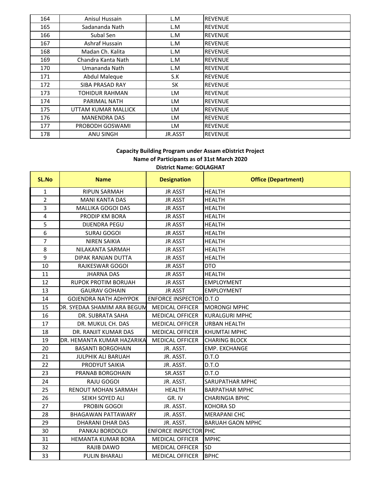| 164 | Anisul Hussain      | L.M     | <b>REVENUE</b> |
|-----|---------------------|---------|----------------|
| 165 | Sadananda Nath      | L.M     | <b>REVENUE</b> |
| 166 | Subal Sen           | L.M     | <b>REVENUE</b> |
| 167 | Ashraf Hussain      | L.M     | <b>REVENUE</b> |
| 168 | Madan Ch. Kalita    | L.M     | <b>REVENUE</b> |
| 169 | Chandra Kanta Nath  | L.M     | <b>REVENUE</b> |
| 170 | Umananda Nath       | L.M     | <b>REVENUE</b> |
| 171 | Abdul Maleque       | S.K     | <b>REVENUE</b> |
| 172 | SIBA PRASAD RAY     | SK      | <b>REVENUE</b> |
| 173 | TOHIDUR RAHMAN      | LM      | <b>REVENUE</b> |
| 174 | PARIMAL NATH        | LM      | <b>REVENUE</b> |
| 175 | UTTAM KUMAR MALLICK | LM      | <b>REVENUE</b> |
| 176 | <b>MANENDRA DAS</b> | LM      | <b>REVENUE</b> |
| 177 | PROBODH GOSWAMI     | LM      | <b>REVENUE</b> |
| 178 | <b>ANU SINGH</b>    | JR.ASST | <b>REVENUE</b> |

# **District Name: GOLAGHAT Capacity Building Program under Assam eDistrict Project Name of Participants as of 31st March 2020**

| <b>SL.No</b>   | <b>Name</b>                  | <b>Designation</b>             | <b>Office (Department)</b> |
|----------------|------------------------------|--------------------------------|----------------------------|
| $\mathbf{1}$   | <b>RIPUN SARMAH</b>          | <b>JR ASST</b>                 | <b>HEALTH</b>              |
| $\overline{2}$ | <b>MANI KANTA DAS</b>        | <b>JR ASST</b>                 | <b>HEALTH</b>              |
| 3              | MALLIKA GOGOI DAS            | <b>JR ASST</b>                 | <b>HEALTH</b>              |
| 4              | PRODIP KM BORA               | <b>JR ASST</b>                 | <b>HEALTH</b>              |
| 5              | <b>DIJENDRA PEGU</b>         | <b>JR ASST</b>                 | <b>HEALTH</b>              |
| 6              | <b>SURAJ GOGOI</b>           | <b>JR ASST</b>                 | <b>HEALTH</b>              |
| $\overline{7}$ | <b>NIREN SAIKIA</b>          | <b>JR ASST</b>                 | <b>HEALTH</b>              |
| 8              | NILAKANTA SARMAH             | <b>JR ASST</b>                 | <b>HEALTH</b>              |
| 9              | <b>DIPAK RANJAN DUTTA</b>    | <b>JR ASST</b>                 | <b>HEALTH</b>              |
| 10             | RAJKESWAR GOGOI              | <b>JR ASST</b>                 | <b>DTO</b>                 |
| 11             | <b>JHARNA DAS</b>            | <b>JR ASST</b>                 | <b>HEALTH</b>              |
| 12             | <b>RUPOK PROTIM BORUAH</b>   | <b>JR ASST</b>                 | <b>EMPLOYMENT</b>          |
| 13             | <b>GAURAV GOHAIN</b>         | <b>JR ASST</b>                 | <b>EMPLOYMENT</b>          |
| 14             | <b>GOJENDRA NATH ADHYPOK</b> | <b>ENFORCE INSPECTOR D.T.O</b> |                            |
| 15             | DR. SYEDAA SHAMIM ARA BEGUN  | <b>MEDICAL OFFICER</b>         | <b>MORONGI MPHC</b>        |
| 16             | DR. SUBRATA SAHA             | <b>MEDICAL OFFICER</b>         | <b>KURALGURI MPHC</b>      |
| 17             | DR. MUKUL CH. DAS            | <b>MEDICAL OFFICER</b>         | <b>URBAN HEALTH</b>        |
| 18             | DR. RANJIT KUMAR DAS         | <b>MEDICAL OFFICER</b>         | <b>KHUMTAI MPHC</b>        |
| 19             | DR. HEMANTA KUMAR HAZARIKA   | <b>MEDICAL OFFICER</b>         | <b>CHARING BLOCK</b>       |
| 20             | <b>BASANTI BORGOHAIN</b>     | JR. ASST.                      | <b>EMP. EXCHANGE</b>       |
| 21             | <b>JULPHIK ALI BARUAH</b>    | JR. ASST.                      | D.T.O                      |
| 22             | PRODYUT SAIKIA               | JR. ASST.                      | D.T.O                      |
| 23             | PRANAB BORGOHAIN             | SR.ASST                        | D.T.O                      |
| 24             | RAJU GOGOI                   | JR. ASST.                      | SARUPATHAR MPHC            |
| 25             | RENOUT MOHAN SARMAH          | <b>HEALTH</b>                  | <b>BARPATHAR MPHC</b>      |
| 26             | SEIKH SOYED ALI              | GR. IV                         | <b>CHARINGIA BPHC</b>      |
| 27             | PROBIN GOGOI                 | JR. ASST.                      | <b>KOHORA SD</b>           |
| 28             | <b>BHAGAWAN PATTAWARY</b>    | JR. ASST.                      | <b>MERAPANI CHC</b>        |
| 29             | DHARANI DHAR DAS             | JR. ASST.                      | <b>BARUAH GAON MPHC</b>    |
| 30             | PANKAJ BORDOLOI              | <b>ENFORCE INSPECTOR PHC</b>   |                            |
| 31             | HEMANTA KUMAR BORA           | <b>MEDICAL OFFICER</b>         | <b>MPHC</b>                |
| 32             | RAJIB DAWO                   | <b>MEDICAL OFFICER</b>         | <b>SD</b>                  |
| 33             | <b>PULIN BHARALI</b>         | <b>MEDICAL OFFICER</b>         | <b>BPHC</b>                |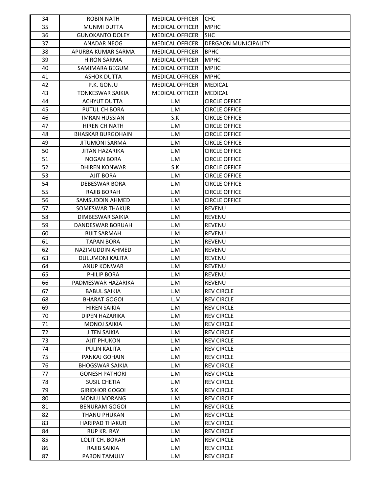| 34 | <b>ROBIN NATH</b>        | <b>MEDICAL OFFICER</b> | <b>CHC</b>                  |
|----|--------------------------|------------------------|-----------------------------|
| 35 | <b>MUNMI DUTTA</b>       | <b>MEDICAL OFFICER</b> | <b>MPHC</b>                 |
| 36 | <b>GUNOKANTO DOLEY</b>   | <b>MEDICAL OFFICER</b> | <b>SHC</b>                  |
| 37 | ANADAR NEOG              | <b>MEDICAL OFFICER</b> | <b>DERGAON MUNICIPALITY</b> |
| 38 | APURBA KUMAR SARMA       | <b>MEDICAL OFFICER</b> | <b>BPHC</b>                 |
| 39 | <b>HIRON SARMA</b>       | <b>MEDICAL OFFICER</b> | <b>MPHC</b>                 |
| 40 | SAMIMARA BEGUM           | <b>MEDICAL OFFICER</b> | <b>MPHC</b>                 |
| 41 | <b>ASHOK DUTTA</b>       | <b>MEDICAL OFFICER</b> | <b>MPHC</b>                 |
| 42 | P.K. GONJU               | <b>MEDICAL OFFICER</b> | <b>MEDICAL</b>              |
| 43 | <b>TONKESWAR SAIKIA</b>  | <b>MEDICAL OFFICER</b> | <b>MEDICAL</b>              |
| 44 | <b>ACHYUT DUTTA</b>      | L.M                    | <b>CIRCLE OFFICE</b>        |
| 45 | PUTUL CH BORA            | L.M                    | <b>CIRCLE OFFICE</b>        |
| 46 | <b>IMRAN HUSSIAN</b>     | S.K                    | <b>CIRCLE OFFICE</b>        |
| 47 | HIREN CH NATH            | L.M                    | <b>CIRCLE OFFICE</b>        |
| 48 | <b>BHASKAR BURGOHAIN</b> | L.M                    | <b>CIRCLE OFFICE</b>        |
| 49 | JITUMONI SARMA           | L.M                    | <b>CIRCLE OFFICE</b>        |
| 50 | <b>JITAN HAZARIKA</b>    | L.M                    | <b>CIRCLE OFFICE</b>        |
| 51 | NOGAN BORA               | L.M                    | <b>CIRCLE OFFICE</b>        |
| 52 | <b>DHIREN KONWAR</b>     | S.K                    | <b>CIRCLE OFFICE</b>        |
| 53 | <b>AJIT BORA</b>         | L.M                    | <b>CIRCLE OFFICE</b>        |
| 54 | DEBESWAR BORA            | L.M                    | <b>CIRCLE OFFICE</b>        |
| 55 | RAJIB BORAH              | L.M                    | <b>CIRCLE OFFICE</b>        |
| 56 | SAMSUDDIN AHMED          | L.M                    | <b>CIRCLE OFFICE</b>        |
| 57 | SOMESWAR THAKUR          | L.M                    | <b>REVENU</b>               |
| 58 | DIMBESWAR SAIKIA         | L.M                    | <b>REVENU</b>               |
| 59 | DANDESWAR BORUAH         | L.M                    | <b>REVENU</b>               |
| 60 | <b>BIJIT SARMAH</b>      | L.M                    | <b>REVENU</b>               |
| 61 | <b>TAPAN BORA</b>        | L.M                    | <b>REVENU</b>               |
| 62 | NAZIMUDDIN AHMED         | L.M                    | <b>REVENU</b>               |
| 63 | DULUMONI KALITA          | L.M                    | <b>REVENU</b>               |
| 64 | ANUP KONWAR              | L.M                    | <b>REVENU</b>               |
| 65 | PHILIP BORA              | L.M                    | <b>REVENU</b>               |
| 66 | PADMESWAR HAZARIKA       | L.M                    | <b>REVENU</b>               |
| 67 | <b>BABUL SAIKIA</b>      | L.M                    | <b>REV CIRCLE</b>           |
| 68 | <b>BHARAT GOGOI</b>      | L.M                    | <b>REV CIRCLE</b>           |
| 69 | <b>HIREN SAIKIA</b>      | L.M                    | <b>REV CIRCLE</b>           |
| 70 | DIPEN HAZARIKA           | L.M                    | <b>REV CIRCLE</b>           |
| 71 | <b>MONOJ SAIKIA</b>      | L.M                    | <b>REV CIRCLE</b>           |
| 72 | <b>JITEN SAIKIA</b>      | L.M                    | <b>REV CIRCLE</b>           |
| 73 | <b>AJIT PHUKON</b>       | L.M                    | <b>REV CIRCLE</b>           |
| 74 | <b>PULIN KALITA</b>      | L.M                    | <b>REV CIRCLE</b>           |
| 75 | PANKAJ GOHAIN            | L.M                    | <b>REV CIRCLE</b>           |
| 76 | <b>BHOGSWAR SAIKIA</b>   | L.M                    | <b>REV CIRCLE</b>           |
| 77 | <b>GONESH PATHORI</b>    | L.M                    | <b>REV CIRCLE</b>           |
| 78 | <b>SUSIL CHETIA</b>      | L.M                    | <b>REV CIRCLE</b>           |
| 79 | <b>GIRIDHOR GOGOI</b>    | S.K.                   | <b>REV CIRCLE</b>           |
| 80 | <b>MONUJ MORANG</b>      | L.M                    | <b>REV CIRCLE</b>           |
| 81 | <b>BENURAM GOGOI</b>     | L.M                    | <b>REV CIRCLE</b>           |
| 82 | THANU PHUKAN             | L.M                    | <b>REV CIRCLE</b>           |
| 83 | <b>HARIPAD THAKUR</b>    | L.M                    | <b>REV CIRCLE</b>           |
| 84 | <b>RUP KR. RAY</b>       | L.M                    | <b>REV CIRCLE</b>           |
| 85 | LOLIT CH. BORAH          | L.M                    | <b>REV CIRCLE</b>           |
| 86 | RAJIB SAIKIA             | L.M                    | <b>REV CIRCLE</b>           |
| 87 | PABON TAMULY             | L.M                    | <b>REV CIRCLE</b>           |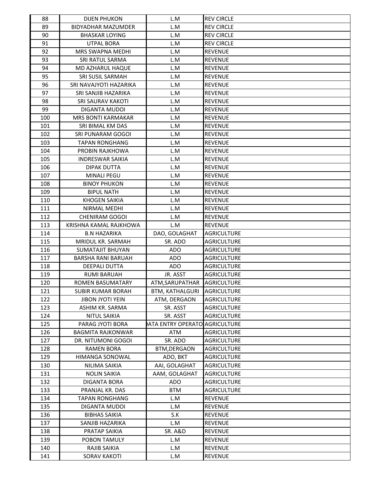| 88  | <b>DIJEN PHUKON</b>       | L.M                           | <b>REV CIRCLE</b>  |
|-----|---------------------------|-------------------------------|--------------------|
| 89  | <b>BIDYADHAR MAZUMDER</b> | L.M                           | <b>REV CIRCLE</b>  |
| 90  | <b>BHASKAR LOYING</b>     | L.M                           | <b>REV CIRCLE</b>  |
| 91  | <b>UTPAL BORA</b>         | L.M                           | <b>REV CIRCLE</b>  |
| 92  | <b>MRS SWAPNA MEDHI</b>   | L.M                           | <b>REVENUE</b>     |
| 93  | SRI RATUL SARMA           | L.M                           | <b>REVENUE</b>     |
| 94  | MD AZHARUL HAQUE          | L.M                           | <b>REVENUE</b>     |
| 95  | SRI SUSIL SARMAH          | L.M                           | <b>REVENUE</b>     |
| 96  | SRI NAVAJYOTI HAZARIKA    | L.M                           | <b>REVENUE</b>     |
| 97  | SRI SANJIB HAZARIKA       | L.M                           | <b>REVENUE</b>     |
| 98  | <b>SRI SAURAV KAKOTI</b>  | L.M                           | <b>REVENUE</b>     |
| 99  | DIGANTA MUDOI             | L.M                           | <b>REVENUE</b>     |
| 100 | <b>MRS BONTI KARMAKAR</b> | L.M                           | <b>REVENUE</b>     |
| 101 | SRI BIMAL KM DAS          | L.M                           | <b>REVENUE</b>     |
| 102 | SRI PUNARAM GOGOI         | L.M                           | <b>REVENUE</b>     |
| 103 | <b>TAPAN RONGHANG</b>     | L.M                           | <b>REVENUE</b>     |
| 104 | PROBIN RAJKHOWA           | L.M                           | <b>REVENUE</b>     |
| 105 | <b>INDRESWAR SAIKIA</b>   | L.M                           | <b>REVENUE</b>     |
| 106 | <b>DIPAK DUTTA</b>        | L.M                           | <b>REVENUE</b>     |
| 107 | <b>MINALI PEGU</b>        | L.M                           | <b>REVENUE</b>     |
| 108 | <b>BINOY PHUKON</b>       | L.M                           | <b>REVENUE</b>     |
| 109 | <b>BIPUL NATH</b>         | L.M                           | <b>REVENUE</b>     |
| 110 | <b>KHOGEN SAIKIA</b>      | L.M                           | <b>REVENUE</b>     |
| 111 | NIRMAL MEDHI              | L.M                           | <b>REVENUE</b>     |
| 112 | <b>CHENIRAM GOGOI</b>     | L.M                           | <b>REVENUE</b>     |
| 113 | KRISHNA KAMAL RAJKHOWA    | L.M                           | <b>REVENUE</b>     |
| 114 | <b>B.N HAZARIKA</b>       | DAO, GOLAGHAT                 | <b>AGRICULTURE</b> |
| 115 | MRIDUL KR. SARMAH         | SR. ADO                       | <b>AGRICULTURE</b> |
| 116 | SUMATAJIT BHUYAN          | ADO                           | <b>AGRICULTURE</b> |
| 117 | BARSHA RANI BARUAH        | ADO                           | <b>AGRICULTURE</b> |
| 118 | DEEPALI DUTTA             | <b>ADO</b>                    | <b>AGRICULTURE</b> |
| 119 | <b>RUMI BARUAH</b>        | JR. ASST                      | <b>AGRICULTURE</b> |
| 120 | ROMEN BASUMATARY          | ATM, SARUPATHAR               | <b>AGRICULTURE</b> |
| 121 | <b>SUBIR KUMAR BORAH</b>  | <b>BTM. KATHALGURI</b>        | <b>AGRICULTURE</b> |
| 122 | <b>JIBON JYOTI YEIN</b>   | ATM, DERGAON                  | <b>AGRICULTURE</b> |
| 123 | ASHIM KR. SARMA           | SR. ASST                      | AGRICULTURE        |
| 124 | <b>NITUL SAIKIA</b>       | SR. ASST                      | <b>AGRICULTURE</b> |
| 125 | PARAG JYOTI BORA          | ATA ENTRY OPERATO AGRICULTURE |                    |
| 126 | <b>BAGMITA RAJKONWAR</b>  | ATM                           | <b>AGRICULTURE</b> |
| 127 | DR. NITUMONI GOGOI        | SR. ADO                       | AGRICULTURE        |
| 128 | <b>RAMEN BORA</b>         | BTM, DERGAON                  | <b>AGRICULTURE</b> |
| 129 | HIMANGA SONOWAL           | ADO, BKT                      | <b>AGRICULTURE</b> |
| 130 | NILIMA SAIKIA             | AAI, GOLAGHAT                 | <b>AGRICULTURE</b> |
| 131 | <b>NOLIN SAIKIA</b>       | AAM, GOLAGHAT                 | <b>AGRICULTURE</b> |
| 132 | DIGANTA BORA              | <b>ADO</b>                    | AGRICULTURE        |
| 133 | PRANJAL KR. DAS           | <b>BTM</b>                    | <b>AGRICULTURE</b> |
| 134 | <b>TAPAN RONGHANG</b>     | L.M                           | <b>REVENUE</b>     |
| 135 | DIGANTA MUDOI             | L.M                           | <b>REVENUE</b>     |
| 136 | <b>BIBHAS SAIKIA</b>      | S.K                           | <b>REVENUE</b>     |
| 137 | SANJIB HAZARIKA           | L.M                           | <b>REVENUE</b>     |
| 138 | PRATAP SAIKIA             | <b>SR. A&amp;D</b>            | <b>REVENUE</b>     |
| 139 | POBON TAMULY              | L.M                           | <b>REVENUE</b>     |
| 140 | RAJIB SAIKIA              | L.M                           | <b>REVENUE</b>     |
|     |                           |                               |                    |
| 141 | <b>SORAV KAKOTI</b>       | L.M                           | REVENUE            |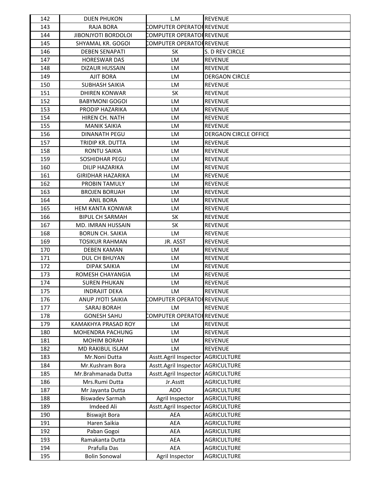| 142 | <b>DIJEN PHUKON</b>        | L.M                       | <b>REVENUE</b>               |
|-----|----------------------------|---------------------------|------------------------------|
| 143 | RAJA BORA                  | COMPUTER OPERATOI REVENUE |                              |
| 144 | <b>JIBONJYOTI BORDOLOI</b> | COMPUTER OPERATOI REVENUE |                              |
| 145 | SHYAMAL KR. GOGOI          | COMPUTER OPERATOI REVENUE |                              |
| 146 | <b>DEBEN SENAPATI</b>      | <b>SK</b>                 | S. D REV CIRCLE              |
| 147 | <b>HORESWAR DAS</b>        | LM                        | <b>REVENUE</b>               |
| 148 | DIZAUR HUSSAIN             | LM                        | <b>REVENUE</b>               |
| 149 | <b>AJIT BORA</b>           | LM                        | <b>DERGAON CIRCLE</b>        |
| 150 | <b>SUBHASH SAIKIA</b>      | LM                        | <b>REVENUE</b>               |
| 151 | DHIREN KONWAR              | <b>SK</b>                 | <b>REVENUE</b>               |
| 152 | <b>BABYMONI GOGOI</b>      | LM                        | <b>REVENUE</b>               |
| 153 | PRODIP HAZARIKA            | LM                        | <b>REVENUE</b>               |
| 154 | HIREN CH. NATH             | LM                        | <b>REVENUE</b>               |
| 155 | <b>MANIK SAIKIA</b>        | LM                        | <b>REVENUE</b>               |
| 156 | DINANATH PEGU              | <b>LM</b>                 | <b>DERGAON CIRCLE OFFICE</b> |
| 157 | TRIDIP KR. DUTTA           | LM                        | <b>REVENUE</b>               |
| 158 | RONTU SAIKIA               | LM                        | <b>REVENUE</b>               |
| 159 | <b>SOSHIDHAR PEGU</b>      | LM                        | <b>REVENUE</b>               |
| 160 | DILIP HAZARIKA             | <b>LM</b>                 | <b>REVENUE</b>               |
| 161 | <b>GIRIDHAR HAZARIKA</b>   | LM                        | <b>REVENUE</b>               |
| 162 | PROBIN TAMULY              | LM                        | <b>REVENUE</b>               |
| 163 | <b>BROJEN BORUAH</b>       | LM                        | <b>REVENUE</b>               |
| 164 | <b>ANIL BORA</b>           | LM                        | <b>REVENUE</b>               |
| 165 | <b>HEM KANTA KONWAR</b>    | LM                        | <b>REVENUE</b>               |
| 166 | <b>BIPUL CH SARMAH</b>     | <b>SK</b>                 | <b>REVENUE</b>               |
| 167 | MD. IMRAN HUSSAIN          | <b>SK</b>                 | <b>REVENUE</b>               |
| 168 | <b>BORUN CH. SAIKIA</b>    | LM                        | <b>REVENUE</b>               |
| 169 | <b>TOSIKUR RAHMAN</b>      | JR. ASST                  | <b>REVENUE</b>               |
| 170 | <b>DEBEN KAMAN</b>         | LM                        | <b>REVENUE</b>               |
| 171 | DUL CH BHUYAN              | LM                        | <b>REVENUE</b>               |
| 172 | <b>DIPAK SAIKIA</b>        | LM                        | <b>REVENUE</b>               |
| 173 | ROMESH CHAYANGIA           | LM                        | <b>REVENUE</b>               |
| 174 | <b>SUREN PHUKAN</b>        | LM                        | <b>REVENUE</b>               |
| 175 | <b>INDRAJIT DEKA</b>       | LM                        | REVENUE                      |
| 176 | ANUP JYOTI SAIKIA          | COMPUTER OPERATOF REVENUE |                              |
| 177 | SARAJ BORAH                | LM                        | <b>REVENUE</b>               |
| 178 | <b>GONESH SAHU</b>         | COMPUTER OPERATOR REVENUE |                              |
| 179 | <b>KAMAKHYA PRASAD ROY</b> | LM                        | <b>REVENUE</b>               |
| 180 | MOHENDRA PACHUNG           | LM                        | <b>REVENUE</b>               |
| 181 | MOHIM BORAH                | LM                        | REVENUE                      |
| 182 | MD RAKIBUL ISLAM           | LM                        | <b>REVENUE</b>               |
| 183 | Mr.Noni Dutta              | Asstt.Agril Inspector     | <b>AGRICULTURE</b>           |
| 184 | Mr.Kushram Bora            | Asstt.Agril Inspector     | <b>AGRICULTURE</b>           |
| 185 | Mr.Brahmanada Dutta        | Asstt.Agril Inspector     | <b>AGRICULTURE</b>           |
| 186 | Mrs.Rumi Dutta             | Jr.Asstt                  | <b>AGRICULTURE</b>           |
| 187 | Mr Jayanta Dutta           | <b>ADO</b>                | <b>AGRICULTURE</b>           |
| 188 | <b>Biswadev Sarmah</b>     | Agril Inspector           | <b>AGRICULTURE</b>           |
| 189 | Imdeed Ali                 | Asstt.Agril Inspector     | <b>AGRICULTURE</b>           |
| 190 | Biswajit Bora              | AEA                       | AGRICULTURE                  |
| 191 | Haren Saikia               | AEA                       | <b>AGRICULTURE</b>           |
| 192 | Paban Gogoi                | AEA                       | <b>AGRICULTURE</b>           |
| 193 | Ramakanta Dutta            | AEA                       | <b>AGRICULTURE</b>           |
| 194 | Prafulla Das               | AEA                       | <b>AGRICULTURE</b>           |
| 195 | <b>Bolin Sonowal</b>       | Agril Inspector           | AGRICULTURE                  |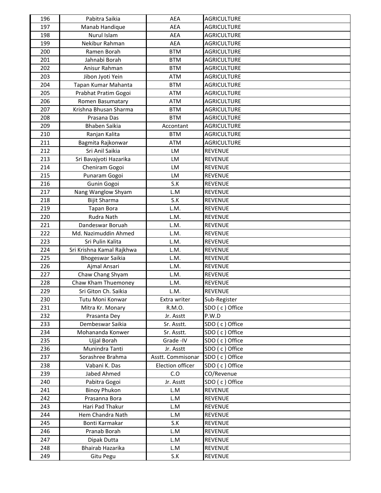| 196 | Pabitra Saikia            | AEA               | <b>AGRICULTURE</b> |
|-----|---------------------------|-------------------|--------------------|
| 197 | Manab Handique            | AEA               | <b>AGRICULTURE</b> |
| 198 | Nurul Islam               | <b>AEA</b>        | <b>AGRICULTURE</b> |
| 199 | Nekibur Rahman            | AEA               | <b>AGRICULTURE</b> |
| 200 | Ramen Borah               | <b>BTM</b>        | <b>AGRICULTURE</b> |
| 201 | Jahnabi Borah             | <b>BTM</b>        | <b>AGRICULTURE</b> |
| 202 | Anisur Rahman             | <b>BTM</b>        | <b>AGRICULTURE</b> |
| 203 | Jibon Jyoti Yein          | <b>ATM</b>        | <b>AGRICULTURE</b> |
| 204 | Tapan Kumar Mahanta       | <b>BTM</b>        | <b>AGRICULTURE</b> |
| 205 | Prabhat Pratim Gogoi      | <b>ATM</b>        | <b>AGRICULTURE</b> |
| 206 | Romen Basumatary          | <b>ATM</b>        | <b>AGRICULTURE</b> |
| 207 | Krishna Bhusan Sharma     | <b>BTM</b>        | <b>AGRICULTURE</b> |
| 208 | Prasana Das               | <b>BTM</b>        | <b>AGRICULTURE</b> |
| 209 | <b>Bhaben Saikia</b>      | Accontant         | <b>AGRICULTURE</b> |
| 210 | Ranjan Kalita             | <b>BTM</b>        | <b>AGRICULTURE</b> |
| 211 | Bagmita Rajkonwar         | <b>ATM</b>        | <b>AGRICULTURE</b> |
| 212 | Sri Anil Saikia           | LM                | REVENUE            |
| 213 | Sri Bavajyoti Hazarika    | LM                | <b>REVENUE</b>     |
| 214 | Cheniram Gogoi            | LM                | <b>REVENUE</b>     |
| 215 | Punaram Gogoi             | LM                | <b>REVENUE</b>     |
| 216 | Gunin Gogoi               | S.K               | <b>REVENUE</b>     |
| 217 | Nang Wanglow Shyam        | L.M               | <b>REVENUE</b>     |
| 218 | <b>Bijit Sharma</b>       | S.K               | <b>REVENUE</b>     |
| 219 | <b>Tapan Bora</b>         | L.M.              | <b>REVENUE</b>     |
| 220 | Rudra Nath                | L.M.              | <b>REVENUE</b>     |
| 221 | Dandeswar Boruah          | L.M.              | <b>REVENUE</b>     |
| 222 | Md. Nazimuddin Ahmed      | L.M.              | <b>REVENUE</b>     |
| 223 | Sri Pulin Kalita          | L.M.              | <b>REVENUE</b>     |
| 224 | Sri Krishna Kamal Rajkhwa | L.M.              | <b>REVENUE</b>     |
| 225 | <b>Bhogeswar Saikia</b>   | L.M.              | <b>REVENUE</b>     |
| 226 | Ajmal Ansari              | L.M.              | <b>REVENUE</b>     |
| 227 | Chaw Chang Shyam          | L.M.              | <b>REVENUE</b>     |
| 228 | Chaw Kham Thuemoney       | L.M.              | <b>REVENUE</b>     |
| 229 | Sri Giton Ch. Saikia      | L.M.              | <b>REVENUE</b>     |
| 230 | Tutu Moni Konwar          | Extra writer      | Sub-Register       |
| 231 | Mitra Kr. Monary          | R.M.O.            | SDO (c) Office     |
| 232 | Prasanta Dey              | Jr. Asstt         | P.W.D              |
| 233 | Dembeswar Saikia          | Sr. Asstt.        | SDO (c) Office     |
| 234 | Mohananda Konwer          | Sr. Asstt.        | SDO (c) Office     |
| 235 | Ujjal Borah               | Grade - IV        | SDO (c) Office     |
| 236 | Munindra Tanti            | Jr. Asstt         | SDO (c) Office     |
| 237 | Sorashree Brahma          | Asstt. Commisonar | SDO (c) Office     |
| 238 | Vabani K. Das             | Election officer  | SDO (c) Office     |
| 239 | Jabed Ahmed               | C.O               | CO/Revenue         |
| 240 | Pabitra Gogoi             | Jr. Asstt         | SDO (c) Office     |
| 241 | <b>Binoy Phukon</b>       | L.M               | <b>REVENUE</b>     |
| 242 | Prasanna Bora             | L.M               | <b>REVENUE</b>     |
| 243 | Hari Pad Thakur           | L.M               | <b>REVENUE</b>     |
| 244 | Hem Chandra Nath          | L.M               | <b>REVENUE</b>     |
| 245 | Bonti Karmakar            | S.K               | <b>REVENUE</b>     |
| 246 | Pranab Borah              | L.M               | <b>REVENUE</b>     |
| 247 | Dipak Dutta               | L.M               | <b>REVENUE</b>     |
| 248 | Bhairab Hazarika          | L.M               | <b>REVENUE</b>     |
| 249 | Gitu Pegu                 | S.K               | REVENUE            |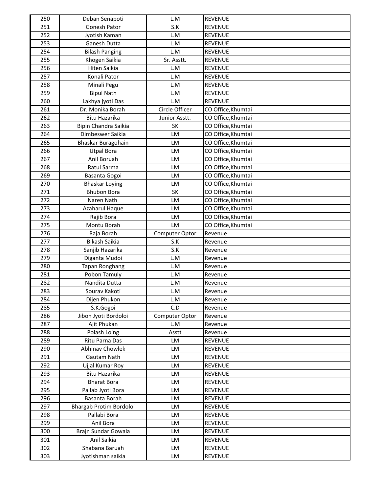| 250 | Deban Senapoti          | L.M            | <b>REVENUE</b>     |
|-----|-------------------------|----------------|--------------------|
| 251 | Gonesh Pator            | S.K            | <b>REVENUE</b>     |
| 252 | Jyotish Kaman           | L.M            | <b>REVENUE</b>     |
| 253 | Ganesh Dutta            | L.M            | <b>REVENUE</b>     |
| 254 | <b>Bilash Panging</b>   | L.M            | <b>REVENUE</b>     |
| 255 | Khogen Saikia           | Sr. Asstt.     | <b>REVENUE</b>     |
| 256 | <b>Hiten Saikia</b>     | L.M            | <b>REVENUE</b>     |
| 257 | Konali Pator            | L.M            | <b>REVENUE</b>     |
| 258 | Minali Pegu             | L.M            | <b>REVENUE</b>     |
| 259 | <b>Bipul Nath</b>       | L.M            | <b>REVENUE</b>     |
| 260 | Lakhya jyoti Das        | L.M            | <b>REVENUE</b>     |
| 261 | Dr. Monika Borah        | Circle Officer | CO Office, Khumtai |
| 262 | <b>Bitu Hazarika</b>    | Junior Asstt.  | CO Office, Khumtai |
| 263 | Bipin Chandra Saikia    | <b>SK</b>      | CO Office, Khumtai |
| 264 | Dimbeswer Saikia        | LM             | CO Office, Khumtai |
| 265 | Bhaskar Buragohain      | LM             | CO Office, Khumtai |
| 266 | <b>Utpal Bora</b>       | LM             | CO Office, Khumtai |
| 267 | Anil Boruah             | LM             | CO Office, Khumtai |
| 268 | Ratul Sarma             | LM             | CO Office, Khumtai |
| 269 | Basanta Gogoi           | LM             | CO Office, Khumtai |
| 270 | <b>Bhaskar Loying</b>   | LM             | CO Office, Khumtai |
| 271 | <b>Bhubon Bora</b>      | SK             | CO Office, Khumtai |
| 272 | Naren Nath              | LM             | CO Office, Khumtai |
| 273 | Azaharul Haque          | LM             | CO Office, Khumtai |
| 274 | Rajib Bora              | LM             | CO Office, Khumtai |
| 275 | Montu Borah             | LM             | CO Office, Khumtai |
| 276 | Raja Borah              | Computer Optor | Revenue            |
| 277 | Bikash Saikia           | S.K            | Revenue            |
| 278 | Sanjib Hazarika         | S.K            | Revenue            |
| 279 | Diganta Mudoi           | L.M            | Revenue            |
| 280 | Tapan Ronghang          | L.M            | Revenue            |
| 281 | Pobon Tamuly            | L.M            | Revenue            |
| 282 | Nandita Dutta           | L.M            | Revenue            |
| 283 | Sourav Kakoti           | L.M            | Revenue            |
| 284 | Dijen Phukon            | L.M            | Revenue            |
| 285 | S.K.Gogoi               | C.D            | Revenue            |
| 286 | Jibon Jyoti Bordoloi    | Computer Optor | Revenue            |
| 287 | Ajit Phukan             | L.M            | Revenue            |
| 288 | Polash Loing            | Asstt          | Revenue            |
| 289 | Ritu Parna Das          | LM             | <b>REVENUE</b>     |
| 290 | Abhinav Chowlek         | LM             | <b>REVENUE</b>     |
| 291 | Gautam Nath             | LM             | <b>REVENUE</b>     |
| 292 | Ujjal Kumar Roy         | <b>LM</b>      | <b>REVENUE</b>     |
| 293 | Bitu Hazarika           | LM             | <b>REVENUE</b>     |
| 294 | <b>Bharat Bora</b>      | LM             | <b>REVENUE</b>     |
| 295 | Pallab Jyoti Bora       | LM             | <b>REVENUE</b>     |
| 296 | Basanta Borah           | LM             | <b>REVENUE</b>     |
| 297 | Bhargab Protim Bordoloi | LM             | <b>REVENUE</b>     |
| 298 | Pallabi Bora            | LM             | <b>REVENUE</b>     |
| 299 | Anil Bora               | LM             | <b>REVENUE</b>     |
| 300 | Brajn Sundar Gowala     | LM             | <b>REVENUE</b>     |
| 301 | Anil Saikia             | LM             | <b>REVENUE</b>     |
| 302 | Shabana Baruah          | LM             | <b>REVENUE</b>     |
| 303 | Jyotishman saikia       | LM             | REVENUE            |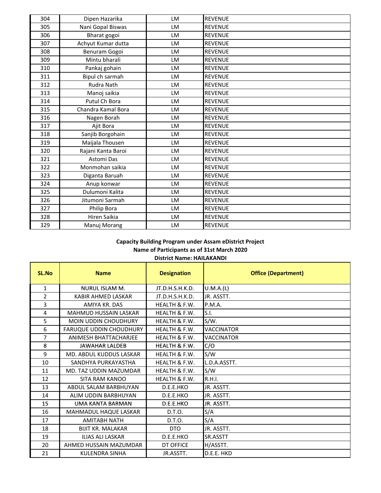| 304 | Dipen Hazarika     | LM | <b>REVENUE</b> |
|-----|--------------------|----|----------------|
| 305 | Nani Gopal Biswas  | LM | <b>REVENUE</b> |
| 306 | Bharat gogoi       | LM | <b>REVENUE</b> |
| 307 | Achyut Kumar dutta | LM | <b>REVENUE</b> |
| 308 | Benuram Gogoi      | LM | <b>REVENUE</b> |
| 309 | Mintu bharali      | LM | <b>REVENUE</b> |
| 310 | Pankaj gohain      | LM | <b>REVENUE</b> |
| 311 | Bipul ch sarmah    | LM | <b>REVENUE</b> |
| 312 | Rudra Nath         | LM | <b>REVENUE</b> |
| 313 | Manoj saikia       | LM | <b>REVENUE</b> |
| 314 | Putul Ch Bora      | LM | <b>REVENUE</b> |
| 315 | Chandra Kamal Bora | LM | <b>REVENUE</b> |
| 316 | Nagen Borah        | LM | <b>REVENUE</b> |
| 317 | Ajit Bora          | LM | <b>REVENUE</b> |
| 318 | Sanjib Borgohain   | LM | <b>REVENUE</b> |
| 319 | Maijala Thousen    | LM | <b>REVENUE</b> |
| 320 | Rajani Kanta Baroi | LM | <b>REVENUE</b> |
| 321 | <b>Astomi Das</b>  | LM | <b>REVENUE</b> |
| 322 | Monmohan saikia    | LM | <b>REVENUE</b> |
| 323 | Diganta Baruah     | LM | <b>REVENUE</b> |
| 324 | Anup konwar        | LM | <b>REVENUE</b> |
| 325 | Dulumoni Kalita    | LM | <b>REVENUE</b> |
| 326 | Jitumoni Sarmah    | LM | <b>REVENUE</b> |
| 327 | Philip Bora        | LM | <b>REVENUE</b> |
| 328 | Hiren Saikia       | LM | <b>REVENUE</b> |
| 329 | Manuj Morang       | LM | <b>REVENUE</b> |

## **District Name: HAILAKANDI Capacity Building Program under Assam eDistrict Project Name of Participants as of 31st March 2020**

| SL.No          | <b>Name</b>                    | <b>Designation</b>       | <b>Office (Department)</b> |
|----------------|--------------------------------|--------------------------|----------------------------|
| $\mathbf{1}$   | NURUL ISLAM M.                 | JT.D.H.S.H.K.D.          | U.M.A.(L)                  |
| $\overline{2}$ | <b>KABIR AHMED LASKAR</b>      | JT.D.H.S.H.K.D.          | JR. ASSTT.                 |
| 3              | AMIYA KR. DAS                  | HEALTH & F.W.            | <b>P.M.A.</b>              |
| 4              | <b>MAHMUD HUSSAIN LASKAR</b>   | HEALTH & F.W.            | S.I.                       |
| 5              | <b>MOIN UDDIN CHOUDHURY</b>    | HEALTH & F.W.            | $S/W$ .                    |
| 6              | <b>FARUQUE UDDIN CHOUDHURY</b> | HEALTH & F.W.            | <b>VACCINATOR</b>          |
| 7              | <b>ANIMESH BHATTACHARJEE</b>   | HEALTH & F.W.            | <b>VACCINATOR</b>          |
| 8              | <b>JAWAHAR LALDEB</b>          | HEALTH & F.W.            | C/O                        |
| 9              | MD. ABDUL KUDDUS LASKAR        | <b>HEALTH &amp; F.W.</b> | S/W                        |
| 10             | SANDHYA PURKAYASTHA            | HEALTH & F.W.            | L.D.A.ASSTT.               |
| 11             | MD. TAZ UDDIN MAZUMDAR         | HEALTH & F.W.            | S/W                        |
| 12             | SITA RAM KANOO                 | HEALTH & F.W.            | R.H.I.                     |
| 13             | ABDUL SALAM BARBHUYAN          | D.E.E.HKO                | JR. ASSTT.                 |
| 14             | ALIM UDDIN BARBHUYAN           | D.E.E.HKO                | JR. ASSTT.                 |
| 15             | <b>UMA KANTA BARMAN</b>        | D.E.E.HKO                | JR. ASSTT.                 |
| 16             | MAHMADUL HAQUE LASKAR          | D.T.O.                   | S/A                        |
| 17             | <b>AMITABH NATH</b>            | D.T.O.                   | S/A                        |
| 18             | <b>BIJIT KR. MALAKAR</b>       | <b>DTO</b>               | JR. ASSTT.                 |
| 19             | <b>ILIAS ALI LASKAR</b>        | D.E.E.HKO                | SR.ASSTT                   |
| 20             | AHMED HUSSAIN MAZUMDAR         | DT OFFICE                | H/ASSTT.                   |
| 21             | KULENDRA SINHA                 | JR.ASSTT.                | D.E.E. HKD                 |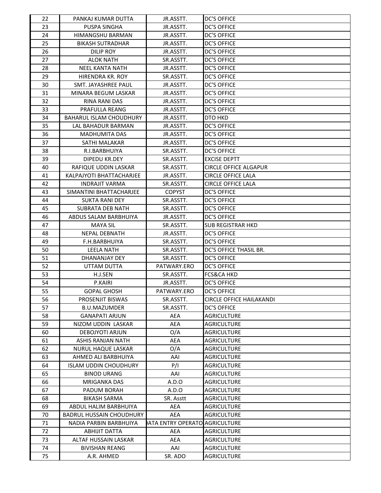| 22 | PANKAJ KUMAR DUTTA              | JR.ASSTT.                     | <b>DC'S OFFICE</b>              |
|----|---------------------------------|-------------------------------|---------------------------------|
| 23 | PUSPA SINGHA                    | JR.ASSTT.                     | <b>DC'S OFFICE</b>              |
| 24 | HIMANGSHU BARMAN                | JR.ASSTT.                     | <b>DC'S OFFICE</b>              |
| 25 | <b>BIKASH SUTRADHAR</b>         | JR.ASSTT.                     | <b>DC'S OFFICE</b>              |
| 26 | <b>DILIP ROY</b>                | JR.ASSTT.                     | <b>DC'S OFFICE</b>              |
| 27 | <b>ALOK NATH</b>                | SR.ASSTT.                     | <b>DC'S OFFICE</b>              |
| 28 | <b>NEEL KANTA NATH</b>          | JR.ASSTT.                     | <b>DC'S OFFICE</b>              |
| 29 | HIRENDRA KR. ROY                | SR.ASSTT.                     | <b>DC'S OFFICE</b>              |
| 30 | SMT. JAYASHREE PAUL             | JR.ASSTT.                     | <b>DC'S OFFICE</b>              |
| 31 | MINARA BEGUM LASKAR             | JR.ASSTT.                     | <b>DC'S OFFICE</b>              |
| 32 | <b>RINA RANI DAS</b>            | JR.ASSTT.                     | <b>DC'S OFFICE</b>              |
| 33 | PRAFULLA REANG                  | JR.ASSTT.                     | <b>DC'S OFFICE</b>              |
| 34 | <b>BAHARUL ISLAM CHOUDHURY</b>  | JR.ASSTT.                     | DTO HKD                         |
| 35 | LAL BAHADUR BARMAN              | JR.ASSTT.                     | <b>DC'S OFFICE</b>              |
| 36 | <b>MADHUMITA DAS</b>            | JR.ASSTT.                     | <b>DC'S OFFICE</b>              |
| 37 | SATHI MALAKAR                   | JR.ASSTT.                     | <b>DC'S OFFICE</b>              |
| 38 | R.I.BARBHUIYA                   | SR.ASSTT.                     | <b>DC'S OFFICE</b>              |
| 39 | DIPEDU KR.DEY                   | SR.ASSTT.                     | <b>EXCISE DEPTT</b>             |
| 40 | RAFIQUE UDDIN LASKAR            | SR.ASSTT.                     | <b>CIRCLE OFFICE ALGAPUR</b>    |
| 41 | KALPAJYOTI BHATTACHARJEE        | JR.ASSTT.                     | <b>CIRCLE OFFICE LALA</b>       |
| 42 | <b>INDRAJIT VARMA</b>           | SR.ASSTT.                     | <b>CIRCLE OFFICE LALA</b>       |
| 43 | SIMANTINI BHATTACHARJEE         | <b>COPYST</b>                 | <b>DC'S OFFICE</b>              |
| 44 | <b>SUKTA RANI DEY</b>           | SR.ASSTT.                     | <b>DC'S OFFICE</b>              |
| 45 | <b>SUBRATA DEB NATH</b>         | SR.ASSTT.                     | <b>DC'S OFFICE</b>              |
| 46 | ABDUS SALAM BARBHUIYA           | JR.ASSTT.                     | <b>DC'S OFFICE</b>              |
| 47 | <b>MAYA SIL</b>                 | SR.ASSTT.                     | <b>SUB REGISTRAR HKD</b>        |
| 48 | NEPAL DEBNATH                   | JR.ASSTT.                     | <b>DC'S OFFICE</b>              |
| 49 | F.H.BARBHUIYA                   | SR.ASSTT.                     | <b>DC'S OFFICE</b>              |
| 50 | <b>LEELA NATH</b>               | SR.ASSTT.                     | DC'S OFFICE THASIL BR.          |
| 51 | DHANANJAY DEY                   | SR.ASSTT.                     | <b>DC'S OFFICE</b>              |
| 52 | UTTAM DUTTA                     | PATWARY.ERO                   | <b>DC'S OFFICE</b>              |
| 53 | H.J.SEN                         | SR.ASSTT.                     | <b>FCS&amp;CA HKD</b>           |
| 54 | P.KAIRI                         | JR.ASSTT.                     | <b>DC'S OFFICE</b>              |
| 55 | <b>GOPAL GHOSH</b>              | PATWARY.ERO                   | <b>DC'S OFFICE</b>              |
| 56 | PROSENJIT BISWAS                | SR.ASSTT.                     | <b>CIRCLE OFFICE HAILAKANDI</b> |
| 57 | <b>B.U.MAZUMDER</b>             | SR.ASSTT.                     | <b>DC'S OFFICE</b>              |
| 58 | <b>GANAPATI ARJUN</b>           | AEA                           | <b>AGRICULTURE</b>              |
| 59 | NIZOM UDDIN LASKAR              | AEA                           | <b>AGRICULTURE</b>              |
| 60 | DEBOJYOTI ARJUN                 | O/A                           | <b>AGRICULTURE</b>              |
| 61 | ASHIS RANJAN NATH               | AEA                           | <b>AGRICULTURE</b>              |
| 62 | NURUL HAQUE LASKAR              | O/A                           | <b>AGRICULTURE</b>              |
| 63 | AHMED ALI BARBHUIYA             | AAI                           | <b>AGRICULTURE</b>              |
| 64 | <b>ISLAM UDDIN CHOUDHURY</b>    | P/I                           | AGRICULTURE                     |
| 65 | <b>BINOD URANG</b>              | AAI                           | <b>AGRICULTURE</b>              |
| 66 | <b>MRIGANKA DAS</b>             | A.D.O                         | AGRICULTURE                     |
| 67 | PADUM BORAH                     | A.D.O                         | AGRICULTURE                     |
| 68 | <b>BIKASH SARMA</b>             | SR. Asstt                     | <b>AGRICULTURE</b>              |
| 69 | ABDUL HALIM BARBHUIYA           | AEA                           | AGRICULTURE                     |
| 70 | <b>BADRUL HUSSAIN CHOUDHURY</b> | AEA                           | AGRICULTURE                     |
| 71 | NADIA PARBIN BARBHUIYA          | ATA ENTRY OPERATO AGRICULTURE |                                 |
| 72 | ABHIJIT DATTA                   | AEA                           | <b>AGRICULTURE</b>              |
| 73 | ALTAF HUSSAIN LASKAR            | AEA                           | <b>AGRICULTURE</b>              |
| 74 | <b>BIVISHAN REANG</b>           | AAI                           | <b>AGRICULTURE</b>              |
| 75 | A.R. AHMED                      | SR. ADO                       | AGRICULTURE                     |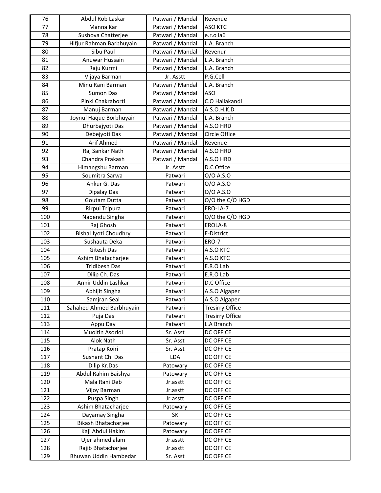| 76         | Abdul Rob Laskar                           | Patwari / Mandal   | Revenue                |
|------------|--------------------------------------------|--------------------|------------------------|
| 77         | Manna Kar                                  | Patwari / Mandal   | <b>ASO KTC</b>         |
| 78         | Sushova Chatterjee                         | Patwari / Mandal   | e.r.o la6              |
| 79         | Hifjur Rahman Barbhuyain                   | Patwari / Mandal   | L.A. Branch            |
| 80         | Sibu Paul                                  | Patwari / Mandal   | Revenur                |
| 81         | Anuwar Hussain                             | Patwari / Mandal   | L.A. Branch            |
| 82         | Raju Kurmi                                 | Patwari / Mandal   | L.A. Branch            |
| 83         | Vijaya Barman                              | Jr. Asstt          | P.G.Cell               |
| 84         | Minu Rani Barman                           | Patwari / Mandal   | L.A. Branch            |
| 85         | <b>Sumon Das</b>                           | Patwari / Mandal   | <b>ASO</b>             |
| 86         | Pinki Chakraborti                          | Patwari / Mandal   | C.O Hailakandi         |
| 87         | Manuj Barman                               | Patwari / Mandal   | A.S.O.H.K.D            |
| 88         | Joynul Haque Borbhuyain                    | Patwari / Mandal   | L.A. Branch            |
| 89         | Dhurbajyoti Das                            | Patwari / Mandal   | A.S.O HRD              |
| 90         | Debejyoti Das                              | Patwari / Mandal   | Circle Office          |
| 91         | Arif Ahmed                                 | Patwari / Mandal   | Revenue                |
| 92         | Raj Sankar Nath                            | Patwari / Mandal   | A.S.O HRD              |
| 93         | Chandra Prakash                            | Patwari / Mandal   | A.S.O HRD              |
| 94         | Himangshu Barman                           | Jr. Asstt          | D.C Office             |
| 95         | Soumitra Sarwa                             | Patwari            | 0/0 A.S.O              |
| 96         | Ankur G. Das                               | Patwari            | 0/0 A.S.O              |
| 97         | Dipalay Das                                | Patwari            | 0/0 A.S.O              |
| 98         | Goutam Dutta                               | Patwari            | O/O the C/O HGD        |
| 99         | Rirpui Tripura                             | Patwari            | ERO-LA-7               |
| 100        | Nabendu Singha                             | Patwari            | O/O the C/O HGD        |
| 101        | Raj Ghosh                                  | Patwari            | EROLA-8                |
| 102        | <b>Bishal Jyoti Choudhry</b>               | Patwari            | E-District             |
| 103        | Sushauta Deka                              | Patwari            | ERO-7                  |
| 104        | Gitesh Das                                 | Patwari            | A.S.O KTC              |
| 105<br>106 | Ashim Bhatacharjee<br><b>Tridibesh Das</b> | Patwari            | A.S.O KTC<br>E.R.O Lab |
| 107        | Dilip Ch. Das                              | Patwari<br>Patwari | E.R.O Lab              |
| 108        | Annir Uddin Lashkar                        | Patwari            | D.C Office             |
| 109        | Abhijit Singha                             | Patwari            | A.S.O Algaper          |
| 110        | Samjran Seal                               | Patwari            | A.S.O Algaper          |
| 111        | Sahahed Ahmed Barbhuyain                   | Patwari            | <b>Tresirry Office</b> |
| 112        | Puja Das                                   | Patwari            | <b>Tresirry Office</b> |
| 113        | Appu Day                                   | Patwari            | L.A Branch             |
| 114        | Muoltin Asoriol                            | Sr. Asst           | <b>DC OFFICE</b>       |
| 115        | Alok Nath                                  | Sr. Asst           | <b>DC OFFICE</b>       |
| 116        | Pratap Koiri                               | Sr. Asst           | <b>DC OFFICE</b>       |
| 117        | Sushant Ch. Das                            | LDA                | <b>DC OFFICE</b>       |
| 118        | Dilip Kr.Das                               | Patowary           | <b>DC OFFICE</b>       |
| 119        | Abdul Rahim Baishya                        | Patowary           | <b>DC OFFICE</b>       |
| 120        | Mala Rani Deb                              | Jr.asstt           | <b>DC OFFICE</b>       |
| 121        | Vijoy Barman                               | Jr.asstt           | <b>DC OFFICE</b>       |
| 122        | Puspa Singh                                | Jr.asstt           | <b>DC OFFICE</b>       |
| 123        | Ashim Bhatacharjee                         | Patowary           | <b>DC OFFICE</b>       |
| 124        | Dayamay Singha                             | SK                 | <b>DC OFFICE</b>       |
| 125        | Bikash Bhatacharjee                        | Patowary           | <b>DC OFFICE</b>       |
| 126        | Kaji Abdul Hakim                           | Patowary           | <b>DC OFFICE</b>       |
| 127        | Ujer ahmed alam                            | Jr.asstt           | <b>DC OFFICE</b>       |
| 128        | Rajib Bhatacharjee                         | Jr.asstt           | <b>DC OFFICE</b>       |
| 129        | Bhuwan Uddin Hambedar                      | Sr. Asst           | <b>DC OFFICE</b>       |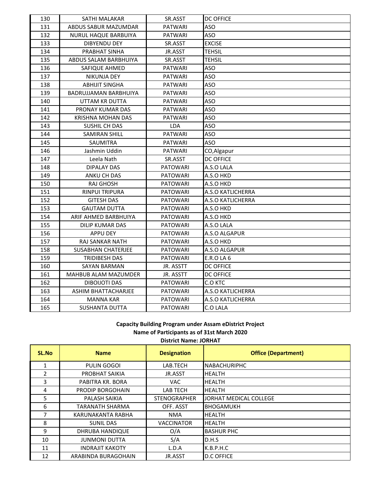| 130 | SATHI MALAKAR               | SR.ASST         | <b>DC OFFICE</b>  |
|-----|-----------------------------|-----------------|-------------------|
| 131 | ABDUS SABUR MAZUMDAR        | PATWARI         | ASO               |
| 132 | <b>NURUL HAQUE BARBUIYA</b> | <b>PATWARI</b>  | ASO               |
| 133 | <b>DIBYENDU DEY</b>         | SR.ASST         | <b>EXCISE</b>     |
| 134 | PRABHAT SINHA               | JR.ASST         | <b>TEHSIL</b>     |
| 135 | ABDUS SALAM BARBHUIYA       | SR.ASST         | <b>TEHSIL</b>     |
| 136 | SAFIQUE AHMED               | <b>PATWARI</b>  | ASO               |
| 137 | NIKUNJA DEY                 | <b>PATWARI</b>  | ASO               |
| 138 | <b>ABHIJIT SINGHA</b>       | <b>PATWARI</b>  | ASO               |
| 139 | BADRUJJAMAN BARBHUIYA       | <b>PATWARI</b>  | ASO               |
| 140 | UTTAM KR DUTTA              | <b>PATWARI</b>  | <b>ASO</b>        |
| 141 | PRONAY KUMAR DAS            | <b>PATWARI</b>  | <b>ASO</b>        |
| 142 | KRISHNA MOHAN DAS           | <b>PATWARI</b>  | <b>ASO</b>        |
| 143 | SUSHIL CH DAS               | LDA             | <b>ASO</b>        |
| 144 | <b>SAMIRAN SHILL</b>        | <b>PATWARI</b>  | ASO               |
| 145 | SAUMITRA                    | <b>PATWARI</b>  | ASO               |
| 146 | Jashmin Uddin               | <b>PATWARI</b>  | CO, Algapur       |
| 147 | Leela Nath                  | SR.ASST         | <b>DC OFFICE</b>  |
| 148 | <b>DIPALAY DAS</b>          | <b>PATOWARI</b> | A.S.O LALA        |
| 149 | ANKU CH DAS                 | <b>PATOWARI</b> | A.S.O HKD         |
| 150 | <b>RAJ GHOSH</b>            | <b>PATOWARI</b> | A.S.O HKD         |
| 151 | <b>RINPUI TRIPURA</b>       | <b>PATOWARI</b> | A.S.O KATLICHERRA |
| 152 | <b>GITESH DAS</b>           | <b>PATOWARI</b> | A.S.O KATLICHERRA |
| 153 | <b>GAUTAM DUTTA</b>         | <b>PATOWARI</b> | A.S.O HKD         |
| 154 | ARIF AHMED BARBHUIYA        | <b>PATOWARI</b> | A.S.O HKD         |
| 155 | <b>DILIP KUMAR DAS</b>      | <b>PATOWARI</b> | A.S.O LALA        |
| 156 | APPU DEY                    | <b>PATOWARI</b> | A.S.O ALGAPUR     |
| 157 | <b>RAJ SANKAR NATH</b>      | <b>PATOWARI</b> | A.S.O HKD         |
| 158 | <b>SUSABHAN CHATERJEE</b>   | <b>PATOWARI</b> | A.S.O ALGAPUR     |
| 159 | TRIDIBESH DAS               | <b>PATOWARI</b> | E.R.O LA 6        |
| 160 | SAYAN BARMAN                | JR. ASSTT       | <b>DC OFFICE</b>  |
| 161 | MAHBUB ALAM MAZUMDER        | JR. ASSTT       | DC OFFICE         |
| 162 | <b>DIBOIJOTI DAS</b>        | <b>PATOWARI</b> | C.O KTC           |
| 163 | ASHIM BHATTACHARJEE         | <b>PATOWARI</b> | A.S.O KATLICHERRA |
| 164 | MANNA KAR                   | <b>PATOWARI</b> | A.S.O KATLICHERRA |
| 165 | <b>SUSHANTA DUTTA</b>       | <b>PATOWARI</b> | C.O LALA          |

# **Capacity Building Program under Assam eDistrict Project Name of Participants as of 31st March 2020**

| SL.No | <b>Name</b>            | <b>Designation</b>  | <b>Office (Department)</b> |
|-------|------------------------|---------------------|----------------------------|
| 1     | PULIN GOGOI            | LAB.TECH            | <b>NABACHURIPHC</b>        |
| 2     | PROBHAT SAIKIA         | JR.ASST             | <b>HEALTH</b>              |
| 3     | PABITRA KR. BORA       | VAC.                | <b>HEALTH</b>              |
| 4     | PRODIP BORGOHAIN       | <b>LAB TECH</b>     | <b>HEALTH</b>              |
| 5     | PALASH SAIKIA          | <b>STENOGRAPHER</b> | JORHAT MEDICAL COLLEGE     |
| 6     | <b>TARANATH SHARMA</b> | OFF. ASST           | <b>BHOGAMUKH</b>           |
|       | KARUNAKANTA RABHA      | <b>NMA</b>          | <b>HEALTH</b>              |
| 8     | <b>SUNIL DAS</b>       | <b>VACCINATOR</b>   | <b>HEALTH</b>              |
| 9     | DHRUBA HANDIQUE        | O/A                 | <b>BASHUR PHC</b>          |
| 10    | <b>JUNMONI DUTTA</b>   | S/A                 | D.H.S                      |
| 11    | <b>INDRAJIT KAKOTY</b> | L.D.A               | K.B.P.H.C                  |
| 12    | ARABINDA BURAGOHAIN    | JR.ASST             | <b>D.C OFFICE</b>          |

# **District Name: JORHAT**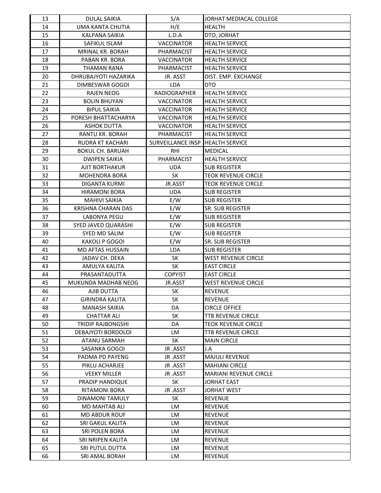| 13       | <b>DULAL SAIKIA</b>                          | S/A                      | JORHAT MEDIACAL COLLEGE       |
|----------|----------------------------------------------|--------------------------|-------------------------------|
| 14       | UMA KANTA CHUTIA                             | H/E                      | <b>HEALTH</b>                 |
| 15       | KALPANA SAIKIA                               | L.D.A                    | DTO, JORHAT                   |
| 16       | SAFIKUL ISLAM                                | <b>VACCINATOR</b>        | <b>HEALTH SERVICE</b>         |
| 17       | <b>MRINAL KR. BORAH</b>                      | PHARMACIST               | <b>HEALTH SERVICE</b>         |
| 18       | PABAN KR. BORA                               | <b>VACCINATOR</b>        | <b>HEALTH SERVICE</b>         |
| 19       | <b>THAMAN RANA</b>                           | <b>PHARMACIST</b>        | <b>HEALTH SERVICE</b>         |
| 20       | DHRUBAJYOTI HAZARIKA                         | JR. ASST                 | DIST. EMP. EXCHANGE           |
| 21       | DIMBESWAR GOGOI                              | <b>LDA</b>               | <b>DTO</b>                    |
| 22       | <b>RAJEN NEOG</b>                            | <b>RADIOGRAPHER</b>      | <b>HEALTH SERVICE</b>         |
| 23       | <b>BOLIN BHUYAN</b>                          | <b>VACCINATOR</b>        | <b>HEALTH SERVICE</b>         |
| 24       | <b>BIPUL SAIKIA</b>                          | <b>VACCINATOR</b>        | <b>HEALTH SERVICE</b>         |
| 25       | PORESH BHATTACHARYA                          | <b>VACCINATOR</b>        | <b>HEALTH SERVICE</b>         |
| 26       | <b>ASHOK DUTTA</b>                           | <b>VACCINATOR</b>        | <b>HEALTH SERVICE</b>         |
| 27       | RANTU KR. BORAH                              | PHARMACIST               | <b>HEALTH SERVICE</b>         |
| 28       | <b>RUDRA KT KACHARI</b>                      | <b>SURVEILLANCE INSP</b> | <b>HEALTH SERVICE</b>         |
| 29       | <b>BOKUL CH. BARUAH</b>                      | <b>RHI</b>               | <b>MEDICAL</b>                |
| 30       | <b>DWIPEN SAIKIA</b>                         | PHARMACIST               | <b>HEALTH SERVICE</b>         |
| 31       | AJIT BORTHAKUR                               | <b>UDA</b>               | <b>SUB REGISTER</b>           |
| 32       | <b>MOHENDRA BORA</b>                         | SK                       | <b>TEOK REVENUE CIRCLE</b>    |
| 33       | <b>DIGANTA KURMI</b>                         | JR.ASST                  | <b>TEOK REVENUE CIRCLE</b>    |
| 34       | <b>HIRAMONI BORA</b>                         | <b>UDA</b>               | <b>SUB REGISTER</b>           |
| 35       | <b>MAHIVI SAIKIA</b>                         | E/W                      | <b>SUB REGISTER</b>           |
| 36       | KRISHNA CHARAN DAS                           | E/W                      | SR. SUB REGISTER              |
| 37       | <b>LABONYA PEGU</b>                          | E/W                      | <b>SUB REGISTER</b>           |
| 38       | SYED JAVED QUARASHI                          | E/W                      | <b>SUB REGISTER</b>           |
| 39       | SYED MD SALIM                                | E/W                      | <b>SUB REGISTER</b>           |
| 40       | KAKOLI P GOGOI                               | E/W                      | SR. SUB REGISTER              |
| 41       | MD AFTAS HUSSAIN                             | LDA                      | <b>SUB REGISTER</b>           |
| 42       | JADAV CH. DEKA                               | <b>SK</b>                | <b>WEST REVENUE CIRCLE</b>    |
| 43       | AMULYA KALITA                                | <b>SK</b>                | <b>EAST CIRCLE</b>            |
| 44       | PRASANTADUTTA                                | <b>COPYIST</b>           | <b>EAST CIRCLE</b>            |
| 45       | MUKUNDA MADHAB NEOG                          | JR.ASST                  | <b>WEST REVENUE CIRCLE</b>    |
| 46       | AJIB DUTTA                                   | <b>SK</b>                | <b>REVENUE</b>                |
| 47       | <b>GIRINDRA KALITA</b>                       | <b>SK</b>                | <b>REVENUE</b>                |
| 48       | <b>MANASH SAIKIA</b>                         | DA                       | <b>CIRCLE OFFICE</b>          |
| 49       | <b>CHATTAR ALI</b>                           | SK                       | TTB REVENUE CIRCLE            |
| 50       | <b>TRIDIP RAJBONGSHI</b>                     | DA                       | <b>TEOK REVENUE CIRCLE</b>    |
| 51       | DEBAJYOTI BORDOLOI                           | LM                       | <b>TTB REVENUE CIRCLE</b>     |
| 52       | <b>ATANU SARMAH</b>                          | <b>SK</b>                | <b>MAIN CIRCLE</b>            |
| 53       | SASANKA GOGOI                                | JR .ASST                 | J.A                           |
| 54       | PADMA PD PAYENG                              | JR .ASST                 | <b>MAJULI REVENUE</b>         |
| 55       | PIKLU ACHARJEE                               | JR .ASST                 | <b>MAHIANI CIRCLE</b>         |
| 56       | <b>VEEKY MILLER</b>                          | JR .ASST                 | <b>MARIANI REVENUE CIRCLE</b> |
| 57       | PRADIP HANDIQUE                              | SK                       | JORHAT EAST                   |
| 58       | RITAMONI BORA                                | JR .ASST                 | <b>JORHAT WEST</b>            |
| 59       | DINAMONI TAMULY                              | SK                       | <b>REVENUE</b>                |
| 60<br>61 | <b>MD MAHTAB ALI</b><br><b>MD ABDUR ROUF</b> | LM<br>LM                 | <b>REVENUE</b>                |
| 62       | SRI GAKUL KALITA                             | <b>LM</b>                | REVENUE<br><b>REVENUE</b>     |
| 63       | SRI POLEN BORA                               | LM                       | <b>REVENUE</b>                |
| 64       | SRI NRIPEN KALITA                            | LM                       | <b>REVENUE</b>                |
| 65       | SRI PUTUL DUTTA                              | LM                       | <b>REVENUE</b>                |
| 66       | SRI AMAL BORAH                               | LM                       | <b>REVENUE</b>                |
|          |                                              |                          |                               |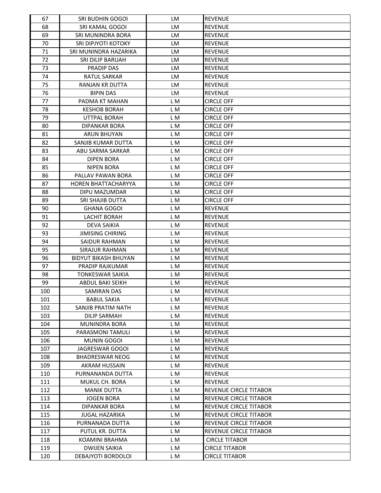| 67       | SRI BUDHIN GOGOI                    | LM         | <b>REVENUE</b>                   |
|----------|-------------------------------------|------------|----------------------------------|
| 68       | SRI KAMAL GOGOI                     | <b>LM</b>  | <b>REVENUE</b>                   |
| 69       | SRI MUNINDRA BORA                   | LM         | <b>REVENUE</b>                   |
| 70       | SRI DIPJYOTI KOTOKY                 | LM         | <b>REVENUE</b>                   |
| 71       | SRI MUNINDRA HAZARIKA               | LM         | <b>REVENUE</b>                   |
| 72       | SRI DILIP BARUAH                    | LM         | <b>REVENUE</b>                   |
| 73       | PRADIP DAS                          | <b>LM</b>  | <b>REVENUE</b>                   |
| 74       | RATUL SARKAR                        | LM         | <b>REVENUE</b>                   |
| 75       | <b>RANJAN KR DUTTA</b>              | LM         | <b>REVENUE</b>                   |
| 76       | <b>BIPIN DAS</b>                    | LM         | <b>REVENUE</b>                   |
| 77       | PADMA KT MAHAN                      | L M        | <b>CIRCLE OFF</b>                |
| 78       | KESHOB BORAH                        | L M        | <b>CIRCLE OFF</b>                |
| 79       | UTTPAL BORAH                        | L M        | <b>CIRCLE OFF</b>                |
| 80       | DIPANKAR BORA                       | LM         | <b>CIRCLE OFF</b>                |
| 81       | ARUN BHUYAN                         | L M        | <b>CIRCLE OFF</b>                |
| 82       | SANJIB KUMAR DUTTA                  | L M        | <b>CIRCLE OFF</b>                |
| 83       | ABU SARMA SARKAR                    | L M        | <b>CIRCLE OFF</b>                |
| 84       | <b>DIPEN BORA</b>                   | L M        | <b>CIRCLE OFF</b>                |
| 85       | <b>NIPEN BORA</b>                   | L M        | <b>CIRCLE OFF</b>                |
| 86       | PALLAV PAWAN BORA                   | L M        | <b>CIRCLE OFF</b>                |
| 87       | HOREN BHATTACHARYYA                 | L M        | <b>CIRCLE OFF</b>                |
| 88       | DIPU MAZUMDAR                       | L M        | <b>CIRCLE OFF</b>                |
| 89       | SRI SHAJIB DUTTA                    | L M        | <b>CIRCLE OFF</b>                |
| 90       | <b>GHANA GOGOI</b>                  | L M        | <b>REVENUE</b>                   |
| 91       | <b>LACHIT BORAH</b>                 | L M        | <b>REVENUE</b>                   |
| 92       | DEVA SAIKIA                         | L M        | <b>REVENUE</b>                   |
| 93       | <b>JIMISING CHIRING</b>             | L M        | <b>REVENUE</b>                   |
| 94       |                                     |            |                                  |
|          | SAIDUR RAHMAN                       | L M<br>L M | <b>REVENUE</b><br><b>REVENUE</b> |
| 95       | SIRAJUR RAHMAN                      |            |                                  |
| 96<br>97 | <b>BIDYUT BIKASH BHUYAN</b>         | L M<br>L M | <b>REVENUE</b>                   |
| 98       | PRADIP RAJKUMAR<br>TONKESWAR SAIKIA |            | <b>REVENUE</b>                   |
|          |                                     | L M        | <b>REVENUE</b>                   |
| 99       | ABDUL BAKI SEIKH                    | LM         | <b>REVENUE</b>                   |
| 100      | <b>SAMIRAN DAS</b>                  | L M        | <b>REVENUE</b>                   |
| 101      | <b>BABUL SAKIA</b>                  | L M        | <b>REVENUE</b>                   |
| 102      | SANJIB PRATIM NATH                  | L M        | <b>REVENUE</b>                   |
| 103      | <b>DILIP SARMAH</b>                 | L M        | <b>REVENUE</b>                   |
| 104      | <b>MUNINDRA BORA</b>                | L M        | <b>REVENUE</b>                   |
| 105      | PARASMONI TAMULI                    | L M        | <b>REVENUE</b>                   |
| 106      | <b>MUNIN GOGOI</b>                  | L M        | <b>REVENUE</b>                   |
| 107      | JAGRESWAR GOGOI                     | L M        | <b>REVENUE</b>                   |
| 108      | <b>BHADRESWAR NEOG</b>              | L M        | <b>REVENUE</b>                   |
| 109      | AKRAM HUSSAIN                       | L M        | <b>REVENUE</b>                   |
| 110      | PURNANANDA DUTTA                    | L M        | <b>REVENUE</b>                   |
| 111      | MUKUL CH. BORA                      | L M        | <b>REVENUE</b>                   |
| 112      | <b>MANIK DUTTA</b>                  | L M        | REVENUE CIRCLE TITABOR           |
| 113      | <b>JOGEN BORA</b>                   | L M        | REVENUE CIRCLE TITABOR           |
| 114      | <b>DIPANKAR BORA</b>                | L M        | <b>REVENUE CIRCLE TITABOR</b>    |
| 115      | JUGAL HAZARIKA                      | L M        | REVENUE CIRCLE TITABOR           |
| 116      | PURNANADA DUTTA                     | L M        | REVENUE CIRCLE TITABOR           |
| 117      | PUTUL KR. DUTTA                     | L M        | REVENUE CIRCLE TITABOR           |
| 118      | KOAMINI BRAHMA                      | L M        | <b>CIRCLE TITABOR</b>            |
| 119      | <b>DWIJEN SAIKIA</b>                | L M        | <b>CIRCLE TITABOR</b>            |
| 120      | DEBAJYOTI BORDOLOI                  | L M        | <b>CIRCLE TITABOR</b>            |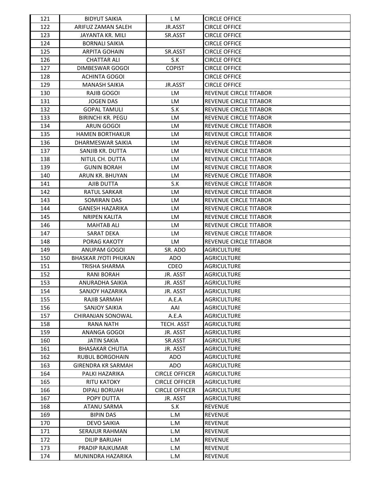| 121 | <b>BIDYUT SAIKIA</b>        | L M                   | <b>CIRCLE OFFICE</b>          |
|-----|-----------------------------|-----------------------|-------------------------------|
| 122 | ARIFUZ ZAMAN SALEH          | JR.ASST               | <b>CIRCLE OFFICE</b>          |
| 123 | JAYANTA KR. MILI            | SR.ASST               | <b>CIRCLE OFFICE</b>          |
| 124 | <b>BORNALI SAIKIA</b>       |                       | <b>CIRCLE OFFICE</b>          |
| 125 | <b>ARPITA GOHAIN</b>        | SR.ASST               | <b>CIRCLE OFFICE</b>          |
| 126 | <b>CHATTAR ALI</b>          | S.K                   | <b>CIRCLE OFFICE</b>          |
| 127 | DIMBESWAR GOGOI             | <b>COPIST</b>         | <b>CIRCLE OFFICE</b>          |
| 128 | <b>ACHINTA GOGOI</b>        |                       | <b>CIRCLE OFFICE</b>          |
| 129 | <b>MANASH SAIKIA</b>        | JR.ASST               | <b>CIRCLE OFFICE</b>          |
| 130 | RAJIB GOGOI                 | <b>LM</b>             | REVENUE CIRCLE TITABOR        |
| 131 | <b>JOGEN DAS</b>            | LM                    | REVENUE CIRCLE TITABOR        |
| 132 | <b>GOPAL TAMULI</b>         | S.K                   | REVENUE CIRCLE TITABOR        |
| 133 | <b>BIRINCHI KR. PEGU</b>    | LM                    | REVENUE CIRCLE TITABOR        |
| 134 | ARUN GOGOI                  | LM                    | REVENUE CIRCLE TITABOR        |
| 135 | <b>HAMEN BORTHAKUR</b>      | LM                    | REVENUE CIRCLE TITABOR        |
| 136 | DHARMESWAR SAIKIA           | LM                    | REVENUE CIRCLE TITABOR        |
| 137 | SANJIB KR. DUTTA            | LM                    | REVENUE CIRCLE TITABOR        |
| 138 | NITUL CH. DUTTA             | LM                    | REVENUE CIRCLE TITABOR        |
| 139 | <b>GUNIN BORAH</b>          | LM                    | <b>REVENUE CIRCLE TITABOR</b> |
| 140 | <b>ARUN KR. BHUYAN</b>      | LM                    | <b>REVENUE CIRCLE TITABOR</b> |
| 141 | AJIB DUTTA                  | S.K                   | REVENUE CIRCLE TITABOR        |
| 142 | <b>RATUL SARKAR</b>         | LM                    | REVENUE CIRCLE TITABOR        |
| 143 | SOMIRAN DAS                 | LM                    | REVENUE CIRCLE TITABOR        |
| 144 | GANESH HAZARIKA             | LM                    | REVENUE CIRCLE TITABOR        |
| 145 | <b>NRIPEN KALITA</b>        | LM                    | REVENUE CIRCLE TITABOR        |
| 146 | MAHTAB ALI                  | LM                    | REVENUE CIRCLE TITABOR        |
| 147 | <b>SARAT DEKA</b>           | LM                    | REVENUE CIRCLE TITABOR        |
| 148 | PORAG KAKOTY                | LM                    | REVENUE CIRCLE TITABOR        |
| 149 | ANUPAM GOGOI                | SR. ADO               | <b>AGRICULTURE</b>            |
| 150 | <b>BHASKAR JYOTI PHUKAN</b> | <b>ADO</b>            | <b>AGRICULTURE</b>            |
| 151 | TRISHA SHARMA               | CDEO                  | <b>AGRICULTURE</b>            |
| 152 | <b>RANI BORAH</b>           | JR. ASST              | <b>AGRICULTURE</b>            |
| 153 | ANURADHA SAIKIA             | JR. ASST              | <b>AGRICULTURE</b>            |
| 154 | <b>SANJOY HAZARIKA</b>      | JR. ASST              | <b>AGRICULTURE</b>            |
| 155 | RAJIB SARMAH                | A.E.A                 | <b>AGRICULTURE</b>            |
| 156 | <b>SANJOY SAIKIA</b>        | AAI                   | <b>AGRICULTURE</b>            |
| 157 | CHIRANJAN SONOWAL           | A.E.A                 | <b>AGRICULTURE</b>            |
| 158 | <b>RANA NATH</b>            | TECH. ASST            | <b>AGRICULTURE</b>            |
| 159 | ANANGA GOGOI                | JR. ASST              | <b>AGRICULTURE</b>            |
| 160 | <b>JATIN SAKIA</b>          | SR.ASST               | AGRICULTURE                   |
| 161 | <b>BHASAKAR CHUTIA</b>      | JR. ASST              | <b>AGRICULTURE</b>            |
| 162 | <b>RUBUL BORGOHAIN</b>      | ADO                   | <b>AGRICULTURE</b>            |
| 163 | <b>GIRENDRA KR SARMAH</b>   | ADO.                  | <b>AGRICULTURE</b>            |
| 164 | PALKI HAZARIKA              | <b>CIRCLE OFFICER</b> | <b>AGRICULTURE</b>            |
| 165 | <b>RITU KATOKY</b>          | <b>CIRCLE OFFICER</b> | <b>AGRICULTURE</b>            |
| 166 | DIPALI BORUAH               | <b>CIRCLE OFFICER</b> | <b>AGRICULTURE</b>            |
| 167 | POPY DUTTA                  | JR. ASST              | <b>AGRICULTURE</b>            |
| 168 | <b>ATANU SARMA</b>          | S.K                   | <b>REVENUE</b>                |
| 169 | <b>BIPIN DAS</b>            | L.M                   | <b>REVENUE</b>                |
| 170 | <b>DEVO SAIKIA</b>          | L.M                   | <b>REVENUE</b>                |
| 171 | SERAJUR RAHMAN              | L.M                   | <b>REVENUE</b>                |
| 172 | <b>DILIP BARUAH</b>         | L.M                   | <b>REVENUE</b>                |
| 173 | PRADIP RAJKUMAR             | L.M                   | <b>REVENUE</b>                |
| 174 | MUNINDRA HAZARIKA           | L.M                   | <b>REVENUE</b>                |
|     |                             |                       |                               |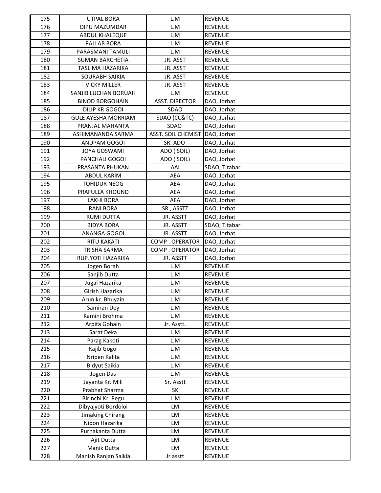| 175 | <b>UTPAL BORA</b>          | L.M                       | <b>REVENUE</b> |
|-----|----------------------------|---------------------------|----------------|
| 176 | DIPU MAZUMDAR              | L.M                       | <b>REVENUE</b> |
| 177 | ABDUL KHALEQUE             | L.M                       | <b>REVENUE</b> |
| 178 | PALLAB BORA                | L.M                       | <b>REVENUE</b> |
| 179 | PARASMANI TAMULI           | L.M                       | <b>REVENUE</b> |
| 180 | <b>SUMAN BARCHETIA</b>     | JR. ASST                  | <b>REVENUE</b> |
| 181 | TASLIMA HAZARIKA           | JR. ASST                  | <b>REVENUE</b> |
| 182 | <b>SOURABH SAIKIA</b>      | JR. ASST                  | <b>REVENUE</b> |
| 183 | <b>VICKY MILLER</b>        | JR. ASST                  | <b>REVENUE</b> |
| 184 | SANJIB LUCHAN BORUAH       | L.M                       | <b>REVENUE</b> |
| 185 | <b>BINOD BORGOHAIN</b>     | <b>ASST. DIRECTOR</b>     | DAO, Jorhat    |
| 186 | DILIP KR GOGOI             | SDAO                      | DAO, Jorhat    |
| 187 | <b>GULE AYESHA MORRIAM</b> | SDAO (CC&TC)              | DAO, Jorhat    |
| 188 | PRANJAL MAHANTA            | SDAO                      | DAO, Jorhat    |
| 189 | ASHIMANANDA SARMA          | <b>ASST. SOIL CHEMIST</b> | DAO, Jorhat    |
| 190 | ANUPAM GOGOI               | SR. ADO                   | DAO, Jorhat    |
| 191 | JOYA GOSWAMI               | ADO (SOIL)                | DAO, Jorhat    |
| 192 | PANCHALI GOGOI             | ADO (SOIL)                | DAO, Jorhat    |
| 193 | PRASANTA PHUKAN            | AAI                       | SDAO, Titabar  |
| 194 | ABDUL KARIM                | AEA                       | DAO, Jorhat    |
| 195 | <b>TOHIDUR NEOG</b>        | <b>AEA</b>                | DAO, Jorhat    |
| 196 | PRAFULLA KHOUND            | <b>AEA</b>                | DAO, Jorhat    |
| 197 | <b>LAKHI BORA</b>          | AEA                       | DAO, Jorhat    |
| 198 | <b>RANI BORA</b>           | SR, ASSTT                 | DAO, Jorhat    |
| 199 | <b>RUMI DUTTA</b>          | JR. ASSTT                 | DAO, Jorhat    |
| 200 | <b>BIDYA BORA</b>          | JR. ASSTT                 | SDAO, Titabar  |
| 201 | ANANGA GOGOI               | JR. ASSTT                 | DAO, Jorhat    |
| 202 | <b>RITU KAKATI</b>         | COMP. OPERATOR            | DAO, Jorhat    |
| 203 | <b>TRISHA SARMA</b>        | COMP. OPERATOR            | DAO, Jorhat    |
| 204 | RUPJYOTI HAZARIKA          | JR. ASSTT                 | DAO, Jorhat    |
| 205 | Jogen Borah                | L.M                       | <b>REVENUE</b> |
| 206 | Sanjib Dutta               | L.M                       | <b>REVENUE</b> |
| 207 | Jugal Hazarika             | L.M                       | <b>REVENUE</b> |
| 208 | Girish Hazarika            | L.M                       | <b>REVENUE</b> |
| 209 | Arun kr. Bhuyain           | L.M                       | <b>REVENUE</b> |
| 210 | Samiran Dey                | L.M                       | <b>REVENUE</b> |
| 211 | Kamini Brohma              | L.M                       | <b>REVENUE</b> |
| 212 | Arpita Gohain              | Jr. Asstt.                | <b>REVENUE</b> |
| 213 | Sarat Deka                 | L.M                       | <b>REVENUE</b> |
| 214 | Parag Kakoti               | L.M                       | <b>REVENUE</b> |
| 215 | Rajib Gogoi                | L.M                       | <b>REVENUE</b> |
| 216 | Nripen Kalita              | L.M                       | <b>REVENUE</b> |
| 217 | <b>Bidyut Saikia</b>       | L.M                       | <b>REVENUE</b> |
| 218 | Jogen Das                  | L.M                       | <b>REVENUE</b> |
| 219 | Jayanta Kr. Mili           | Sr. Asstt                 | <b>REVENUE</b> |
| 220 | Prabhat Sharma             | SK                        | <b>REVENUE</b> |
| 221 | Birinchi Kr. Pegu          | L.M                       | <b>REVENUE</b> |
| 222 | Dibyajyoti Bordoloi        | LM                        | REVENUE        |
| 223 | Jimaking Chirang           | LM                        | REVENUE        |
| 224 | Nipon Hazarika             | LM                        | <b>REVENUE</b> |
| 225 | Purnakanta Dutta           | LM                        | <b>REVENUE</b> |
| 226 | Ajit Dutta                 | LM                        | <b>REVENUE</b> |
| 227 | Manik Dutta                | LM                        | <b>REVENUE</b> |
| 228 | Manish Ranjan Saikia       | Jr asstt                  | REVENUE        |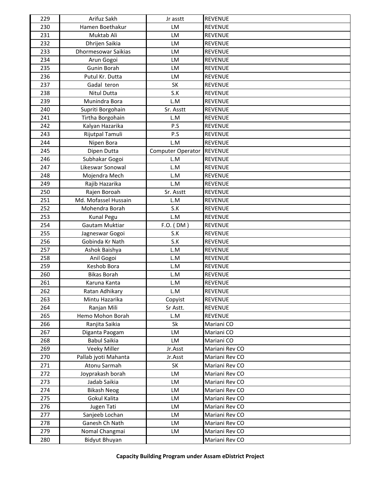| 229 | Arifuz Sakh                | Jr asstt          | <b>REVENUE</b> |
|-----|----------------------------|-------------------|----------------|
| 230 | Hamen Boethakur            | LM                | <b>REVENUE</b> |
| 231 | Muktab Ali                 | LM                | <b>REVENUE</b> |
| 232 | Dhrijen Saikia             | LM                | <b>REVENUE</b> |
| 233 | <b>Dhormesowar Saikias</b> | LM                | <b>REVENUE</b> |
| 234 | Arun Gogoi                 | LM                | <b>REVENUE</b> |
| 235 | Gunin Borah                | LM                | <b>REVENUE</b> |
| 236 | Putul Kr. Dutta            | LM                | <b>REVENUE</b> |
| 237 | Gadal teron                | <b>SK</b>         | <b>REVENUE</b> |
| 238 | Nitul Dutta                | S.K               | <b>REVENUE</b> |
| 239 | Munindra Bora              | L.M               | <b>REVENUE</b> |
| 240 | Supriti Borgohain          | Sr. Asstt         | <b>REVENUE</b> |
| 241 | Tirtha Borgohain           | L.M               | <b>REVENUE</b> |
| 242 | Kalyan Hazarika            | P.S               | <b>REVENUE</b> |
| 243 | Rijutpal Tamuli            | P.S               | <b>REVENUE</b> |
| 244 | Nipen Bora                 | L.M               | <b>REVENUE</b> |
| 245 | Dipen Dutta                | Computer Operator | <b>REVENUE</b> |
| 246 | Subhakar Gogoi             | L.M               | <b>REVENUE</b> |
| 247 | Likeswar Sonowal           | L.M               | <b>REVENUE</b> |
| 248 | Mojendra Mech              | L.M               | <b>REVENUE</b> |
| 249 | Rajib Hazarika             | L.M               | <b>REVENUE</b> |
| 250 | Rajen Boroah               | Sr. Asstt         | <b>REVENUE</b> |
| 251 | Md. Mofassel Hussain       | L.M               | <b>REVENUE</b> |
| 252 | Mohendra Borah             | S.K               | <b>REVENUE</b> |
| 253 | <b>Kunal Pegu</b>          | L.M               | <b>REVENUE</b> |
| 254 | Gautam Muktiar             | $F.O.$ (DM)       | <b>REVENUE</b> |
| 255 | Jagneswar Gogoi            | S.K               | <b>REVENUE</b> |
| 256 | Gobinda Kr Nath            | S.K               | <b>REVENUE</b> |
| 257 | Ashok Baishya              | L.M               | <b>REVENUE</b> |
| 258 | Anil Gogoi                 | L.M               | <b>REVENUE</b> |
| 259 | Keshob Bora                | L.M               | <b>REVENUE</b> |
| 260 | <b>Bikas Borah</b>         | L.M               | <b>REVENUE</b> |
| 261 | Karuna Kanta               | L.M               | <b>REVENUE</b> |
| 262 | Ratan Adhikary             | L.M               | <b>REVENUE</b> |
| 263 | Mintu Hazarika             | Copyist           | <b>REVENUE</b> |
| 264 | Ranjan Mili                | Sr Astt.          | <b>REVENUE</b> |
| 265 | Hemo Mohon Borah           | L.M               | <b>REVENUE</b> |
| 266 | Ranjita Saikia             | Sk                | Mariani CO     |
| 267 | Diganta Paogam             | LM                | Mariani CO     |
| 268 | <b>Babul Saikia</b>        | LM                | Mariani CO     |
| 269 | Veeky Miller               | Jr.Asst           | Mariani Rev CO |
| 270 | Pallab jyoti Mahanta       | Jr.Asst           | Mariani Rev CO |
| 271 | Atonu Sarmah               | SK                | Mariani Rev CO |
| 272 | Joyprakash borah           | LM                | Mariani Rev CO |
| 273 | Jadab Saikia               | LM                | Mariani Rev CO |
| 274 | <b>Bikash Neog</b>         | LM                | Mariani Rev CO |
| 275 | Gokul Kalita               | LM                | Mariani Rev CO |
| 276 | Jugen Tati                 | LM                | Mariani Rev CO |
| 277 | Sanjeeb Lochan             | LM                | Mariani Rev CO |
| 278 | Ganesh Ch Nath             | LM                | Mariani Rev CO |
| 279 | Nomal Changmai             | LM                | Mariani Rev CO |
| 280 | <b>Bidyut Bhuyan</b>       |                   | Mariani Rev CO |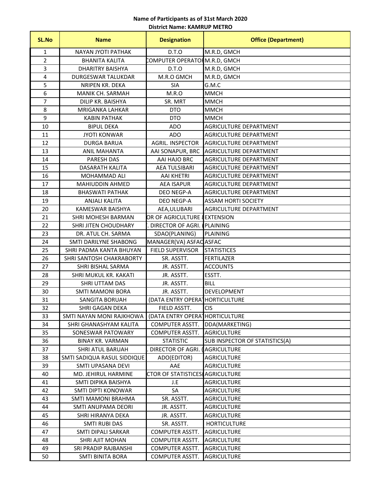#### **District Name: KAMRUP METRO Name of Participants as of 31st March 2020**

| <b>SL.No</b>   | <b>Name</b>                 | <b>Designation</b>              | <b>Office (Department)</b>     |
|----------------|-----------------------------|---------------------------------|--------------------------------|
| $\mathbf{1}$   | NAYAN JYOTI PATHAK          | D.T.O                           | M.R.D, GMCH                    |
| $\overline{2}$ | <b>BHANITA KALITA</b>       | COMPUTER OPERATOR M.R.D, GMCH   |                                |
| 3              | <b>DHARITRY BAISHYA</b>     | D.T.O                           | M.R.D, GMCH                    |
| 4              | DURGESWAR TALUKDAR          | M.R.O GMCH                      | M.R.D, GMCH                    |
| 5              | NRIPEN KR. DEKA             | <b>SIA</b>                      | G.M.C                          |
| 6              | MANIK CH. SARMAH            | M.R.O                           | <b>MMCH</b>                    |
| $\overline{7}$ | DILIP KR. BAISHYA           | SR. MRT                         | MMCH                           |
| 8              | <b>MRIGANKA LAHKAR</b>      | <b>DTO</b>                      | <b>MMCH</b>                    |
| 9              | <b>KABIN PATHAK</b>         | <b>DTO</b>                      | <b>MMCH</b>                    |
| 10             | <b>BIPUL DEKA</b>           | <b>ADO</b>                      | AGRICULTURE DEPARTMENT         |
| 11             | <b>JYOTI KONWAR</b>         | <b>ADO</b>                      | <b>AGRICULTURE DEPARTMENT</b>  |
| 12             | <b>DURGA BARUA</b>          | AGRIL. INSPECTOR                | AGRICULTURE DEPARTMENT         |
| 13             | <b>ANIL MAHANTA</b>         | AAI SONAPUR, BRC                | AGRICULTURE DEPARTMENT         |
| 14             | PARESH DAS                  | AAI HAJO BRC                    | AGRICULTURE DEPARTMENT         |
| 15             | DASARATH KALITA             | <b>AEA TULSIBARI</b>            | AGRICULTURE DEPARTMENT         |
| 16             | <b>MOHAMMAD ALI</b>         | <b>AAI KHETRI</b>               | AGRICULTURE DEPARTMENT         |
| 17             | MAHIUDDIN AHMED             | <b>AEA ISAPUR</b>               | <b>AGRICULTURE DEPARTMENT</b>  |
| 18             | <b>BHASWATI PATHAK</b>      | DEO NEGP-A                      | AGRICULTURE DEPARTMENT         |
| 19             | <b>ANJALI KALITA</b>        | <b>DEO NEGP-A</b>               | <b>ASSAM HORTI SOCIETY</b>     |
| 20             | KAMESWAR BAISHYA            | AEA, ULUBARI                    | AGRICULTURE DEPARTMENT         |
| 21             | SHRI MOHESH BARMAN          | OR OF AGRICULTURE & EXTENSION   |                                |
| 22             | SHRI JITEN CHOUDHARY        | DIRECTOR OF AGRI.               | <b>PLAINING</b>                |
| 23             | DR. ATUL CH. SARMA          | SDAO(PLANING)                   | <b>PLAINING</b>                |
| 24             | SMTI DARILYNE SHABONG       | MANAGER(VA) ASFAC ASFAC         |                                |
| 25             | SHRI PADMA KANTA BHUYAN     | <b>FIELD SUPERVISOR</b>         | <b>STATISTICES</b>             |
| 26             | SHRI SANTOSH CHAKRABORTY    | SR. ASSTT.                      | <b>FERTILAZER</b>              |
| 27             | SHRI BISHAL SARMA           | JR. ASSTT.                      | <b>ACCOUNTS</b>                |
| 28             | SHRI MUKUL KR. KAKATI       | JR. ASSTT.                      | ESSTT.                         |
| 29             | SHRI UTTAM DAS              | JR. ASSTT.                      | <b>BILL</b>                    |
| 30             | <b>SMTI MAMONI BORA</b>     | JR. ASSTT.                      | DEVELOPMENT                    |
| 31             | <b>SANGITA BORUAH</b>       | (DATA ENTRY OPERA <sup>-</sup>  | <b>HORTICULTURE</b>            |
| 32             | SHRI GAGAN DEKA             | FIELD ASSTT.                    | <b>CIS</b>                     |
| 33             | SMTI NAYAN MONI RAJKHOWA    | (DATA ENTRY OPERA HORTICULTURE  |                                |
| 34             | SHRI GHANASHYAM KALITA      | COMPUTER ASSTT.                 | DDA(MARKETING)                 |
| 35             | SONESWAR PATOWARY           | COMPUTER ASSTT.                 | <b>AGRICULTURE</b>             |
| 36             | <b>BINAY KR. VARMAN</b>     | <b>STATISTIC</b>                | SUB INSPECTOR OF STATISTICS(A) |
| 37             | SHRI ATUL BARUAH            | DIRECTOR OF AGRI. (             | <b>AGRICULTURE</b>             |
| 38             | SMTI SADIQUA RASUL SIDDIQUE | ADO(EDITOR)                     | <b>AGRICULTURE</b>             |
| 39             | SMTI UPASANA DEVI           | AAE                             | AGRICULTURE                    |
| 40             | MD. JEHIRUL HARMINE         | CTOR OF STATISTICES AGRICULTURE |                                |
| 41             | SMTI DIPIKA BAISHYA         | J.E                             | AGRICULTURE                    |
| 42             | SMTI DIPTI KONOWAR          | SA                              | AGRICULTURE                    |
| 43             | SMTI MAMONI BRAHMA          | SR. ASSTT.                      | <b>AGRICULTURE</b>             |
| 44             | SMTI ANUPAMA DEORI          | JR. ASSTT.                      | AGRICULTURE                    |
| 45             | SHRI HIRANYA DEKA           | JR. ASSTT.                      | AGRICULTURE                    |
| 46             | SMTI RUBI DAS               | SR. ASSTT.                      | <b>HORTICULTURE</b>            |
| 47             | SMTI DIPALI SARKAR          | COMPUTER ASSTT.                 | <b>AGRICULTURE</b>             |
| 48             | SHRI AJIT MOHAN             | COMPUTER ASSTT.                 | <b>AGRICULTURE</b>             |
| 49             | SRI PRADIP RAJBANSHI        | COMPUTER ASSTT.                 | <b>AGRICULTURE</b>             |
| 50             | <b>SMTI BINITA BORA</b>     | COMPUTER ASSTT.                 | <b>AGRICULTURE</b>             |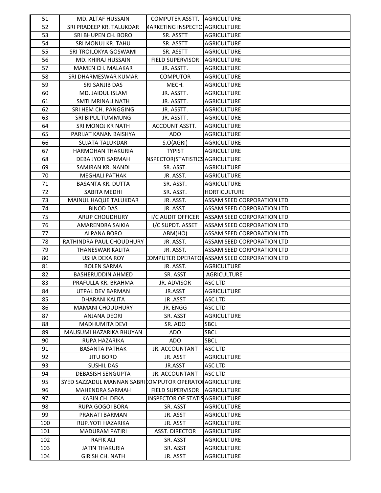| 51  | MD. ALTAF HUSSAIN                                      | <b>COMPUTER ASSTT.</b>                 | <b>AGRICULTURE</b>                          |
|-----|--------------------------------------------------------|----------------------------------------|---------------------------------------------|
| 52  | SRI PRADEEP KR. TALUKDAR                               | <b>AARKETING INSPECTO AGRICULTURE</b>  |                                             |
| 53  | SRI BHUPEN CH. BORO                                    | SR. ASSTT                              | <b>AGRICULTURE</b>                          |
| 54  | SRI MONUJ KR. TAHU                                     | SR. ASSTT                              | AGRICULTURE                                 |
| 55  | SRI TROILOKYA GOSWAMI                                  | SR. ASSTT                              | AGRICULTURE                                 |
| 56  | MD. KHIRAJ HUSSAIN                                     | <b>FIELD SUPERVISOR</b>                | <b>AGRICULTURE</b>                          |
| 57  | MAMEN CH. MALAKAR                                      | JR. ASSTT.                             | AGRICULTURE                                 |
| 58  | SRI DHARMESWAR KUMAR                                   | <b>COMPUTOR</b>                        | AGRICULTURE                                 |
| 59  | SRI SANJIB DAS                                         | MECH.                                  | <b>AGRICULTURE</b>                          |
| 60  | MD. JAIDUL ISLAM                                       | JR. ASSTT.                             | <b>AGRICULTURE</b>                          |
| 61  | <b>SMTI MRINALI NATH</b>                               | JR. ASSTT.                             | AGRICULTURE                                 |
| 62  | SRI HEM CH. PANGGING                                   | JR. ASSTT.                             | AGRICULTURE                                 |
| 63  | SRI BIPUL TUMMUNG                                      | JR. ASSTT.                             | AGRICULTURE                                 |
| 64  | SRI MONOJ KR NATH                                      | ACCOUNT ASSTT.                         | <b>AGRICULTURE</b>                          |
| 65  | PARIJAT KANAN BAISHYA                                  | <b>ADO</b>                             | <b>AGRICULTURE</b>                          |
| 66  | <b>SUJATA TALUKDAR</b>                                 | S.O(AGRI)                              | AGRICULTURE                                 |
| 67  | <b>HARMOHAN THAKURIA</b>                               | <b>TYPIST</b>                          | <b>AGRICULTURE</b>                          |
| 68  | DEBA JYOTI SARMAH                                      | NSPECTOR(STATISTICS AGRICULTURE        |                                             |
| 69  | SAMIRAN KR. NANDI                                      | SR. ASST.                              | <b>AGRICULTURE</b>                          |
| 70  | <b>MEGHALI PATHAK</b>                                  | JR. ASST.                              | AGRICULTURE                                 |
| 71  | <b>BASANTA KR. DUTTA</b>                               | SR. ASST.                              | AGRICULTURE                                 |
| 72  | SABITA MEDHI                                           | SR. ASST.                              | <b>HORTICULTURE</b>                         |
| 73  | MAINUL HAQUE TALUKDAR                                  | JR. ASST.                              | ASSAM SEED CORPORATION LTD                  |
| 74  | <b>BINOD DAS</b>                                       | JR. ASST.                              | <b>ASSAM SEED CORPORATION LTD</b>           |
| 75  | <b>ARUP CHOUDHURY</b>                                  | I/C AUDIT OFFICER                      | ASSAM SEED CORPORATION LTD                  |
| 76  | AMARENDRA SAIKIA                                       | I/C SUPDT. ASSET                       | ASSAM SEED CORPORATION LTD                  |
| 77  | <b>ALPANA BORO</b>                                     | ABM(HO)                                | <b>ASSAM SEED CORPORATION LTD</b>           |
| 78  | RATHINDRA PAUL CHOUDHURY                               | JR. ASST.                              | ASSAM SEED CORPORATION LTD                  |
| 79  | THANESWAR KALITA                                       | JR. ASST.                              | ASSAM SEED CORPORATION LTD                  |
| 80  | <b>USHA DEKA ROY</b>                                   |                                        | COMPUTER OPERATOHASSAM SEED CORPORATION LTD |
| 81  | <b>BOLEN SARMA</b>                                     | JR. ASST.                              | AGRICULTURE                                 |
|     | <b>BASHERUDDIN AHMED</b>                               | SR. ASST                               |                                             |
| 82  |                                                        |                                        | <b>AGRICULTURE</b>                          |
| 83  | PRAFULLA KR. BRAHMA                                    | JR. ADVISOR                            | ASC LTD                                     |
| 84  | UTPAL DEV BARMAN                                       | JR.ASST                                | <b>AGRICULTURE</b>                          |
| 85  | DHARANI KALITA                                         | JR .ASST                               | <b>ASC LTD</b>                              |
| 86  | <b>MAMANI CHOUDHURY</b>                                | JR. ENGG                               | ASC LTD                                     |
| 87  | ANJANA DEORI                                           | SR. ASST                               | AGRICULTURE                                 |
| 88  | <b>MADHUMITA DEVI</b>                                  | SR. ADO                                | <b>SBCL</b>                                 |
| 89  | MAUSUMI HAZARIKA BHUYAN                                | <b>ADO</b>                             | <b>SBCL</b>                                 |
| 90  | <b>RUPA HAZARIKA</b>                                   | ADO                                    | <b>SBCL</b>                                 |
| 91  | <b>BASANTA PATHAK</b>                                  | <b>JR. ACCOUNTANT</b>                  | <b>ASC LTD</b>                              |
| 92  | <b>JITU BORO</b>                                       | JR. ASST                               | <b>AGRICULTURE</b>                          |
| 93  | <b>SUSHIL DAS</b>                                      | JR.ASST                                | <b>ASC LTD</b>                              |
| 94  | <b>DEBASISH SENGUPTA</b>                               | JR. ACCOUNTANT                         | ASC LTD                                     |
| 95  | SYED SAZZADUL MANNAN SABRICOMPUTOR OPERATOLAGRICULTURE |                                        |                                             |
| 96  | <b>MAHENDRA SARMAH</b>                                 | <b>FIELD SUPERVISOR</b>                | <b>AGRICULTURE</b>                          |
| 97  | KABIN CH. DEKA                                         | <b>INSPECTOR OF STATIS AGRICULTURE</b> |                                             |
| 98  | <b>RUPA GOGOI BORA</b>                                 | SR. ASST                               | <b>AGRICULTURE</b>                          |
| 99  | PRANATI BARMAN                                         | JR. ASST                               | AGRICULTURE                                 |
| 100 | RUPJYOTI HAZARIKA                                      | JR. ASST                               | AGRICULTURE                                 |
| 101 | <b>MADURAM PATIRI</b>                                  | <b>ASST. DIRECTOR</b>                  | <b>AGRICULTURE</b>                          |
| 102 | <b>RAFIK ALI</b>                                       | SR. ASST                               | <b>AGRICULTURE</b>                          |
| 103 | <b>JATIN THAKURIA</b>                                  | SR. ASST                               | <b>AGRICULTURE</b>                          |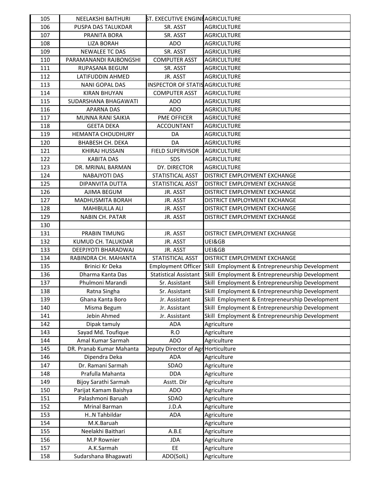| 105 | NEELAKSHI BAITHURI       | <b>ST. EXECUTIVE ENGINE AGRICULTURE</b> |                                                 |
|-----|--------------------------|-----------------------------------------|-------------------------------------------------|
| 106 | PUSPA DAS TALUKDAR       | SR. ASST                                | <b>AGRICULTURE</b>                              |
| 107 | PRANITA BORA             | SR. ASST                                | <b>AGRICULTURE</b>                              |
| 108 | <b>LIZA BORAH</b>        | <b>ADO</b>                              | <b>AGRICULTURE</b>                              |
| 109 | <b>NEWALEE TC DAS</b>    | SR. ASST                                | <b>AGRICULTURE</b>                              |
| 110 | PARAMANANDI RAJBONGSHI   | <b>COMPUTER ASST</b>                    | <b>AGRICULTURE</b>                              |
| 111 | RUPASANA BEGUM           | SR. ASST                                | <b>AGRICULTURE</b>                              |
| 112 | LATIFUDDIN AHMED         | JR. ASST                                | <b>AGRICULTURE</b>                              |
| 113 | <b>NANI GOPAL DAS</b>    | <b>INSPECTOR OF STATIS AGRICULTURE</b>  |                                                 |
| 114 | <b>KIRAN BHUYAN</b>      | <b>COMPUTER ASST</b>                    | <b>AGRICULTURE</b>                              |
| 115 | SUDARSHANA BHAGAWATI     | <b>ADO</b>                              | <b>AGRICULTURE</b>                              |
| 116 | <b>APARNA DAS</b>        | <b>ADO</b>                              | <b>AGRICULTURE</b>                              |
| 117 | MUNNA RANI SAIKIA        | PME OFFICER                             | <b>AGRICULTURE</b>                              |
| 118 | <b>GEETA DEKA</b>        | <b>ACCOUNTANT</b>                       | <b>AGRICULTURE</b>                              |
| 119 | <b>HEMANTA CHOUDHURY</b> | DA                                      | <b>AGRICULTURE</b>                              |
| 120 | <b>BHABESH CH. DEKA</b>  | DA                                      | <b>AGRICULTURE</b>                              |
| 121 | KHIRAJ HUSSAIN           | FIELD SUPERVISOR                        | <b>AGRICULTURE</b>                              |
| 122 | <b>KABITA DAS</b>        | <b>SDS</b>                              | <b>AGRICULTURE</b>                              |
| 123 | DR. MRINAL BARMAN        | DY. DIRECTOR                            | <b>AGRICULTURE</b>                              |
| 124 | <b>NABAJYOTI DAS</b>     | STATISTICAL ASST                        | DISTRICT EMPLOYMENT EXCHANGE                    |
| 125 | DIPANVITA DUTTA          | <b>STATISTICAL ASST</b>                 | DISTRICT EMPLOYMENT EXCHANGE                    |
| 126 | AJIMA BEGUM              | JR. ASST                                | DISTRICT EMPLOYMENT EXCHANGE                    |
| 127 | MADHUSMITA BORAH         | JR. ASST                                | DISTRICT EMPLOYMENT EXCHANGE                    |
| 128 | MAHIBULLA ALI            | JR. ASST                                | DISTRICT EMPLOYMENT EXCHANGE                    |
| 129 | NABIN CH. PATAR          | JR. ASST                                | DISTRICT EMPLOYMENT EXCHANGE                    |
| 130 |                          |                                         |                                                 |
| 131 | <b>PRABIN TIMUNG</b>     | JR. ASST                                | DISTRICT EMPLOYMENT EXCHANGE                    |
| 132 | KUMUD CH. TALUKDAR       | JR. ASST                                | UEI&GB                                          |
| 133 | DEEPJYOTI BHARADWAJ      | JR. ASST                                | UEI&GB                                          |
| 134 | RABINDRA CH. MAHANTA     | STATISTICAL ASST                        | DISTRICT EMPLOYMENT EXCHANGE                    |
| 135 | Brinici Kr Deka          | <b>Employment Officer</b>               | Skill Employment & Entrepreneurship Development |
| 136 | Dharma Kanta Das         | <b>Statistical Assistant</b>            | Skill Employment & Entrepreneurship Development |
| 137 | Phulmoni Marandi         | Sr. Assistant                           | Skill Employment & Entrepreneurship Development |
| 138 | Ratna Singha             | Sr. Assistant                           | Skill Employment & Entrepreneurship Development |
| 139 | Ghana Kanta Boro         | Jr. Assistant                           | Skill Employment & Entrepreneurship Development |
| 140 | Misma Begum              | Jr. Assistant                           | Skill Employment & Entrepreneurship Development |
| 141 | Jebin Ahmed              | Jr. Assistant                           | Skill Employment & Entrepreneurship Development |
| 142 | Dipak tamuly             | <b>ADA</b>                              | Agriculture                                     |
| 143 | Sayad Md. Toufique       | R.O                                     | Agriculture                                     |
| 144 | Amal Kumar Sarmah        | <b>ADO</b>                              | Agriculture                                     |
| 145 | DR. Pranab Kumar Mahanta | Deputy Director of Agr                  | Horticulture                                    |
| 146 | Dipendra Deka            | <b>ADA</b>                              | Agriculture                                     |
| 147 | Dr. Ramani Sarmah        | SDAO                                    | Agriculture                                     |
| 148 | Prafulla Mahanta         | <b>DDA</b>                              | Agriculture                                     |
| 149 | Bijoy Sarathi Sarmah     | Asstt. Dir                              | Agriculture                                     |
| 150 | Parijat Kamam Baishya    | <b>ADO</b>                              | Agriculture                                     |
| 151 | Palashmoni Baruah        | SDAO                                    | Agriculture                                     |
| 152 | Mrinal Barman            | J.D.A                                   | Agriculture                                     |
| 153 | HN Tahbildar             | <b>ADA</b>                              | Agriculture                                     |
| 154 | M.K.Baruah               |                                         | Agriculture                                     |
| 155 | Neelakhi Baithari        | A.B.E                                   | Agriculture                                     |
| 156 | M.P Rownier              | JDA                                     | Agriculture                                     |
| 157 | A.K.Sarmah               | EE                                      | Agriculture                                     |
| 158 | Sudarshana Bhagawati     | ADO(SolL)                               | Agriculture                                     |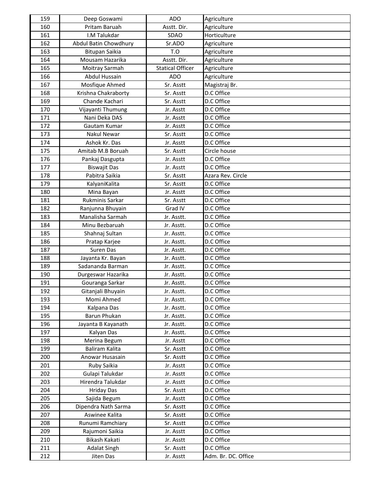| 159 | Deep Goswami          | <b>ADO</b>              | Agriculture         |
|-----|-----------------------|-------------------------|---------------------|
| 160 | Pritam Baruah         | Asstt. Dir.             | Agriculture         |
| 161 | I.M Talukdar          | <b>SDAO</b>             | Horticulture        |
| 162 | Abdul Batin Chowdhury | Sr.ADO                  | Agriculture         |
| 163 | Bitupan Saikia        | T.O                     | Agriculture         |
| 164 | Mousam Hazarika       | Asstt. Dir.             | Agriculture         |
| 165 | Moitray Sarmah        | <b>Statical Officer</b> | Agriculture         |
| 166 | Abdul Hussain         | <b>ADO</b>              | Agriculture         |
| 167 | Mosfique Ahmed        | Sr. Asstt               | Magistraj Br.       |
| 168 | Krishna Chakraborty   | Sr. Asstt               | D.C Office          |
| 169 | Chande Kachari        | Sr. Asstt               | D.C Office          |
| 170 | Vijayanti Thumung     | Jr. Asstt               | D.C Office          |
| 171 | Nani Deka DAS         | Jr. Asstt               | D.C Office          |
| 172 | Gautam Kumar          | Jr. Asstt               | D.C Office          |
| 173 | Nakul Newar           | Sr. Asstt               | D.C Office          |
| 174 | Ashok Kr. Das         | Jr. Asstt               | D.C Office          |
| 175 | Amitab M.B Boruah     | Sr. Asstt               | Circle house        |
| 176 | Pankaj Dasgupta       | Jr. Asstt               | D.C Office          |
| 177 | <b>Biswajit Das</b>   | Jr. Asstt               | D.C Office          |
| 178 | Pabitra Saikia        | Sr. Asstt               | Azara Rev. Circle   |
| 179 | KalyaniKalita         | Sr. Asstt               | D.C Office          |
| 180 | Mina Bayan            | Jr. Asstt               | D.C Office          |
| 181 | Rukminis Sarkar       | Sr. Asstt               | D.C Office          |
| 182 | Ranjunna Bhuyain      | Grad IV                 | D.C Office          |
| 183 | Manalisha Sarmah      | Jr. Asstt.              | D.C Office          |
| 184 | Minu Bezbaruah        | Jr. Asstt.              | D.C Office          |
| 185 | Shahnaj Sultan        | Jr. Asstt.              | D.C Office          |
| 186 | Pratap Karjee         | Jr. Asstt.              | D.C Office          |
| 187 | Suren Das             | Jr. Asstt.              | D.C Office          |
| 188 | Jayanta Kr. Bayan     | Jr. Asstt.              | D.C Office          |
| 189 | Sadananda Barman      | Jr. Asstt.              | D.C Office          |
| 190 | Durgeswar Hazarika    | Jr. Asstt.              | D.C Office          |
| 191 | Gouranga Sarkar       | Jr. Asstt.              | D.C Office          |
| 192 | Gitanjali Bhuyain     | Jr. Asstt.              | D.C Office          |
| 193 | Momi Ahmed            | Jr. Asstt.              | D.C Office          |
| 194 | Kalpana Das           | Jr. Asstt.              | D.C Office          |
| 195 | Barun Phukan          | Jr. Asstt.              | D.C Office          |
| 196 | Jayanta B Kayanath    | Jr. Asstt.              | D.C Office          |
| 197 | Kalyan Das            | Jr. Asstt.              | D.C Office          |
| 198 | Merina Begum          | Jr. Asstt               | D.C Office          |
| 199 | Baliram Kalita        | Sr. Asstt               | D.C Office          |
| 200 | Anowar Husasain       | Sr. Asstt               | D.C Office          |
| 201 | Ruby Saikia           | Jr. Asstt               | D.C Office          |
| 202 | Gulapi Talukdar       | Jr. Asstt               | D.C Office          |
| 203 | Hirendra Talukdar     | Jr. Asstt               | D.C Office          |
| 204 | <b>Hriday Das</b>     | Sr. Asstt               | D.C Office          |
| 205 | Sajida Begum          | Jr. Asstt               | D.C Office          |
| 206 | Dipendra Nath Sarma   | Sr. Asstt               | D.C Office          |
| 207 | Aswinee Kalita        | Sr. Asstt               | D.C Office          |
| 208 | Runumi Ramchiary      | Sr. Asstt               | D.C Office          |
| 209 | Rajumoni Saikia       | Jr. Asstt               | D.C Office          |
| 210 | Bikash Kakati         | Jr. Asstt               | D.C Office          |
| 211 | <b>Adalat Singh</b>   | Sr. Asstt               | D.C Office          |
| 212 | Jiten Das             | Jr. Asstt               | Adm. Br. DC. Office |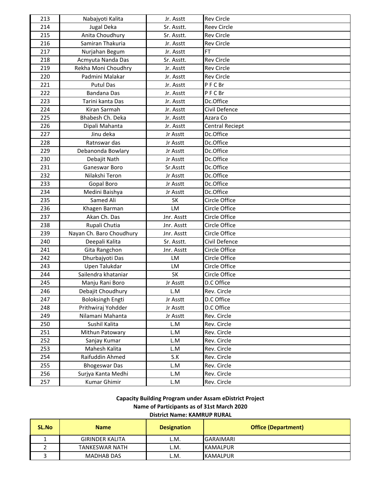| 213 | Nabajyoti Kalita         | Jr. Asstt   | <b>Rev Circle</b>  |
|-----|--------------------------|-------------|--------------------|
| 214 | Jugal Deka               | Sr. Asstt.  | <b>Reev Circle</b> |
| 215 | Anita Choudhury          | Sr. Asstt.  | <b>Rev Circle</b>  |
| 216 | Samiran Thakuria         | Jr. Asstt   | <b>Rev Circle</b>  |
| 217 | Nurjahan Begum           | Jr. Asstt   | <b>FT</b>          |
| 218 | Acmyuta Nanda Das        | Sr. Asstt.  | <b>Rev Circle</b>  |
| 219 | Rekha Moni Choudhry      | Jr. Asstt   | <b>Rev Circle</b>  |
| 220 | Padmini Malakar          | Jr. Asstt   | <b>Rev Circle</b>  |
| 221 | <b>Putul Das</b>         | Jr. Asstt   | PFCBr              |
| 222 | Bandana Das              | Jr. Asstt   | PFCBr              |
| 223 | Tarini kanta Das         | Jr. Asstt   | Dc.Office          |
| 224 | Kiran Sarmah             | Jr. Asstt   | Civil Defence      |
| 225 | Bhabesh Ch. Deka         | Jr. Asstt   | Azara Co           |
| 226 | Dipali Mahanta           | Jr. Asstt   | Central Reciept    |
| 227 | Jinu deka                | Jr Asstt    | Dc.Office          |
| 228 | Ratnswar das             | Jr Asstt    | Dc.Office          |
| 229 | Debanonda Bowlary        | Jr Asstt    | Dc.Office          |
| 230 | Debajit Nath             | Jr Asstt    | Dc.Office          |
| 231 | Ganeswar Boro            | Sr.Asstt    | Dc.Office          |
| 232 | Nilakshi Teron           | Jr Asstt    | Dc.Office          |
| 233 | Gopal Boro               | Jr Asstt    | Dc.Office          |
| 234 | Medini Baishya           | Jr Asstt    | Dc.Office          |
| 235 | Samed Ali                | <b>SK</b>   | Circle Office      |
| 236 | Khagen Barman            | LM          | Circle Office      |
| 237 | Akan Ch. Das             | Jnr. Asstt  | Circle Office      |
| 238 | Rupali Chutia            | Jnr. Asstt  | Circle Office      |
| 239 | Nayan Ch. Baro Choudhury | Jnr. Asstt  | Circle Office      |
| 240 | Deepali Kalita           | Sr. Asstt.  | Civil Defence      |
| 241 | Gita Rangchon            | Jnr. Asstt  | Circle Office      |
| 242 | Dhurbajyoti Das          | LM          | Circle Office      |
| 243 | Upen Talukdar            | LM          | Circle Office      |
| 244 | Sailendra khataniar      | <b>SK</b>   | Circle Office      |
| 245 | Manju Rani Boro          | Jr Asstt    | D.C Office         |
| 246 | Debajit Choudhury        | L.M         | Rev. Circle        |
| 247 | <b>Boloksingh Engti</b>  | Jr Asstt    | D.C Office         |
| 248 | Prithwiraj Yohdder       | Jr Asstt    | D.C Office         |
| 249 | Nilamani Mahanta         | Jr Asstt    | Rev. Circle        |
| 250 | Sushil Kalita            | L.M         | Rev. Circle        |
| 251 | Mithun Patowary          | L.M         | Rev. Circle        |
| 252 | Sanjay Kumar             | L.M         | Rev. Circle        |
| 253 | Mahesh Kalita            | L.M         | Rev. Circle        |
| 254 | Raifuddin Ahmed          | S.K         | Rev. Circle        |
| 255 | <b>Bhogeswar Das</b>     | L.M         | Rev. Circle        |
| 256 | Surjya Kanta Medhi       | L.M         | Rev. Circle        |
| 257 | Kumar Ghimir             | ${\sf L.M}$ | Rev. Circle        |

**Capacity Building Program under Assam eDistrict Project Name of Participants as of 31st March 2020**

**District Name: KAMRUP RURAL**

| <b>SL.No</b> | <b>Name</b>            | <b>Designation</b> | <b>Office (Department)</b> |
|--------------|------------------------|--------------------|----------------------------|
|              | <b>GIRINDER KALITA</b> | L.M.               | <b>GARAIMARI</b>           |
|              | TANKESWAR NATH         | L.M.               | KAMALPUR                   |
|              | <b>MADHAB DAS</b>      | L.M.               | <b>KAMALPUR</b>            |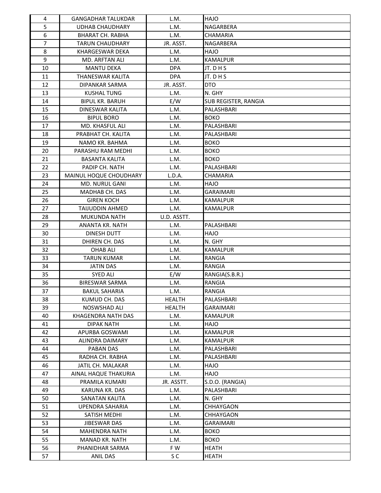| 4  | <b>GANGADHAR TALUKDAR</b> | L.M.          | <b>HAJO</b>          |
|----|---------------------------|---------------|----------------------|
| 5  | <b>UDHAB CHAUDHARY</b>    | L.M.          | <b>NAGARBERA</b>     |
| 6  | <b>BHARAT CH. RABHA</b>   | L.M.          | <b>CHAMARIA</b>      |
| 7  | <b>TARUN CHAUDHARY</b>    | JR. ASST.     | <b>NAGARBERA</b>     |
| 8  | <b>KHARGESWAR DEKA</b>    | L.M.          | <b>OLAH</b>          |
| 9  | <b>MD. ARFTAN ALI</b>     | L.M.          | <b>KAMALPUR</b>      |
| 10 | <b>MANTU DEKA</b>         | <b>DPA</b>    | JT. D H S            |
| 11 | THANESWAR KALITA          | <b>DPA</b>    | JT. D H S            |
| 12 | DIPANKAR SARMA            | JR. ASST.     | <b>DTO</b>           |
| 13 | <b>KUSHAL TUNG</b>        | L.M.          | N. GHY               |
| 14 | <b>BIPUL KR. BARUH</b>    | E/W           | SUB REGISTER, RANGIA |
| 15 | DINESWAR KALITA           | L.M.          | PALASHBARI           |
| 16 | <b>BIPUL BORO</b>         | L.M.          | <b>BOKO</b>          |
| 17 | MD. KHASFUL ALI           | L.M.          | PALASHBARI           |
| 18 | PRABHAT CH. KALITA        | L.M.          | PALASHBARI           |
| 19 | NAMO KR. BAHMA            | L.M.          | <b>BOKO</b>          |
| 20 | PARASHU RAM MEDHI         | L.M.          | <b>BOKO</b>          |
| 21 | <b>BASANTA KALITA</b>     | L.M.          | <b>BOKO</b>          |
| 22 | PADIP CH. NATH            | L.M.          | PALASHBARI           |
| 23 | MAINUL HOQUE CHOUDHARY    | L.D.A.        | CHAMARIA             |
| 24 | <b>MD. NURUL GANI</b>     | L.M.          | <b>HAJO</b>          |
| 25 | MADHAB CH. DAS            | L.M.          | <b>GARAIMARI</b>     |
| 26 | <b>GIREN KOCH</b>         | L.M.          | <b>KAMALPUR</b>      |
| 27 | <b>TAIJUDDIN AHMED</b>    | L.M.          | <b>KAMALPUR</b>      |
| 28 | MUKUNDA NATH              | U.D. ASSTT.   |                      |
| 29 | ANANTA KR. NATH           | L.M.          | PALASHBARI           |
| 30 | DINESH DUTT               | L.M.          | <b>OLAH</b>          |
| 31 | DHIREN CH. DAS            | L.M.          | N. GHY               |
| 32 | <b>OHAB ALI</b>           | L.M.          | <b>KAMALPUR</b>      |
| 33 | <b>TARUN KUMAR</b>        | L.M.          | RANGIA               |
| 34 | <b>JATIN DAS</b>          | L.M.          | RANGIA               |
| 35 | <b>SYED ALI</b>           | E/W           | RANGIA(S.B.R.)       |
| 36 | <b>BIRESWAR SARMA</b>     | L.M.          | <b>RANGIA</b>        |
| 37 | <b>BAKUL SAHARIA</b>      | L.M.          | RANGIA               |
| 38 | KUMUD CH. DAS             | <b>HEALTH</b> | PALASHBARI           |
| 39 | <b>NOSWSHAD ALI</b>       | <b>HEALTH</b> | <b>GARAIMARI</b>     |
| 40 | KHAGENDRA NATH DAS        | L.M.          | <b>KAMALPUR</b>      |
| 41 | <b>DIPAK NATH</b>         | L.M.          | <b>OLAH</b>          |
| 42 | APURBA GOSWAMI            | L.M.          | KAMALPUR             |
| 43 | ALINDRA DAIMARY           | L.M.          | KAMALPUR             |
| 44 | PABAN DAS                 | L.M.          | PALASHBARI           |
| 45 | RADHA CH. RABHA           | L.M.          | PALASHBARI           |
| 46 | JATIL CH. MALAKAR         | L.M.          | <b>OLAH</b>          |
| 47 | AINAL HAQUE THAKURIA      | L.M.          | <b>OLAH</b>          |
| 48 | PRAMILA KUMARI            | JR. ASSTT.    | S.D.O. (RANGIA)      |
| 49 | KARUNA KR. DAS            | L.M.          | PALASHBARI           |
| 50 | SANATAN KALITA            | L.M.          | N. GHY               |
| 51 | UPENDRA SAHARIA           | L.M.          | <b>CHHAYGAON</b>     |
| 52 | SATISH MEDHI              | L.M.          | CHHAYGAON            |
| 53 | JIBESWAR DAS              | L.M.          | GARAIMARI            |
| 54 | <b>MAHENDRA NATH</b>      | L.M.          | <b>BOKO</b>          |
| 55 | MANAD KR. NATH            | L.M.          | <b>BOKO</b>          |
| 56 | PHANIDHAR SARMA           | F W           | <b>HEATH</b>         |
| 57 | ANIL DAS                  | S C           | HEATH                |
|    |                           |               |                      |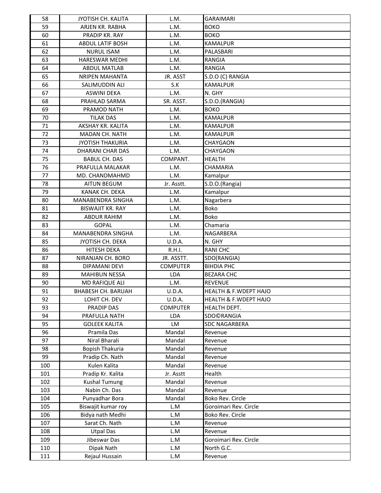| 58         | JYOTISH CH. KALITA              | L.M.                | <b>GARAIMARI</b>                 |
|------------|---------------------------------|---------------------|----------------------------------|
| 59         | ARJEN KR. RABHA                 | L.M.                | <b>BOKO</b>                      |
| 60         | PRADIP KR. RAY                  | L.M.                | <b>BOKO</b>                      |
| 61         | <b>ABDUL LATIF BOSH</b>         | L.M.                | <b>KAMALPUR</b>                  |
| 62         | <b>NURUL ISAM</b>               | L.M.                | PALASBARI                        |
| 63         | <b>HARESWAR MEDHI</b>           | L.M.                | <b>RANGIA</b>                    |
| 64         | <b>ABDUL MATLAB</b>             | L.M.                | RANGIA                           |
| 65         | <b>NRIPEN MAHANTA</b>           | JR. ASST            | S.D.O (C) RANGIA                 |
| 66         | SALIMUDDIN ALI                  | S.K                 | KAMALPUR                         |
| 67         | <b>ASWINI DEKA</b>              | L.M.                | N. GHY                           |
| 68         | PRAHLAD SARMA                   | SR. ASST.           | S.D.O.(RANGIA)                   |
| 69         | PRAMOD NATH                     | L.M.                | <b>BOKO</b>                      |
| 70         | <b>TILAK DAS</b>                | L.M.                | <b>KAMALPUR</b>                  |
| 71         | AKSHAY KR. KALITA               | L.M.                | <b>KAMALPUR</b>                  |
| 72         | MADAN CH. NATH                  | L.M.                | <b>KAMALPUR</b>                  |
| 73         | <b>JYOTISH THAKURIA</b>         | L.M.                | CHAYGAON                         |
| 74         | DHARANI CHAR DAS                | L.M.                | CHAYGAON                         |
| 75         | <b>BABUL CH. DAS</b>            | COMPANT.            | <b>HEALTH</b>                    |
| 76         | PRAFULLA MALAKAR                | L.M.                | <b>CHAMARIA</b>                  |
| 77         | MD. CHANDMAHMD                  | L.M.                | Kamalpur                         |
| 78         | <b>AITUN BEGUM</b>              | Jr. Asstt.          | S.D.O.(Rangia)                   |
| 79         | KANAK CH. DEKA                  | L.M.                | Kamalpur                         |
| 80         | MANABENDRA SINGHA               | L.M.                | Nagarbera                        |
| 81         | <b>BISWAJIT KR. RAY</b>         | L.M.                | <b>Boko</b>                      |
| 82         | <b>ABDUR RAHIM</b>              | L.M.                | <b>Boko</b>                      |
| 83         | <b>GOPAL</b>                    | L.M.                | Chamaria                         |
| 84         | MANABENDRA SINGHA               | L.M.                | NAGARBERA                        |
| 85         | JYOTISH CH. DEKA                | U.D.A.              | N. GHY                           |
| 86         | <b>HITESH DEKA</b>              | R.H.I.              | <b>RANICHC</b>                   |
| 87         | NIRANJAN CH. BORO               | JR. ASSTT.          | SDO(RANGIA)                      |
| 88         | DIPAMANI DEVI                   | <b>COMPUTER</b>     | <b>BIHDIA PHC</b>                |
| 89         | <b>MAHIBUN NESSA</b>            | LDA                 | <b>BEZARA CHC</b>                |
| 90         | MD RAFIQUE ALI                  | L.M.                | <b>REVENUE</b>                   |
| 91         | <b>BHABESH CH. BARUAH</b>       | U.D.A.              | <b>HEALTH &amp; F.WDEPT HAJO</b> |
| 92         | LOHIT CH. DEV                   | U.D.A.              | HEALTH & F.WDEPT HAJO            |
| 93         | PRADIP DAS                      | <b>COMPUTER</b>     | HEALTH DEPT.                     |
| 94         | PRAFULLA NATH                   | LDA                 | SDO©RANGIA                       |
| 95         | <b>GOLEEK KALITA</b>            | LM                  | <b>SDC NAGARBERA</b>             |
| 96         | Pramila Das                     | Mandal              | Revenue                          |
| 97         | Niral Bharali                   | Mandal              | Revenue                          |
| 98         | Bopish Thakuria                 | Mandal              | Revenue                          |
| 99         | Pradip Ch. Nath<br>Kulen Kalita | Mandal<br>Mandal    | Revenue                          |
| 100        | Pradip Kr. Kalita               |                     | Revenue<br>Health                |
| 101<br>102 | <b>Kushal Tumung</b>            | Jr. Asstt<br>Mandal | Revenue                          |
| 103        | Nabin Ch. Das                   | Mandal              | Revenue                          |
| 104        | Punyadhar Bora                  | Mandal              | Boko Rev. Circle                 |
| 105        | Biswajit kumar roy              | L.M                 | Goroimari Rev. Circle            |
| 106        | Bidya nath Medhi                | L.M                 | Boko Rev. Circle                 |
| 107        | Sarat Ch. Nath                  | L.M                 | Revenue                          |
| 108        | <b>Utpal Das</b>                | L.M                 | Revenue                          |
| 109        | Jibeswar Das                    | L.M                 | Goroimari Rev. Circle            |
| 110        | Dipak Nath                      | L.M                 | North G.C.                       |
| 111        | Rejaul Hussain                  | L.M                 | Revenue                          |
|            |                                 |                     |                                  |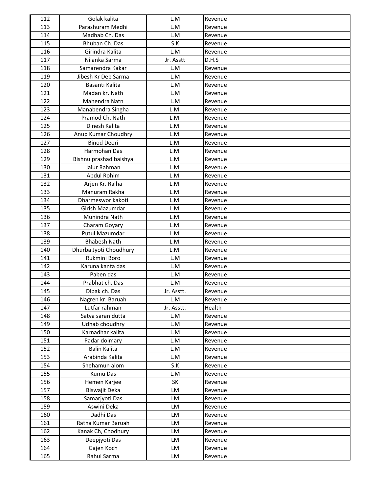| 112        | Golak kalita              | L.M        | Revenue            |
|------------|---------------------------|------------|--------------------|
| 113        | Parashuram Medhi          | L.M        | Revenue            |
| 114        | Madhab Ch. Das            | L.M        | Revenue            |
| 115        | Bhuban Ch. Das            | S.K        | Revenue            |
| 116        | Girindra Kalita           | L.M        | Revenue            |
| 117        | Nilanka Sarma             | Jr. Asstt  | D.H.S              |
| 118        | Samarendra Kakar          | L.M        | Revenue            |
| 119        | Jibesh Kr Deb Sarma       | L.M        | Revenue            |
| 120        | Basanti Kalita            | L.M        | Revenue            |
| 121        | Madan kr. Nath            | L.M        | Revenue            |
| 122        | Mahendra Natn             | L.M        | Revenue            |
| 123        | Manabendra Singha         | L.M.       | Revenue            |
| 124        | Pramod Ch. Nath           | L.M.       | Revenue            |
| 125        | Dinesh Kalita             | L.M.       | Revenue            |
| 126        | Anup Kumar Choudhry       | L.M.       | Revenue            |
| 127        | <b>Binod Deori</b>        | L.M.       | Revenue            |
| 128        | Harmohan Das              | L.M.       | Revenue            |
| 129        | Bishnu prashad baishya    | L.M.       | Revenue            |
| 130        | Jaiur Rahman              | L.M.       | Revenue            |
| 131        | Abdul Rohim               | L.M.       | Revenue            |
| 132        | Arjen Kr. Ralha           | L.M.       | Revenue            |
| 133        | Manuram Rakha             | L.M.       | Revenue            |
| 134        | Dharmeswor kakoti         | L.M.       | Revenue            |
| 135        | Girish Mazumdar           | L.M.       | Revenue            |
| 136        | Munindra Nath             | L.M.       | Revenue            |
| 137        | Charam Goyary             | L.M.       | Revenue            |
| 138        | Putul Mazumdar            | L.M.       | Revenue            |
| 139        | <b>Bhabesh Nath</b>       | L.M.       | Revenue            |
| 140        | Dhurba Jyoti Choudhury    | L.M.       | Revenue            |
| 141        | Rukmini Boro              | L.M        | Revenue            |
| 142        | Karuna kanta das          | L.M        | Revenue            |
| 143        | Paben das                 | L.M        | Revenue            |
| 144        | Prabhat ch. Das           | L.M        | Revenue            |
| 145        | Dipak ch. Das             | Jr. Asstt. | Revenue            |
| 146        | Nagren kr. Baruah         | L.M        | Revenue            |
| 147        | Lutfar rahman             | Jr. Asstt. | Health             |
| 148        | Satya saran dutta         | L.M        | Revenue            |
| 149        | Udhab choudhry            | L.M        | Revenue            |
| 150        | Karnadhar kalita          | L.M        | Revenue            |
| 151        | Padar doimary             | L.M        | Revenue            |
| 152        | Balin Kalita              | L.M        | Revenue            |
| 153        | Arabinda Kalita           | L.M        | Revenue            |
| 154        | Shehamun alom             | S.K        | Revenue            |
| 155        | Kumu Das                  | L.M        | Revenue            |
| 156        | Hemen Karjee              | SK         | Revenue            |
| 157        | Biswajit Deka             | LM         | Revenue            |
| 158        | Samarjyoti Das            | LM         | Revenue            |
| 159        | Aswini Deka               | LM         | Revenue            |
| 160        | Dadhi Das                 | LM         | Revenue            |
| 161        | Ratna Kumar Baruah        | LM         | Revenue            |
| 162        | Kanak Ch, Chodhury        | LM         | Revenue            |
|            |                           |            |                    |
| 163        | Deepjyoti Das             | LM         | Revenue            |
| 164<br>165 | Gajen Koch<br>Rahul Sarma | LM<br>LM   | Revenue<br>Revenue |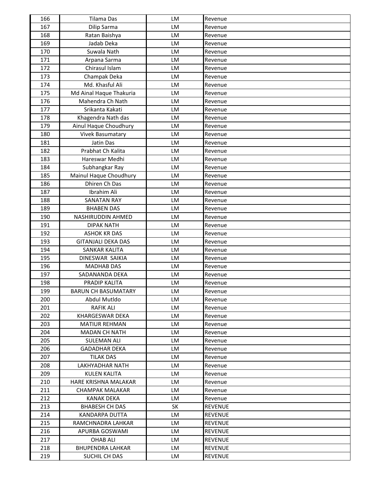| 166        | Tilama Das                          | <b>LM</b> | Revenue                          |
|------------|-------------------------------------|-----------|----------------------------------|
| 167        | Dilip Sarma                         | LM        | Revenue                          |
| 168        | Ratan Baishya                       | LM        | Revenue                          |
| 169        | Jadab Deka                          | LM        | Revenue                          |
| 170        | Suwala Nath                         | <b>LM</b> | Revenue                          |
| 171        | Arpana Sarma                        | LM        | Revenue                          |
| 172        | Chirasul Islam                      | LM        | Revenue                          |
| 173        | Champak Deka                        | LM        | Revenue                          |
| 174        | Md. Khasful Ali                     | LM        | Revenue                          |
| 175        | Md Ainal Haque Thakuria             | LM        | Revenue                          |
| 176        | Mahendra Ch Nath                    | LM        | Revenue                          |
| 177        | Srikanta Kakati                     | LM        | Revenue                          |
| 178        | Khagendra Nath das                  | LM        | Revenue                          |
| 179        | Ainul Haque Choudhury               | LM        | Revenue                          |
| 180        | <b>Vivek Basumatary</b>             | LM        | Revenue                          |
| 181        | Jatin Das                           | LM        | Revenue                          |
| 182        | Prabhat Ch Kalita                   | LM        | Revenue                          |
| 183        | Hareswar Medhi                      | LM        | Revenue                          |
| 184        | Subhangkar Ray                      | LM        | Revenue                          |
| 185        | Mainul Haque Choudhury              | LM        | Revenue                          |
| 186        | Dhiren Ch Das                       | LM        | Revenue                          |
| 187        | Ibrahim Ali                         | LM        | Revenue                          |
| 188        | <b>SANATAN RAY</b>                  | LM        | Revenue                          |
| 189        | <b>BHABEN DAS</b>                   | LM        | Revenue                          |
| 190        | NASHIRUDDIN AHMED                   | LM        | Revenue                          |
| 191        | <b>DIPAK NATH</b>                   | LM        | Revenue                          |
| 192        | <b>ASHOK KR DAS</b>                 | LM        | Revenue                          |
| 193        | <b>GITANJALI DEKA DAS</b>           | LM        | Revenue                          |
| 194        | <b>SANKAR KALITA</b>                | LM        | Revenue                          |
| 195        | DINESWAR SAIKIA                     | LM        | Revenue                          |
| 196        | <b>MADHAB DAS</b>                   | LM        | Revenue                          |
| 197        | SADANANDA DEKA                      | LM        | Revenue                          |
| 198        | PRADIP KALITA                       | LM        | Revenue                          |
| 199        | <b>BARUN CH BASUMATARY</b>          | LM        | Revenue                          |
| 200        | Abdul Mutldo                        | LM        | Revenue                          |
| 201        | <b>RAFIK ALI</b>                    | LM        | Revenue                          |
| 202        | <b>KHARGESWAR DEKA</b>              | LM        | Revenue                          |
| 203        | <b>MATIUR REHMAN</b>                | LM        | Revenue                          |
| 204        | <b>MADAN CH NATH</b>                | LM        | Revenue                          |
| 205        | <b>SULEMAN ALI</b>                  | LM        | Revenue                          |
| 206        | <b>GADADHAR DEKA</b>                | LM        | Revenue                          |
| 207        | <b>TILAK DAS</b>                    | LM        | Revenue                          |
| 208        | LAKHYADHAR NATH                     | LM        | Revenue                          |
| 209        | <b>KULEN KALITA</b>                 | LM        | Revenue                          |
| 210        | HARE KRISHNA MALAKAR                | LM        |                                  |
| 211        | <b>CHAMPAK MALAKAR</b>              | LM        | Revenue<br>Revenue               |
| 212        | <b>KANAK DEKA</b>                   | LM        |                                  |
| 213        | <b>BHABESH CH DAS</b>               | <b>SK</b> | Revenue<br><b>REVENUE</b>        |
| 214        | KANDARPA DUTTA                      | LM        | <b>REVENUE</b>                   |
|            |                                     |           |                                  |
| 215<br>216 | RAMCHNADRA LAHKAR<br>APURBA GOSWAMI | LM<br>LM  | <b>REVENUE</b><br><b>REVENUE</b> |
| 217        | <b>OHAB ALI</b>                     | LM        | <b>REVENUE</b>                   |
|            |                                     |           |                                  |
| 218        | <b>BHUPENDRA LAHKAR</b>             | LM        | <b>REVENUE</b>                   |
| 219        | SUCHIL CH DAS                       | LM        | <b>REVENUE</b>                   |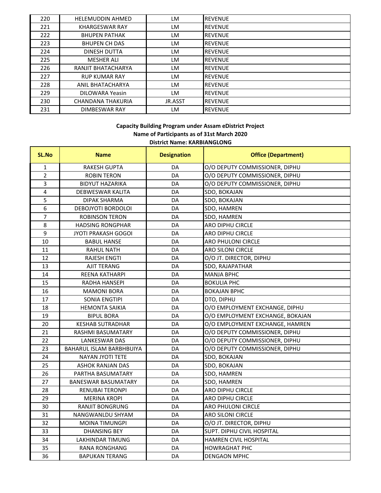| 220 | <b>HELEMUDDIN AHMED</b> | LM.     | <b>REVENUE</b> |
|-----|-------------------------|---------|----------------|
| 221 | <b>KHARGESWAR RAY</b>   | LM      | <b>REVENUE</b> |
| 222 | <b>BHUPEN PATHAK</b>    | LM      | <b>REVENUE</b> |
| 223 | <b>BHUPEN CH DAS</b>    | LM      | <b>REVENUE</b> |
| 224 | DINESH DUTTA            | LM      | <b>REVENUE</b> |
| 225 | MESHER ALI              | LM      | <b>REVENUE</b> |
| 226 | RANJIT BHATACHARYA      | LM      | <b>REVENUE</b> |
| 227 | <b>RUP KUMAR RAY</b>    | LM      | <b>REVENUE</b> |
| 228 | ANIL BHATACHARYA        | LM      | <b>REVENUE</b> |
| 229 | DILOWARA Yeasin         | LM      | <b>REVENUE</b> |
| 230 | CHANDANA THAKURIA       | JR.ASST | <b>REVENUE</b> |
| 231 | DIMBESWAR RAY           | LM      | <b>REVENUE</b> |

## **District Name: KARBIANGLONG Capacity Building Program under Assam eDistrict Project Name of Participants as of 31st March 2020**

| SL.No          | <b>Name</b>                     | <b>Designation</b> | <b>Office (Department)</b>       |
|----------------|---------------------------------|--------------------|----------------------------------|
| $\mathbf{1}$   | <b>RAKESH GUPTA</b>             | DA                 | O/O DEPUTY COMMISSIONER, DIPHU   |
| $\overline{2}$ | <b>ROBIN TERON</b>              | DA                 | O/O DEPUTY COMMISSIONER, DIPHU   |
| 3              | <b>BIDYUT HAZARIKA</b>          | DA                 | O/O DEPUTY COMMISSIONER, DIPHU   |
| 4              | DEBWESWAR KALITA                | DA                 | SDO, BOKAJAN                     |
| $\overline{5}$ | <b>DIPAK SHARMA</b>             | DA                 | SDO, BOKAJAN                     |
| 6              | DEBOJYOTI BORDOLOI              | DA                 | SDO, HAMREN                      |
| $\overline{7}$ | <b>ROBINSON TERON</b>           | DA                 | SDO, HAMREN                      |
| 8              | <b>HADSING RONGPHAR</b>         | DA                 | <b>ARO DIPHU CIRCLE</b>          |
| 9              | <b>JYOTI PRAKASH GOGOI</b>      | DA                 | ARO DIPHU CIRCLE                 |
| 10             | <b>BABUL HANSE</b>              | DA                 | <b>ARO PHULONI CIRCLE</b>        |
| 11             | <b>RAHUL NATH</b>               | DA                 | <b>ARO SILONI CIRCLE</b>         |
| 12             | <b>RAJESH ENGTI</b>             | DA                 | O/O JT. DIRECTOR, DIPHU          |
| 13             | <b>AJIT TERANG</b>              | DA                 | SDO, RAJAPATHAR                  |
| 14             | <b>REENA KATHARPI</b>           | DA                 | <b>MANJA BPHC</b>                |
| 15             | <b>RADHA HANSEPI</b>            | DA                 | <b>BOKULIA PHC</b>               |
| 16             | <b>MAMONI BORA</b>              | DA                 | <b>BOKAJAN BPHC</b>              |
| 17             | <b>SONIA ENGTIPI</b>            | DA                 | DTO, DIPHU                       |
| 18             | <b>HEMONTA SAIKIA</b>           | DA                 | O/O EMPLOYMENT EXCHANGE, DIPHU   |
| 19             | <b>BIPUL BORA</b>               | DA                 | O/O EMPLOYMENT EXCHANGE, BOKAJAN |
| 20             | <b>KESHAB SUTRADHAR</b>         | DA                 | O/O EMPLOYMENT EXCHANGE, HAMREN  |
| 21             | RASHMI BASUMATARY               | DA                 | O/O DEPUTY COMMISSIONER, DIPHU   |
| 22             | <b>LANKESWAR DAS</b>            | DA                 | O/O DEPUTY COMMISSIONER, DIPHU   |
| 23             | <b>BAHARUL ISLAM BARBHBUIYA</b> | DA                 | O/O DEPUTY COMMISSIONER, DIPHU   |
| 24             | <b>NAYAN JYOTI TETE</b>         | DA                 | SDO, BOKAJAN                     |
| 25             | <b>ASHOK RANJAN DAS</b>         | DA                 | SDO, BOKAJAN                     |
| 26             | PARTHA BASUMATARY               | DA                 | SDO, HAMREN                      |
| 27             | <b>BANESWAR BASUMATARY</b>      | DA                 | SDO, HAMREN                      |
| 28             | <b>RENUBAI TERONPI</b>          | DA                 | ARO DIPHU CIRCLE                 |
| 29             | <b>MERINA KROPI</b>             | DA                 | <b>ARO DIPHU CIRCLE</b>          |
| 30             | RANJIT BONGRUNG                 | DA                 | <b>ARO PHULONI CIRCLE</b>        |
| 31             | NANGWANLDU SHYAM                | DA                 | <b>ARO SILONI CIRCLE</b>         |
| 32             | <b>MOINA TIMUNGPI</b>           | DA                 | O/O JT. DIRECTOR, DIPHU          |
| 33             | <b>DHANSING BEY</b>             | DA                 | SUPT. DIPHU CIVIL HOSPITAL       |
| 34             | <b>LAKHINDAR TIMUNG</b>         | DA                 | HAMREN CIVIL HOSPITAL            |
| 35             | <b>RANA RONGHANG</b>            | DA                 | <b>HOWRAGHAT PHC</b>             |
| 36             | <b>BAPUKAN TERANG</b>           | DA                 | <b>DENGAON MPHC</b>              |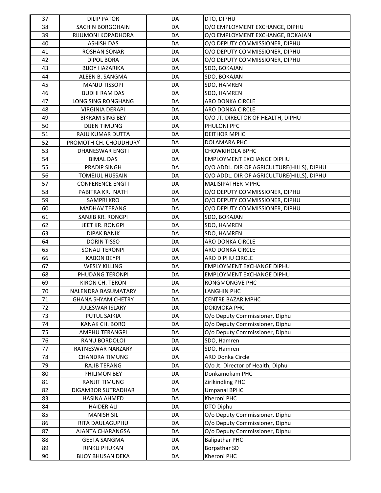| 37 | <b>DILIP PATOR</b>        | DA | DTO, DIPHU                                 |
|----|---------------------------|----|--------------------------------------------|
| 38 | <b>SACHIN BORGOHAIN</b>   | DA | O/O EMPLOYMENT EXCHANGE, DIPHU             |
| 39 | RIJUMONI KOPADHORA        | DA | O/O EMPLOYMENT EXCHANGE, BOKAJAN           |
| 40 | <b>ASHISH DAS</b>         | DA | O/O DEPUTY COMMISSIONER, DIPHU             |
| 41 | <b>ROSHAN SONAR</b>       | DA | O/O DEPUTY COMMISSIONER, DIPHU             |
| 42 | <b>DIPOL BORA</b>         | DA | O/O DEPUTY COMMISSIONER, DIPHU             |
| 43 | <b>BIJOY HAZARIKA</b>     | DA | SDO, BOKAJAN                               |
| 44 | ALEEN B. SANGMA           | DA | SDO, BOKAJAN                               |
| 45 | <b>MANJU TISSOPI</b>      | DA | SDO, HAMREN                                |
| 46 | <b>BUDHI RAM DAS</b>      | DA | SDO, HAMREN                                |
| 47 | <b>LONG SING RONGHANG</b> | DA | ARO DONKA CIRCLE                           |
| 48 | <b>VIRGINIA DERAPI</b>    | DA | ARO DONKA CIRCLE                           |
| 49 | <b>BIKRAM SING BEY</b>    | DA | O/O JT. DIRECTOR OF HEALTH, DIPHU          |
| 50 | <b>DIJEN TIMUNG</b>       | DA | PHULONI PFC                                |
| 51 | RAJU KUMAR DUTTA          | DA | <b>DEITHOR MPHC</b>                        |
| 52 | PROMOTH CH. CHOUDHURY     | DA | DOLAMARA PHC                               |
| 53 | <b>DHANESWAR ENGTI</b>    | DA | <b>CHOWKIHOLA BPHC</b>                     |
| 54 | <b>BIMAL DAS</b>          | DA | <b>EMPLOYMENT EXCHANGE DIPHU</b>           |
| 55 | <b>PRADIP SINGH</b>       | DA | O/O ADDL. DIR OF AGRICULTURE(HILLS), DIPHU |
| 56 | <b>TOMEJUL HUSSAIN</b>    | DA | O/O ADDL. DIR OF AGRICULTURE(HILLS), DIPHU |
| 57 | <b>CONFERENCE ENGTI</b>   | DA | MALISIPATHER MPHC                          |
| 58 | PABITRA KR. NATH          | DA | O/O DEPUTY COMMISSIONER, DIPHU             |
| 59 | <b>SAMPRI KRO</b>         | DA | O/O DEPUTY COMMISSIONER, DIPHU             |
| 60 | <b>MADHAV TERANG</b>      | DA | O/O DEPUTY COMMISSIONER, DIPHU             |
| 61 | SANJIB KR. RONGPI         | DA | SDO, BOKAJAN                               |
| 62 | JEET KR. RONGPI           | DA | SDO, HAMREN                                |
| 63 | <b>DIPAK BANIK</b>        | DA | SDO, HAMREN                                |
| 64 | <b>DORIN TISSO</b>        | DA | ARO DONKA CIRCLE                           |
| 65 | <b>SONALI TERONPI</b>     | DA | ARO DONKA CIRCLE                           |
| 66 | <b>KABON BEYPI</b>        | DA | ARO DIPHU CIRCLE                           |
| 67 | <b>WESLY KILLING</b>      | DA | <b>EMPLOYMENT EXCHANGE DIPHU</b>           |
| 68 | PHUDANG TERONPI           | DA | <b>EMPLOYMENT EXCHANGE DIPHU</b>           |
| 69 | KIRON CH. TERON           | DA | RONGMONGVE PHC                             |
| 70 | NALENDRA BASUMATARY       | DA | LANGHIN PHC                                |
| 71 | <b>GHANA SHYAM CHETRY</b> | DA | <b>CENTRE BAZAR MPHC</b>                   |
| 72 | <b>JULESWAR ISLARY</b>    | DA | DOKMOKA PHC                                |
| 73 | <b>PUTUL SAIKIA</b>       | DA | O/o Deputy Commissioner, Diphu             |
| 74 | KANAK CH. BORO            | DA | O/o Deputy Commissioner, Diphu             |
| 75 | AMPHU TERANGPI            | DA | O/o Deputy Commissioner, Diphu             |
| 76 | RANU BORDOLOI             | DA | SDO, Hamren                                |
| 77 | RATNESWAR NARZARY         | DA | SDO, Hamren                                |
| 78 | <b>CHANDRA TIMUNG</b>     | DA | <b>ARO Donka Circle</b>                    |
| 79 | <b>RAJIB TERANG</b>       | DA | O/o Jt. Director of Health, Diphu          |
| 80 | PHILIMON BEY              | DA | Donkamokam PHC                             |
| 81 | RANJIT TIMUNG             | DA | Zirlkindling PHC                           |
| 82 | DIGAMBOR SUTRADHAR        | DA | Umpanai BPHC                               |
| 83 | <b>HASINA AHMED</b>       | DA | Kheroni PHC                                |
| 84 | <b>HAIDER ALI</b>         | DA | DTO Diphu                                  |
| 85 | <b>MANISH SIL</b>         | DA | O/o Deputy Commissioner, Diphu             |
| 86 | RITA DAULAGUPHU           | DA | O/o Deputy Commissioner, Diphu             |
| 87 | AJANTA CHARANGSA          | DA | O/o Deputy Commissioner, Diphu             |
| 88 | <b>GEETA SANGMA</b>       | DA | <b>Balipathar PHC</b>                      |
| 89 | RINKU PHUKAN              | DA | Borpathar SD                               |
| 90 | <b>BIJOY BHUSAN DEKA</b>  | DA | Kheroni PHC                                |
|    |                           |    |                                            |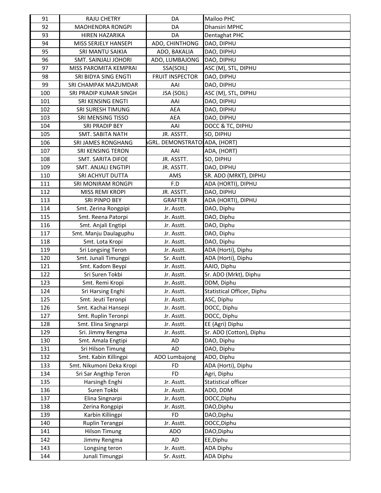| 91  | <b>RAJU CHETRY</b>          | DA                           | Mailoo PHC                 |
|-----|-----------------------------|------------------------------|----------------------------|
| 92  | MAOHENDRA RONGPI            | DA                           | Dhansiri MPHC              |
| 93  | HIREN HAZARIKA              | DA                           | Dentaghat PHC              |
| 94  | MISS SERJELY HANSEPI        | ADO, CHINTHONG               | DAO, DIPHU                 |
| 95  | SRI MANTU SAIKIA            | ADO, BAKALIA                 | DAO, DIPHU                 |
| 96  | <b>SMT. SAINJALI JOHORI</b> | ADO, LUMBAJONG               | DAO, DIPHU                 |
| 97  | MISS PAROMITA KEMPRAI       | SSA(SOIL)                    | ASC (M), STL, DIPHU        |
| 98  | SRI BIDYA SING ENGTI        | <b>FRUIT INSPECTOR</b>       | DAO, DIPHU                 |
| 99  | SRI CHAMPAK MAZUMDAR        | AAI                          | DAO, DIPHU                 |
| 100 | SRI PRADIP KUMAR SINGH      | JSA (SOIL)                   | ASC (M), STL, DIPHU        |
| 101 | SRI KENSING ENGTI           | AAI                          | DAO, DIPHU                 |
| 102 | SRI SURESH TIMUNG           | <b>AEA</b>                   | DAO, DIPHU                 |
| 103 | SRI MENSING TISSO           | <b>AEA</b>                   | DAO, DIPHU                 |
| 104 | SRI PRADIP BEY              | AAI                          | DOCC & TC, DIPHU           |
| 105 | SMT. SABITA NATH            | JR. ASSTT.                   | SO, DIPHU                  |
| 106 | SRI JAMES RONGHANG          | GRL. DEMONSTRATO ADA, (HORT) |                            |
| 107 | SRI KENSING TERON           | AAI                          | ADA, (HORT)                |
| 108 | <b>SMT. SARITA DIFOE</b>    | JR. ASSTT.                   | SO, DIPHU                  |
| 109 | SMT. ANJALI ENGTIPI         | JR. ASSTT.                   | DAO, DIPHU                 |
| 110 | SRI ACHYUT DUTTA            | AMS                          | SR. ADO (MRKT), DIPHU      |
| 111 | SRI MONIRAM RONGPI          | F.D                          | ADA (HORTI), DIPHU         |
| 112 | MISS REMI KROPI             | JR. ASSTT.                   | DAO, DIPHU                 |
| 113 | SRI PINPO BEY               | <b>GRAFTER</b>               | ADA (HORTI), DIPHU         |
| 114 | Smt. Zerina Rongpipi        | Jr. Asstt.                   | DAO, Diphu                 |
| 115 | Smt. Reena Patorpi          | Jr. Asstt.                   | DAO, Diphu                 |
| 116 | Smt. Anjali Engtipi         | Jr. Asstt.                   | DAO, Diphu                 |
| 117 | Smt. Manju Daulaguphu       | Jr. Asstt.                   | DAO, Diphu                 |
| 118 | Smt. Lota Kropi             | Jr. Asstt.                   | DAO, Diphu                 |
| 119 | Sri Longsing Teron          | Jr. Asstt.                   | ADA (Horti), Diphu         |
| 120 | Smt. Junali Timungpi        | Sr. Asstt.                   | ADA (Horti), Diphu         |
| 121 | Smt. Kadom Beypi            | Jr. Asstt.                   | AAIO, Diphu                |
| 122 | Sri Suren Tokbi             | Jr. Asstt.                   | Sr. ADO (Mrkt), Diphu      |
| 123 | Smt. Remi Kropi             | Jr. Asstt.                   | DDM, Diphu                 |
| 124 | Sri Harsing Enghi           | Jr. Asstt.                   | Statistical Officer, Diphu |
| 125 | Smt. Jeuti Teronpi          | Jr. Asstt.                   | ASC, Diphu                 |
| 126 | Smt. Kachai Hansepi         | Jr. Asstt.                   | DOCC, Diphu                |
| 127 | Smt. Ruplin Teronpi         | Jr. Asstt.                   | DOCC, Diphu                |
| 128 | Smt. Elina Singnarpi        | Jr. Asstt.                   | EE (Agri) Diphu            |
| 129 | Sri. Jimmy Rengma           | Jr. Asstt.                   | Sr. ADO (Cotton), Diphu    |
| 130 | Smt. Amala Engtipi          | AD                           | DAO, Diphu                 |
| 131 | Sri Hilson Timung           | AD                           | DAO, Diphu                 |
| 132 | Smt. Kabin Killingpi        | ADO Lumbajong                | ADO, Diphu                 |
| 133 | Smt. Nikumoni Deka Kropi    | <b>FD</b>                    | ADA (Horti), Diphu         |
| 134 | Sri Sar Angthip Teron       | <b>FD</b>                    | Agri, Diphu                |
| 135 | Harsingh Enghi              | Jr. Asstt.                   | Statistical officer        |
| 136 | Suren Tokbi                 | Jr. Asstt.                   | ADO, DDM                   |
| 137 | Elina Singnarpi             | Jr. Asstt.                   | DOCC, Diphu                |
| 138 | Zerina Rongpipi             | Jr. Asstt.                   | DAO, Diphu                 |
| 139 | Karbin Killingpi            | <b>FD</b>                    | DAO, Diphu                 |
| 140 | Ruplin Terangpi             | Jr. Asstt.                   | DOCC, Diphu                |
| 141 | <b>Hilson Timung</b>        | ADO                          | DAO, Diphu                 |
| 142 | Jimmy Rengma                | AD                           | EE, Diphu                  |
| 143 | Longsing teron              | Jr. Asstt.                   | <b>ADA Diphu</b>           |
| 144 | Junali Timungpi             | Sr. Asstt.                   | <b>ADA Diphu</b>           |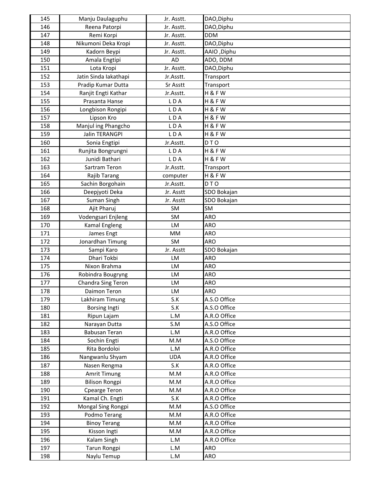| 145 | Manju Daulaguphu      | Jr. Asstt. | DAO, Diphu   |
|-----|-----------------------|------------|--------------|
| 146 | Reena Patorpi         | Jr. Asstt. | DAO, Diphu   |
| 147 | Remi Korpi            | Jr. Asstt. | <b>DDM</b>   |
| 148 | Nikumoni Deka Kropi   | Jr. Asstt. | DAO, Diphu   |
| 149 | Kadorn Beypi          | Jr. Asstt. | AAIO, Diphu  |
| 150 | Amala Engtipi         | AD         | ADO, DDM     |
| 151 | Lota Kropi            | Jr. Asstt. | DAO, Diphu   |
| 152 | Jatin Sinda lakathapi | Jr.Asstt.  | Transport    |
| 153 | Pradip Kumar Dutta    | Sr Asstt   | Transport    |
| 154 | Ranjit Engti Kathar   | Jr.Asstt.  | H&FW         |
| 155 | Prasanta Hanse        | LDA        | H&FW         |
| 156 | Longbison Rongipi     | LDA        | H&FW         |
| 157 | Lipson Kro            | LDA        | H&FW         |
| 158 | Manjul ing Phangcho   | LDA        | H&FW         |
| 159 | Jalin TERANGPI        | LDA        | H&FW         |
| 160 | Sonia Engtipi         | Jr.Asstt.  | DTO          |
| 161 | Runjita Bongrungni    | LDA        | H&FW         |
| 162 | Junidi Bathari        | LDA        | H&FW         |
| 163 | Sartram Teron         | Jr.Asstt.  | Transport    |
| 164 | Rajib Tarang          | computer   | H&FW         |
| 165 | Sachin Borgohain      | Jr.Asstt.  | DTO          |
| 166 | Deepjyoti Deka        | Jr. Asstt  | SDO Bokajan  |
| 167 | Suman Singh           | Jr. Asstt  | SDO Bokajan  |
| 168 | Ajit Pharuj           | SM         | SM           |
| 169 | Vodengsari Enjleng    | SM         | <b>ARO</b>   |
| 170 | Kamal Engleng         | LM         | ARO          |
| 171 | James Engt            | MM         | <b>ARO</b>   |
| 172 | Jonardhan Timung      | SM         | <b>ARO</b>   |
| 173 | Sampi Karo            | Jr. Asstt  | SDO Bokajan  |
| 174 | Dhari Tokbi           | LM         | ARO          |
| 175 | Nixon Brahma          | LM         | <b>ARO</b>   |
| 176 | Robindra Bougryng     | LM         | <b>ARO</b>   |
| 177 | Chandra Sing Teron    | LM         | <b>ARO</b>   |
| 178 | Daimon Teron          | LM         | <b>ARO</b>   |
| 179 | Lakhiram Timung       | S.K        | A.S.O Office |
| 180 | <b>Borsing Ingti</b>  | S.K        | A.S.O Office |
| 181 | Ripun Lajam           | L.M        | A.R.O Office |
| 182 | Narayan Dutta         | S.M        | A.S.O Office |
| 183 | Babusan Teran         | L.M        | A.R.O Office |
| 184 | Sochin Engti          | M.M        | A.S.O Office |
| 185 | Rita Bordoloi         | L.M        | A.R.O Office |
| 186 | Nangwanlu Shyam       | <b>UDA</b> | A.R.O Office |
| 187 | Nasen Rengma          | S.K        | A.R.O Office |
| 188 | Amrit Timung          | M.M        | A.R.O Office |
| 189 | <b>Bilison Rongpi</b> | M.M        | A.R.O Office |
| 190 | Cpearge Teron         | M.M        | A.R.O Office |
| 191 | Kamal Ch. Engti       | S.K        | A.R.O Office |
| 192 | Mongal Sing Rongpi    | M.M        | A.S.O Office |
| 193 | Podmo Terang          | M.M        | A.R.O Office |
| 194 | <b>Binoy Terang</b>   | M.M        | A.R.O Office |
| 195 | Kisson Ingti          | M.M        | A.R.O Office |
| 196 | Kalam Singh           | L.M        | A.R.O Office |
| 197 | Tarun Rongpi          | L.M        | ARO          |
| 198 | Naylu Temup           | L.M        | ARO          |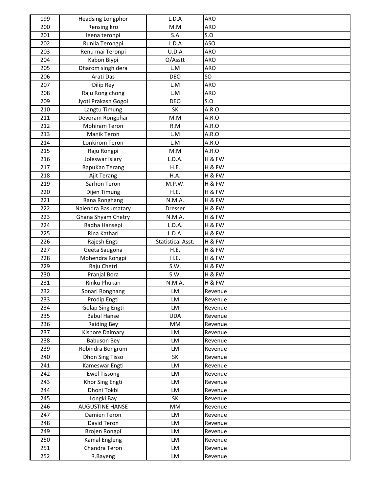| 199 | <b>Headsing Longphor</b>       | L.D.A                    | ARO        |
|-----|--------------------------------|--------------------------|------------|
| 200 | Rensing kro                    | M.M                      | ARO        |
| 201 | leena teronpi                  | S.A                      | S.O        |
| 202 | Runila Terongpi                | L.D.A                    | ASO        |
| 203 | Renu mai Teronpi               | U.D.A                    | ARO        |
| 204 | Kabon Biypi                    | O/Asstt                  | <b>ARO</b> |
| 205 | Dharom singh dera              | L.M                      | ARO        |
| 206 | Arati Das                      | <b>DEO</b>               | SO         |
| 207 | Dilip Rey                      | L.M                      | <b>ARO</b> |
| 208 | Raju Rong chong                | L.M                      | ARO        |
| 209 | Jyoti Prakash Gogoi            | <b>DEO</b>               | S.O        |
| 210 | Langtu Timung                  | SK                       | A.R.O      |
| 211 | Devoram Rongphar               | M.M                      | A.R.O      |
| 212 | Mohiram Teron                  | R.M                      | A.R.O      |
| 213 | Manik Teron                    | L.M                      | A.R.O      |
| 214 | <b>Lonkirom Teron</b>          | L.M                      | A.R.O      |
| 215 | Raju Rongpi                    | M.M                      | A.R.O      |
| 216 | Joleswar Islary                | L.D.A.                   | H & FW     |
| 217 | <b>BapuKan Terang</b>          | H.E.                     | H & FW     |
| 218 | Ajit Terang                    | H.A.                     | H & FW     |
| 219 | Sarhon Teron                   | M.P.W.                   | H & FW     |
| 220 | Dijen Timung                   | H.E.                     | H & FW     |
| 221 | Rana Ronghang                  | N.M.A.                   | H & FW     |
| 222 | Nalendra Basumatary            | Dresser                  | H & FW     |
| 223 | Ghana Shyam Chetry             | N.M.A.                   | H & FW     |
| 224 | Radha Hansepi                  | L.D.A.                   | H & FW     |
| 225 | Rina Kathari                   | L.D.A.                   | H & FW     |
| 226 | Rajesh Engti                   | <b>Statistical Asst.</b> | H & FW     |
| 227 | Geeta Saugona                  | H.E.                     | H & FW     |
| 228 | Mohendra Rongpi                | H.E.                     | H & FW     |
| 229 | Raju Chetri                    | S.W.                     | H & FW     |
| 230 | Pranjal Bora                   | S.W.                     | H & FW     |
| 231 | Rinku Phukan                   | N.M.A.                   | H & FW     |
| 232 | Sonari Ronghang                | LM                       | Revenue    |
| 233 | Prodip Engti                   | LM                       | Revenue    |
| 234 | <b>Golap Sing Engti</b>        | LM                       | Revenue    |
| 235 | <b>Babul Hanse</b>             | <b>UDA</b>               | Revenue    |
| 236 | <b>Raiding Bey</b>             | MM                       | Revenue    |
| 237 | Kishore Daimary                | LM                       | Revenue    |
| 238 | <b>Babuson Bey</b>             | LM                       | Revenue    |
| 239 | Robindra Bongrum               | LM                       | Revenue    |
| 240 | Dhon Sing Tisso                | SK                       | Revenue    |
| 241 | Kameswar Engti                 | LM                       | Revenue    |
| 242 | <b>Ewel Tissong</b>            | LM                       | Revenue    |
| 243 | Khor Sing Engti                | LM                       | Revenue    |
| 244 | Dhoni Tokbi                    | LM                       | Revenue    |
| 245 | Longki Bay                     | SK                       | Revenue    |
| 246 | <b>AUGUSTINE HANSE</b>         | MM                       | Revenue    |
| 247 | Damien Teron                   | LM                       | Revenue    |
| 248 | David Teron                    | LM                       | Revenue    |
| 249 | Brojen Rongpi                  | LM                       | Revenue    |
| 250 | Kamal Engleng<br>Chandra Teron | LM                       | Revenue    |
| 251 |                                | <b>LM</b>                | Revenue    |
| 252 | R.Bayeng                       | LM                       | Revenue    |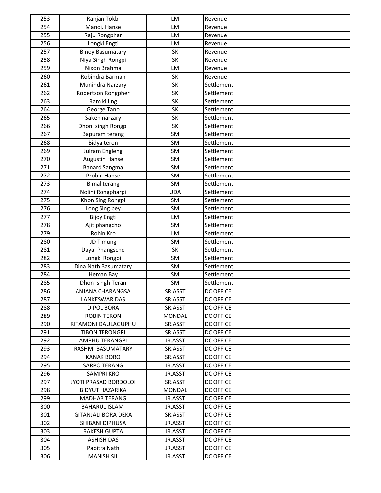| 254<br>Manoj. Hanse<br>LM<br>Revenue<br>255<br>Raju Rongphar<br>LM<br>Revenue<br>256<br>Longki Engti<br>LM<br>Revenue<br>257<br><b>Binoy Basumatary</b><br>SK<br>Revenue<br>258<br>Niya Singh Rongpi<br><b>SK</b><br>Revenue<br>259<br>Nixon Brahma<br>LM<br>Revenue<br>260<br>SK<br>Robindra Barman<br>Revenue<br>261<br><b>SK</b><br>Settlement<br>Munindra Narzary<br>262<br><b>SK</b><br>Settlement<br>Robertson Rongpher<br>SK<br>263<br>Settlement<br>Ram killing<br>264<br>George Tano<br><b>SK</b><br>Settlement<br>265<br>SK<br>Settlement<br>Saken narzary<br>266<br>Dhon singh Rongpi<br>SK<br>Settlement<br>267<br>Settlement<br>Bapuram terang<br><b>SM</b><br>268<br><b>SM</b><br>Settlement<br>Bidya teron<br>269<br>SM<br>Settlement<br>Julram Engleng<br>270<br>SM<br>Settlement<br><b>Augustin Hanse</b><br>271<br><b>Banard Sangma</b><br>SM<br>Settlement<br>272<br>Probin Hanse<br><b>SM</b><br>Settlement<br>273<br>SM<br>Settlement<br><b>Bimal terang</b><br>274<br>Nolini Rongpharpi<br><b>UDA</b><br>Settlement<br>275<br><b>SM</b><br>Khon Sing Rongpi<br>Settlement<br>276<br>Long Sing bey<br>SM<br>Settlement<br>277<br><b>Bijoy Engti</b><br>LM<br>Settlement<br>278<br>SM<br>Settlement<br>Ajit phangcho<br>279<br>Rohin Kro<br>LM<br>Settlement<br>280<br>JD Timung<br><b>SM</b><br>Settlement<br>281<br><b>SK</b><br>Settlement<br>Dayal Phangscho<br>282<br><b>SM</b><br>Longki Rongpi<br>Settlement<br>283<br>Dina Nath Basumatary<br>SM<br>Settlement<br>284<br>SM<br>Heman Bay<br>Settlement<br>285<br>Dhon singh Teran<br>SM<br>Settlement<br>286<br>ANJANA CHARANGSA<br>SR.ASST<br><b>DC OFFICE</b><br>287<br><b>LANKESWAR DAS</b><br>SR.ASST<br><b>DC OFFICE</b><br>288<br><b>DIPOL BORA</b><br>SR.ASST<br><b>DC OFFICE</b><br>289<br><b>DC OFFICE</b><br><b>ROBIN TERON</b><br><b>MONDAL</b><br>290<br>RITAMONI DAULAGUPHU<br>SR.ASST<br><b>DC OFFICE</b><br>291<br><b>DC OFFICE</b><br><b>TIBON TERONGPI</b><br>SR.ASST<br>292<br><b>AMPHU TERANGPI</b><br>JR.ASST<br>DC OFFICE<br>293<br>RASHMI BASUMATARY<br>SR.ASST<br><b>DC OFFICE</b><br>SR.ASST<br><b>DC OFFICE</b><br>294<br><b>KANAK BORO</b><br>295<br><b>SARPO TERANG</b><br>JR.ASST<br><b>DC OFFICE</b><br>296<br>SAMPRI KRO<br>JR.ASST<br><b>DC OFFICE</b><br>297<br>JYOTI PRASAD BORDOLOI<br>SR.ASST<br>DC OFFICE<br>298<br><b>BIDYUT HAZARIKA</b><br>MONDAL<br><b>DC OFFICE</b><br>299<br><b>MADHAB TERANG</b><br>JR.ASST<br><b>DC OFFICE</b><br>300<br><b>BAHARUL ISLAM</b><br>JR.ASST<br><b>DC OFFICE</b><br>301<br><b>GITANJALI BORA DEKA</b><br>SR.ASST<br><b>DC OFFICE</b><br>302<br>SHIBANI DIPHUSA<br>JR.ASST<br><b>DC OFFICE</b><br>303<br><b>RAKESH GUPTA</b><br>JR.ASST<br><b>DC OFFICE</b><br>304<br>JR.ASST<br><b>ASHISH DAS</b><br>DC OFFICE<br>Pabitra Nath<br><b>DC OFFICE</b><br>305<br>JR.ASST<br>306<br><b>MANISH SIL</b><br>JR.ASST<br>DC OFFICE | 253 | Ranjan Tokbi | LM | Revenue |
|------------------------------------------------------------------------------------------------------------------------------------------------------------------------------------------------------------------------------------------------------------------------------------------------------------------------------------------------------------------------------------------------------------------------------------------------------------------------------------------------------------------------------------------------------------------------------------------------------------------------------------------------------------------------------------------------------------------------------------------------------------------------------------------------------------------------------------------------------------------------------------------------------------------------------------------------------------------------------------------------------------------------------------------------------------------------------------------------------------------------------------------------------------------------------------------------------------------------------------------------------------------------------------------------------------------------------------------------------------------------------------------------------------------------------------------------------------------------------------------------------------------------------------------------------------------------------------------------------------------------------------------------------------------------------------------------------------------------------------------------------------------------------------------------------------------------------------------------------------------------------------------------------------------------------------------------------------------------------------------------------------------------------------------------------------------------------------------------------------------------------------------------------------------------------------------------------------------------------------------------------------------------------------------------------------------------------------------------------------------------------------------------------------------------------------------------------------------------------------------------------------------------------------------------------------------------------------------------------------------------------------------------------------------------------------------------------------------------------------------------------------------------------------------------------------------------------------------------------------------------------|-----|--------------|----|---------|
|                                                                                                                                                                                                                                                                                                                                                                                                                                                                                                                                                                                                                                                                                                                                                                                                                                                                                                                                                                                                                                                                                                                                                                                                                                                                                                                                                                                                                                                                                                                                                                                                                                                                                                                                                                                                                                                                                                                                                                                                                                                                                                                                                                                                                                                                                                                                                                                                                                                                                                                                                                                                                                                                                                                                                                                                                                                                              |     |              |    |         |
|                                                                                                                                                                                                                                                                                                                                                                                                                                                                                                                                                                                                                                                                                                                                                                                                                                                                                                                                                                                                                                                                                                                                                                                                                                                                                                                                                                                                                                                                                                                                                                                                                                                                                                                                                                                                                                                                                                                                                                                                                                                                                                                                                                                                                                                                                                                                                                                                                                                                                                                                                                                                                                                                                                                                                                                                                                                                              |     |              |    |         |
|                                                                                                                                                                                                                                                                                                                                                                                                                                                                                                                                                                                                                                                                                                                                                                                                                                                                                                                                                                                                                                                                                                                                                                                                                                                                                                                                                                                                                                                                                                                                                                                                                                                                                                                                                                                                                                                                                                                                                                                                                                                                                                                                                                                                                                                                                                                                                                                                                                                                                                                                                                                                                                                                                                                                                                                                                                                                              |     |              |    |         |
|                                                                                                                                                                                                                                                                                                                                                                                                                                                                                                                                                                                                                                                                                                                                                                                                                                                                                                                                                                                                                                                                                                                                                                                                                                                                                                                                                                                                                                                                                                                                                                                                                                                                                                                                                                                                                                                                                                                                                                                                                                                                                                                                                                                                                                                                                                                                                                                                                                                                                                                                                                                                                                                                                                                                                                                                                                                                              |     |              |    |         |
|                                                                                                                                                                                                                                                                                                                                                                                                                                                                                                                                                                                                                                                                                                                                                                                                                                                                                                                                                                                                                                                                                                                                                                                                                                                                                                                                                                                                                                                                                                                                                                                                                                                                                                                                                                                                                                                                                                                                                                                                                                                                                                                                                                                                                                                                                                                                                                                                                                                                                                                                                                                                                                                                                                                                                                                                                                                                              |     |              |    |         |
|                                                                                                                                                                                                                                                                                                                                                                                                                                                                                                                                                                                                                                                                                                                                                                                                                                                                                                                                                                                                                                                                                                                                                                                                                                                                                                                                                                                                                                                                                                                                                                                                                                                                                                                                                                                                                                                                                                                                                                                                                                                                                                                                                                                                                                                                                                                                                                                                                                                                                                                                                                                                                                                                                                                                                                                                                                                                              |     |              |    |         |
|                                                                                                                                                                                                                                                                                                                                                                                                                                                                                                                                                                                                                                                                                                                                                                                                                                                                                                                                                                                                                                                                                                                                                                                                                                                                                                                                                                                                                                                                                                                                                                                                                                                                                                                                                                                                                                                                                                                                                                                                                                                                                                                                                                                                                                                                                                                                                                                                                                                                                                                                                                                                                                                                                                                                                                                                                                                                              |     |              |    |         |
|                                                                                                                                                                                                                                                                                                                                                                                                                                                                                                                                                                                                                                                                                                                                                                                                                                                                                                                                                                                                                                                                                                                                                                                                                                                                                                                                                                                                                                                                                                                                                                                                                                                                                                                                                                                                                                                                                                                                                                                                                                                                                                                                                                                                                                                                                                                                                                                                                                                                                                                                                                                                                                                                                                                                                                                                                                                                              |     |              |    |         |
|                                                                                                                                                                                                                                                                                                                                                                                                                                                                                                                                                                                                                                                                                                                                                                                                                                                                                                                                                                                                                                                                                                                                                                                                                                                                                                                                                                                                                                                                                                                                                                                                                                                                                                                                                                                                                                                                                                                                                                                                                                                                                                                                                                                                                                                                                                                                                                                                                                                                                                                                                                                                                                                                                                                                                                                                                                                                              |     |              |    |         |
|                                                                                                                                                                                                                                                                                                                                                                                                                                                                                                                                                                                                                                                                                                                                                                                                                                                                                                                                                                                                                                                                                                                                                                                                                                                                                                                                                                                                                                                                                                                                                                                                                                                                                                                                                                                                                                                                                                                                                                                                                                                                                                                                                                                                                                                                                                                                                                                                                                                                                                                                                                                                                                                                                                                                                                                                                                                                              |     |              |    |         |
|                                                                                                                                                                                                                                                                                                                                                                                                                                                                                                                                                                                                                                                                                                                                                                                                                                                                                                                                                                                                                                                                                                                                                                                                                                                                                                                                                                                                                                                                                                                                                                                                                                                                                                                                                                                                                                                                                                                                                                                                                                                                                                                                                                                                                                                                                                                                                                                                                                                                                                                                                                                                                                                                                                                                                                                                                                                                              |     |              |    |         |
|                                                                                                                                                                                                                                                                                                                                                                                                                                                                                                                                                                                                                                                                                                                                                                                                                                                                                                                                                                                                                                                                                                                                                                                                                                                                                                                                                                                                                                                                                                                                                                                                                                                                                                                                                                                                                                                                                                                                                                                                                                                                                                                                                                                                                                                                                                                                                                                                                                                                                                                                                                                                                                                                                                                                                                                                                                                                              |     |              |    |         |
|                                                                                                                                                                                                                                                                                                                                                                                                                                                                                                                                                                                                                                                                                                                                                                                                                                                                                                                                                                                                                                                                                                                                                                                                                                                                                                                                                                                                                                                                                                                                                                                                                                                                                                                                                                                                                                                                                                                                                                                                                                                                                                                                                                                                                                                                                                                                                                                                                                                                                                                                                                                                                                                                                                                                                                                                                                                                              |     |              |    |         |
|                                                                                                                                                                                                                                                                                                                                                                                                                                                                                                                                                                                                                                                                                                                                                                                                                                                                                                                                                                                                                                                                                                                                                                                                                                                                                                                                                                                                                                                                                                                                                                                                                                                                                                                                                                                                                                                                                                                                                                                                                                                                                                                                                                                                                                                                                                                                                                                                                                                                                                                                                                                                                                                                                                                                                                                                                                                                              |     |              |    |         |
|                                                                                                                                                                                                                                                                                                                                                                                                                                                                                                                                                                                                                                                                                                                                                                                                                                                                                                                                                                                                                                                                                                                                                                                                                                                                                                                                                                                                                                                                                                                                                                                                                                                                                                                                                                                                                                                                                                                                                                                                                                                                                                                                                                                                                                                                                                                                                                                                                                                                                                                                                                                                                                                                                                                                                                                                                                                                              |     |              |    |         |
|                                                                                                                                                                                                                                                                                                                                                                                                                                                                                                                                                                                                                                                                                                                                                                                                                                                                                                                                                                                                                                                                                                                                                                                                                                                                                                                                                                                                                                                                                                                                                                                                                                                                                                                                                                                                                                                                                                                                                                                                                                                                                                                                                                                                                                                                                                                                                                                                                                                                                                                                                                                                                                                                                                                                                                                                                                                                              |     |              |    |         |
|                                                                                                                                                                                                                                                                                                                                                                                                                                                                                                                                                                                                                                                                                                                                                                                                                                                                                                                                                                                                                                                                                                                                                                                                                                                                                                                                                                                                                                                                                                                                                                                                                                                                                                                                                                                                                                                                                                                                                                                                                                                                                                                                                                                                                                                                                                                                                                                                                                                                                                                                                                                                                                                                                                                                                                                                                                                                              |     |              |    |         |
|                                                                                                                                                                                                                                                                                                                                                                                                                                                                                                                                                                                                                                                                                                                                                                                                                                                                                                                                                                                                                                                                                                                                                                                                                                                                                                                                                                                                                                                                                                                                                                                                                                                                                                                                                                                                                                                                                                                                                                                                                                                                                                                                                                                                                                                                                                                                                                                                                                                                                                                                                                                                                                                                                                                                                                                                                                                                              |     |              |    |         |
|                                                                                                                                                                                                                                                                                                                                                                                                                                                                                                                                                                                                                                                                                                                                                                                                                                                                                                                                                                                                                                                                                                                                                                                                                                                                                                                                                                                                                                                                                                                                                                                                                                                                                                                                                                                                                                                                                                                                                                                                                                                                                                                                                                                                                                                                                                                                                                                                                                                                                                                                                                                                                                                                                                                                                                                                                                                                              |     |              |    |         |
|                                                                                                                                                                                                                                                                                                                                                                                                                                                                                                                                                                                                                                                                                                                                                                                                                                                                                                                                                                                                                                                                                                                                                                                                                                                                                                                                                                                                                                                                                                                                                                                                                                                                                                                                                                                                                                                                                                                                                                                                                                                                                                                                                                                                                                                                                                                                                                                                                                                                                                                                                                                                                                                                                                                                                                                                                                                                              |     |              |    |         |
|                                                                                                                                                                                                                                                                                                                                                                                                                                                                                                                                                                                                                                                                                                                                                                                                                                                                                                                                                                                                                                                                                                                                                                                                                                                                                                                                                                                                                                                                                                                                                                                                                                                                                                                                                                                                                                                                                                                                                                                                                                                                                                                                                                                                                                                                                                                                                                                                                                                                                                                                                                                                                                                                                                                                                                                                                                                                              |     |              |    |         |
|                                                                                                                                                                                                                                                                                                                                                                                                                                                                                                                                                                                                                                                                                                                                                                                                                                                                                                                                                                                                                                                                                                                                                                                                                                                                                                                                                                                                                                                                                                                                                                                                                                                                                                                                                                                                                                                                                                                                                                                                                                                                                                                                                                                                                                                                                                                                                                                                                                                                                                                                                                                                                                                                                                                                                                                                                                                                              |     |              |    |         |
|                                                                                                                                                                                                                                                                                                                                                                                                                                                                                                                                                                                                                                                                                                                                                                                                                                                                                                                                                                                                                                                                                                                                                                                                                                                                                                                                                                                                                                                                                                                                                                                                                                                                                                                                                                                                                                                                                                                                                                                                                                                                                                                                                                                                                                                                                                                                                                                                                                                                                                                                                                                                                                                                                                                                                                                                                                                                              |     |              |    |         |
|                                                                                                                                                                                                                                                                                                                                                                                                                                                                                                                                                                                                                                                                                                                                                                                                                                                                                                                                                                                                                                                                                                                                                                                                                                                                                                                                                                                                                                                                                                                                                                                                                                                                                                                                                                                                                                                                                                                                                                                                                                                                                                                                                                                                                                                                                                                                                                                                                                                                                                                                                                                                                                                                                                                                                                                                                                                                              |     |              |    |         |
|                                                                                                                                                                                                                                                                                                                                                                                                                                                                                                                                                                                                                                                                                                                                                                                                                                                                                                                                                                                                                                                                                                                                                                                                                                                                                                                                                                                                                                                                                                                                                                                                                                                                                                                                                                                                                                                                                                                                                                                                                                                                                                                                                                                                                                                                                                                                                                                                                                                                                                                                                                                                                                                                                                                                                                                                                                                                              |     |              |    |         |
|                                                                                                                                                                                                                                                                                                                                                                                                                                                                                                                                                                                                                                                                                                                                                                                                                                                                                                                                                                                                                                                                                                                                                                                                                                                                                                                                                                                                                                                                                                                                                                                                                                                                                                                                                                                                                                                                                                                                                                                                                                                                                                                                                                                                                                                                                                                                                                                                                                                                                                                                                                                                                                                                                                                                                                                                                                                                              |     |              |    |         |
|                                                                                                                                                                                                                                                                                                                                                                                                                                                                                                                                                                                                                                                                                                                                                                                                                                                                                                                                                                                                                                                                                                                                                                                                                                                                                                                                                                                                                                                                                                                                                                                                                                                                                                                                                                                                                                                                                                                                                                                                                                                                                                                                                                                                                                                                                                                                                                                                                                                                                                                                                                                                                                                                                                                                                                                                                                                                              |     |              |    |         |
|                                                                                                                                                                                                                                                                                                                                                                                                                                                                                                                                                                                                                                                                                                                                                                                                                                                                                                                                                                                                                                                                                                                                                                                                                                                                                                                                                                                                                                                                                                                                                                                                                                                                                                                                                                                                                                                                                                                                                                                                                                                                                                                                                                                                                                                                                                                                                                                                                                                                                                                                                                                                                                                                                                                                                                                                                                                                              |     |              |    |         |
|                                                                                                                                                                                                                                                                                                                                                                                                                                                                                                                                                                                                                                                                                                                                                                                                                                                                                                                                                                                                                                                                                                                                                                                                                                                                                                                                                                                                                                                                                                                                                                                                                                                                                                                                                                                                                                                                                                                                                                                                                                                                                                                                                                                                                                                                                                                                                                                                                                                                                                                                                                                                                                                                                                                                                                                                                                                                              |     |              |    |         |
|                                                                                                                                                                                                                                                                                                                                                                                                                                                                                                                                                                                                                                                                                                                                                                                                                                                                                                                                                                                                                                                                                                                                                                                                                                                                                                                                                                                                                                                                                                                                                                                                                                                                                                                                                                                                                                                                                                                                                                                                                                                                                                                                                                                                                                                                                                                                                                                                                                                                                                                                                                                                                                                                                                                                                                                                                                                                              |     |              |    |         |
|                                                                                                                                                                                                                                                                                                                                                                                                                                                                                                                                                                                                                                                                                                                                                                                                                                                                                                                                                                                                                                                                                                                                                                                                                                                                                                                                                                                                                                                                                                                                                                                                                                                                                                                                                                                                                                                                                                                                                                                                                                                                                                                                                                                                                                                                                                                                                                                                                                                                                                                                                                                                                                                                                                                                                                                                                                                                              |     |              |    |         |
|                                                                                                                                                                                                                                                                                                                                                                                                                                                                                                                                                                                                                                                                                                                                                                                                                                                                                                                                                                                                                                                                                                                                                                                                                                                                                                                                                                                                                                                                                                                                                                                                                                                                                                                                                                                                                                                                                                                                                                                                                                                                                                                                                                                                                                                                                                                                                                                                                                                                                                                                                                                                                                                                                                                                                                                                                                                                              |     |              |    |         |
|                                                                                                                                                                                                                                                                                                                                                                                                                                                                                                                                                                                                                                                                                                                                                                                                                                                                                                                                                                                                                                                                                                                                                                                                                                                                                                                                                                                                                                                                                                                                                                                                                                                                                                                                                                                                                                                                                                                                                                                                                                                                                                                                                                                                                                                                                                                                                                                                                                                                                                                                                                                                                                                                                                                                                                                                                                                                              |     |              |    |         |
|                                                                                                                                                                                                                                                                                                                                                                                                                                                                                                                                                                                                                                                                                                                                                                                                                                                                                                                                                                                                                                                                                                                                                                                                                                                                                                                                                                                                                                                                                                                                                                                                                                                                                                                                                                                                                                                                                                                                                                                                                                                                                                                                                                                                                                                                                                                                                                                                                                                                                                                                                                                                                                                                                                                                                                                                                                                                              |     |              |    |         |
|                                                                                                                                                                                                                                                                                                                                                                                                                                                                                                                                                                                                                                                                                                                                                                                                                                                                                                                                                                                                                                                                                                                                                                                                                                                                                                                                                                                                                                                                                                                                                                                                                                                                                                                                                                                                                                                                                                                                                                                                                                                                                                                                                                                                                                                                                                                                                                                                                                                                                                                                                                                                                                                                                                                                                                                                                                                                              |     |              |    |         |
|                                                                                                                                                                                                                                                                                                                                                                                                                                                                                                                                                                                                                                                                                                                                                                                                                                                                                                                                                                                                                                                                                                                                                                                                                                                                                                                                                                                                                                                                                                                                                                                                                                                                                                                                                                                                                                                                                                                                                                                                                                                                                                                                                                                                                                                                                                                                                                                                                                                                                                                                                                                                                                                                                                                                                                                                                                                                              |     |              |    |         |
|                                                                                                                                                                                                                                                                                                                                                                                                                                                                                                                                                                                                                                                                                                                                                                                                                                                                                                                                                                                                                                                                                                                                                                                                                                                                                                                                                                                                                                                                                                                                                                                                                                                                                                                                                                                                                                                                                                                                                                                                                                                                                                                                                                                                                                                                                                                                                                                                                                                                                                                                                                                                                                                                                                                                                                                                                                                                              |     |              |    |         |
|                                                                                                                                                                                                                                                                                                                                                                                                                                                                                                                                                                                                                                                                                                                                                                                                                                                                                                                                                                                                                                                                                                                                                                                                                                                                                                                                                                                                                                                                                                                                                                                                                                                                                                                                                                                                                                                                                                                                                                                                                                                                                                                                                                                                                                                                                                                                                                                                                                                                                                                                                                                                                                                                                                                                                                                                                                                                              |     |              |    |         |
|                                                                                                                                                                                                                                                                                                                                                                                                                                                                                                                                                                                                                                                                                                                                                                                                                                                                                                                                                                                                                                                                                                                                                                                                                                                                                                                                                                                                                                                                                                                                                                                                                                                                                                                                                                                                                                                                                                                                                                                                                                                                                                                                                                                                                                                                                                                                                                                                                                                                                                                                                                                                                                                                                                                                                                                                                                                                              |     |              |    |         |
|                                                                                                                                                                                                                                                                                                                                                                                                                                                                                                                                                                                                                                                                                                                                                                                                                                                                                                                                                                                                                                                                                                                                                                                                                                                                                                                                                                                                                                                                                                                                                                                                                                                                                                                                                                                                                                                                                                                                                                                                                                                                                                                                                                                                                                                                                                                                                                                                                                                                                                                                                                                                                                                                                                                                                                                                                                                                              |     |              |    |         |
|                                                                                                                                                                                                                                                                                                                                                                                                                                                                                                                                                                                                                                                                                                                                                                                                                                                                                                                                                                                                                                                                                                                                                                                                                                                                                                                                                                                                                                                                                                                                                                                                                                                                                                                                                                                                                                                                                                                                                                                                                                                                                                                                                                                                                                                                                                                                                                                                                                                                                                                                                                                                                                                                                                                                                                                                                                                                              |     |              |    |         |
|                                                                                                                                                                                                                                                                                                                                                                                                                                                                                                                                                                                                                                                                                                                                                                                                                                                                                                                                                                                                                                                                                                                                                                                                                                                                                                                                                                                                                                                                                                                                                                                                                                                                                                                                                                                                                                                                                                                                                                                                                                                                                                                                                                                                                                                                                                                                                                                                                                                                                                                                                                                                                                                                                                                                                                                                                                                                              |     |              |    |         |
|                                                                                                                                                                                                                                                                                                                                                                                                                                                                                                                                                                                                                                                                                                                                                                                                                                                                                                                                                                                                                                                                                                                                                                                                                                                                                                                                                                                                                                                                                                                                                                                                                                                                                                                                                                                                                                                                                                                                                                                                                                                                                                                                                                                                                                                                                                                                                                                                                                                                                                                                                                                                                                                                                                                                                                                                                                                                              |     |              |    |         |
|                                                                                                                                                                                                                                                                                                                                                                                                                                                                                                                                                                                                                                                                                                                                                                                                                                                                                                                                                                                                                                                                                                                                                                                                                                                                                                                                                                                                                                                                                                                                                                                                                                                                                                                                                                                                                                                                                                                                                                                                                                                                                                                                                                                                                                                                                                                                                                                                                                                                                                                                                                                                                                                                                                                                                                                                                                                                              |     |              |    |         |
|                                                                                                                                                                                                                                                                                                                                                                                                                                                                                                                                                                                                                                                                                                                                                                                                                                                                                                                                                                                                                                                                                                                                                                                                                                                                                                                                                                                                                                                                                                                                                                                                                                                                                                                                                                                                                                                                                                                                                                                                                                                                                                                                                                                                                                                                                                                                                                                                                                                                                                                                                                                                                                                                                                                                                                                                                                                                              |     |              |    |         |
|                                                                                                                                                                                                                                                                                                                                                                                                                                                                                                                                                                                                                                                                                                                                                                                                                                                                                                                                                                                                                                                                                                                                                                                                                                                                                                                                                                                                                                                                                                                                                                                                                                                                                                                                                                                                                                                                                                                                                                                                                                                                                                                                                                                                                                                                                                                                                                                                                                                                                                                                                                                                                                                                                                                                                                                                                                                                              |     |              |    |         |
|                                                                                                                                                                                                                                                                                                                                                                                                                                                                                                                                                                                                                                                                                                                                                                                                                                                                                                                                                                                                                                                                                                                                                                                                                                                                                                                                                                                                                                                                                                                                                                                                                                                                                                                                                                                                                                                                                                                                                                                                                                                                                                                                                                                                                                                                                                                                                                                                                                                                                                                                                                                                                                                                                                                                                                                                                                                                              |     |              |    |         |
|                                                                                                                                                                                                                                                                                                                                                                                                                                                                                                                                                                                                                                                                                                                                                                                                                                                                                                                                                                                                                                                                                                                                                                                                                                                                                                                                                                                                                                                                                                                                                                                                                                                                                                                                                                                                                                                                                                                                                                                                                                                                                                                                                                                                                                                                                                                                                                                                                                                                                                                                                                                                                                                                                                                                                                                                                                                                              |     |              |    |         |
|                                                                                                                                                                                                                                                                                                                                                                                                                                                                                                                                                                                                                                                                                                                                                                                                                                                                                                                                                                                                                                                                                                                                                                                                                                                                                                                                                                                                                                                                                                                                                                                                                                                                                                                                                                                                                                                                                                                                                                                                                                                                                                                                                                                                                                                                                                                                                                                                                                                                                                                                                                                                                                                                                                                                                                                                                                                                              |     |              |    |         |
|                                                                                                                                                                                                                                                                                                                                                                                                                                                                                                                                                                                                                                                                                                                                                                                                                                                                                                                                                                                                                                                                                                                                                                                                                                                                                                                                                                                                                                                                                                                                                                                                                                                                                                                                                                                                                                                                                                                                                                                                                                                                                                                                                                                                                                                                                                                                                                                                                                                                                                                                                                                                                                                                                                                                                                                                                                                                              |     |              |    |         |
|                                                                                                                                                                                                                                                                                                                                                                                                                                                                                                                                                                                                                                                                                                                                                                                                                                                                                                                                                                                                                                                                                                                                                                                                                                                                                                                                                                                                                                                                                                                                                                                                                                                                                                                                                                                                                                                                                                                                                                                                                                                                                                                                                                                                                                                                                                                                                                                                                                                                                                                                                                                                                                                                                                                                                                                                                                                                              |     |              |    |         |
|                                                                                                                                                                                                                                                                                                                                                                                                                                                                                                                                                                                                                                                                                                                                                                                                                                                                                                                                                                                                                                                                                                                                                                                                                                                                                                                                                                                                                                                                                                                                                                                                                                                                                                                                                                                                                                                                                                                                                                                                                                                                                                                                                                                                                                                                                                                                                                                                                                                                                                                                                                                                                                                                                                                                                                                                                                                                              |     |              |    |         |
|                                                                                                                                                                                                                                                                                                                                                                                                                                                                                                                                                                                                                                                                                                                                                                                                                                                                                                                                                                                                                                                                                                                                                                                                                                                                                                                                                                                                                                                                                                                                                                                                                                                                                                                                                                                                                                                                                                                                                                                                                                                                                                                                                                                                                                                                                                                                                                                                                                                                                                                                                                                                                                                                                                                                                                                                                                                                              |     |              |    |         |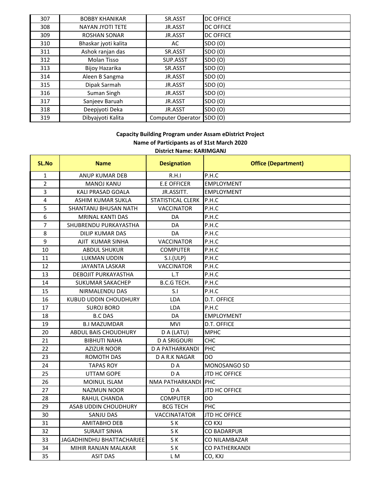| 307 | <b>BOBBY KHANIKAR</b>   | SR.ASST                  | <b>DC OFFICE</b> |
|-----|-------------------------|--------------------------|------------------|
| 308 | <b>NAYAN JYOTI TETE</b> | JR.ASST                  | <b>DC OFFICE</b> |
| 309 | <b>ROSHAN SONAR</b>     | JR.ASST                  | <b>DC OFFICE</b> |
| 310 | Bhaskar jyoti kalita    | AC                       | SDO (O)          |
| 311 | Ashok ranjan das        | SR.ASST                  | SDO (O)          |
| 312 | Molan Tisso             | SUP.ASST                 | SDO (O)          |
| 313 | Bijoy Hazarika          | SR.ASST                  | SDO (O)          |
| 314 | Aleen B Sangma          | JR.ASST                  | SDO (O)          |
| 315 | Dipak Sarmah            | JR.ASST                  | SDO (O)          |
| 316 | Suman Singh             | JR.ASST                  | SDO (O)          |
| 317 | Sanjeev Baruah          | JR.ASST                  | SDO (O)          |
| 318 | Deepjyoti Deka          | JR.ASST                  | SDO (O)          |
| 319 | Dibyajyoti Kalita       | <b>Computer Operator</b> | SDO (O)          |

### **District Name: KARIMGANJ Capacity Building Program under Assam eDistrict Project Name of Participants as of 31st March 2020**

| <b>SL.No</b>            | <b>Name</b>                      | <b>Designation</b>  | <b>Office (Department)</b> |
|-------------------------|----------------------------------|---------------------|----------------------------|
| $\mathbf{1}$            | ANUP KUMAR DEB                   | R.H.I               | P.H.C                      |
| $\overline{2}$          | <b>MANOJ KANU</b>                | <b>E.E OFFICER</b>  | <b>EMPLOYMENT</b>          |
| $\overline{3}$          | <b>KALI PRASAD GOALA</b>         | JR.ASSITT.          | <b>EMPLOYMENT</b>          |
| $\overline{\mathbf{4}}$ | ASHIM KUMAR SUKLA                | STATISTICAL CLERK   | P.H.C                      |
| 5                       | SHANTANU BHUSAN NATH             | <b>VACCINATOR</b>   | P.H.C                      |
| 6                       | <b>MRINAL KANTI DAS</b>          | DA                  | P.H.C                      |
| $\overline{7}$          | SHUBRENDU PURKAYASTHA            | DA                  | P.H.C                      |
| 8                       | <b>DILIP KUMAR DAS</b>           | DA                  | P.H.C                      |
| 9                       | AJIT KUMAR SINHA                 | <b>VACCINATOR</b>   | P.H.C                      |
| 10                      | <b>ABDUL SHUKUR</b>              | <b>COMPUTER</b>     | P.H.C                      |
| 11                      | <b>LUKMAN UDDIN</b>              | S.I.(ULP)           | P.H.C                      |
| 12                      | <b>JAYANTA LASKAR</b>            | <b>VACCINATOR</b>   | P.H.C                      |
| 13                      | DEBOJIT PURKAYASTHA              | L.T                 | P.H.C                      |
| 14                      | SUKUMAR SAKACHEP                 | <b>B.C.G TECH.</b>  | P.H.C                      |
| 15                      | NIRMALENDU DAS                   | S.I                 | P.H.C                      |
| 16                      | <b>KUBUD UDDIN CHOUDHURY</b>     | LDA                 | D.T. OFFICE                |
| 17                      | <b>SUROJ BORO</b>                | <b>LDA</b>          | P.H.C                      |
| 18                      | <b>B.C DAS</b>                   | DA                  | <b>EMPLOYMENT</b>          |
| 19                      | <b>B.I MAZUMDAR</b>              | <b>MVI</b>          | D.T. OFFICE                |
| 20                      | ABDUL BAIS CHOUDHURY             | D A (LATU)          | <b>MPHC</b>                |
| 21                      | <b>BIBHUTI NAHA</b>              | <b>D A SRIGOURI</b> | CHC                        |
| 22                      | <b>AZIZUR NOOR</b>               | D A PATHARKANDI     | PHC                        |
| 23                      | ROMOTH DAS                       | <b>DARK NAGAR</b>   | DO                         |
| 24                      | <b>TAPAS ROY</b>                 | D A                 | MONOSANGO SD               |
| 25                      | <b>UTTAM GOPE</b>                | DA                  | <b>JTD HC OFFICE</b>       |
| 26                      | MOINUL ISLAM                     | NMA PATHARKANDI     | PHC                        |
| 27                      | <b>NAZMUN NOOR</b>               | D A                 | JTD HC OFFICE              |
| 28                      | RAHUL CHANDA                     | <b>COMPUTER</b>     | DO                         |
| 29                      | ASAB UDDIN CHOUDHURY             | <b>BCG TECH</b>     | PHC                        |
| 30                      | SANJU DAS                        | <b>VACCINATATOR</b> | <b>JTD HC OFFICE</b>       |
| 31                      | <b>AMITABHO DEB</b>              | S K                 | <b>CO KXJ</b>              |
| 32                      | <b>SURAJIT SINHA</b>             | SK                  | <b>CO BADARPUR</b>         |
| 33                      | <b>JAGADHINDHU BHATTACHARJEE</b> | SK                  | CO NILAMBAZAR              |
| 34                      | MIHIR RANJAN MALAKAR             | SK                  | <b>CO PATHERKANDI</b>      |
| 35                      | <b>ASIT DAS</b>                  | L M                 | CO, KXJ                    |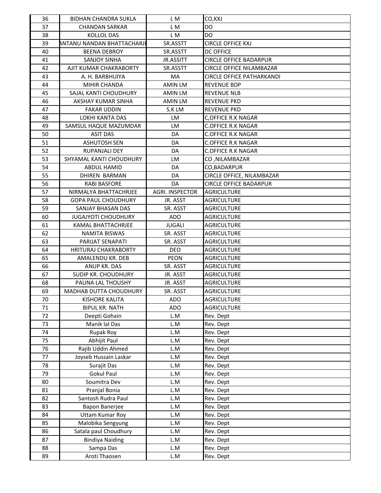| 36 | BIDHAN CHANDRA SUKLA                       | L M                    | CO, KXJ                          |
|----|--------------------------------------------|------------------------|----------------------------------|
| 37 | <b>CHANDAN SARKAR</b>                      | L M                    | DO                               |
| 38 | <b>KOLLOL DAS</b>                          | L M                    | DO.                              |
| 39 | <b>ANTANU NANDAN BHATTACHARJI</b>          | SR.ASSTT               | <b>CIRCLE OFFICE KXJ</b>         |
| 40 | <b>BEENA DEBROY</b>                        | SR.ASSTT               | <b>DC OFFICE</b>                 |
| 41 | <b>SANJOY SINHA</b>                        | JR.ASSITT              | <b>CIRCLE OFFICE BADARPUR</b>    |
| 42 | AJIT KUMAR CHAKRABORTY                     | SR.ASSTT               | <b>CIRCLE OFFICE NILAMBAZAR</b>  |
| 43 | A. H. BARBHUIYA                            | MA                     | <b>CIRCLE OFFICE PATHARKANDI</b> |
| 44 | MIHIR CHANDA                               | <b>AMIN LM</b>         | <b>REVENUE BDP</b>               |
| 45 | SAJAL KANTI CHOUDHURY                      | <b>AMIN LM</b>         | <b>REVENUE NLB</b>               |
| 46 | AKSHAY KUMAR SINHA                         | <b>AMIN LM</b>         | <b>REVENUE PKD</b>               |
| 47 | <b>FAKAR UDDIN</b>                         | S.K LM                 | <b>REVENUE PKD</b>               |
| 48 | LOKHI KANTA DAS                            | <b>LM</b>              | <b>C,OFFICE R.K NAGAR</b>        |
| 49 | SAMSUL HAQUE MAZUMDAR                      | LM                     | <b>C.OFFICE R.K NAGAR</b>        |
| 50 | <b>ASIT DAS</b>                            | DA                     | <b>C.OFFICE R.K NAGAR</b>        |
| 51 | <b>ASHUTOSH SEN</b>                        | DA                     | <b>C.OFFICE R.K NAGAR</b>        |
| 52 | RUPANJALI DEY                              | DA                     | <b>C.OFFICE R.K NAGAR</b>        |
| 53 | SHYAMAL KANTI CHOUDHURY                    | LM                     | CO, NILAMBAZAR                   |
| 54 | ABDUL HAMID                                | DA                     | CO, BADARPUR                     |
| 55 | <b>DHIREN BARMAN</b>                       | DA                     | CIRCLE OFFICE, NILAMBAZAR        |
| 56 | <b>RABI BASFORE</b>                        | DA                     | <b>CIRCLE OFFICE BADARPUR</b>    |
| 57 | NIRMALYA BHATTACHRJEE                      | <b>AGRI. INSPECTOR</b> | <b>AGRICULTURE</b>               |
| 58 | <b>GOPA PAUL CHOUDHURY</b>                 | JR. ASST               | <b>AGRICULTURE</b>               |
| 59 | SANJAY BHASAN DAS                          | SR. ASST               | <b>AGRICULTURE</b>               |
| 60 | <b>JUGAJYOTI CHOUDHURY</b>                 | ADO                    | <b>AGRICULTURE</b>               |
| 61 | KAMAL BHATTACHRJEE                         | <b>JUGALI</b>          | AGRICULTURE                      |
| 62 | <b>NAMITA BISWAS</b>                       | SR. ASST               | <b>AGRICULTURE</b>               |
| 63 | PARIJAT SENAPATI                           | SR. ASST               | <b>AGRICULTURE</b>               |
| 64 | <b>HRITURAJ CHAKRABORTY</b>                | <b>DEO</b>             | <b>AGRICULTURE</b>               |
| 65 | AMALENDU KR. DEB                           | PEON                   | <b>AGRICULTURE</b>               |
| 66 | ANUP KR. DAS                               | SR. ASST               | <b>AGRICULTURE</b>               |
| 67 | SUDIP KR. CHOUDHURY                        | JR. ASST               | <b>AGRICULTURE</b>               |
| 68 | PAUNA LAL THOUSHY                          | JR. ASST               | <b>AGRICULTURE</b>               |
| 69 | <b>MADHAB DUTTA CHOUDHURY</b>              | SR. ASST               | <b>AGRICULTURE</b>               |
| 70 | <b>KISHORE KALITA</b>                      | ADO                    | <b>AGRICULTURE</b>               |
| 71 | <b>BIPUL KR. NATH</b>                      | ADO                    | <b>AGRICULTURE</b>               |
| 72 | Deepti Gohain                              | L.M                    | Rev. Dept                        |
| 73 | Manik lal Das                              | L.M                    | Rev. Dept                        |
| 74 | Rupak Roy                                  | L.M                    | Rev. Dept                        |
| 75 | Abhijit Paul                               | L.M                    | Rev. Dept                        |
| 76 | Rajib Uddin Ahmed                          | L.M                    | Rev. Dept                        |
| 77 | Joyseb Hussain Laskar                      | L.M                    | Rev. Dept                        |
| 78 | Surajit Das                                | L.M                    | Rev. Dept                        |
| 79 | <b>Gokul Paul</b>                          | L.M                    | Rev. Dept                        |
| 80 | Soumitra Dev                               | L.M                    | Rev. Dept                        |
| 81 | Pranjal Bonia                              | L.M                    | Rev. Dept                        |
| 82 | Santosh Rudra Paul                         | L.M                    | Rev. Dept                        |
| 83 | Bapon Banerjee                             | L.M                    | Rev. Dept                        |
| 84 | <b>Uttam Kumar Roy</b>                     | L.M                    | Rev. Dept                        |
| 85 |                                            |                        |                                  |
| 86 | Malobika Sengyung<br>Satala paul Choudhury | L.M<br>L.M             | Rev. Dept                        |
| 87 | <b>Bindiya Naiding</b>                     | L.M                    | Rev. Dept                        |
|    |                                            |                        | Rev. Dept                        |
| 88 | Sampa Das                                  | L.M                    | Rev. Dept                        |
| 89 | Aroti Thaosen                              | L.M                    | Rev. Dept                        |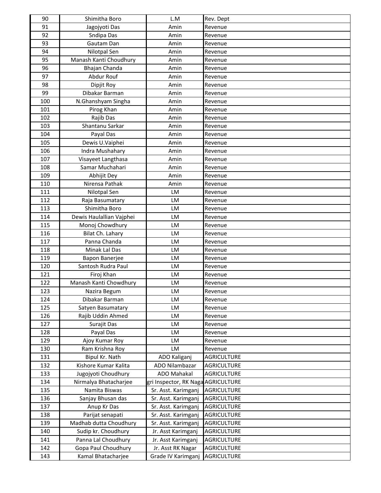| 90  | Shimitha Boro            | L.M                                | Rev. Dept          |
|-----|--------------------------|------------------------------------|--------------------|
| 91  | Jagojyoti Das            | Amin                               | Revenue            |
| 92  | Sndipa Das               | Amin                               | Revenue            |
| 93  | Gautam Dan               | Amin                               | Revenue            |
| 94  | Nilotpal Sen             | Amin                               | Revenue            |
| 95  | Manash Kanti Choudhury   | Amin                               | Revenue            |
| 96  | Bhajan Chanda            | Amin                               | Revenue            |
| 97  | Abdur Rouf               | Amin                               | Revenue            |
| 98  | Dipjit Roy               | Amin                               | Revenue            |
| 99  | Dibakar Barman           | Amin                               | Revenue            |
| 100 | N.Ghanshyam Singha       | Amin                               | Revenue            |
| 101 | Pirog Khan               | Amin                               | Revenue            |
| 102 | Rajib Das                | Amin                               | Revenue            |
| 103 | Shantanu Sarkar          | Amin                               | Revenue            |
| 104 | Payal Das                | Amin                               | Revenue            |
| 105 | Dewis U.Vaiphei          | Amin                               | Revenue            |
| 106 | Indra Mushahary          | Amin                               | Revenue            |
| 107 | Visayeet Langthasa       | Amin                               | Revenue            |
| 108 | Samar Muchahari          | Amin                               | Revenue            |
| 109 | Abhijit Dey              | Amin                               | Revenue            |
| 110 | Nirensa Pathak           | Amin                               | Revenue            |
| 111 | Nilotpal Sen             | LM                                 | Revenue            |
| 112 | Raja Basumatary          | LM                                 | Revenue            |
| 113 | Shimitha Boro            | <b>LM</b>                          | Revenue            |
| 114 | Dewis Haulallian Vajphei | LM                                 | Revenue            |
| 115 | Monoj Chowdhury          | LM                                 | Revenue            |
| 116 | Bilat Ch. Lahary         | LM                                 | Revenue            |
| 117 | Panna Chanda             | LM                                 | Revenue            |
| 118 | Minak Lal Das            | <b>LM</b>                          | Revenue            |
| 119 | <b>Bapon Banerjee</b>    | LM                                 | Revenue            |
| 120 | Santosh Rudra Paul       | LM                                 | Revenue            |
| 121 | Firoj Khan               | LM                                 | Revenue            |
| 122 | Manash Kanti Chowdhury   | LM                                 | Revenue            |
| 123 | Nazira Begum             | LM                                 | Revenue            |
| 124 | Dibakar Barman           | LM                                 | Revenue            |
| 125 | Satyen Basumatary        | LM                                 | Revenue            |
| 126 | Rajib Uddin Ahmed        | LM                                 | Revenue            |
| 127 | Surajit Das              | LM                                 | Revenue            |
| 128 | Payal Das                | LM                                 | Revenue            |
| 129 | Ajoy Kumar Roy           | LM                                 | Revenue            |
| 130 | Ram Krishna Roy          | LM                                 | Revenue            |
| 131 | Bipul Kr. Nath           | ADO Kaliganj                       | <b>AGRICULTURE</b> |
| 132 | Kishore Kumar Kalita     | ADO Nilambazar                     | <b>AGRICULTURE</b> |
| 133 | Jugojyoti Choudhury      | <b>ADO Mahakal</b>                 | <b>AGRICULTURE</b> |
| 134 | Nirmalya Bhatacharjee    | gri Inspector, RK Naga AGRICULTURE |                    |
| 135 | Namita Biswas            | Sr. Asst. Karimganj                | <b>AGRICULTURE</b> |
| 136 | Sanjay Bhusan das        | Sr. Asst. Karimganj                | <b>AGRICULTURE</b> |
| 137 | Anup Kr Das              | Sr. Asst. Karimganj                | <b>AGRICULTURE</b> |
| 138 | Parijat senapati         | Sr. Asst. Karimganj                | <b>AGRICULTURE</b> |
| 139 | Madhab dutta Choudhury   | Sr. Asst. Karimganj                | <b>AGRICULTURE</b> |
| 140 | Sudip kr. Choudhury      | Jr. Asst Karimganj                 | <b>AGRICULTURE</b> |
| 141 | Panna Lal Choudhury      | Jr. Asst Karimganj                 | <b>AGRICULTURE</b> |
| 142 | Gopa Paul Choudhury      | Jr. Asst RK Nagar                  | <b>AGRICULTURE</b> |
| 143 | Kamal Bhatacharjee       | Grade IV Karimganj                 | <b>AGRICULTURE</b> |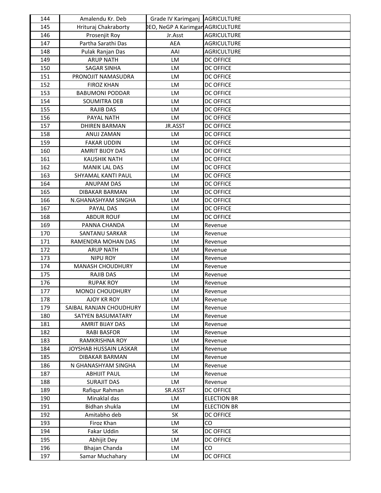| 144        | Amalendu Kr. Deb        | Grade IV Karimganj AGRICULTURE          |                    |
|------------|-------------------------|-----------------------------------------|--------------------|
| 145        | Hrituraj Chakraborty    | <b>DEO, NeGP A Karimgar AGRICULTURE</b> |                    |
| 146        | Prosenjit Roy           | Jr.Asst                                 | <b>AGRICULTURE</b> |
| 147        | Partha Sarathi Das      | <b>AEA</b>                              | <b>AGRICULTURE</b> |
| 148        | Pulak Ranjan Das        | AAI                                     | <b>AGRICULTURE</b> |
| 149        | <b>ARUP NATH</b>        | LM                                      | <b>DC OFFICE</b>   |
| 150        | <b>SAGAR SINHA</b>      | LM                                      | <b>DC OFFICE</b>   |
| 151        | PRONOJIT NAMASUDRA      | LM                                      | <b>DC OFFICE</b>   |
| 152        | <b>FIROZ KHAN</b>       | LM                                      | <b>DC OFFICE</b>   |
| 153        | <b>BABUMONI PODDAR</b>  | <b>LM</b>                               | <b>DC OFFICE</b>   |
| 154        | <b>SOUMITRA DEB</b>     | LM                                      | <b>DC OFFICE</b>   |
| 155        | <b>RAJIB DAS</b>        | <b>LM</b>                               | <b>DC OFFICE</b>   |
| 156        | PAYAL NATH              | <b>LM</b>                               | <b>DC OFFICE</b>   |
| 157        | <b>DHIREN BARMAN</b>    | JR.ASST                                 | <b>DC OFFICE</b>   |
| 158        | ANUJ ZAMAN              | LM                                      | <b>DC OFFICE</b>   |
| 159        | <b>FAKAR UDDIN</b>      | LM                                      | <b>DC OFFICE</b>   |
| 160        | <b>AMRIT BIJOY DAS</b>  | LM                                      | <b>DC OFFICE</b>   |
| 161        | <b>KAUSHIK NATH</b>     | LM                                      | <b>DC OFFICE</b>   |
| 162        | <b>MANIK LAL DAS</b>    | LM                                      | <b>DC OFFICE</b>   |
| 163        | SHYAMAL KANTI PAUL      | LM                                      | <b>DC OFFICE</b>   |
| 164        | <b>ANUPAM DAS</b>       | LM                                      | <b>DC OFFICE</b>   |
| 165        | <b>DIBAKAR BARMAN</b>   | <b>LM</b>                               | <b>DC OFFICE</b>   |
| 166        | N.GHANASHYAM SINGHA     | LM                                      | <b>DC OFFICE</b>   |
| 167        | PAYAL DAS               | LM                                      | <b>DC OFFICE</b>   |
| 168        | <b>ABDUR ROUF</b>       | LM                                      | <b>DC OFFICE</b>   |
| 169        | PANNA CHANDA            | LM                                      |                    |
| 170        | SANTANU SARKAR          | LM                                      | Revenue            |
| 171        | RAMENDRA MOHAN DAS      | LM                                      | Revenue            |
| 172        |                         | <b>LM</b>                               | Revenue            |
|            | <b>ARUP NATH</b>        |                                         | Revenue            |
| 173<br>174 | <b>NIPU ROY</b>         | LM                                      | Revenue            |
|            | <b>MANASH CHOUDHURY</b> | <b>LM</b>                               | Revenue            |
| 175        | <b>RAJIB DAS</b>        | LM                                      | Revenue            |
| 176        | <b>RUPAK ROY</b>        | LM                                      | Revenue            |
| 177        | <b>MONOJ CHOUDHURY</b>  | LM                                      | Revenue            |
| 178        | <b>AJOY KR ROY</b>      | LM                                      | Revenue            |
| 179        | SAIBAL RANJAN CHOUDHURY | LM                                      | Revenue            |
| 180        | SATYEN BASUMATARY       | LM                                      | Revenue            |
| 181        | AMRIT BIJAY DAS         | LM                                      | Revenue            |
| 182        | <b>RABI BASFOR</b>      | LM                                      | Revenue            |
| 183        | RAMKRISHNA ROY          | LM                                      | Revenue            |
| 184        | JOYSHAB HUSSAIN LASKAR  | LM                                      | Revenue            |
| 185        | <b>DIBAKAR BARMAN</b>   | <b>LM</b>                               | Revenue            |
| 186        | N GHANASHYAM SINGHA     | <b>LM</b>                               | Revenue            |
| 187        | <b>ABHIJIT PAUL</b>     | LM                                      | Revenue            |
| 188        | <b>SURAJIT DAS</b>      | LM                                      | Revenue            |
| 189        | Rafiqur Rahman          | SR.ASST                                 | <b>DC OFFICE</b>   |
| 190        | Minaklal das            | LM                                      | <b>ELECTION BR</b> |
| 191        | Bidhan shukla           | LM                                      | <b>ELECTION BR</b> |
| 192        | Amitabho deb            | SK                                      | <b>DC OFFICE</b>   |
| 193        | Firoz Khan              | LM                                      | CO                 |
| 194        | Fakar Uddin             | SK                                      | <b>DC OFFICE</b>   |
| 195        | Abhijit Dey             | LM                                      | <b>DC OFFICE</b>   |
| 196        | Bhajan Chanda           | LM                                      | CO                 |
| 197        | Samar Muchahary         | LM                                      | <b>DC OFFICE</b>   |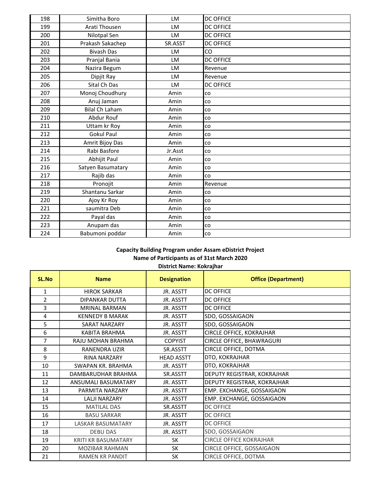| 198 | Simitha Boro          | LM      | <b>DC OFFICE</b> |
|-----|-----------------------|---------|------------------|
| 199 | Arati Thousen         | LM      | <b>DC OFFICE</b> |
| 200 | Nilotpal Sen          | LM      | <b>DC OFFICE</b> |
| 201 | Prakash Sakachep      | SR.ASST | <b>DC OFFICE</b> |
| 202 | <b>Bivash Das</b>     | LM      | CO               |
| 203 | Pranjal Bania         | LM      | <b>DC OFFICE</b> |
| 204 | Nazira Begum          | LM      | Revenue          |
| 205 | Dipjit Ray            | LM      | Revenue          |
| 206 | Sital Ch Das          | LM      | <b>DC OFFICE</b> |
| 207 | Monoj Choudhury       | Amin    | co               |
| 208 | Anuj Jaman            | Amin    | <b>CO</b>        |
| 209 | <b>Bilal Ch Laham</b> | Amin    | <b>CO</b>        |
| 210 | Abdur Rouf            | Amin    | co               |
| 211 | Uttam kr Roy          | Amin    | <b>CO</b>        |
| 212 | <b>Gokul Paul</b>     | Amin    | CO               |
| 213 | Amrit Bijoy Das       | Amin    | CO               |
| 214 | Rabi Basfore          | Jr.Asst | <b>CO</b>        |
| 215 | Abhijit Paul          | Amin    | co               |
| 216 | Satyen Basumatary     | Amin    | <b>CO</b>        |
| 217 | Rajib das             | Amin    | <b>CO</b>        |
| 218 | Pronojit              | Amin    | Revenue          |
| 219 | Shantanu Sarkar       | Amin    | <b>CO</b>        |
| 220 | Ajoy Kr Roy           | Amin    | co               |
| 221 | saumitra Deb          | Amin    | <b>CO</b>        |
| 222 | Payal das             | Amin    | <b>CO</b>        |
| 223 | Anupam das            | Amin    | co               |
| 224 | Babumoni poddar       | Amin    | co               |

# **Capacity Building Program under Assam eDistrict Project Name of Participants as of 31st March 2020**

|  |  | District Name: Kokrajhar |
|--|--|--------------------------|
|--|--|--------------------------|

| SL.No | <b>Name</b>                | <b>Designation</b> | <b>Office (Department)</b>     |
|-------|----------------------------|--------------------|--------------------------------|
| 1     | <b>HIROK SARKAR</b>        | JR. ASSTT          | <b>DC OFFICE</b>               |
| 2     | <b>DIPANKAR DUTTA</b>      | JR. ASSTT          | <b>DC OFFICE</b>               |
| 3     | <b>MRINAL BARMAN</b>       | JR. ASSTT          | <b>DC OFFICE</b>               |
| 4     | <b>KENNEDY B MARAK</b>     | JR. ASSTT          | SDO, GOSSAIGAON                |
| 5     | <b>SARAT NARZARY</b>       | JR. ASSTT          | SDO, GOSSAIGAON                |
| 6     | KABITA BRAHMA              | JR. ASSTT          | CIRCLE OFFICE, KOKRAJHAR       |
| 7     | RAJU MOHAN BRAHMA          | <b>COPYIST</b>     | CIRCLE OFFICE, BHAWRAGURI      |
| 8     | <b>RANENDRA UZIR</b>       | SR.ASSTT           | CIRCLE OFFICE, DOTMA           |
| 9     | <b>RINA NARZARY</b>        | <b>HEAD ASSTT</b>  | DTO, KOKRAJHAR                 |
| 10    | <b>SWAPAN KR. BRAHMA</b>   | JR. ASSTT          | DTO, KOKRAJHAR                 |
| 11    | DAMBARUDHAR BRAHMA         | SR.ASSTT           | DEPUTY REGISTRAR, KOKRAJHAR    |
| 12    | ANSUMALI BASUMATARY        | JR. ASSTT          | DEPUTY REGISTRAR, KOKRAJHAR    |
| 13    | PARMITA NARZARY            | JR. ASSTT          | EMP. EXCHANGE, GOSSAIGAON      |
| 14    | <b>LALJI NARZARY</b>       | JR. ASSTT          | EMP. EXCHANGE, GOSSAIGAON      |
| 15    | <b>MATILAL DAS</b>         | SR.ASSTT           | <b>DC OFFICE</b>               |
| 16    | <b>BASU SARKAR</b>         | JR. ASSTT          | <b>DC OFFICE</b>               |
| 17    | <b>LASKAR BASUMATARY</b>   | JR. ASSTT          | <b>DC OFFICE</b>               |
| 18    | <b>DEBU DAS</b>            | JR. ASSTT          | SDO, GOSSAIGAON                |
| 19    | <b>KRITI KR BASUMATARY</b> | SK                 | <b>CIRCLE OFFICE KOKRAJHAR</b> |
| 20    | <b>MOZIBAR RAHMAN</b>      | <b>SK</b>          | CIRCLE OFFICE, GOSSAIGAON      |
| 21    | <b>RAMEN KR PANDIT</b>     | <b>SK</b>          | CIRCLE OFFICE, DOTMA           |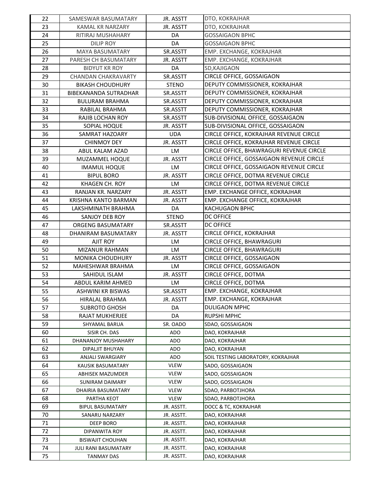| 22 | SAMESWAR BASUMATARY        | JR. ASSTT    | DTO, KOKRAJHAR                           |
|----|----------------------------|--------------|------------------------------------------|
| 23 | <b>KAMAL KR NARZARY</b>    | JR. ASSTT    | DTO, KOKRAJHAR                           |
| 24 | RITIRAJ MUSHAHARY          | DA           | <b>GOSSAIGAON BPHC</b>                   |
| 25 | <b>DILIP ROY</b>           | DA           | <b>GOSSAIGAON BPHC</b>                   |
| 26 | <b>MAYA BASUMATARY</b>     | SR.ASSTT     | EMP. EXCHANGE, KOKRAJHAR                 |
| 27 | PARESH CH BASUMATARY       | JR. ASSTT    | EMP. EXCHANGE, KOKRAJHAR                 |
| 28 | <b>BIDYUT KR ROY</b>       | DA           | SD, KAJIGAON                             |
| 29 | <b>CHANDAN CHAKRAVARTY</b> | SR.ASSTT     | CIRCLE OFFICE, GOSSAIGAON                |
| 30 | <b>BIKASH CHOUDHURY</b>    | <b>STENO</b> | DEPUTY COMMISSIONER, KOKRAJHAR           |
| 31 | BIBEKANANDA SUTRADHAR      | SR.ASSTT     | DEPUTY COMMISSIONER, KOKRAJHAR           |
| 32 | <b>BULURAM BRAHMA</b>      | SR.ASSTT     | DEPUTY COMMISSIONER, KOKRAJHAR           |
| 33 | RABILAL BRAHMA             | SR.ASSTT     | DEPUTY COMMISSIONER, KOKRAJHAR           |
| 34 | <b>RAJIB LOCHAN ROY</b>    | SR.ASSTT     | SUB-DIVISIONAL OFFICE, GOSSAIGAON        |
| 35 | SOPIAL HOQUE               | JR. ASSTT    | SUB-DIVISIONAL OFFICE, GOSSAIGAON        |
| 36 | SAMRAT HAZOARY             | <b>UDA</b>   | CIRCLE OFFICE, KOKRAJHAR REVENUE CIRCLE  |
| 37 | <b>CHINMOY DEY</b>         | JR. ASSTT    | CIRCLE OFFICE, KOKRAJHAR REVENUE CIRCLE  |
| 38 | ABUL KALAM AZAD            | LM           | CIRCLE OFFICE, BHAWRAGURI REVENUE CIRCLE |
| 39 | MUZAMMEL HOQUE             | JR. ASSTT    | CIRCLE OFFICE, GOSSAIGAON REVENUE CIRCLE |
| 40 | <b>IMAMUL HOQUE</b>        | LM           | CIRCLE OFFICE, GOSSAIGAON REVENUE CIRCLE |
| 41 | <b>BIPUL BORO</b>          | JR. ASSTT    | CIRCLE OFFICE, DOTMA REVENUE CIRCLE      |
| 42 | KHAGEN CH. ROY             | LM           | CIRCLE OFFICE, DOTMA REVENUE CIRCLE      |
| 43 | RANJAN KR. NARZARY         | JR. ASSTT    | EMP. EXCHANGE OFFICE, KOKRAJHAR          |
| 44 | KRISHNA KANTO BARMAN       | JR. ASSTT    | EMP. EXCHANGE OFFICE, KOKRAJHAR          |
| 45 | LAKSHMINATH BRAHMA         | DA           | <b>KACHUGAON BPHC</b>                    |
| 46 | SANJOY DEB ROY             | <b>STENO</b> | <b>DC OFFICE</b>                         |
| 47 | ORGENG BASUMATARY          | SR.ASSTT     | <b>DC OFFICE</b>                         |
| 48 | DHANIRAM BASUMATARY        | JR. ASSTT    | CIRCLE OFFICE, KOKRAJHAR                 |
| 49 | AJIT ROY                   | LM           | CIRCLE OFFICE, BHAWRAGURI                |
| 50 | MIZANUR RAHMAN             | LM           | CIRCLE OFFICE, BHAWRAGURI                |
| 51 | <b>MONIKA CHOUDHURY</b>    | JR. ASSTT    | CIRCLE OFFICE, GOSSAIGAON                |
| 52 | MAHESHWAR BRAHMA           | LM           | CIRCLE OFFICE, GOSSAIGAON                |
| 53 | SAHIDUL ISLAM              | JR. ASSTT    | CIRCLE OFFICE, DOTMA                     |
| 54 | ABDUL KARIM AHMED          | LM           | CIRCLE OFFICE, DOTMA                     |
| 55 | <b>ASHWINI KR BISWAS</b>   | SR.ASSTT     | EMP. EXCHANGE, KOKRAJHAR                 |
| 56 | HIRALAL BRAHMA             | JR. ASSTT    | EMP. EXCHANGE, KOKRAJHAR                 |
| 57 | <b>SUBROTO GHOSH</b>       | DA           | <b>DULIGAON MPHC</b>                     |
| 58 | RAJAT MUKHERJEE            | DA           | <b>RUPSHI MPHC</b>                       |
| 59 | SHYAMAL BARUA              | SR. OADO     | SDAO, GOSSAIGAON                         |
| 60 | SISIR CH. DAS              | ADO          | DAO, KOKRAJHAR                           |
| 61 | DHANANJOY MUSHAHARY        | ADO          | DAO, KOKRAJHAR                           |
| 62 | DIPALJIT BHUYAN            | ADO          | DAO, KOKRAJHAR                           |
| 63 | <b>ANJALI SWARGIARY</b>    | ADO          | SOIL TESTING LABORATORY, KOKRAJHAR       |
| 64 | KAUSIK BASUMATARY          | <b>VLEW</b>  | SADO, GOSSAIGAON                         |
| 65 | ABHISEK MAZUMDER           | <b>VLEW</b>  | SADO, GOSSAIGAON                         |
| 66 | SUNIRAM DAIMARY            | <b>VLEW</b>  | SADO, GOSSAIGAON                         |
| 67 | DHAIRIA BASUMATARY         | <b>VLEW</b>  | SDAO, PARBOTJHORA                        |
| 68 | PARTHA KEOT                | <b>VLEW</b>  | SDAO, PARBOTJHORA                        |
| 69 | <b>BIPUL BASUMATARY</b>    | JR. ASSTT.   | DOCC & TC, KOKRAJHAR                     |
| 70 | SANARU NARZARY             | JR. ASSTT.   | DAO, KOKRAJHAR                           |
| 71 | DEEP BORO                  | JR. ASSTT.   | DAO, KOKRAJHAR                           |
| 72 | DIPANWITA ROY              | JR. ASSTT.   | DAO, KOKRAJHAR                           |
| 73 | <b>BISWAJIT CHOUHAN</b>    | JR. ASSTT.   | DAO, KOKRAJHAR                           |
| 74 | JULI RANI BASUMATARY       | JR. ASSTT.   | DAO, KOKRAJHAR                           |
| 75 | <b>TANMAY DAS</b>          | JR. ASSTT.   | DAO, KOKRAJHAR                           |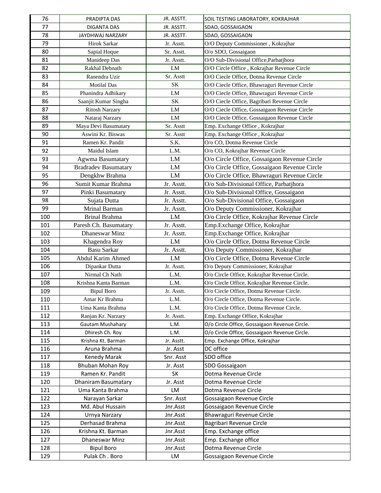| 76  | PRADIPTA DAS                | JR. ASSTT. | SOIL TESTING LABORATORY, KOKRAJHAR            |
|-----|-----------------------------|------------|-----------------------------------------------|
| 77  | DIGANTA DAS                 | JR. ASSTT. | SDAO, GOSSAIGAON                              |
| 78  | JAYDHWAJ NARZARY            | JR. ASSTT. | SDAO, GOSSAIGAON                              |
| 79  | Hirok Sarkar                | Jr. Asstt. | O/O Deputy Commissioner, Kokrajhar            |
| 80  | Sapial Hoque                | Sr. Asstt. | O/o SDO, Gossaigaon                           |
| 81  | Manideep Das                | Jr. Asstt. | O/O Sub-Divisional Office, Parbatjhora        |
| 82  | Rakhal Debnath              | LM         | O/O Circle Office, Kokrajhar Revenue Circle   |
| 83  | Ranendra Uzir               | Sr. Asstt  | O/O Ciecle Office, Dotma Revenue Circle       |
| 84  | <b>Motilal Das</b>          | SK         | O/O Ciecle Office, Bhawraguri Revenue Circle  |
| 85  | Phanindra Adhikary          | LM         | O/O Ciecle Office, Bhawraguri Revenue Circle  |
| 86  | Saanjit Kumar Singha        | SK         | O/O Ciecle Office, Bagribari Revenue Circle   |
| 87  | <b>Ritosh Narzary</b>       | LM         | O/O Ciecle Office, Gossaigaon Revenue Circle  |
| 88  | Nataraj Narzary             | ${\rm LM}$ | O/O Ciecle Office, Gossaigaon Revenue Circle  |
| 89  | Maya Devi Basumatary        | Sr. Asstt  | Emp. Exchange Office, Kokrajhar               |
| 90  | Aswini Kr. Biswas           | Sr. Asstt  | Emp. Exchange Office, Kokrajhar               |
| 91  | Ramen Kr. Pandit            | S.K.       | O/o CO, Dotma Revenue Circle                  |
| 92  | Maidul Islam                | L.M.       | O/o CO, Kokrajhar Revenue Circle              |
| 93  | Agwma Basumatary            | LM         | O/o Circle Office, Gossaigaon Revenue Circle  |
| 94  | <b>Bradradev Basumatary</b> | LM         | O/o Circle Office, Gossaigaon Revenue Circle  |
| 95  | Dengkhw Brahma              | LM         | O/o Circle Office, Bhawraguri Revenue Circle  |
| 96  | Sumit Kumar Brahma          | Jr. Asstt. | O/o Sub-Divisional Office, Parbatjhora        |
| 97  | Pinki Basumatary            | Jr. Asstt. | O/o Sub-Divisional Office, Gossaigaon         |
| 98  | Sujata Dutta                | Jr. Asstt. | O/o Sub-Divisional Office, Gossaigaon         |
| 99  | Mrinal Barman               | Jr. Asstt. | O/o Deputy Commissioner, Kokrajhar            |
| 100 | Brinal Brahma               | LM         | O/o Circle Office, Kokrajhar Revenue Circle   |
| 101 | Paresh Ch. Basumatary       | Jr. Asstt. | Emp.Exchange Office, Kokrajhar                |
| 102 | Dhaneswar Minz              | Jr. Asstt. | Emp.Exchange Office, Kokrajhar                |
| 103 | Khagendra Roy               | LM         | O/o Circle Office, Dotma Revenue Circle       |
| 104 | <b>Basu Sarkar</b>          | Jr. Asstt. | O/o Deputy Commissioner, Kokrajhar            |
| 105 | <b>Abdul Karim Ahmed</b>    | LM         | O/o Circle Office, Dotma Revenue Circle       |
| 106 | Dipankar Dutta              | Jr. Asstt. | O/o Deputy Commissioner, Kokrajhar            |
| 107 | Nirmal Ch Nath              | L.M.       | O/o Circle Office, Kokrajhar Revenue Circle.  |
| 108 | Krishna Kanta Barman        | L.M.       | O/o Circle Office, Kokrajhar Revenue Circle.  |
| 109 | <b>Bipul Boro</b>           | Jr. Asstt. | O/o Circle Office, Dotma Revenue Circle.      |
| 110 | Amar Kr Brahma              | L.M.       | O/o Circle Office, Dotma Revenue Circle.      |
| 111 | Uma Kanta Brahma            | L.M.       | O/o Circle Office, Dotma Revenue Circle.      |
| 112 | Ranjan Kr. Narzary          | Jr. Asstt. | Emp. Exchange Office, Kokrajhar               |
| 113 | Gautam Mushahary            | L.M.       | O/o Circle Office, Gossaigaon Revenue Circle. |
| 114 | Dhiresh Ch. Roy             | L.M.       | O/o Circle Office, Gossaigaon Revenue Circle. |
| 115 | Krishna Kt. Barman          | Jr. Asstt. | Emp. Exchange Office, Kokrajhar               |
| 116 | Aruna Brahma                | Jr. Asst   | DC office                                     |
| 117 | <b>Kenedy Marak</b>         | Snr. Asst  | SDO office                                    |
| 118 | Bhuban Mohan Roy            | Jr. Asst   | SDO Gossaigaon                                |
| 119 | Ramen Kr. Pandit            | SK         | Dotma Revenue Circle                          |
| 120 | Dhaniram Basumatary         | Jr. Asst   | Dotma Revenue Circle                          |
| 121 | Uma Kanta Brahma            | LM         | Dotma Revenue Circle                          |
| 122 | Narayan Sarkar              | Snr. Asst  | Gossaigaon Revenue Circle                     |
| 123 | Md. Abul Hussain            | Jnr.Asst   | Gossaigaon Revenue Circle                     |
| 124 | Urnya Narzary               | Jnr.Asst   | Bhawraguri Revenue Circle                     |
| 125 | Derhasad Brahma             | Jnr.Asst   | Bagribari Revenue Circle                      |
| 126 | Krishna Kt. Barman          | Jnr.Asst   | Emp. Exchange office                          |
| 127 | Dhaneswar Minz              | Jnr.Asst   | Emp. Exchange office                          |
| 128 | <b>Bipul Boro</b>           | Jnr.Asst   | Dotma Revenue Circle                          |
| 129 | Pulak Ch. Boro              | LM         | Gossaigaon Revenue Circle                     |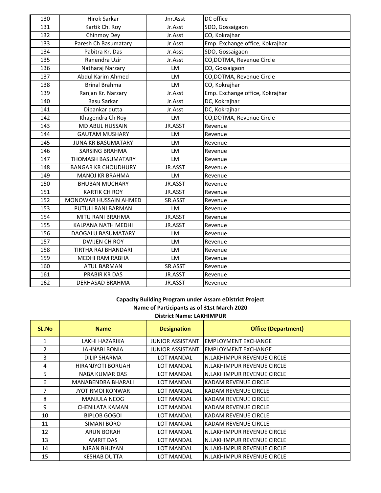| 130 | Hirok Sarkar                 | Jnr.Asst | DC office                       |
|-----|------------------------------|----------|---------------------------------|
| 131 | Kartik Ch. Roy               | Jr.Asst  | SDO, Gossaigaon                 |
| 132 | Chinmoy Dey                  | Jr.Asst  | CO, Kokrajhar                   |
| 133 | Paresh Ch Basumatary         | Jr.Asst  | Emp. Exchange office, Kokrajhar |
| 134 | Pabitra Kr. Das              | Jr.Asst  | SDO, Gossaigaon                 |
| 135 | Ranendra Uzir                | Jr.Asst  | CO, DOTMA, Revenue Circle       |
| 136 | Natharaj Narzary             | LM       | CO, Gossaigaon                  |
| 137 | Abdul Karim Ahmed            | LM       | CO, DOTMA, Revenue Circle       |
| 138 | <b>Brinal Brahma</b>         | LM       | CO, Kokrajhar                   |
| 139 | Ranjan Kr. Narzary           | Jr.Asst  | Emp. Exchange office, Kokrajhar |
| 140 | Basu Sarkar                  | Jr.Asst  | DC, Kokrajhar                   |
| 141 | Dipankar dutta               | Jr.Asst  | DC, Kokrajhar                   |
| 142 | Khagendra Ch Roy             | LM       | CO, DOTMA, Revenue Circle       |
| 143 | <b>MD ABUL HUSSAIN</b>       | JR.ASST  | Revenue                         |
| 144 | <b>GAUTAM MUSHARY</b>        | LM       | Revenue                         |
| 145 | <b>JUNA KR BASUMATARY</b>    | LM       | Revenue                         |
| 146 | <b>SARSING BRAHMA</b>        | LM       | Revenue                         |
| 147 | <b>THOMASH BASUMATARY</b>    | LM       | Revenue                         |
| 148 | <b>BANGAR KR CHOUDHURY</b>   | JR.ASST  | Revenue                         |
| 149 | <b>MANOJ KR BRAHMA</b>       | LM       | Revenue                         |
| 150 | <b>BHUBAN MUCHARY</b>        | JR.ASST  | Revenue                         |
| 151 | <b>KARTIK CH ROY</b>         | JR.ASST  | Revenue                         |
| 152 | <b>MONOWAR HUSSAIN AHMED</b> | SR.ASST  | Revenue                         |
| 153 | PUTULI RANI BARMAN           | LM       | Revenue                         |
| 154 | <b>MITU RANI BRAHMA</b>      | JR.ASST  | Revenue                         |
| 155 | KALPANA NATH MEDHI           | JR.ASST  | Revenue                         |
| 156 | DAOGALU BASUMATARY           | LM       | Revenue                         |
| 157 | <b>DWIJEN CH ROY</b>         | LM       | Revenue                         |
| 158 | TIRTHA RAJ BHANDARI          | LM       | Revenue                         |
| 159 | MEDHI RAM RABHA              | LM       | Revenue                         |
| 160 | <b>ATUL BARMAN</b>           | SR.ASST  | Revenue                         |
| 161 | <b>PRABIR KR DAS</b>         | JR.ASST  | Revenue                         |
| 162 | <b>DERHASAD BRAHMA</b>       | JR.ASST  | Revenue                         |

### **District Name: LAKHIMPUR Capacity Building Program under Assam eDistrict Project Name of Participants as of 31st March 2020**

| SL.No          | <b>Name</b>              | <b>Designation</b>      | <b>Office (Department)</b>  |
|----------------|--------------------------|-------------------------|-----------------------------|
| 1              | LAKHI HAZARIKA           | <b>JUNIOR ASSISTANT</b> | <b>EMPLOYMENT EXCHANGE</b>  |
| $\overline{2}$ | <b>JAHNABI BONIA</b>     | <b>JUNIOR ASSISTANT</b> | <b>EMPLOYMENT EXCHANGE</b>  |
| 3              | DILIP SHARMA             | <b>LOT MANDAL</b>       | N.LAKHIMPUR REVENUE CIRCLE  |
| 4              | <b>HIRANJYOTI BORUAH</b> | <b>LOT MANDAL</b>       | N.LAKHIMPUR REVENUE CIRCLE  |
| 5.             | NABA KUMAR DAS           | <b>LOT MANDAL</b>       | N.LAKHIMPUR REVENUE CIRCLE  |
| 6              | MANABENDRA BHARALI       | LOT MANDAL              | <b>KADAM REVENUE CIRCLE</b> |
| 7              | <b>JYOTIRMOI KONWAR</b>  | <b>LOT MANDAL</b>       | <b>KADAM REVENUE CIRCLE</b> |
| 8              | <b>MANJULA NEOG</b>      | LOT MANDAL              | KADAM REVENUE CIRCLE        |
| 9              | <b>CHENILATA KAMAN</b>   | LOT MANDAL              | KADAM REVENUE CIRCLE        |
| 10             | <b>BIPLOB GOGOI</b>      | <b>LOT MANDAL</b>       | <b>KADAM REVENUE CIRCLE</b> |
| 11             | <b>SIMANI BORO</b>       | <b>LOT MANDAL</b>       | <b>KADAM REVENUE CIRCLE</b> |
| 12             | <b>ARUN BORAH</b>        | LOT MANDAL              | N.LAKHIMPUR REVENUE CIRCLE  |
| 13             | <b>AMRIT DAS</b>         | <b>LOT MANDAL</b>       | N.LAKHIMPUR REVENUE CIRCLE  |
| 14             | <b>NIRAN BHUYAN</b>      | <b>LOT MANDAL</b>       | N.LAKHIMPUR REVENUE CIRCLE  |
| 15             | <b>KESHAB DUTTA</b>      | <b>LOT MANDAL</b>       | N.LAKHIMPUR REVENUE CIRCLE  |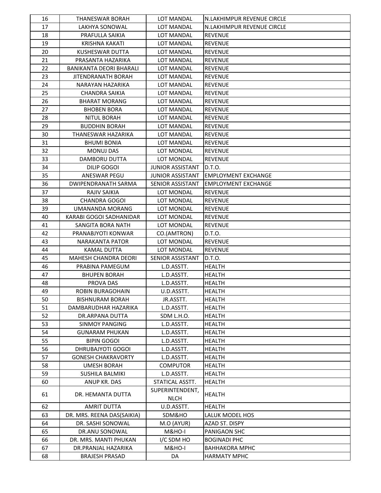| 16       | THANESWAR BORAH                                | <b>LOT MANDAL</b>        | N.LAKHIMPUR REVENUE CIRCLE     |
|----------|------------------------------------------------|--------------------------|--------------------------------|
| 17       | <b>LAKHYA SONOWAL</b>                          | <b>LOT MANDAL</b>        | N.LAKHIMPUR REVENUE CIRCLE     |
| 18       | PRAFULLA SAIKIA                                | <b>LOT MANDAL</b>        | <b>REVENUE</b>                 |
| 19       | <b>KRISHNA KAKATI</b>                          | LOT MANDAL               | <b>REVENUE</b>                 |
| 20       | <b>KUSHESWAR DUTTA</b>                         | LOT MANDAL               | <b>REVENUE</b>                 |
| 21       | PRASANTA HAZARIKA                              | <b>LOT MANDAL</b>        | <b>REVENUE</b>                 |
| 22       | BANIKANTA DEORI BHARALI                        | <b>LOT MANDAL</b>        | <b>REVENUE</b>                 |
| 23       | <b>JITENDRANATH BORAH</b>                      | <b>LOT MANDAL</b>        | <b>REVENUE</b>                 |
| 24       | NARAYAN HAZARIKA                               | LOT MANDAL               | <b>REVENUE</b>                 |
| 25       | <b>CHANDRA SAIKIA</b>                          | LOT MANDAL               | <b>REVENUE</b>                 |
| 26       | <b>BHARAT MORANG</b>                           | LOT MANDAL               | <b>REVENUE</b>                 |
| 27       | <b>BHOBEN BORA</b>                             | LOT MANDAL               | <b>REVENUE</b>                 |
| 28       | <b>NITUL BORAH</b>                             | <b>LOT MANDAL</b>        | <b>REVENUE</b>                 |
| 29       | <b>BUDDHIN BORAH</b>                           | LOT MANDAL               | <b>REVENUE</b>                 |
| 30       | THANESWAR HAZARIKA                             | <b>LOT MANDAL</b>        | <b>REVENUE</b>                 |
| 31       | <b>BHUMI BONIA</b>                             | <b>LOT MANDAL</b>        | <b>REVENUE</b>                 |
| 32       | <b>MONUJ DAS</b>                               | LOT MONDAL               | <b>REVENUE</b>                 |
| 33       | DAMBORU DUTTA                                  | LOT MONDAL               | <b>REVENUE</b>                 |
| 34       | DILIP GOGOI                                    | <b>JUNIOR ASSISTANT</b>  | D.T.O.                         |
| 35       | ANESWAR PEGU                                   | <b>JUNIOR ASSISTANT</b>  | <b>EMPLOYMENT EXCHANGE</b>     |
| 36       | DWIPENDRANATH SARMA                            | <b>SENIOR ASSISTANT</b>  | <b>EMPLOYMENT EXCHANGE</b>     |
| 37       | <b>RAJIV SAIKIA</b>                            | LOT MONDAL               | <b>REVENUE</b>                 |
| 38       | <b>CHANDRA GOGOI</b>                           | LOT MONDAL               | <b>REVENUE</b>                 |
| 39       | <b>UMANANDA MORANG</b>                         | LOT MONDAL               | <b>REVENUE</b>                 |
| 40       | KARABI GOGOI SADHANIDAR                        | LOT MONDAL               | <b>REVENUE</b>                 |
| 41       | SANGITA BORA NATH                              | LOT MONDAL               | <b>REVENUE</b>                 |
| 42       | PRANABJYOTI KONWAR                             | CO.(AMTRON)              | D.T.O.                         |
| 43       | <b>NARAKANTA PATOR</b>                         | LOT MONDAL               | <b>REVENUE</b>                 |
| 44       | <b>KAMAL DUTTA</b>                             | LOT MONDAL               | <b>REVENUE</b>                 |
| 45       | MAHESH CHANDRA DEORI                           | SENIOR ASSISTANT         | D.T.O.                         |
| 46       | PRABINA PAMEGUM                                | L.D.ASSTT.               | <b>HEALTH</b>                  |
| 47       | <b>BHUPEN BORAH</b>                            | L.D.ASSTT.               | <b>HEALTH</b>                  |
| 48       | PROVA DAS                                      | L.D.ASSTT.               | <b>HEALTH</b>                  |
| 49       | <b>ROBIN BURAGOHAIN</b>                        | U.D.ASSTT.               | <b>HEALTH</b>                  |
| 50       | <b>BISHNURAM BORAH</b>                         | JR.ASSTT.                | <b>HEALTH</b>                  |
| 51       | DAMBARUDHAR HAZARIKA                           | L.D.ASSTT.               | <b>HEALTH</b>                  |
| 52       | DR.ARPANA DUTTA                                | SDM L.H.O.               | <b>HEALTH</b>                  |
| 53       | <b>SINMOY PANGING</b>                          | L.D.ASSTT.               | <b>HEALTH</b>                  |
| 54       | <b>GUNARAM PHUKAN</b>                          | L.D.ASSTT.               | <b>HEALTH</b>                  |
| 55<br>56 | <b>BIPIN GOGOI</b><br><b>DHRUBAJYOTI GOGOI</b> | L.D.ASSTT.<br>L.D.ASSTT. | <b>HEALTH</b><br><b>HEALTH</b> |
| 57       | <b>GONESH CHAKRAVORTY</b>                      | L.D.ASSTT.               | <b>HEALTH</b>                  |
| 58       | <b>UMESH BORAH</b>                             | <b>COMPUTOR</b>          | <b>HEALTH</b>                  |
| 59       | SUSHILA BALMIKI                                | L.D.ASSTT.               | <b>HEALTH</b>                  |
| 60       | ANUP KR. DAS                                   | STATICAL ASSTT.          | <b>HEALTH</b>                  |
|          |                                                | SUPERINTENDENT,          |                                |
| 61       | DR. HEMANTA DUTTA                              | <b>NLCH</b>              | <b>HEALTH</b>                  |
| 62       | <b>AMRIT DUTTA</b>                             | U.D.ASSTT.               | <b>HEALTH</b>                  |
| 63       | DR. MRS. REENA DAS(SAIKIA)                     | SDM&HO                   | LALUK MODEL HOS                |
| 64       | DR. SASHI SONOWAL                              | M.O (AYUR)               | AZAD ST. DISPY                 |
| 65       | DR.ANU SONOWAL                                 | M&HO-I                   | PANIGAON SHC                   |
| 66       | DR. MRS. MANTI PHUKAN                          | I/C SDM HO               | <b>BOGINADI PHC</b>            |
| 67       | DR.PRANJAL HAZARIKA                            | M&HO-I                   | <b>BAHHAKORA MPHC</b>          |
| 68       | <b>BRAJESH PRASAD</b>                          | DA                       | <b>HARMATY MPHC</b>            |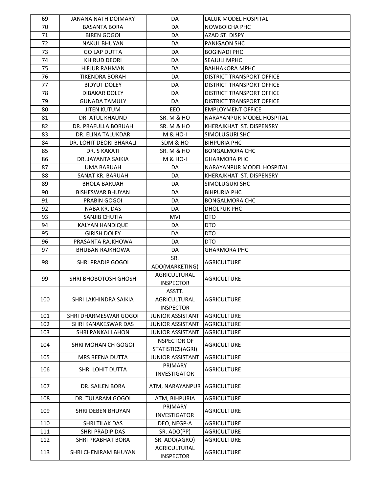| 69  | <b>JANANA NATH DOIMARY</b> | DA                               | LALUK MODEL HOSPITAL             |
|-----|----------------------------|----------------------------------|----------------------------------|
| 70  | <b>BASANTA BORA</b>        | DA                               | NOWBOICHA PHC                    |
| 71  | <b>BIREN GOGOI</b>         | DA                               | AZAD ST. DISPY                   |
| 72  | <b>NAKUL BHUYAN</b>        | DA                               | PANIGAON SHC                     |
| 73  | <b>GO LAP DUTTA</b>        | DA                               | <b>BOGINADI PHC</b>              |
| 74  | <b>KHIRUD DEORI</b>        | DA                               | <b>SEAJULI MPHC</b>              |
| 75  | <b>HIFJUR RAHMAN</b>       | DA                               | BAHHAKORA MPHC                   |
| 76  | <b>TIKENDRA BORAH</b>      | DA                               | <b>DISTRICT TRANSPORT OFFICE</b> |
| 77  | <b>BIDYUT DOLEY</b>        | DA                               | DISTRICT TRANSPORT OFFICE        |
| 78  | <b>DIBAKAR DOLEY</b>       | DA                               | DISTRICT TRANSPORT OFFICE        |
| 79  | <b>GUNADA TAMULY</b>       | DA                               | DISTRICT TRANSPORT OFFICE        |
| 80  | JITEN KUTUM                | EEO.                             | EMPLOYMENT OFFICE                |
| 81  | DR. ATUL KHAUND            | <b>SR. M &amp; HO</b>            | NARAYANPUR MODEL HOSPITAL        |
| 82  | DR. PRAFULLA BORUAH        | <b>SR. M &amp; HO</b>            | KHERAJKHAT ST. DISPENSRY         |
| 83  | DR. ELINA TALUKDAR         | <b>M &amp; HO-I</b>              | <b>SIMOLUGURI SHC</b>            |
| 84  | DR. LOHIT DEORI BHARALI    | SDM & HO                         | <b>BIHPURIA PHC</b>              |
| 85  | DR. S KAKATI               | SR. M & HO                       | <b>BONGALMORA CHC</b>            |
| 86  | DR. JAYANTA SAIKIA         | <b>M &amp; HO-I</b>              | <b>GHARMORA PHC</b>              |
| 87  | <b>UMA BARUAH</b>          | DA                               | NARAYANPUR MODEL HOSPITAL        |
| 88  | SANAT KR. BARUAH           | DA                               | KHERAJKHAT ST. DISPENSRY         |
| 89  | <b>BHOLA BARUAH</b>        | DA                               | SIMOLUGURI SHC                   |
| 90  | <b>BISHESWAR BHUYAN</b>    | DA                               | <b>BIHPURIA PHC</b>              |
| 91  | PRABIN GOGOI               | DA                               | <b>BONGALMORA CHC</b>            |
| 92  | NABA KR. DAS               | DA                               | DHOLPUR PHC                      |
| 93  | SANJIB CHUTIA              | <b>MVI</b>                       | DTO                              |
| 94  | KALYAN HANDIQUE            | DA                               | DTO                              |
| 95  | <b>GIRISH DOLEY</b>        | DA                               | DTO                              |
| 96  | PRASANTA RAJKHOWA          | DA                               | DTO.                             |
| 97  | <b>BHUBAN RAJKHOWA</b>     | DA                               | <b>GHARMORA PHC</b>              |
| 98  | <b>SHRI PRADIP GOGOI</b>   | SR.                              | AGRICULTURE                      |
|     |                            | ADO(MARKETING)                   |                                  |
| 99  | SHRI BHOBOTOSH GHOSH       | AGRICULTURAL                     | AGRICULTURE                      |
|     |                            | <b>INSPECTOR</b>                 |                                  |
|     |                            | ASSTT.                           |                                  |
| 100 | SHRI LAKHINDRA SAIKIA      | AGRICULTURAL                     | <b>AGRICULTURE</b>               |
|     |                            | <b>INSPECTOR</b>                 |                                  |
| 101 | SHRI DHARMESWAR GOGOI      | <b>JUNIOR ASSISTANT</b>          | <b>AGRICULTURE</b>               |
| 102 | SHRI KANAKESWAR DAS        | <b>JUNIOR ASSISTANT</b>          | <b>AGRICULTURE</b>               |
| 103 | SHRI PANKAJ LAHON          | <b>JUNIOR ASSISTANT</b>          | <b>AGRICULTURE</b>               |
| 104 | SHRI MOHAN CH GOGOI        | <b>INSPECTOR OF</b>              | <b>AGRICULTURE</b>               |
|     |                            | STATISTICS(AGRI)                 |                                  |
| 105 | MRS REENA DUTTA            | <b>JUNIOR ASSISTANT</b>          | <b>AGRICULTURE</b>               |
| 106 | SHRI LOHIT DUTTA           | PRIMARY                          | <b>AGRICULTURE</b>               |
|     |                            | <b>INVESTIGATOR</b>              |                                  |
| 107 | DR. SAILEN BORA            | ATM, NARAYANPUR                  | <b>AGRICULTURE</b>               |
|     |                            |                                  |                                  |
| 108 | DR. TULARAM GOGOI          | ATM, BIHPURIA                    | <b>AGRICULTURE</b>               |
| 109 | SHRI DEBEN BHUYAN          | PRIMARY                          | <b>AGRICULTURE</b>               |
|     |                            | <b>INVESTIGATOR</b>              |                                  |
| 110 | SHRI TILAK DAS             | DEO, NEGP-A                      | <b>AGRICULTURE</b>               |
| 111 | SHRI PRADIP DAS            | SR. ADO(PP)                      | <b>AGRICULTURE</b>               |
| 112 | <b>SHRI PRABHAT BORA</b>   | SR. ADO(AGRO)                    | <b>AGRICULTURE</b>               |
| 113 | SHRI CHENIRAM BHUYAN       | AGRICULTURAL<br><b>INSPECTOR</b> | <b>AGRICULTURE</b>               |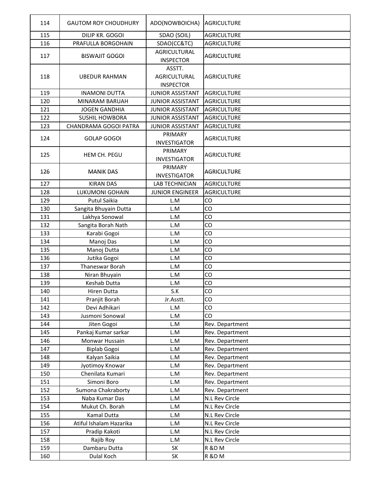| 114 | <b>GAUTOM ROY CHOUDHURY</b> | ADO(NOWBOICHA)          | <b>AGRICULTURE</b> |
|-----|-----------------------------|-------------------------|--------------------|
| 115 | DILIP KR. GOGOI             | SDAO (SOIL)             | <b>AGRICULTURE</b> |
| 116 | PRAFULLA BORGOHAIN          | SDAO(CC&TC)             | <b>AGRICULTURE</b> |
|     |                             | <b>AGRICULTURAL</b>     |                    |
| 117 | <b>BISWAJIT GOGOI</b>       | <b>INSPECTOR</b>        | <b>AGRICULTURE</b> |
|     |                             | ASSTT.                  |                    |
| 118 | <b>UBEDUR RAHMAN</b>        | <b>AGRICULTURAL</b>     | <b>AGRICULTURE</b> |
|     |                             | <b>INSPECTOR</b>        |                    |
| 119 | <b>INAMONI DUTTA</b>        | <b>JUNIOR ASSISTANT</b> | <b>AGRICULTURE</b> |
| 120 | <b>MINARAM BARUAH</b>       | <b>JUNIOR ASSISTANT</b> | <b>AGRICULTURE</b> |
| 121 | <b>JOGEN GANDHIA</b>        | <b>JUNIOR ASSISTANT</b> | <b>AGRICULTURE</b> |
| 122 | <b>SUSHIL HOWBORA</b>       | <b>JUNIOR ASSISTANT</b> | <b>AGRICULTURE</b> |
| 123 | CHANDRAMA GOGOI PATRA       | <b>JUNIOR ASSISTANT</b> | <b>AGRICULTURE</b> |
| 124 | GOLAP GOGOI                 | PRIMARY                 | <b>AGRICULTURE</b> |
|     |                             | <b>INVESTIGATOR</b>     |                    |
| 125 | HEM CH. PEGU                | PRIMARY                 | <b>AGRICULTURE</b> |
|     |                             | <b>INVESTIGATOR</b>     |                    |
|     |                             | PRIMARY                 |                    |
| 126 | <b>MANIK DAS</b>            | <b>INVESTIGATOR</b>     | <b>AGRICULTURE</b> |
| 127 | <b>KIRAN DAS</b>            | <b>LAB TECHNICIAN</b>   | <b>AGRICULTURE</b> |
| 128 | <b>LUKUMONI GOHAIN</b>      | <b>JUNIOR ENGINEER</b>  | <b>AGRICULTURE</b> |
| 129 | <b>Putul Saikia</b>         | L.M                     | CO                 |
| 130 | Sangita Bhuyain Dutta       | L.M                     | CO                 |
| 131 | Lakhya Sonowal              | L.M                     | CO                 |
| 132 | Sangita Borah Nath          | L.M                     | CO                 |
| 133 | Karabi Gogoi                | L.M                     | CO                 |
| 134 | Manoj Das                   | L.M                     | CO                 |
| 135 | Manoj Dutta                 | L.M                     | CO                 |
| 136 | Jutika Gogoi                | L.M                     | CO                 |
| 137 | Thaneswar Borah             | L.M                     | CO                 |
| 138 | Niran Bhuyain               | L.M                     | CO                 |
| 139 | Keshab Dutta                | L.M                     | CO                 |
| 140 | Hiren Dutta                 | S.K                     | CO                 |
| 141 | Pranjit Borah               | Jr.Asstt.               | CO                 |
| 142 | Devi Adhikari               | L.M                     | CO                 |
| 143 | Jusmoni Sonowal             | L.M                     | CO                 |
| 144 | Jiten Gogoi                 | L.M                     | Rev. Department    |
| 145 | Pankaj Kumar sarkar         | L.M                     | Rev. Department    |
| 146 | Monwar Hussain              | L.M                     | Rev. Department    |
| 147 | Biplab Gogoi                | L.M                     | Rev. Department    |
| 148 | Kalyan Saikia               | L.M                     | Rev. Department    |
| 149 | Jyotimoy Knowar             | L.M                     | Rev. Department    |
| 150 | Chenilata Kumari            | L.M                     | Rev. Department    |
| 151 | Simoni Boro                 | L.M                     | Rev. Department    |
| 152 | Sumona Chakraborty          | L.M                     | Rev. Department    |
| 153 | Naba Kumar Das              | L.M                     | N.L Rev Circle     |
| 154 | Mukut Ch. Borah             | L.M                     | N.L Rev Circle     |
| 155 | Kamal Dutta                 | L.M                     | N.L Rev Circle     |
| 156 | Atiful Ishalam Hazarika     | L.M                     | N.L Rev Circle     |
| 157 | Pradip Kakoti               | L.M                     | N.L Rev Circle     |
| 158 | Rajib Roy                   | L.M                     | N.L Rev Circle     |
| 159 | Dambaru Dutta               | <b>SK</b>               | R &D M             |
| 160 | Dulal Koch                  | SK                      | R &D M             |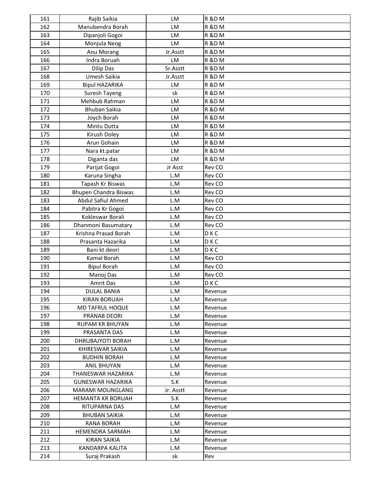| 161 | Rajib Saikia             | LM        | <b>R &amp;D M</b> |
|-----|--------------------------|-----------|-------------------|
| 162 | Manubendra Borah         | <b>LM</b> | <b>R &amp;D M</b> |
| 163 | Dipanjoli Gogoi          | LM        | R &D M            |
| 164 | Monjula Neog             | <b>LM</b> | <b>R &amp;D M</b> |
| 165 | Anu Morang               | Jr.Asstt  | <b>R &amp;D M</b> |
| 166 | Indra Boruah             | LM        | R &D M            |
| 167 | Dilip Das                | Sr.Asstt  | <b>R &amp;D M</b> |
| 168 | Umesh Saikia             | Jr.Asstt  | <b>R &amp;D M</b> |
| 169 | <b>Bipul HAZARIKA</b>    | <b>LM</b> | <b>R &amp;D M</b> |
| 170 | Suresh Tayeng            | sk        | <b>R &amp;D M</b> |
| 171 | Mehbub Rahman            | LM        | <b>R &amp;D M</b> |
| 172 | <b>Bhuban Saikia</b>     | LM        | <b>R &amp;D M</b> |
| 173 | Joych Borah              | LM        | <b>R &amp;D M</b> |
| 174 | Mintu Dutta              | LM        | <b>R &amp;D M</b> |
| 175 | Kirush Doley             | LM        | <b>R &amp;D M</b> |
| 176 | Arun Gohain              | <b>LM</b> | <b>R &amp;D M</b> |
| 177 | Nara kt.patar            | LM        | <b>R &amp;D M</b> |
| 178 | Diganta das              | LM        | <b>R &amp;D M</b> |
| 179 | Parijat Gogoi            | Jr Asst   | Rev CO            |
| 180 | Karuna Singha            | L.M       | Rev CO            |
| 181 | Tapash Kr Biswas         | L.M       | Rev CO            |
| 182 | Bhupen Chandra Biswas    | L.M       | Rev CO            |
| 183 | Abdul Safiul Ahmed       | L.M       | Rev CO            |
| 184 | Pabitra Kr Gogoi         | L.M       | Rev CO            |
| 185 | Kokleswar Borali         | L.M       | Rev CO            |
| 186 | Dhanmoni Basumatary      | L.M       | Rev CO            |
| 187 | Krishna Prasad Borah     | L.M       | <b>DKC</b>        |
| 188 | Prasanta Hazarika        | L.M       | <b>DKC</b>        |
| 189 | Bani kt deori            | L.M       | <b>DKC</b>        |
| 190 | Kamal Borah              | L.M       | Rev CO            |
| 191 | <b>Bipul Borah</b>       | L.M       | Rev CO            |
| 192 | Manoj Das                | L.M       | Rev CO            |
| 193 | Amrit Das                | L.M       | <b>DKC</b>        |
| 194 | <b>DULAL BANIA</b>       | L.M       | Revenue           |
| 195 | <b>KIRAN BORUAH</b>      | L.M       | Revenue           |
| 196 | MD TAFRUL HOQUE          | L.M       | Revenue           |
| 197 | <b>PRANAB DEORI</b>      | L.M       | Revenue           |
| 198 | <b>RUPAM KR BHUYAN</b>   | L.M       | Revenue           |
| 199 | PRASANTA DAS             | L.M       | Revenue           |
| 200 | DHRUBAJYOTI BORAH        | L.M       | Revenue           |
| 201 | KHIRESWAR SAIKIA         | L.M       | Revenue           |
| 202 | <b>BUDHIN BORAH</b>      | L.M       | Revenue           |
| 203 | <b>ANIL BHUYAN</b>       | L.M       | Revenue           |
| 204 | THANESWAR HAZARIKA       | L.M       | Revenue           |
| 205 | <b>GUNESWAR HAZARIKA</b> | S.K       | Revenue           |
| 206 | MARAMI MOUNGLANG         | Jr. Asstt | Revenue           |
| 207 | <b>HEMANTA KR BORUAH</b> | S.K       | Revenue           |
| 208 | RITUPARNA DAS            | L.M       | Revenue           |
| 209 | BHUBAN SAIKIA            | L.M       | Revenue           |
| 210 | <b>RANA BORAH</b>        | L.M       | Revenue           |
| 211 | <b>HEMENDRA SARMAH</b>   | L.M       | Revenue           |
| 212 | <b>KIRAN SAIKIA</b>      | L.M       | Revenue           |
| 213 | KANDARPA KALITA          | L.M       | Revenue           |
| 214 | Suraj Prakash            | sk        | Rev               |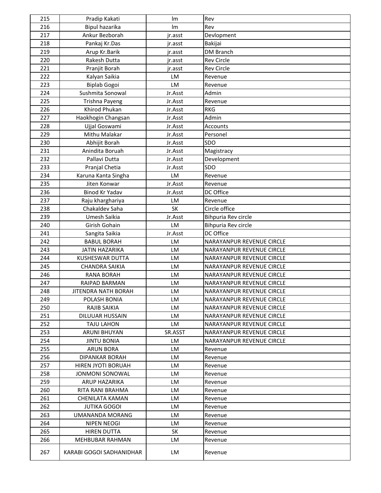| 215        | Pradip Kakati                     | Im        | Rev                              |
|------------|-----------------------------------|-----------|----------------------------------|
| 216        | Bipul hazarika                    | <b>Im</b> | Rev                              |
| 217        | Ankur Bezborah                    | jr.asst   | Devlopment                       |
| 218        | Pankaj Kr.Das                     | jr.asst   | Bakijai                          |
| 219        | Arup Kr.Barik                     | jr.asst   | <b>DM Branch</b>                 |
| 220        | Rakesh Dutta                      | jr.asst   | <b>Rev Circle</b>                |
| 221        | Pranjit Borah                     | jr.asst   | <b>Rev Circle</b>                |
| 222        | Kalyan Saikia                     | LM        | Revenue                          |
| 223        | <b>Biplab Gogoi</b>               | LM        | Revenue                          |
| 224        | Sushmita Sonowal                  | Jr.Asst   | Admin                            |
| 225        | Trishna Payeng                    | Jr.Asst   | Revenue                          |
| 226        | Khirod Phukan                     | Jr.Asst   | <b>RKG</b>                       |
| 227        | Haokhogin Changsan                | Jr.Asst   | Admin                            |
| 228        | Ujjal Goswami                     | Jr.Asst   | <b>Accounts</b>                  |
| 229        | Mithu Malakar                     | Jr.Asst   | Personel                         |
| 230        | Abhijit Borah                     | Jr.Asst   | SDO                              |
| 231        | Anindita Boruah                   | Jr.Asst   | Magistracy                       |
| 232        | Pallavi Dutta                     | Jr.Asst   | Development                      |
| 233        | Pranjal Chetia                    | Jr.Asst   | <b>SDO</b>                       |
| 234        | Karuna Kanta Singha               | LM        | Revenue                          |
| 235        | Jiten Konwar                      | Jr.Asst   | Revenue                          |
| 236        | Binod Kr Yadav                    | Jr.Asst   | DC Office                        |
| 237        | Raju kharghariya                  | LM        | Revenue                          |
| 238        | Chakaldev Saha                    | <b>SK</b> | Circle office                    |
| 239        | Umesh Saikia                      | Jr.Asst   | Bihpuria Rev circle              |
| 240        | Girish Gohain                     | LM        | Bihpuria Rev circle              |
| 241        | Sangita Saikia                    | Jr.Asst   | DC Office                        |
| 242        | <b>BABUL BORAH</b>                | LM        | NARAYANPUR REVENUE CIRCLE        |
| 243        | <b>JATIN HAZARIKA</b>             | LM        | NARAYANPUR REVENUE CIRCLE        |
| 244        | <b>KUSHESWAR DUTTA</b>            | LM        | NARAYANPUR REVENUE CIRCLE        |
| 245        | <b>CHANDRA SAIKIA</b>             | LM        | NARAYANPUR REVENUE CIRCLE        |
| 246        | <b>RANA BORAH</b>                 | LM        | NARAYANPUR REVENUE CIRCLE        |
| 247        | RAIPAD BARMAN                     | LM        | NARAYANPUR REVENUE CIRCLE        |
| 248        | <b>JITENDRA NATH BORAH</b>        | LM        | NARAYANPUR REVENUE CIRCLE        |
| 249        | POLASH BONIA                      | LM.       | <b>NARAYANPUR REVENUE CIRCLE</b> |
| 250        | RAJIB SAIKIA                      | <b>LM</b> | NARAYANPUR REVENUE CIRCLE        |
| 251        | DILUUAR HUSSAIN                   | LM        | NARAYANPUR REVENUE CIRCLE        |
| 252        | <b>TAJU LAHON</b>                 | LM        | NARAYANPUR REVENUE CIRCLE        |
| 253        | <b>ARUNI BHUYAN</b>               | SR.ASST   | NARAYANPUR REVENUE CIRCLE        |
| 254        | <b>JINTU BONIA</b>                | LM        | NARAYANPUR REVENUE CIRCLE        |
| 255        | <b>ARUN BORA</b>                  | LM        | Revenue                          |
| 256        | <b>DIPANKAR BORAH</b>             | LM        | Revenue                          |
| 257        | HIREN JYOTI BORUAH                | LM        | Revenue                          |
| 258        | JONMONI SONOWAL                   | LM        | Revenue                          |
| 259        | ARUP HAZARIKA                     | LM        | Revenue                          |
| 260        | RITA RANI BRAHMA                  | LM        | Revenue                          |
| 261        | <b>CHENILATA KAMAN</b>            | LM        | Revenue                          |
| 262        | <b>JUTIKA GOGOI</b>               | LM        | Revenue                          |
| 263<br>264 | UMANANDA MORANG                   | LM<br>LM  | Revenue                          |
| 265        | NIPEN NEOGI<br><b>HIREN DUTTA</b> | <b>SK</b> | Revenue                          |
| 266        | <b>MEHBUBAR RAHMAN</b>            | LM        | Revenue<br>Revenue               |
|            |                                   |           |                                  |
| 267        | KARABI GOGOI SADHANIDHAR          | LM.       | Revenue                          |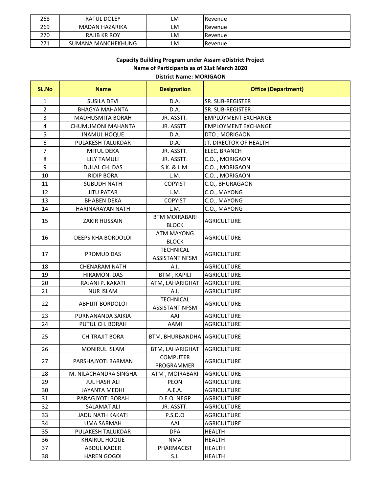| 268 | RATUL DOLEY        | LM | Revenue |
|-----|--------------------|----|---------|
| 269 | MADAN HAZARIKA     | LM | Revenue |
| 270 | RAJIB KR ROY       | LM | Revenue |
| 271 | SUMANA MANCHEKHUNG | LM | Revenue |

#### **C i B ildi P d A Di i P j Capacity Building Program under Assam eDistrict Project District Name: MORIGAON Name of Participants as of 31st March 2020**

| SL.No          | <b>Name</b>               | <b>Designation</b>                        | <b>Office (Department)</b> |
|----------------|---------------------------|-------------------------------------------|----------------------------|
| 1              | <b>SUSILA DEVI</b>        | D.A.                                      | SR. SUB-REGISTER           |
| $\overline{2}$ | <b>BHAGYA MAHANTA</b>     | D.A.                                      | SR. SUB-REGISTER           |
| 3              | <b>MADHUSMITA BORAH</b>   | JR. ASSTT.                                | <b>EMPLOYMENT EXCHANGE</b> |
| 4              | CHUMUMONI MAHANTA         | JR. ASSTT.                                | <b>EMPLOYMENT EXCHANGE</b> |
| 5              | <b>INAMUL HOQUE</b>       | D.A.                                      | DTO, MORIGAON              |
| 6              | PULAKESH TALUKDAR         | D.A.                                      | JT. DIRECTOR OF HEALTH     |
| 7              | <b>MITUL DEKA</b>         | JR. ASSTT.                                | ELEC. BRANCH               |
| 8              | <b>LILY TAMULI</b>        | JR. ASSTT.                                | C.O., MORIGAON             |
| 9              | DULAL CH. DAS             | S.K. & L.M.                               | C.O., MORIGAON             |
| 10             | <b>RIDIP BORA</b>         | L.M.                                      | C.O., MORIGAON             |
| 11             | <b>SUBUDH NATH</b>        | <b>COPYIST</b>                            | C.O., BHURAGAON            |
| 12             | <b>JITU PATAR</b>         | L.M.                                      | C.O., MAYONG               |
| 13             | <b>BHABEN DEKA</b>        | <b>COPYIST</b>                            | C.O., MAYONG               |
| 14             | <b>HARINARAYAN NATH</b>   | L.M.                                      | C.O., MAYONG               |
|                |                           | <b>BTM MOIRABARI</b>                      |                            |
| 15             | <b>ZAKIR HUSSAIN</b>      | <b>BLOCK</b>                              | <b>AGRICULTURE</b>         |
|                |                           | <b>ATM MAYONG</b>                         |                            |
| 16             | <b>DEEPSIKHA BORDOLOI</b> | <b>BLOCK</b>                              | <b>AGRICULTURE</b>         |
|                | PROMUD DAS                | <b>TECHNICAL</b>                          |                            |
| 17             |                           | <b>ASSISTANT NFSM</b>                     | <b>AGRICULTURE</b>         |
| 18             | <b>CHENARAM NATH</b>      | A.I.                                      | <b>AGRICULTURE</b>         |
| 19             | <b>HIRAMONI DAS</b>       | <b>BTM, KAPILI</b>                        | <b>AGRICULTURE</b>         |
| 20             | RAJANI P. KAKATI          | ATM, LAHARIGHAT                           | <b>AGRICULTURE</b>         |
| 21             | <b>NUR ISLAM</b>          | A.I.                                      | <b>AGRICULTURE</b>         |
| 22             | <b>ABHIJIT BORDOLOI</b>   | <b>TECHNICAL</b><br><b>ASSISTANT NFSM</b> | <b>AGRICULTURE</b>         |
| 23             | PURNANANDA SAIKIA         | AAI                                       | <b>AGRICULTURE</b>         |
| 24             | PUTUL CH. BORAH           | AAMI                                      | <b>AGRICULTURE</b>         |
| 25             | <b>CHITRAJIT BORA</b>     | BTM, BHURBANDHA AGRICULTURE               |                            |
| 26             | <b>MONIRUL ISLAM</b>      | <b>BTM, LAHARIGHAT</b>                    | <b>AGRICULTURE</b>         |
| 27             | PARSHAJYOTI BARMAN        | <b>COMPUTER</b><br>PROGRAMMER             | <b>AGRICULTURE</b>         |
| 28             | M. NILACHANDRA SINGHA     | ATM, MOIRABARI                            | AGRICULTURE                |
| 29             | <b>JUL HASH ALI</b>       | <b>PEON</b>                               | <b>AGRICULTURE</b>         |
| 30             | JAYANTA MEDHI             | A.E.A.                                    | <b>AGRICULTURE</b>         |
| 31             | PARAGJYOTI BORAH          | D.E.O. NEGP                               | <b>AGRICULTURE</b>         |
| 32             | SALAMAT ALI               | JR. ASSTT.                                | <b>AGRICULTURE</b>         |
| 33             | JADU NATH KAKATI          | P.S.D.O                                   | <b>AGRICULTURE</b>         |
| 34             | UMA SARMAH                | AAI                                       | <b>AGRICULTURE</b>         |
| 35             | PULAKESH TALUKDAR         | <b>DPA</b>                                | <b>HEALTH</b>              |
| 36             | <b>KHAIRUL HOQUE</b>      | NMA                                       | HEALTH                     |
| 37             | ABDUL KADER               | PHARMACIST                                | <b>HEALTH</b>              |
| 38             | <b>HAREN GOGOI</b>        | S.I.                                      | HEALTH                     |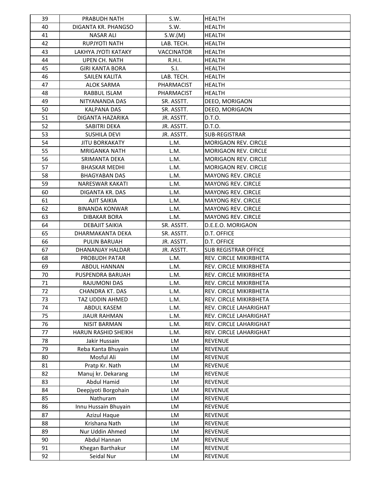| 39       | PRABUDH NATH                         | S.W.              | <b>HEALTH</b>                    |
|----------|--------------------------------------|-------------------|----------------------------------|
| 40       | DIGANTA KR. PHANGSO                  | S.W.              | <b>HEALTH</b>                    |
| 41       | <b>NASAR ALI</b>                     | S.W.(M)           | <b>HEALTH</b>                    |
| 42       | RUPJYOTI NATH                        | LAB. TECH.        | <b>HEALTH</b>                    |
| 43       | LAKHYA JYOTI KATAKY                  | <b>VACCINATOR</b> | <b>HEALTH</b>                    |
| 44       | <b>UPEN CH. NATH</b>                 | R.H.I.            | <b>HEALTH</b>                    |
| 45       | <b>GIRI KANTA BORA</b>               | S.I.              | <b>HEALTH</b>                    |
| 46       | SAILEN KALITA                        | LAB. TECH.        | <b>HEALTH</b>                    |
| 47       | <b>ALOK SARMA</b>                    | PHARMACIST        | <b>HEALTH</b>                    |
| 48       | RABBUL ISLAM                         | PHARMACIST        | <b>HEALTH</b>                    |
| 49       | NITYANANDA DAS                       | SR. ASSTT.        | DEEO, MORIGAON                   |
| 50       | <b>KALPANA DAS</b>                   | SR. ASSTT.        | DEEO, MORIGAON                   |
| 51       | DIGANTA HAZARIKA                     | JR. ASSTT.        | D.T.O.                           |
| 52       | SABITRI DEKA                         | JR. ASSTT.        | D.T.O.                           |
| 53       | <b>SUSHILA DEVI</b>                  | JR. ASSTT.        | <b>SUB-REGISTRAR</b>             |
| 54       | <b>JITU BORKAKATY</b>                | L.M.              | <b>MORIGAON REV. CIRCLE</b>      |
| 55       | <b>MRIGANKA NATH</b>                 | L.M.              | <b>MORIGAON REV. CIRCLE</b>      |
| 56       | SRIMANTA DEKA                        | L.M.              | MORIGAON REV. CIRCLE             |
| 57       | <b>BHASKAR MEDHI</b>                 | L.M.              | <b>MORIGAON REV. CIRCLE</b>      |
| 58       | <b>BHAGYABAN DAS</b>                 | L.M.              | <b>MAYONG REV. CIRCLE</b>        |
| 59       | <b>NARESWAR KAKATI</b>               | L.M.              | <b>MAYONG REV. CIRCLE</b>        |
| 60       | DIGANTA KR. DAS                      | L.M.              | <b>MAYONG REV. CIRCLE</b>        |
| 61       | <b>AJIT SAIKIA</b>                   | L.M.              | <b>MAYONG REV. CIRCLE</b>        |
| 62       | <b>BINANDA KONWAR</b>                | L.M.              | <b>MAYONG REV. CIRCLE</b>        |
| 63       | <b>DIBAKAR BORA</b>                  | L.M.              | <b>MAYONG REV. CIRCLE</b>        |
| 64       | DEBAJIT SAIKIA                       | SR. ASSTT.        | D.E.E.O. MORIGAON                |
| 65       | DHARMAKANTA DEKA                     | SR. ASSTT.        | D.T. OFFICE                      |
| 66       | <b>PULIN BARUAH</b>                  | JR. ASSTT.        | D.T. OFFICE                      |
| 67       | DHANANJAY HALDAR                     | JR. ASSTT.        | <b>SUB REGISTRAR OFFICE</b>      |
| 68       | PROBUDH PATAR                        | L.M.              | REV. CIRCLE MIKIRBHETA           |
| 69       | ABDUL HANNAN                         | L.M.              | REV. CIRCLE MIKIRBHETA           |
| 70       | PUSPENDRA BARUAH                     | L.M.              | REV. CIRCLE MIKIRBHETA           |
| 71       | RAJUMONI DAS                         | L.M.              | REV. CIRCLE MIKIRBHETA           |
| 72       | <b>CHANDRA KT. DAS</b>               | L.M.              | <b>REV. CIRCLE MIKIRBHETA</b>    |
| 73       | TAZ UDDIN AHMED                      | L.M.              | REV. CIRCLE MIKIRBHETA           |
| 74       | ABDUL KASEM                          | L.M.              | REV. CIRCLE LAHARIGHAT           |
| 75       | <b>JIAUR RAHMAN</b>                  | L.M.              | REV. CIRCLE LAHARIGHAT           |
| 76       | NISIT BARMAN                         | L.M.              | REV. CIRCLE LAHARIGHAT           |
| 77       | HARUN RASHID SHEIKH                  | L.M.              | REV. CIRCLE LAHARIGHAT           |
| 78       | Jakir Hussain                        | LM                | <b>REVENUE</b>                   |
| 79       | Reba Kanta Bhuyain                   | LM                | <b>REVENUE</b>                   |
| 80       | Mosful Ali                           | LM                | <b>REVENUE</b>                   |
| 81       | Pratp Kr. Nath                       | LM                | <b>REVENUE</b>                   |
| 82<br>83 | Manuj kr. Dekarang<br>Abdul Hamid    | LM<br>LM          | <b>REVENUE</b><br><b>REVENUE</b> |
|          |                                      |                   |                                  |
| 84<br>85 | Deepjyoti Borgohain<br>Nathuram      | LM                | <b>REVENUE</b><br><b>REVENUE</b> |
| 86       |                                      | LM                |                                  |
| 87       | Innu Hussain Bhuyain<br>Azizul Haque | LM<br>LM          | <b>REVENUE</b><br><b>REVENUE</b> |
| 88       | Krishana Nath                        | LM                | <b>REVENUE</b>                   |
| 89       | Nur Uddin Ahmed                      | LM                | <b>REVENUE</b>                   |
| 90       | Abdul Hannan                         | LM                | <b>REVENUE</b>                   |
| 91       | Khegan Barthakur                     | LM                | <b>REVENUE</b>                   |
| 92       | Seidal Nur                           | LM                | REVENUE                          |
|          |                                      |                   |                                  |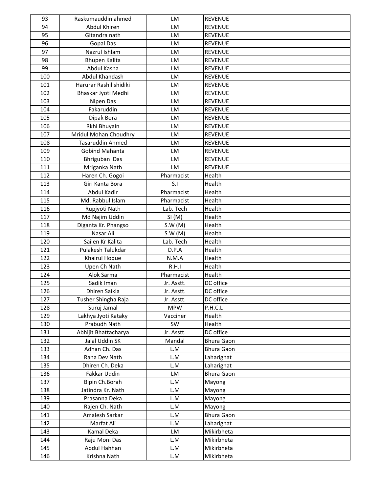| 93  | Raskumauddin ahmed      | <b>LM</b>  | <b>REVENUE</b>    |
|-----|-------------------------|------------|-------------------|
| 94  | Abdul Khiren            | LM         | <b>REVENUE</b>    |
| 95  | Gitandra nath           | <b>LM</b>  | <b>REVENUE</b>    |
| 96  | <b>Gopal Das</b>        | LM         | <b>REVENUE</b>    |
| 97  | Nazrul Ishlam           | LM         | <b>REVENUE</b>    |
| 98  | Bhupen Kalita           | LM         | <b>REVENUE</b>    |
| 99  | Abdul Kasha             | <b>LM</b>  | <b>REVENUE</b>    |
| 100 | Abdul Khandash          | LM         | <b>REVENUE</b>    |
| 101 | Harurar Rashil shidiki  | LM         | <b>REVENUE</b>    |
| 102 | Bhaskar Jyoti Medhi     | LM         | <b>REVENUE</b>    |
| 103 | Nipen Das               | LM         | <b>REVENUE</b>    |
| 104 | Fakaruddin              | <b>LM</b>  | <b>REVENUE</b>    |
| 105 | Dipak Bora              | LM         | <b>REVENUE</b>    |
| 106 | Rkhi Bhuyain            | LM         | <b>REVENUE</b>    |
| 107 | Mridul Mohan Choudhry   | LM         | <b>REVENUE</b>    |
| 108 | <b>Tasaruddin Ahmed</b> | LM         | <b>REVENUE</b>    |
| 109 | Gobind Mahanta          | <b>LM</b>  | <b>REVENUE</b>    |
| 110 | Bhriguban Das           | LM         | <b>REVENUE</b>    |
| 111 | Mriganka Nath           | LM         | <b>REVENUE</b>    |
| 112 | Haren Ch. Gogoi         | Pharmacist | Health            |
| 113 | Giri Kanta Bora         | S.I        | Health            |
| 114 | <b>Abdul Kadir</b>      | Pharmacist | Health            |
| 115 | Md. Rabbul Islam        | Pharmacist | Health            |
| 116 | Rupjyoti Nath           | Lab. Tech  | Health            |
| 117 | Md Najim Uddin          | SI(M)      | Health            |
| 118 | Diganta Kr. Phangso     | S.W(M)     | Health            |
| 119 | Nasar Ali               | S.W(M)     | Health            |
| 120 | Sailen Kr Kalita        | Lab. Tech  | Health            |
| 121 | Pulakesh Talukdar       | D.P.A      | Health            |
| 122 | Khairul Hoque           | N.M.A      | Health            |
| 123 | Upen Ch Nath            | R.H.I      | Health            |
| 124 | Alok Sarma              | Pharmacist | Health            |
| 125 | Sadik Iman              | Jr. Asstt. | DC office         |
| 126 | Dhiren Saikia           | Jr. Asstt. | DC office         |
| 127 | Tusher Shingha Raja     | Jr. Asstt. | DC office         |
| 128 | Suruj Jamal             | <b>MPW</b> | P.H.C.L           |
| 129 | Lakhya Jyoti Kataky     | Vacciner   | Health            |
| 130 | Prabudh Nath            | SW         | Health            |
| 131 | Abhijit Bhattacharya    | Jr. Asstt. | DC office         |
| 132 | Jalal Uddin SK          | Mandal     | <b>Bhura Gaon</b> |
| 133 | Adhan Ch. Das           | L.M        | <b>Bhura Gaon</b> |
| 134 | Rana Dev Nath           | L.M        | Laharighat        |
| 135 | Dhiren Ch. Deka         | L.M        | Laharighat        |
| 136 | Fakkar Uddin            | LM         | <b>Bhura Gaon</b> |
| 137 | Bipin Ch.Borah          | L.M        | Mayong            |
| 138 | Jatindra Kr. Nath       | L.M        | Mayong            |
| 139 | Prasanna Deka           | L.M        | Mayong            |
| 140 | Rajen Ch. Nath          | L.M        | Mayong            |
| 141 | Amalesh Sarkar          | L.M        | <b>Bhura Gaon</b> |
| 142 | Marfat Ali              | L.M        | Laharighat        |
| 143 | Kamal Deka              | LM         | Mikirbheta        |
| 144 | Raju Moni Das           | L.M        | Mikirbheta        |
| 145 | Abdul Hahhan            | L.M        | Mikirbheta        |
| 146 | Krishna Nath            | L.M        | Mikirbheta        |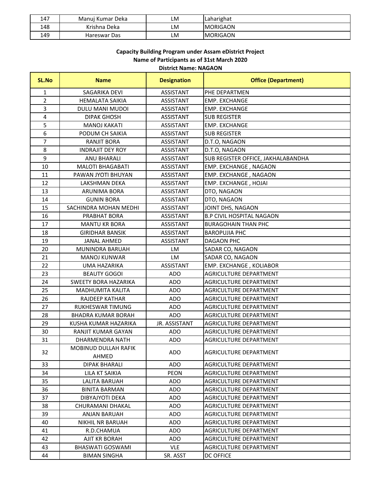| 147 | i Kumar Deka<br>Manui | LM | <b>Laharighat</b> |
|-----|-----------------------|----|-------------------|
| 148 | Krishna Deka          | LM | <b>MORIGAON</b>   |
| 149 | Hareswar Das          | LM | <b>MORIGAON</b>   |

# **Capacity Building Program under Assam eDistrict Project Name of Participants as of 31st March 2020 District Name: NAGAON**

| SL.No                   | <b>Name</b>                          | <b>Designation</b> | <b>Office (Department)</b>         |
|-------------------------|--------------------------------------|--------------------|------------------------------------|
| 1                       | SAGARIKA DEVI                        | <b>ASSISTANT</b>   | PHE DEPARTMEN                      |
| $\overline{2}$          | <b>HEMALATA SAIKIA</b>               | <b>ASSISTANT</b>   | <b>EMP. EXCHANGE</b>               |
| 3                       | DULU MANI MUDOI                      | ASSISTANT          | <b>EMP. EXCHANGE</b>               |
| $\overline{\mathbf{4}}$ | <b>DIPAK GHOSH</b>                   | <b>ASSISTANT</b>   | <b>SUB REGISTER</b>                |
| 5                       | <b>MANOJ KAKATI</b>                  | <b>ASSISTANT</b>   | <b>EMP. EXCHANGE</b>               |
| 6                       | PODUM CH SAIKIA                      | <b>ASSISTANT</b>   | <b>SUB REGISTER</b>                |
| $\overline{7}$          | <b>RANJIT BORA</b>                   | <b>ASSISTANT</b>   | D.T.O, NAGAON                      |
| 8                       | <b>INDRAJIT DEY ROY</b>              | ASSISTANT          | D.T.O, NAGAON                      |
| 9                       | <b>ANU BHARALI</b>                   | <b>ASSISTANT</b>   | SUB REGISTER OFFICE, JAKHALABANDHA |
| 10                      | <b>MALOTI BHAGABATI</b>              | ASSISTANT          | EMP. EXCHANGE, NAGAON              |
| 11                      | PAWAN JYOTI BHUYAN                   | <b>ASSISTANT</b>   | EMP. EXCHANGE, NAGAON              |
| 12                      | LAKSHMAN DEKA                        | ASSISTANT          | EMP. EXCHANGE, HOJAI               |
| 13                      | <b>ARUNIMA BORA</b>                  | ASSISTANT          | DTO, NAGAON                        |
| 14                      | <b>GUNIN BORA</b>                    | <b>ASSISTANT</b>   | DTO, NAGAON                        |
| 15                      | SACHINDRA MOHAN MEDHI                | ASSISTANT          | JOINT DHS, NAGAON                  |
| 16                      | PRABHAT BORA                         | <b>ASSISTANT</b>   | <b>B.P CIVIL HOSPITAL NAGAON</b>   |
| 17                      | <b>MANTU KR BORA</b>                 | <b>ASSISTANT</b>   | <b>BURAGOHAIN THAN PHC</b>         |
| 18                      | <b>GIRIDHAR BANSIK</b>               | <b>ASSISTANT</b>   | <b>BAROPUJIA PHC</b>               |
| 19                      | <b>JANAL AHMED</b>                   | <b>ASSISTANT</b>   | DAGAON PHC                         |
| 20                      | MUNINDRA BARUAH                      | LM                 | SADAR CO, NAGAON                   |
| 21                      | <b>MANOJ KUNWAR</b>                  | LM                 | SADAR CO, NAGAON                   |
| 22                      | <b>UMA HAZARIKA</b>                  | <b>ASSISTANT</b>   | EMP. EXCHANGE, KOLIABOR            |
| 23                      | <b>BEAUTY GOGOI</b>                  | <b>ADO</b>         | AGRICULTURE DEPARTMENT             |
| 24                      | SWEETY BORA HAZARIKA                 | <b>ADO</b>         | AGRICULTURE DEPARTMENT             |
| 25                      | MADHUMITA KALITA                     | <b>ADO</b>         | <b>AGRICULTURE DEPARTMENT</b>      |
| 26                      | <b>RAJDEEP KATHAR</b>                | <b>ADO</b>         | AGRICULTURE DEPARTMENT             |
| 27                      | RUKHESWAR TIMUNG                     | <b>ADO</b>         | <b>AGRICULTURE DEPARTMENT</b>      |
| 28                      | <b>BHADRA KUMAR BORAH</b>            | <b>ADO</b>         | AGRICULTURE DEPARTMENT             |
| 29                      | KUSHA KUMAR HAZARIKA                 | JR. ASSISTANT      | AGRICULTURE DEPARTMENT             |
| 30                      | <b>RANJIT KUMAR GAYAN</b>            | <b>ADO</b>         | AGRICULTURE DEPARTMENT             |
| 31                      | DHARMENDRA NATH                      | <b>ADO</b>         | <b>AGRICULTURE DEPARTMENT</b>      |
| 32                      | <b>MOBINUD DULLAH RAFIK</b><br>AHMED | <b>ADO</b>         | <b>AGRICULTURE DEPARTMENT</b>      |
| 33                      | <b>DIPAK BHARALI</b>                 | <b>ADO</b>         | <b>AGRICULTURE DEPARTMENT</b>      |
| 34                      | LILA KT SAIKIA                       | PEON               | AGRICULTURE DEPARTMENT             |
| 35                      | LALITA BARUAH                        | <b>ADO</b>         | AGRICULTURE DEPARTMENT             |
| 36                      | <b>BINITA BARMAN</b>                 | <b>ADO</b>         | <b>AGRICULTURE DEPARTMENT</b>      |
| 37                      | DIBYAJYOTI DEKA                      | <b>ADO</b>         | AGRICULTURE DEPARTMENT             |
| 38                      | CHURAMANI DHAKAL                     | <b>ADO</b>         | AGRICULTURE DEPARTMENT             |
| 39                      | ANJAN BARUAH                         | <b>ADO</b>         | <b>AGRICULTURE DEPARTMENT</b>      |
| 40                      | <b>NIKHIL NR BARUAH</b>              | <b>ADO</b>         | <b>AGRICULTURE DEPARTMENT</b>      |
| 41                      | R.D.CHAMUA                           | <b>ADO</b>         | AGRICULTURE DEPARTMENT             |
| 42                      | AJIT KR BORAH                        | <b>ADO</b>         | AGRICULTURE DEPARTMENT             |
| 43                      | BHASWATI GOSWAMI                     | <b>VLE</b>         | AGRICULTURE DEPARTMENT             |
| 44                      | <b>BIMAN SINGHA</b>                  | SR. ASST           | DC OFFICE                          |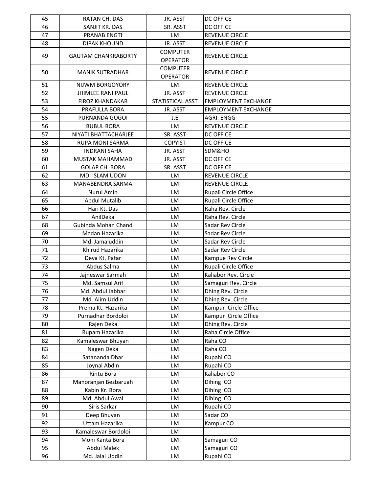| 45       | RATAN CH. DAS                | JR. ASST         | <b>DC OFFICE</b>           |
|----------|------------------------------|------------------|----------------------------|
| 46       | SANJIT KR. DAS               | SR. ASST         | <b>DC OFFICE</b>           |
| 47       | <b>PRANAB ENGTI</b>          | <b>LM</b>        | <b>REVENUE CIRCLE</b>      |
| 48       | <b>DIPAK KHOUND</b>          | JR. ASST         | REVENUE CIRCLE             |
| 49       | <b>GAUTAM CHANKRABORTY</b>   | <b>COMPUTER</b>  | <b>REVENUE CIRCLE</b>      |
|          |                              | <b>OPERATOR</b>  |                            |
| 50       | <b>MANIK SUTRADHAR</b>       | <b>COMPUTER</b>  | <b>REVENUE CIRCLE</b>      |
|          |                              | <b>OPERATOR</b>  |                            |
| 51       | NIJWM BORGOYORY              | <b>LM</b>        | <b>REVENUE CIRCLE</b>      |
| 52       | <b>JHIMLEE RANI PAUL</b>     | JR. ASST         | <b>REVENUE CIRCLE</b>      |
| 53       | <b>FIROZ KHANDAKAR</b>       | STATISTICAL ASST | <b>EMPLOYMENT EXCHANGE</b> |
| 54       | PRAFULLA BORA                | JR. ASST         | <b>EMPLOYMENT EXCHANGE</b> |
| 55       | PURNANDA GOGOI               | J.E              | AGRI. ENGG                 |
| 56       | <b>BUBUL BORA</b>            | <b>LM</b>        | REVENUE CIRCLE             |
| 57       | NIYATI BHATTACHARJEE         | SR. ASST         | <b>DC OFFICE</b>           |
| 58       | RUPA MONI SARMA              | <b>COPYIST</b>   | <b>DC OFFICE</b>           |
| 59       | <b>INDRANI SAHA</b>          | JR. ASST         | SDM&HO                     |
| 60       | MUSTAK MAHAMMAD              | JR. ASST         | <b>DC OFFICE</b>           |
| 61       | <b>GOLAP CH. BORA</b>        | SR. ASST         | <b>DC OFFICE</b>           |
| 62       | MD. ISLAM UDON               | LM               | <b>REVENUE CIRCLE</b>      |
| 63       | MANABENDRA SARMA             | <b>LM</b>        | <b>REVENUE CIRCLE</b>      |
| 64       | Nurul Amin                   | <b>LM</b>        | Rupali Circle Office       |
| 65       | <b>Abdul Mutalib</b>         | <b>LM</b>        | Rupali Circle Office       |
| 66       | Hari Kt. Das                 | <b>LM</b>        | Raha Rev. Circle           |
| 67       | AnilDeka                     | LM               | Raha Rev. Circle           |
| 68       | Gubinda Mohan Chand          | <b>LM</b>        | Sadar Rev Circle           |
| 69       | Madan Hazarika               | <b>LM</b>        | Sadar Rev Circle           |
| 70       | Md. Jamaluddin               | <b>LM</b>        | Sadar Rev Circle           |
| 71       | Khirud Hazarika              | <b>LM</b>        | Sadar Rev Circle           |
| 72       | Deva Kt. Patar               | LM               | Kampue Rev Circle          |
| 73       | Abdus Salma                  | <b>LM</b>        | Rupali Circle Office       |
| 74       | Jajneswar Sarmah             | <b>LM</b>        | Kaliabor Rev. Circle       |
| 75       | Md. Samsul Arif              | LM               | Samaguri Rev. Circle       |
| 76       | Md. Abdul Jabbar             | <b>LM</b>        | Dhing Rev. Circle          |
| 77       | Md. Alim Uddin               | LM               | Dhing Rev. Circle          |
| 78       | Prema Kt. Hazarika           | LM               | Kampur Circle Office       |
| 79       | Purnadhar Bordoloi           | LM               | Kampur Circle Office       |
| 80       | Rajen Deka                   | <b>LM</b>        | Dhing Rev. Circle          |
| 81       | Rupam Hazarika               | LM               | Raha Circle Office         |
| 82       | Kamaleswar Bhuyan            | LM               | Raha CO                    |
| 83<br>84 | Nagen Deka<br>Satananda Dhar | LM<br>LM         | Raha CO<br>Rupahi CO       |
| 85       | Joynal Abdin                 | LM               | Rupahi CO                  |
| 86       | Rintu Bora                   | LM               | Kaliabor CO                |
| 87       | Manoranjan Bezbaruah         | LM               | Dihing CO                  |
| 88       | Kabin Kr. Bora               | LM               | Dihing CO                  |
| 89       | Md. Abdul Awal               | LM               | Dihing CO                  |
| 90       | Siris Sarkar                 | LM               | Rupahi CO                  |
| 91       | Deep Bhuyan                  | LM               | Sadar CO                   |
| 92       | Uttam Hazarika               | LM               | Kampur CO                  |
| 93       | Kamaleswar Bordoloi          | LM               |                            |
| 94       | Moni Kanta Bora              | <b>LM</b>        | Samaguri CO                |
| 95       | <b>Abdul Malek</b>           | LM               | Samaguri CO                |
| 96       | Md. Jalal Uddin              | LM               | Rupahi CO                  |
|          |                              |                  |                            |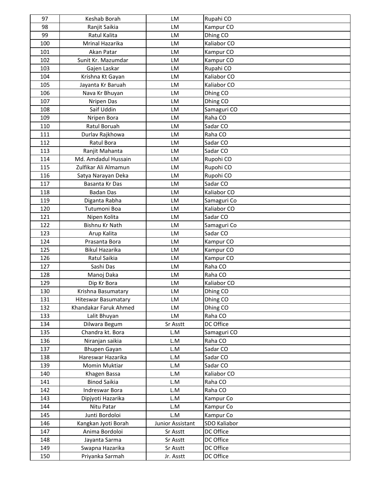| 97         | Keshab Borah                        | LM               | Rupahi CO               |
|------------|-------------------------------------|------------------|-------------------------|
| 98         | Ranjit Saikia                       | LM               | Kampur CO               |
| 99         | Ratul Kalita                        | <b>LM</b>        | Dhing CO                |
| 100        | Mrinal Hazarika                     | LM               | Kaliabor CO             |
| 101        | Akan Patar                          | LM               | Kampur CO               |
| 102        | Sunit Kr. Mazumdar                  | LM               | Kampur CO               |
| 103        | Gajen Laskar                        | LM               | Rupahi CO               |
| 104        | Krishna Kt Gayan                    | <b>LM</b>        | Kaliabor CO             |
| 105        | Jayanta Kr Baruah                   | LM               | Kaliabor CO             |
| 106        | Nava Kr Bhuyan                      | <b>LM</b>        | Dhing CO                |
| 107        | Nripen Das                          | LM               | Dhing CO                |
| 108        | Saif Uddin                          | LM               | Samaguri CO             |
| 109        | Nripen Bora                         | LM               | Raha CO                 |
| 110        | Ratul Boruah                        | LM               | Sadar CO                |
| 111        | Durlav Rajkhowa                     | <b>LM</b>        | Raha CO                 |
| 112        | Ratul Bora                          | LM               | Sadar CO                |
| 113        | Ranjit Mahanta                      | <b>LM</b>        | Sadar CO                |
| 114        | Md. Amdadul Hussain                 | LM               | Rupohi CO               |
| 115        | Zulfikar Ali Almamun                | LM               | Rupohi CO               |
| 116        | Satya Narayan Deka                  | <b>LM</b>        | Rupohi CO               |
| 117        | Basanta Kr Das                      | LM               | Sadar CO                |
| 118        | <b>Badan Das</b>                    | <b>LM</b>        | Kaliabor CO             |
| 119        | Diganta Rabha                       | LM               | Samaguri Co             |
| 120        | Tutumoni Boa                        | LM               | Kaliabor CO             |
| 121        | Nipen Kolita                        | LM               | Sadar CO                |
| 122        | Bishnu Kr Nath                      | LM               | Samaguri Co             |
| 123        | Arup Kalita                         | LM               | Sadar CO                |
| 124        | Prasanta Bora                       | LM               | Kampur CO               |
| 125        | <b>Bikul Hazarika</b>               | LM               | Kampur CO               |
| 126        | Ratul Saikia                        | LM               | Kampur CO               |
| 127        | Sashi Das                           | LM               | Raha CO                 |
| 128        | Manoj Daka                          | LM               | Raha CO                 |
| 129        | Dip Kr Bora                         | LM               | Kaliabor CO             |
| 130        | Krishna Basumatary                  | LM               | Dhing CO                |
| 131        | <b>Hiteswar Basumatary</b>          | LM               | Dhing CO                |
| 132        | Khandakar Faruk Ahmed               | LM               | Dhing CO                |
| 133        | Lalit Bhuyan                        | LM               | Raha CO                 |
| 134        | Dilwara Begum                       | Sr Asstt         | DC Office               |
| 135        | Chandra kt. Bora                    | L.M              | Samaguri CO             |
| 136        | Niranjan saikia                     | L.M              | Raha CO                 |
| 137        | Bhupen Gayan                        | L.M              | Sadar CO                |
| 138        | Hareswar Hazarika                   | L.M              | Sadar CO                |
| 139<br>140 | Momin Muktiar                       | L.M<br>L.M       | Sadar CO<br>Kaliabor CO |
| 141        | Khagen Bassa<br><b>Binod Saikia</b> | L.M              | Raha CO                 |
| 142        | Indreswar Bora                      |                  | Raha CO                 |
| 143        |                                     | L.M<br>L.M       | Kampur Co               |
| 144        | Dipjyoti Hazarika<br>Nitu Patar     | L.M              | Kampur Co               |
| 145        | Junti Bordoloi                      | L.M              | Kampur Co               |
| 146        | Kangkan Jyoti Borah                 | Junior Assistant | SDO Kaliabor            |
| 147        | Anima Bordoloi                      | Sr Asstt         | DC Office               |
| 148        | Jayanta Sarma                       | Sr Asstt         | DC Office               |
| 149        | Swapna Hazarika                     | Sr Asstt         | DC Office               |
| 150        | Priyanka Sarmah                     | Jr. Asstt        | DC Office               |
|            |                                     |                  |                         |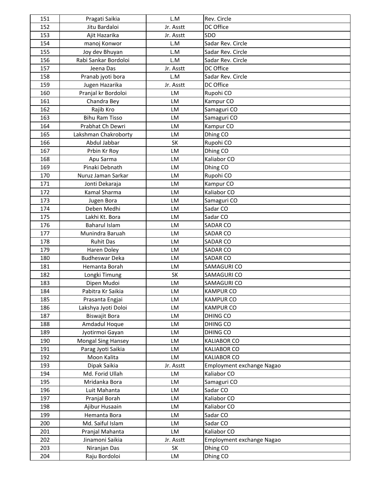| 151        | Pragati Saikia                     | L.M             | Rev. Circle               |
|------------|------------------------------------|-----------------|---------------------------|
| 152        | Jitu Bardaloi                      | Jr. Asstt       | DC Office                 |
| 153        | Ajit Hazarika                      | Jr. Asstt       | SDO                       |
| 154        | manoj Konwor                       | L.M             | Sadar Rev. Circle         |
| 155        | Joy dev Bhuyan                     | L.M             | Sadar Rev. Circle         |
| 156        | Rabi Sankar Bordoloi               | L.M             | Sadar Rev. Circle         |
| 157        | Jeena Das                          | Jr. Asstt       | DC Office                 |
| 158        | Pranab jyoti bora                  | L.M             | Sadar Rev. Circle         |
| 159        | Jugen Hazarika                     | Jr. Asstt       | DC Office                 |
| 160        | Pranjal kr Bordoloi                | LM              | Rupohi CO                 |
| 161        | Chandra Bey                        | LM              | Kampur CO                 |
| 162        | Rajib Kro                          | LM              | Samaguri CO               |
| 163        | <b>Bihu Ram Tisso</b>              | LM              | Samaguri CO               |
| 164        | Prabhat Ch Dewri                   | LM              | Kampur CO                 |
| 165        | Lakshman Chakroborty               | LM              | Dhing CO                  |
| 166        | Abdul Jabbar                       | SK              | Rupohi CO                 |
| 167        | Prbin Kr Roy                       | LM              | Dhing CO                  |
| 168        | Apu Sarma                          | LM              | Kaliabor CO               |
| 169        | Pinaki Debnath                     | LM              | Dhing CO                  |
| 170        | Nuruz Jaman Sarkar                 | LM              | Rupohi CO                 |
| 171        | Jonti Dekaraja                     | LM              | Kampur CO                 |
| 172        | Kamal Sharma                       | LM              | Kaliabor CO               |
| 173        | Jugen Bora                         | LM              | Samaguri CO               |
| 174        | Deben Medhi                        | LM              | Sadar CO                  |
| 175        | Lakhi Kt. Bora                     | LM              | Sadar CO                  |
| 176        | <b>Baharul Islam</b>               | LM              | SADAR CO                  |
| 177        | Munindra Baruah                    | LM              | <b>SADAR CO</b>           |
| 178        | <b>Ruhit Das</b>                   | LM              | SADAR CO                  |
| 179        | Haren Doley                        | LM              | SADAR CO                  |
| 180        | <b>Budheswar Deka</b>              | LM              | SADAR CO                  |
| 181        | Hemanta Borah                      | LM              | SAMAGURI CO               |
| 182        | Longki Timung                      | SK              | SAMAGURI CO               |
| 183        | Dipen Mudoi                        | LM              | SAMAGURI CO               |
| 184        | Pabitra Kr Saikia                  | LM              | <b>KAMPUR CO</b>          |
| 185        | Prasanta Engjai                    | LM              | <b>KAMPUR CO</b>          |
| 186        | Lakshya Jyoti Doloi                | LM              | <b>KAMPUR CO</b>          |
| 187        | Biswajit Bora                      | LM              | <b>DHING CO</b>           |
| 188        | Amdadul Hoque                      | LM              | DHING CO                  |
| 189        | Jyotirmoi Gayan                    | LM              | <b>DHING CO</b>           |
| 190        | <b>Mongal Sing Hansey</b>          | LM              | <b>KALIABOR CO</b>        |
| 191        | Parag Jyoti Saikia                 | LM              | <b>KALIABOR CO</b>        |
| 192        | Moon Kalita                        | LM              | <b>KALIABOR CO</b>        |
| 193        | Dipak Saikia                       | Jr. Asstt       | Employment exchange Nagao |
| 194        | Md. Forid Ullah                    | LM              | Kaliabor CO               |
| 195        | Mridanka Bora                      | LM              | Samaguri CO               |
| 196        | Luit Mahanta                       | LM              | Sadar CO                  |
| 197        | Pranjal Borah                      | LM              | Kaliabor CO               |
| 198        | Ajibur Husaain                     | LM              | Kaliabor CO               |
| 199        | Hemanta Bora                       | LM              | Sadar CO                  |
| 200        | Md. Saiful Islam                   | LM              | Sadar CO                  |
|            |                                    | LM              | Kaliabor CO               |
| 201<br>202 | Pranjal Mahanta<br>Jinamoni Saikia |                 |                           |
| 203        |                                    | Jr. Asstt<br>SK | Employment exchange Nagao |
|            | Niranjan Das                       |                 | Dhing CO                  |
| 204        | Raju Bordoloi                      | LM              | Dhing CO                  |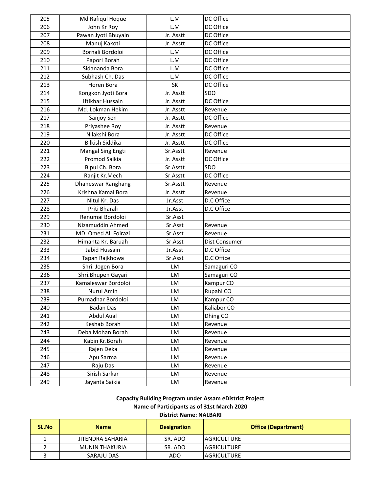| 205 | Md Rafiqul Hoque        | L.M       | DC Office     |
|-----|-------------------------|-----------|---------------|
| 206 | John Kr Roy             | L.M       | DC Office     |
| 207 | Pawan Jyoti Bhuyain     | Jr. Asstt | DC Office     |
| 208 | Manuj Kakoti            | Jr. Asstt | DC Office     |
| 209 | Bornali Bordoloi        | L.M       | DC Office     |
| 210 | Papori Borah            | L.M       | DC Office     |
| 211 | Sidananda Bora          | L.M       | DC Office     |
| 212 | Subhash Ch. Das         | L.M       | DC Office     |
| 213 | Horen Bora              | SK        | DC Office     |
| 214 | Kongkon Jyoti Bora      | Jr. Asstt | SDO           |
| 215 | <b>Iftikhar Hussain</b> | Jr. Asstt | DC Office     |
| 216 | Md. Lokman Hekim        | Jr. Asstt | Revenue       |
| 217 | Sanjoy Sen              | Jr. Asstt | DC Office     |
| 218 | Priyashee Roy           | Jr. Asstt | Revenue       |
| 219 | Nilakshi Bora           | Jr. Asstt | DC Office     |
| 220 | <b>Bilkish Siddika</b>  | Jr. Asstt | DC Office     |
| 221 | Mangal Sing Engti       | Sr.Asstt  | Revenue       |
| 222 | Promod Saikia           | Jr. Asstt | DC Office     |
| 223 | Bipul Ch. Bora          | Sr.Asstt  | SDO           |
| 224 | Ranjit Kr.Mech          | Sr.Asstt  | DC Office     |
| 225 | Dhaneswar Ranghang      | Sr.Asstt  | Revenue       |
| 226 | Krishna Kamal Bora      | Jr. Asstt | Revenue       |
| 227 | Nitul Kr. Das           | Jr.Asst   | D.C Office    |
| 228 | Priti Bharali           | Jr.Asst   | D.C Office    |
| 229 | Renumai Bordoloi        | Sr.Asst   |               |
| 230 | Nizamuddin Ahmed        | Sr.Asst   | Revenue       |
| 231 | MD. Omed Ali Foirazi    | Sr.Asst   | Revenue       |
| 232 | Himanta Kr. Baruah      | Sr.Asst   | Dist Consumer |
| 233 | Jabid Hussain           | Jr.Asst   | D.C Office    |
| 234 | Tapan Rajkhowa          | Sr.Asst   | D.C Office    |
| 235 | Shri. Jogen Bora        | LM        | Samaguri CO   |
| 236 | Shri.Bhupen Gayari      | LM        | Samaguri CO   |
| 237 | Kamaleswar Bordoloi     | LM        | Kampur CO     |
| 238 | Nurul Amin              | LM        | Rupahi CO     |
| 239 | Purnadhar Bordoloi      | LM        | Kampur CO     |
| 240 | <b>Badan Das</b>        | LM        | Kaliabor CO   |
| 241 | Abdul Aual              | LM        | Dhing CO      |
| 242 | Keshab Borah            | LM        | Revenue       |
| 243 | Deba Mohan Borah        | LM        | Revenue       |
| 244 | Kabin Kr.Borah          | LM        | Revenue       |
| 245 | Rajen Deka              | <b>LM</b> | Revenue       |
| 246 | Apu Sarma               | LM        | Revenue       |
| 247 | Raju Das                | LM        | Revenue       |
| 248 | Sirish Sarkar           | LM        | Revenue       |
| 249 | Jayanta Saikia          | LM        | Revenue       |

**Capacity Building Program under Assam eDistrict Project**

**Name of Participants as of 31st March 2020**

# **District Name: NALBARI**

| <b>SL.No</b> | <b>Name</b>           | <b>Designation</b> | <b>Office (Department)</b> |
|--------------|-----------------------|--------------------|----------------------------|
|              | JITENDRA SAHARIA      | SR. ADO            | <b>IAGRICULTURE</b>        |
|              | <b>MUNIN THAKURIA</b> | SR. ADO            | <b>IAGRICULTURE</b>        |
|              | SARAJU DAS            | ADO                | <b>AGRICULTURE</b>         |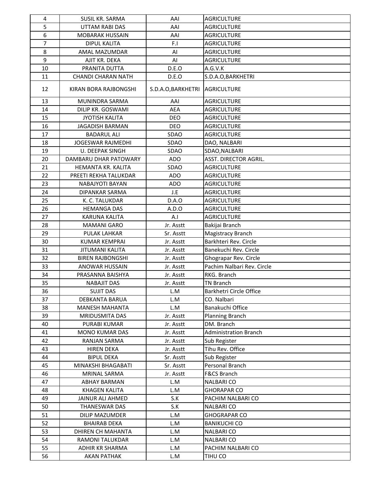| 4              | SUSIL KR. SARMA           | AAI                | <b>AGRICULTURE</b>           |
|----------------|---------------------------|--------------------|------------------------------|
| 5              | UTTAM RABI DAS            | AAI                | <b>AGRICULTURE</b>           |
| 6              | <b>MOBARAK HUSSAIN</b>    | AAI                | <b>AGRICULTURE</b>           |
| $\overline{7}$ | <b>DIPUL KALITA</b>       | F.I                | <b>AGRICULTURE</b>           |
| 8              | AMAL MAZUMDAR             | Al                 | <b>AGRICULTURE</b>           |
| 9              | AJIT KR. DEKA             | Al                 | AGRICULTURE                  |
| 10             | PRANITA DUTTA             | D.E.O              | A.G.V.K                      |
| 11             | <b>CHANDI CHARAN NATH</b> | D.E.O              | S.D.A.O, BARKHETRI           |
| 12             | KIRAN BORA RAJBONGSHI     | S.D.A.O, BARKHETRI | <b>AGRICULTURE</b>           |
| 13             | MUNINDRA SARMA            | AAI                | <b>AGRICULTURE</b>           |
| 14             | DILIP KR. GOSWAMI         | <b>AEA</b>         | <b>AGRICULTURE</b>           |
| 15             | <b>JYOTISH KALITA</b>     | DEO                | <b>AGRICULTURE</b>           |
| 16             | <b>JAGADISH BARMAN</b>    | <b>DEO</b>         | <b>AGRICULTURE</b>           |
| 17             | <b>BADARUL ALI</b>        | SDAO               | <b>AGRICULTURE</b>           |
| 18             | <b>JOGESWAR RAJMEDHI</b>  | SDAO               | DAO, NALBARI                 |
| 19             | <b>U. DEEPAK SINGH</b>    | <b>SDAO</b>        | SDAO, NALBARI                |
| 20             | DAMBARU DHAR PATOWARY     | <b>ADO</b>         | ASST. DIRECTOR AGRIL.        |
| 21             | HEMANTA KR. KALITA        | <b>SDAO</b>        | <b>AGRICULTURE</b>           |
| 22             | PREETI REKHA TALUKDAR     | <b>ADO</b>         | <b>AGRICULTURE</b>           |
| 23             | <b>NABAJYOTI BAYAN</b>    | ADO                | <b>AGRICULTURE</b>           |
| 24             | <b>DIPANKAR SARMA</b>     | J.E                | <b>AGRICULTURE</b>           |
| 25             | K. C. TALUKDAR            | D.A.O              | <b>AGRICULTURE</b>           |
| 26             | <b>HEMANGA DAS</b>        | A.D.O              | <b>AGRICULTURE</b>           |
| 27             | KARUNA KALITA             | A.I                | <b>AGRICULTURE</b>           |
| 28             | <b>MAMANI GARO</b>        | Jr. Asstt          | Bakijai Branch               |
| 29             | PULAK LAHKAR              | Sr. Asstt          | Magistracy Branch            |
| 30             | <b>KUMAR KEMPRAI</b>      | Jr. Asstt          | Barkhteri Rev. Circle        |
| 31             | <b>JITUMANI KALITA</b>    | Jr. Asstt          | Banekuchi Rev. Circle        |
| 32             | <b>BIREN RAJBONGSHI</b>   | Jr. Asstt          | Ghograpar Rev. Circle        |
| 33             | ANOWAR HUSSAIN            | Jr. Asstt          | Pachim Nalbari Rev. Circle   |
| 34             | PRASANNA BAISHYA          | Jr. Asstt          | RKG. Branch                  |
| 35             | <b>NABAJIT DAS</b>        | Jr. Asstt          | <b>TN Branch</b>             |
| 36             | SUJIT DAS                 | L.M                | Barkhetri Circle Office      |
| 37             | <b>DEBKANTA BARUA</b>     | L.M                | CO. Nalbari                  |
| 38             | <b>MANESH MAHANTA</b>     | L.M                | Banakuchi Office             |
| 39             | MRIDUSMITA DAS            | Jr. Asstt          | <b>Planning Branch</b>       |
| 40             | PURABI KUMAR              | Jr. Asstt          | DM. Branch                   |
| 41             | MONO KUMAR DAS            | Jr. Asstt          | <b>Administration Branch</b> |
| 42             | RANJAN SARMA              | Jr. Asstt          | Sub Register                 |
| 43             | <b>HIREN DEKA</b>         | Jr. Asstt          | Tihu Rev. Office             |
| 44             | <b>BIPUL DEKA</b>         | Sr. Asstt          | Sub Register                 |
| 45             | MINAKSHI BHAGABATI        | Sr. Asstt          | Personal Branch              |
| 46             | MRINAL SARMA              | Jr. Asstt          | <b>F&amp;CS Branch</b>       |
| 47             | ABHAY BARMAN              | L.M                | <b>NALBARICO</b>             |
| 48             | <b>KHAGEN KALITA</b>      | L.M                | <b>GHORAPAR CO</b>           |
| 49             | JAINUR ALI AHMED          | S.K                | PACHIM NALBARI CO            |
| 50             | <b>THANESWAR DAS</b>      | S.K                | <b>NALBARICO</b>             |
| 51             | DILIP MAZUMDER            | L.M                | <b>GHOGRAPAR CO</b>          |
| 52             | <b>BHAIRAB DEKA</b>       | L.M                | <b>BANIKUCHI CO</b>          |
| 53             | DHIREN CH MAHANTA         | L.M                | <b>NALBARICO</b>             |
| 54             | RAMONI TALUKDAR           | L.M                | <b>NALBARI CO</b>            |
| 55             | ADHIR KR SHARMA           | L.M                | PACHIM NALBARI CO            |
| 56             | AKAN PATHAK               | L.M                | TIHU CO                      |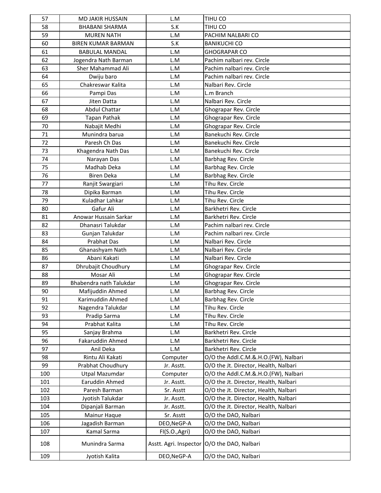| 57  | <b>MD JAKIR HUSSAIN</b>   | L.M            | TIHU CO                                       |
|-----|---------------------------|----------------|-----------------------------------------------|
| 58  | <b>BHABANI SHARMA</b>     | S.K            | TIHU CO                                       |
| 59  | <b>MUREN NATH</b>         | L.M            | PACHIM NALBARI CO                             |
| 60  | <b>BIREN KUMAR BARMAN</b> | S.K            | <b>BANIKUCHI CO</b>                           |
| 61  | <b>BABULAL MANDAL</b>     | L.M            | <b>GHOGRAPAR CO</b>                           |
| 62  | Jogendra Nath Barman      | L.M            | Pachim nalbari rev. Circle                    |
| 63  | Sher Mahammad Ali         | L.M            | Pachim nalbari rev. Circle                    |
| 64  | Dwiju baro                | L.M            | Pachim nalbari rev. Circle                    |
| 65  | Chakreswar Kalita         | L.M            | Nalbari Rev. Circle                           |
| 66  | Pampi Das                 | L.M            | L.m Branch                                    |
| 67  | Jiten Datta               | L.M            | Nalbari Rev. Circle                           |
| 68  | <b>Abdul Chattar</b>      | L.M            | Ghograpar Rev. Circle                         |
| 69  | Tapan Pathak              | L.M            | Ghograpar Rev. Circle                         |
| 70  | Nabajit Medhi             | L.M            | Ghograpar Rev. Circle                         |
| 71  | Munindra barua            | L.M            | Banekuchi Rev. Circle                         |
| 72  | Paresh Ch Das             | L.M            | Banekuchi Rev. Circle                         |
| 73  | Khagendra Nath Das        | L.M            | Banekuchi Rev. Circle                         |
| 74  | Narayan Das               | L.M            | Barbhag Rev. Circle                           |
| 75  | Madhab Deka               | L.M            | Barbhag Rev. Circle                           |
| 76  | <b>Biren Deka</b>         | L.M            | Barbhag Rev. Circle                           |
| 77  | Ranjit Swargiari          | L.M            | Tihu Rev. Circle                              |
| 78  | Dipika Barman             | L.M            | Tihu Rev. Circle                              |
| 79  | Kuladhar Lahkar           | L.M            | Tihu Rev. Circle                              |
| 80  | Gafur Ali                 | L.M            | Barkhetri Rev. Circle                         |
| 81  | Anowar Hussain Sarkar     | L.M            | Barkhetri Rev. Circle                         |
| 82  | Dhanasri Talukdar         | L.M            | Pachim nalbari rev. Circle                    |
| 83  | Gunjan Talukdar           | L.M            | Pachim nalbari rev. Circle                    |
| 84  | Prabhat Das               | L.M            | Nalbari Rev. Circle                           |
| 85  | Ghanashyam Nath           | L.M            | Nalbari Rev. Circle                           |
| 86  | Abani Kakati              | L.M            | Nalbari Rev. Circle                           |
| 87  | Dhrubajit Choudhury       | L.M            | Ghograpar Rev. Circle                         |
| 88  | Mosar Ali                 | L.M            | Ghograpar Rev. Circle                         |
| 89  | Bhabendra nath Talukdar   | L.M            | Ghograpar Rev. Circle                         |
| 90  | Mafijuddin Ahmed          | L.M            | Barbhag Rev. Circle                           |
| 91  | Karimuddin Ahmed          | L.M            | Barbhag Rev. Circle                           |
| 92  | Nagendra Talukdar         | L.M            | Tihu Rev. Circle                              |
| 93  | Pradip Sarma              | L.M            | Tihu Rev. Circle                              |
| 94  | Prabhat Kalita            | L.M            | Tihu Rev. Circle                              |
| 95  | Sanjay Brahma             | L.M            | Barkhetri Rev. Circle                         |
| 96  | Fakaruddin Ahmed          | L.M            | Barkhetri Rev. Circle                         |
| 97  | Anil Deka                 | L.M            | Barkhetri Rev. Circle                         |
| 98  | Rintu Ali Kakati          | Computer       | O/O the Addl.C.M.&.H.O.(FW), Nalbari          |
| 99  | Prabhat Choudhury         | Jr. Asstt.     | O/O the Jt. Director, Health, Nalbari         |
| 100 | <b>Utpal Mazumdar</b>     | Computer       | O/O the Addl.C.M.&.H.O.(FW), Nalbari          |
| 101 | Earuddin Ahmed            | Jr. Asstt.     | O/O the Jt. Director, Health, Nalbari         |
| 102 | Paresh Barman             | Sr. Asstt      | O/O the Jt. Director, Health, Nalbari         |
| 103 | Jyotish Talukdar          | Jr. Asstt.     | O/O the Jt. Director, Health, Nalbari         |
| 104 | Dipanjali Barman          | Jr. Asstt.     | O/O the Jt. Director, Health, Nalbari         |
| 105 | Mainur Haque              | Sr. Asstt      | O/O the DAO, Nalbari                          |
| 106 | Jagadish Barman           | DEO, NeGP-A    | O/O the DAO, Nalbari                          |
| 107 | Kamal Sarma               | FI(S.O., Agri) | O/O the DAO, Nalbari                          |
| 108 | Munindra Sarma            |                | Asstt. Agri. Inspector   O/O the DAO, Nalbari |
| 109 | Jyotish Kalita            | DEO, NeGP-A    | O/O the DAO, Nalbari                          |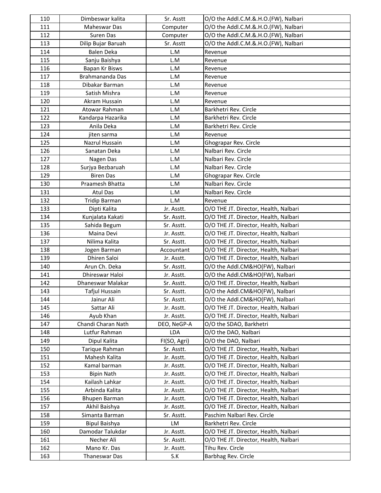| 110 | Dimbeswar kalita     | Sr. Asstt    | O/O the Addl.C.M.&.H.O.(FW), Nalbari  |
|-----|----------------------|--------------|---------------------------------------|
| 111 | Maheswar Das         | Computer     | O/O the Addl.C.M.&.H.O.(FW), Nalbari  |
| 112 | Suren Das            | Computer     | O/O the Addl.C.M.&.H.O.(FW), Nalbari  |
| 113 | Dilip Bujar Baruah   | Sr. Asstt    | O/O the Addl.C.M.&.H.O.(FW), Nalbari  |
| 114 | <b>Balen Deka</b>    | L.M          | Revenue                               |
| 115 | Sanju Baishya        | L.M          | Revenue                               |
| 116 | Bapan Kr Bisws       | L.M          | Revenue                               |
| 117 | Brahmananda Das      | L.M          | Revenue                               |
| 118 | Dibakar Barman       | L.M          | Revenue                               |
| 119 | Satish Mishra        | L.M          | Revenue                               |
| 120 | Akram Hussain        | L.M          | Revenue                               |
| 121 | Atowar Rahman        | L.M          | Barkhetri Rev. Circle                 |
| 122 | Kandarpa Hazarika    | L.M          | Barkhetri Rev. Circle                 |
| 123 | Anila Deka           | L.M          | Barkhetri Rev. Circle                 |
| 124 | jiten sarma          | L.M          | Revenue                               |
| 125 | Nazrul Hussain       | L.M          | Ghograpar Rev. Circle                 |
| 126 | Sanatan Deka         | L.M          | Nalbari Rev. Circle                   |
| 127 | Nagen Das            | L.M          | Nalbari Rev. Circle                   |
| 128 | Surjya Bezbaruah     | L.M          | Nalbari Rev. Circle                   |
| 129 | <b>Biren Das</b>     | L.M          | Ghograpar Rev. Circle                 |
| 130 | Praamesh Bhatta      | L.M          | Nalbari Rev. Circle                   |
| 131 | Atul Das             | L.M          | Nalbari Rev. Circle                   |
| 132 | <b>Tridip Barman</b> | L.M          | Revenue                               |
| 133 | Dipti Kalita         | Jr. Asstt.   | O/O THE JT. Director, Health, Nalbari |
| 134 | Kunjalata Kakati     | Sr. Asstt.   | O/O THE JT. Director, Health, Nalbari |
| 135 | Sahida Begum         | Sr. Asstt.   | O/O THE JT. Director, Health, Nalbari |
| 136 | Maina Devi           | Jr. Asstt.   | O/O THE JT. Director, Health, Nalbari |
| 137 | Nilima Kalita        | Sr. Asstt.   | O/O THE JT. Director, Health, Nalbari |
| 138 | Jogen Barman         | Accountant   | O/O THE JT. Director, Health, Nalbari |
| 139 | Dhiren Saloi         | Jr. Asstt.   | O/O THE JT. Director, Health, Nalbari |
| 140 | Arun Ch. Deka        | Sr. Asstt.   | O/O the Addl.CM&HO(FW), Nalbari       |
| 141 | Dhireswar Haloi      | Jr. Asstt.   | O/O the Addl.CM&HO(FW), Nalbari       |
| 142 | Dhaneswar Malakar    | Sr. Asstt.   | O/O THE JT. Director, Health, Nalbari |
| 143 | Tafjul Hussain       | Sr. Asstt.   | O/O the Addl.CM&HO(FW), Nalbari       |
| 144 | Jainur Ali           | Sr. Asstt.   | O/O the Addl.CM&HO(FW), Nalbari       |
| 145 | Sattar Ali           | Jr. Asstt.   | O/O THE JT. Director, Health, Nalbari |
| 146 | Ayub Khan            | Jr. Asstt.   | O/O THE JT. Director, Health, Nalbari |
| 147 | Chandi Charan Nath   | DEO, NeGP-A  | O/O the SDAO, Barkhetri               |
| 148 | Lutfur Rahman        | LDA          | O/O the DAO, Nalbari                  |
| 149 | Dipul Kalita         | FI(SO, Agri) | O/O the DAO, Nalbari                  |
| 150 | Tarique Rahman       | Sr. Asstt.   | O/O THE JT. Director, Health, Nalbari |
| 151 | Mahesh Kalita        | Jr. Asstt.   | O/O THE JT. Director, Health, Nalbari |
| 152 | Kamal barman         | Jr. Asstt.   | O/O THE JT. Director, Health, Nalbari |
| 153 | <b>Bipin Nath</b>    | Jr. Asstt.   | O/O THE JT. Director, Health, Nalbari |
| 154 | Kailash Lahkar       | Jr. Asstt.   | O/O THE JT. Director, Health, Nalbari |
| 155 | Arbinda Kalita       | Jr. Asstt.   | O/O THE JT. Director, Health, Nalbari |
| 156 | <b>Bhupen Barman</b> | Jr. Asstt.   | O/O THE JT. Director, Health, Nalbari |
| 157 | Akhil Baishya        | Jr. Asstt.   | O/O THE JT. Director, Health, Nalbari |
| 158 | Simanta Barman       | Sr. Asstt.   | Paschim Nalbari Rev. Circle           |
| 159 | <b>Bipul Baishya</b> | LM           | Barkhetri Rev. Circle                 |
| 160 | Damodar Talukdar     | Jr. Asstt.   | O/O THE JT. Director, Health, Nalbari |
| 161 | Necher Ali           | Sr. Asstt.   | O/O THE JT. Director, Health, Nalbari |
| 162 | Mano Kr. Das         | Jr. Asstt.   | Tihu Rev. Circle                      |
| 163 | Thaneswar Das        | S.K          | Barbhag Rev. Circle                   |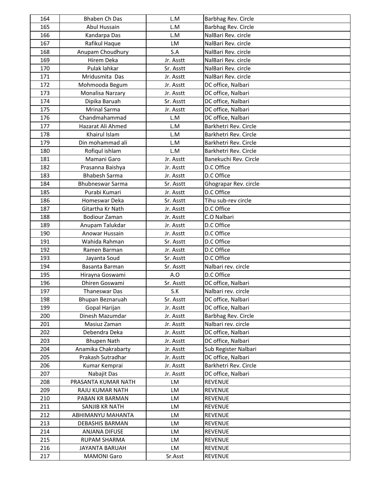| 164        | Bhaben Ch Das           | L.M                    | Barbhag Rev. Circle   |
|------------|-------------------------|------------------------|-----------------------|
| 165        | Abul Hussain            | L.M                    | Barbhag Rev. Circle   |
| 166        | Kandarpa Das            | L.M                    | NalBari Rev. circle   |
| 167        | Rafikul Haque           | LM                     | NalBari Rev. circle   |
| 168        | Anupam Choudhury        | S.A                    | NalBari Rev. circle   |
| 169        | Hirem Deka              | Jr. Asstt              | NalBari Rev. circle   |
| 170        | Pulak lahkar            | Sr. Asstt              | NalBari Rev. circle   |
| 171        | Mridusmita Das          | Jr. Asstt              | NalBari Rev. circle   |
| 172        | Mohmooda Begum          | Jr. Asstt              | DC office, Nalbari    |
| 173        | Monalisa Narzary        | Jr. Asstt              | DC office, Nalbari    |
| 174        | Dipika Baruah           | Sr. Asstt              | DC office, Nalbari    |
| 175        | <b>Mrinal Sarma</b>     | Jr. Asstt              | DC office, Nalbari    |
| 176        | Chandmahammad           | L.M                    | DC office, Nalbari    |
| 177        | Hazarat Ali Ahmed       | L.M                    | Barkhetri Rev. Circle |
| 178        | Khairul Islam           | L.M                    | Barkhetri Rev. Circle |
| 179        | Din mohammad ali        | L.M                    | Barkhetri Rev. Circle |
| 180        | Rofiqul ishlam          | L.M                    | Barkhetri Rev. Circle |
| 181        | Mamani Garo             | Jr. Asstt              | Banekuchi Rev. Circle |
| 182        | Prasanna Baishya        | Jr. Asstt              | D.C Office            |
| 183        | <b>Bhabesh Sarma</b>    | Jr. Asstt              | D.C Office            |
| 184        | <b>Bhubneswar Sarma</b> | Sr. Asstt              | Ghograpar Rev. circle |
| 185        | Purabi Kumari           | Jr. Asstt              | D.C Office            |
| 186        | Homeswar Deka           | Sr. Asstt              | Tihu sub-rev circle   |
| 187        | Gitartha Kr Nath        | Jr. Asstt              | D.C Office            |
| 188        | <b>Bodiour Zaman</b>    | Jr. Asstt              | C.O Nalbari           |
| 189        | Anupam Talukdar         | Jr. Asstt              | D.C Office            |
| 190        | Anowar Hussain          | Jr. Asstt              | D.C Office            |
| 191        | Wahida Rahman           | Sr. Asstt              | D.C Office            |
| 192        | Ramen Barman            | Jr. Asstt              | D.C Office            |
| 193        | Jayanta Soud            | Sr. Asstt              | D.C Office            |
| 194        | Basanta Barman          | Sr. Asstt              | Nalbari rev. circle   |
| 195        | Hirayna Goswami         | A.O                    | D.C Office            |
| 196        | Dhiren Goswami          | Sr. Asstt              | DC office, Nalbari    |
| 197        | <b>Thaneswar Das</b>    | S.K                    | Nalbari rev. circle   |
| 198        | Bhupan Beznaruah        | Sr. Asstt              | DC office, Nalbari    |
| 199        | Gopal Harijan           | Jr. Asstt              | DC office, Nalbari    |
| 200        | Dinesh Mazumdar         | Jr. Asstt              | Barbhag Rev. Circle   |
| 201        | Masiuz Zaman            |                        | Nalbari rev. circle   |
| 202        | Debendra Deka           | Jr. Asstt<br>Jr. Asstt | DC office, Nalbari    |
| 203        | <b>Bhupen Nath</b>      | Jr. Asstt              | DC office, Nalbari    |
| 204        | Anamika Chakrabarty     | Jr. Asstt              | Sub Register Nalbari  |
| 205        | Prakash Sutradhar       | Jr. Asstt              | DC office, Nalbari    |
| 206        | Kumar Kemprai           | Jr. Asstt              | Barkhetri Rev. Circle |
| 207        | Nabajit Das             | Jr. Asstt              | DC office, Nalbari    |
| 208        | PRASANTA KUMAR NATH     | LM                     | <b>REVENUE</b>        |
| 209        | RAJU KUMAR NATH         | LM                     | <b>REVENUE</b>        |
| 210        |                         | LM                     | REVENUE               |
|            | PABAN KR BARMAN         |                        |                       |
| 211        | SANJIB KR NATH          | LM                     | <b>REVENUE</b>        |
| 212        | ABHIMANYU MAHANTA       | LM                     | REVENUE               |
| 213        | DEBASHIS BARMAN         | LM<br>LM               | <b>REVENUE</b>        |
| 214        | ANJANA DIFUSE           |                        | <b>REVENUE</b>        |
| 215<br>216 | RUPAM SHARMA            | LM                     | <b>REVENUE</b>        |
|            | JAYANTA BARUAH          | LM                     | <b>REVENUE</b>        |
| 217        | <b>MAMONI Garo</b>      | Sr.Asst                | REVENUE               |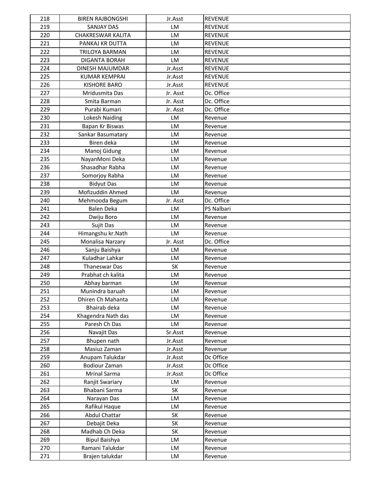| 218 | <b>BIREN RAJBONGSHI</b>  | Jr.Asst   | <b>REVENUE</b> |
|-----|--------------------------|-----------|----------------|
| 219 | <b>SANJAY DAS</b>        | LM        | <b>REVENUE</b> |
| 220 | <b>CHAKRESWAR KALITA</b> | LM        | <b>REVENUE</b> |
| 221 | PANKAJ KR DUTTA          | LM        | <b>REVENUE</b> |
| 222 | TRILOYA BARMAN           | LM        | <b>REVENUE</b> |
| 223 | <b>DIGANTA BORAH</b>     | LM        | <b>REVENUE</b> |
| 224 | DINESH MAJUMDAR          | Jr.Asst   | <b>REVENUE</b> |
| 225 | <b>KUMAR KEMPRAI</b>     | Jr.Asst   | <b>REVENUE</b> |
| 226 | <b>KISHORE BARO</b>      | Jr.Asst   | <b>REVENUE</b> |
| 227 | Mridusmita Das           | Jr. Asst  | Dc. Office     |
| 228 | Smita Barman             | Jr. Asst  | Dc. Office     |
| 229 | Purabi Kumari            | Jr. Asst  | Dc. Office     |
| 230 | Lokesh Naiding           | LM        | Revenue        |
| 231 | Bapan Kr Biswas          | LM        | Revenue        |
| 232 | Sankar Basumatary        | <b>LM</b> | Revenue        |
| 233 | Biren deka               | LM        | Revenue        |
| 234 | Manoj Gidung             | LM        | Revenue        |
| 235 | NayanMoni Deka           | LM        | Revenue        |
| 236 | Shasadhar Rabha          | LM        | Revenue        |
| 237 | Somorjoy Rabha           | LM        | Revenue        |
| 238 | <b>Bidyut Das</b>        | LM        | Revenue        |
| 239 | Mofizuddin Ahmed         | LM        | Revenue        |
| 240 | Mehmooda Begum           | Jr. Asst  | Dc. Office     |
| 241 | <b>Balen Deka</b>        | LM        | PS Nalbari     |
| 242 | Dwiju Boro               | LM        | Revenue        |
| 243 | Sujit Das                | LM        | Revenue        |
| 244 | Himangshu kr.Nath        | LM        | Revenue        |
| 245 | Monalisa Narzary         | Jr. Asst  | Dc. Office     |
| 246 | Sanju Baishya            | LM        | Revenue        |
| 247 | Kuladhar Lahkar          | LM        | Revenue        |
| 248 | Thaneswar Das            | SK        | Revenue        |
| 249 | Prabhat ch kalita        | LM        | Revenue        |
| 250 | Abhay barman             | LM        | Revenue        |
| 251 | Munindra baruah          | LM        | Revenue        |
| 252 | Dhiren Ch Mahanta        | LM        | Revenue        |
| 253 | Bhairab deka             | LM        | Revenue        |
| 254 | Khagendra Nath das       | LM        | Revenue        |
| 255 | Paresh Ch Das            | LM        | Revenue        |
| 256 | Navajit Das              | Sr.Asst   | Revenue        |
| 257 | Bhupen nath              | Jr.Asst   | Revenue        |
| 258 | Masiuz Zaman             | Jr.Asst   | Revenue        |
| 259 | Anupam Talukdar          | Jr.Asst   | Dc Office      |
| 260 | <b>Bodiour Zaman</b>     | Jr.Asst   | Dc Office      |
| 261 | Mrinal Sarma             | Jr.Asst   | Dc Office      |
| 262 | Ranjit Swariary          | LM        | Revenue        |
| 263 | Bhabani Sarma            | <b>SK</b> | Revenue        |
| 264 | Narayan Das              | LM        | Revenue        |
| 265 | Rafikul Haque            | LM        | Revenue        |
| 266 | Abdul Chattar            | SK        | Revenue        |
| 267 | Debajit Deka             | <b>SK</b> | Revenue        |
| 268 | Madhab Ch Deka           | SK        | Revenue        |
| 269 | <b>Bipul Baishya</b>     | LM        | Revenue        |
| 270 | Ramani Talukdar          | LM        | Revenue        |
| 271 | Brajen talukdar          | LM        | Revenue        |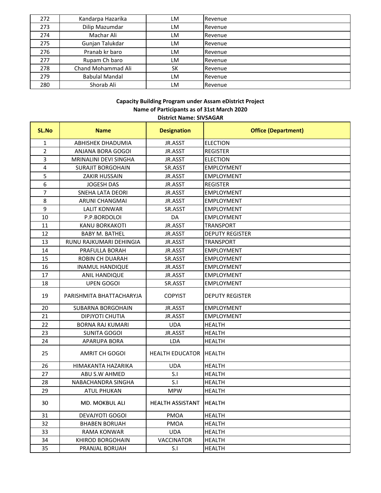| 272 | Kandarpa Hazarika     | LM        | Revenue |
|-----|-----------------------|-----------|---------|
| 273 | Dilip Mazumdar        | LM        | Revenue |
| 274 | Machar Ali            | LM        | Revenue |
| 275 | Gunjan Talukdar       | LM        | Revenue |
| 276 | Pranab kr baro        | LM        | Revenue |
| 277 | Rupam Ch baro         | LM        | Revenue |
| 278 | Chand Mohammad Ali    | <b>SK</b> | Revenue |
| 279 | <b>Babulal Mandal</b> | LM        | Revenue |
| 280 | Shorab Ali            | LM        | Revenue |

#### District Nar **Capacity Building Program under Assam eDistrict Project Name of Participants as of 31st March 2020 District Name: SIVSAGAR**

| DISTRICT Name: SIVSAGAR |                          |                        |                            |
|-------------------------|--------------------------|------------------------|----------------------------|
| <b>SL.No</b>            | <b>Name</b>              | <b>Designation</b>     | <b>Office (Department)</b> |
| $\mathbf{1}$            | ABHISHEK DHADUMIA        | JR.ASST                | <b>ELECTION</b>            |
| $\overline{2}$          | ANJANA BORA GOGOI        | JR.ASST                | <b>REGISTER</b>            |
| 3                       | MRINALINI DEVI SINGHA    | JR.ASST                | <b>ELECTION</b>            |
| $\overline{\mathbf{4}}$ | <b>SURAJIT BORGOHAIN</b> | SR.ASST                | <b>EMPLOYMENT</b>          |
| 5                       | <b>ZAKIR HUSSAIN</b>     | JR.ASST                | <b>EMPLOYMENT</b>          |
| 6                       | <b>JOGESH DAS</b>        | JR.ASST                | <b>REGISTER</b>            |
| $\overline{7}$          | <b>SNEHA LATA DEORI</b>  | JR.ASST                | <b>EMPLOYMENT</b>          |
| 8                       | ARUNI CHANGMAI           | JR.ASST                | <b>EMPLOYMENT</b>          |
| 9                       | <b>LALIT KONWAR</b>      | SR.ASST                | <b>EMPLOYMENT</b>          |
| 10                      | P.P.BORDOLOI             | DA                     | <b>EMPLOYMENT</b>          |
| 11                      | <b>KANU BORKAKOTI</b>    | JR.ASST                | <b>TRANSPORT</b>           |
| 12                      | <b>BABY M. BATHEL</b>    | JR.ASST                | <b>DEPUTY REGISTER</b>     |
| 13                      | RUNU RAJKUMARI DEHINGIA  | JR.ASST                | <b>TRANSPORT</b>           |
| 14                      | PRAFULLA BORAH           | JR.ASST                | <b>EMPLOYMENT</b>          |
| 15                      | <b>ROBIN CH DUARAH</b>   | SR.ASST                | <b>EMPLOYMENT</b>          |
| 16                      | <b>INAMUL HANDIQUE</b>   | JR.ASST                | <b>EMPLOYMENT</b>          |
| 17                      | ANIL HANDIQUE            | JR.ASST                | <b>EMPLOYMENT</b>          |
| 18                      | <b>UPEN GOGOI</b>        | SR.ASST                | <b>EMPLOYMENT</b>          |
| 19                      | PARISHMITA BHATTACHARYJA | <b>COPYIST</b>         | <b>DEPUTY REGISTER</b>     |
| 20                      | <b>SUBARNA BORGOHAIN</b> | JR.ASST                | <b>EMPLOYMENT</b>          |
| 21                      | DIPJYOTI CHUTIA          | JR.ASST                | <b>EMPLOYMENT</b>          |
| 22                      | <b>BORNA RAJ KUMARI</b>  | <b>UDA</b>             | <b>HEALTH</b>              |
| 23                      | <b>SUNITA GOGOI</b>      | JR.ASST                | <b>HEALTH</b>              |
| 24                      | APARUPA BORA             | LDA                    | <b>HEALTH</b>              |
| 25                      | AMRIT CH GOGOI           | <b>HEALTH EDUCATOR</b> | <b>HEALTH</b>              |
| 26                      | HIMAKANTA HAZARIKA       | <b>UDA</b>             | <b>HEALTH</b>              |
| 27                      | ABU S.W AHMED            | S.I                    | <b>HEALTH</b>              |
| 28                      | NABACHANDRA SINGHA       | S.I                    | <b>HEALTH</b>              |
| 29                      | <b>ATUL PHUKAN</b>       | <b>MPW</b>             | <b>HEALTH</b>              |
| 30                      | MD. MOKBUL ALI           | HEALTH ASSISTANT       | HEALTH                     |
| 31                      | <b>DEVAJYOTI GOGOI</b>   | PMOA                   | <b>HEALTH</b>              |
| 32                      | <b>BHABEN BORUAH</b>     | <b>PMOA</b>            | <b>HEALTH</b>              |
| 33                      | RAMA KONWAR              | <b>UDA</b>             | <b>HEALTH</b>              |
| 34                      | <b>KHIROD BORGOHAIN</b>  | <b>VACCINATOR</b>      | <b>HEALTH</b>              |
| 35                      | PRANJAL BORUAH           | S.I                    | <b>HEALTH</b>              |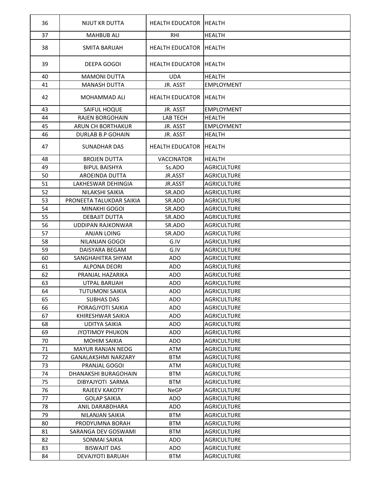| 36 | NIJUT KR DUTTA              | HEALTH EDUCATOR IHEALTH       |                    |
|----|-----------------------------|-------------------------------|--------------------|
| 37 | <b>MAHBUB ALI</b>           | <b>RHI</b>                    | <b>HEALTH</b>      |
| 38 | <b>SMITA BARUAH</b>         | <b>HEALTH EDUCATOR</b>        | <b>IHEALTH</b>     |
| 39 | <b>DEEPA GOGOI</b>          | <b>HEALTH EDUCATOR</b>        | <b>IHEALTH</b>     |
| 40 | <b>MAMONI DUTTA</b>         | <b>UDA</b>                    | <b>HEALTH</b>      |
| 41 | <b>MANASH DUTTA</b>         | JR. ASST                      | <b>EMPLOYMENT</b>  |
| 42 | <b>MOHAMMAD ALI</b>         | <b>HEALTH EDUCATOR HEALTH</b> |                    |
| 43 | SAIFUL HOQUE                | JR. ASST                      | <b>EMPLOYMENT</b>  |
| 44 | <b>RAJEN BORGOHAIN</b>      | <b>LAB TECH</b>               | <b>HEALTH</b>      |
| 45 | ARUN CH BORTHAKUR           | JR. ASST                      | <b>EMPLOYMENT</b>  |
| 46 | DURLAB B.P GOHAIN           | JR. ASST                      | <b>HEALTH</b>      |
| 47 | SUNADHAR DAS                | <b>HEALTH EDUCATOR</b>        | <b>HEALTH</b>      |
| 48 | <b>BROJEN DUTTA</b>         | <b>VACCINATOR</b>             | <b>HEALTH</b>      |
| 49 | <b>BIPUL BAISHYA</b>        | Ss.ADO                        | AGRICULTURE        |
| 50 | AROEINDA DUTTA              | JR.ASST                       | AGRICULTURE        |
| 51 | LAKHESWAR DEHINGIA          | JR.ASST                       | <b>AGRICULTURE</b> |
| 52 | NILAKSHI SAIKIA             | SR.ADO                        | <b>AGRICULTURE</b> |
| 53 | PRONEETA TALUKDAR SAIKIA    | SR.ADO                        | <b>AGRICULTURE</b> |
| 54 | MINAKHI GOGOI               | SR.ADO                        | <b>AGRICULTURE</b> |
| 55 | DEBAJIT DUTTA               | SR.ADO                        | AGRICULTURE        |
| 56 | <b>UDDIPAN RAJKONWAR</b>    | SR.ADO                        | AGRICULTURE        |
| 57 | ANJAN LOING                 | SR.ADO                        | <b>AGRICULTURE</b> |
| 58 | NILANJAN GOGOI              | G.IV                          | AGRICULTURE        |
| 59 | <b>DAISYARA BEGAM</b>       | G.IV                          | <b>AGRICULTURE</b> |
| 60 | SANGHAHITRA SHYAM           | <b>ADO</b>                    | <b>AGRICULTURE</b> |
| 61 | <b>ALPONA DEORI</b>         | <b>ADO</b>                    | <b>AGRICULTURE</b> |
| 62 | PRANJAL HAZARIKA            | <b>ADO</b>                    | <b>AGRICULTURE</b> |
| 63 | <b>UTPAL BARUAH</b>         | <b>ADO</b>                    | AGRICULTURE        |
| 64 | <b>TUTUMONI SAIKIA</b>      | <b>ADO</b>                    | <b>AGRICULTURE</b> |
| 65 | <b>SUBHAS DAS</b>           | <b>ADO</b>                    | AGRICULTURE        |
| 66 | PORAGJYOTI SAIKIA           | ADO                           | <b>AGRICULTURE</b> |
| 67 | KHIRESHWAR SAIKIA           | <b>ADO</b>                    | <b>AGRICULTURE</b> |
| 68 | <b>UDITYA SAIKIA</b>        | ADO                           | <b>AGRICULTURE</b> |
| 69 | <b>JYOTIMOY PHUKON</b>      | ADO                           | AGRICULTURE        |
| 70 | <b>MOHIM SAIKIA</b>         | <b>ADO</b>                    | <b>AGRICULTURE</b> |
| 71 | MAYUR RANJAN NEOG           | ATM                           | <b>AGRICULTURE</b> |
| 72 | <b>GANALAKSHMI NARZARY</b>  | <b>BTM</b>                    | AGRICULTURE        |
| 73 | <b>PRANJAL GOGOI</b>        | ATM                           | <b>AGRICULTURE</b> |
| 74 | <b>DHANAKSHI BURAGOHAIN</b> | <b>BTM</b>                    | <b>AGRICULTURE</b> |
| 75 | DIBYAJYOTI SARMA            | <b>BTM</b>                    | <b>AGRICULTURE</b> |
| 76 | <b>RAJEEV KAKOTY</b>        | <b>NeGP</b>                   | <b>AGRICULTURE</b> |
| 77 | <b>GOLAP SAIKIA</b>         | <b>ADO</b>                    | <b>AGRICULTURE</b> |
| 78 | ANIL DARABDHARA             | ADO                           | <b>AGRICULTURE</b> |
| 79 | NILANJAN SAIKIA             | <b>BTM</b>                    | <b>AGRICULTURE</b> |
| 80 | PRODYUMNA BORAH             | <b>BTM</b>                    | <b>AGRICULTURE</b> |
| 81 | SARANGA DEV GOSWAMI         | <b>BTM</b>                    | <b>AGRICULTURE</b> |
| 82 | SONMAI SAIKIA               | ADO                           | <b>AGRICULTURE</b> |
| 83 | <b>BISWAJIT DAS</b>         | ADO                           | AGRICULTURE        |
| 84 | DEVAJYOTI BARUAH            | <b>BTM</b>                    | <b>AGRICULTURE</b> |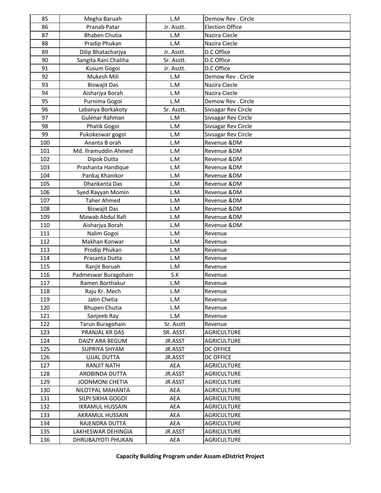| 85  | Megha Baruah           | L.M        | Demow Rev . Circle     |
|-----|------------------------|------------|------------------------|
| 86  | Pranab Patar           | Jr. Asstt. | <b>Election Office</b> |
| 87  | <b>Bhaben Chutia</b>   | L.M        | Nazira Ciecle          |
| 88  | Pradip Phukan          | L.M        | Nazira Ciecle          |
| 89  | Dilip Bhatacharjya     | Jr. Asstt. | D.C Office             |
| 90  | Sangita Rani Chaliha   | Sr. Asstt. | D.C Office             |
| 91  | Kusum Gogoi            | Jr. Asstt. | D.C Office             |
| 92  | Mukesh Mili            | L.M        | Demow Rev . Circle     |
| 93  | <b>Biswajit Das</b>    | L.M        | Nazira Ciecle          |
| 94  | Aisharjya Borah        | L.M        | Nazira Ciecle          |
| 95  | Purnima Gogoi          | L.M        | Demow Rev . Circle     |
| 96  | Labanya Borkakoty      | Sr. Asstt. | Sivsagar Rev Circle    |
| 97  | Gulenar Rahman         | L.M        | Sivsagar Rev Circle    |
| 98  | Phatik Gogoi           | L.M        | Sivsagar Rev Circle    |
| 99  | Pukokeswar gogoi       | L.M        | Sivsagar Rev Circle    |
| 100 | Ananta B orah          | L.M        | Revenue &DM            |
| 101 | Md. Ilramuddin Ahmed   | L.M        | Revenue &DM            |
| 102 | Dipok Dutta            | L.M        | Revenue &DM            |
| 103 | Prashanta Handique     | L.M        | Revenue &DM            |
| 104 | Pankaj Khanikor        | L.M        | Revenue &DM            |
| 105 | Dhankanta Das          | L.M        | Revenue &DM            |
| 106 | Syed Rayyan Momin      | L.M        | Revenue &DM            |
| 107 | <b>Taher Ahmed</b>     | L.M        | Revenue &DM            |
| 108 | <b>Biswajit Das</b>    | L.M        | Revenue &DM            |
| 109 | Mawab Abdul Rafi       | L.M        | Revenue &DM            |
| 110 | Aisharjya Borah        | L.M        | Revenue &DM            |
| 111 | Nalim Gogoi            | L.M        | Revenue                |
| 112 | Makhan Konwar          | L.M        | Revenue                |
| 113 | Prodip Phukan          | L.M        | Revenue                |
| 114 | Prasanta Dutta         | L.M        | Revenue                |
| 115 | Ranjit Boruah          | L.M        | Revenue                |
| 116 | Padmeswar Buragohain   | S.K        | Revenue                |
| 117 | Ramen Borthakur        | L.M        | Revenue                |
| 118 | Raju Kr. Mech          | L.M        | Revenue                |
| 119 | Jatin Chetia           | L.M        | Revenue                |
| 120 | <b>Bhupen Chutia</b>   | L.M        | Revenue                |
| 121 | Sanjeeb Ray            | L.M        | Revenue                |
| 122 | Tarun Buragohain       | Sr. Asstt  | Revenue                |
| 123 | PRANJAL KR DAS         | SR. ASST.  | <b>AGRICULTURE</b>     |
| 124 | DAIZY ARA BEGUM        | JR.ASST    | <b>AGRICULTURE</b>     |
| 125 | SUPRIYA SHYAM          | JR.ASST    | <b>DC OFFICE</b>       |
| 126 | <b>UJJAL DUTTA</b>     | JR.ASST    | <b>DC OFFICE</b>       |
| 127 | <b>RANJIT NATH</b>     | AEA        | <b>AGRICULTURE</b>     |
| 128 | <b>AROBINDA DUTTA</b>  | JR.ASST    | <b>AGRICULTURE</b>     |
| 129 | <b>JOONMONI CHETIA</b> | JR.ASST    | <b>AGRICULTURE</b>     |
| 130 | NILOTPAL MAHANTA       | AEA        | <b>AGRICULTURE</b>     |
| 131 | SILPI SIKHA GOGOI      | AEA        | <b>AGRICULTURE</b>     |
| 132 | <b>IKRAMUL HUSSAIN</b> | AEA        | <b>AGRICULTURE</b>     |
| 133 | AKRAMUL HUSSAIN        | AEA        | <b>AGRICULTURE</b>     |
| 134 | RAJENDRA DUTTA         | AEA        | <b>AGRICULTURE</b>     |
| 135 | LAKHESWAR DEHINGIA     | JR.ASST    | <b>AGRICULTURE</b>     |
| 136 | DHRUBAJYOTI PHUKAN     | AEA        | <b>AGRICULTURE</b>     |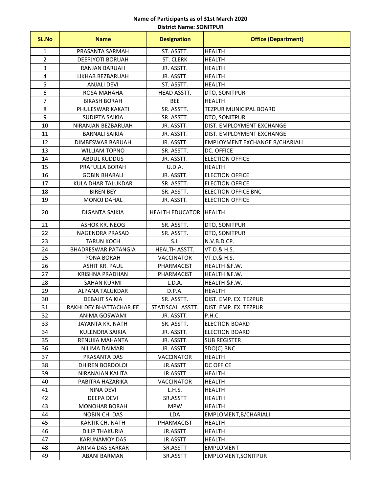### **District Name: SONITPUR Name of Participants as of 31st March 2020**

| SL.No          | <b>Name</b>                | <b>Designation</b>     | <b>Office (Department)</b>     |
|----------------|----------------------------|------------------------|--------------------------------|
| 1              | PRASANTA SARMAH            | ST. ASSTT.             | <b>HEALTH</b>                  |
| $\overline{2}$ | DEEPJYOTI BORUAH           | ST. CLERK              | <b>HEALTH</b>                  |
| 3              | <b>RANJAN BARUAH</b>       | JR. ASSTT.             | <b>HEALTH</b>                  |
| 4              | LIKHAB BEZBARUAH           | JR. ASSTT.             | <b>HEALTH</b>                  |
| 5              | <b>ANJALI DEVI</b>         | ST. ASSTT.             | <b>HEALTH</b>                  |
| 6              | ROSA MAHAHA                | HEAD ASSTT.            | DTO, SONITPUR                  |
| 7              | <b>BIKASH BORAH</b>        | <b>BEE</b>             | <b>HEALTH</b>                  |
| 8              | PHULESWAR KAKATI           | SR. ASSTT.             | <b>TEZPUR MUNICIPAL BOARD</b>  |
| 9              | <b>SUDIPTA SAIKIA</b>      | SR. ASSTT.             | DTO, SONITPUR                  |
| 10             | NIRANJAN BEZBARUAH         | JR. ASSTT.             | DIST. EMPLOYMENT EXCHANGE      |
| 11             | <b>BARNALI SAIKIA</b>      | JR. ASSTT.             | DIST. EMPLOYMENT EXCHANGE      |
| 12             | DIMBESWAR BARUAH           | JR. ASSTT.             | EMPLOYMENT EXCHANGE B/CHARIALI |
| 13             | <b>WILLIAM TOPNO</b>       | SR. ASSTT.             | DC. OFFICE                     |
| 14             | <b>ABDUL KUDDUS</b>        | JR. ASSTT.             | <b>ELECTION OFFICE</b>         |
| 15             | PRAFULLA BORAH             | U.D.A.                 | <b>HEALTH</b>                  |
| 16             | <b>GOBIN BHARALI</b>       | JR. ASSTT.             | <b>ELECTION OFFICE</b>         |
| 17             | KULA DHAR TALUKDAR         | SR. ASSTT.             | <b>ELECTION OFFICE</b>         |
| 18             | <b>BIREN BEY</b>           | SR. ASSTT.             | <b>ELECTION OFFICE BNC</b>     |
| 19             | <b>MONOJ DAHAL</b>         | JR. ASSTT.             | <b>ELECTION OFFICE</b>         |
| 20             | DIGANTA SAIKIA             | <b>HEALTH EDUCATOR</b> | <b>HEALTH</b>                  |
| 21             | ASHOK KR. NEOG             | SR. ASSTT.             | DTO, SONITPUR                  |
| 22             | NAGENDRA PRASAD            | SR. ASSTT.             | DTO, SONITPUR                  |
| 23             | <b>TARUN KOCH</b>          | S.I.                   | N.V.B.D.CP.                    |
| 24             | <b>BHADRESWAR PATANGIA</b> | HEALTH ASSTT.          | VT.D.& H.S.                    |
| 25             | PONA BORAH                 | <b>VACCINATOR</b>      | VT.D.& H.S.                    |
| 26             | <b>ASHIT KR. PAUL</b>      | PHARMACIST             | HEALTH &F.W.                   |
| 27             | <b>KRISHNA PRADHAN</b>     | PHARMACIST             | HEALTH &F.W.                   |
| 28             | <b>SAHAN KURMI</b>         | L.D.A.                 | HEALTH &F.W.                   |
| 29             | ALPANA TALUKDAR            | D.P.A.                 | <b>HEALTH</b>                  |
| 30             | <b>DEBAJIT SAIKIA</b>      | SR. ASSTT.             | DIST. EMP. EX. TEZPUR          |
| 31             | RAKHI DEY BHATTACHARJEE    | STATISCAL. ASSTT.      | DIST. EMP. EX. TEZPUR          |
| 32             | ANIMA GOSWAMI              | JR. ASSTT.             | P.H.C.                         |
| 33             | JAYANTA KR. NATH           | SR. ASSTT.             | <b>ELECTION BOARD</b>          |
| 34             | KULENDRA SAIKIA            | JR. ASSTT.             | <b>ELECTION BOARD</b>          |
| 35             | RENUKA MAHANTA             | JR. ASSTT.             | <b>SUB REGISTER</b>            |
| 36             | NILIMA DAIMARI             | JR. ASSTT.             | SDO(C) BNC                     |
| 37             | PRASANTA DAS               | <b>VACCINATOR</b>      | <b>HEALTH</b>                  |
| 38             | DHIREN BORDOLOI            | JR.ASSTT               | <b>DC OFFICE</b>               |
| 39             | NIRANAJAN KALITA           | JR.ASSTT               | <b>HEALTH</b>                  |
| 40             | PABITRA HAZARIKA           | <b>VACCINATOR</b>      | <b>HEALTH</b>                  |
| 41             | <b>NINA DEVI</b>           | L.H.S.                 | <b>HEALTH</b>                  |
| 42             | DEEPA DEVI                 | SR.ASSTT               | HEALTH                         |
| 43             | <b>MONOHAR BORAH</b>       | <b>MPW</b>             | <b>HEALTH</b>                  |
| 44             | NOBIN CH. DAS              | <b>LDA</b>             | EMPLOMENT, B/CHARIALI          |
| 45             | KARTIK CH. NATH            | PHARMACIST             | <b>HEALTH</b>                  |
| 46             | <b>DILIP THAKURIA</b>      | JR.ASSTT               | HEALTH                         |
| 47             | <b>KARUNAMOY DAS</b>       | JR.ASSTT               | <b>HEALTH</b>                  |
| 48             | ANIMA DAS SARKAR           | SR.ASSTT               | <b>EMPLOMENT</b>               |
| 49             | ABANI BARMAN               | SR.ASSTT               | EMPLOMENT, SONITPUR            |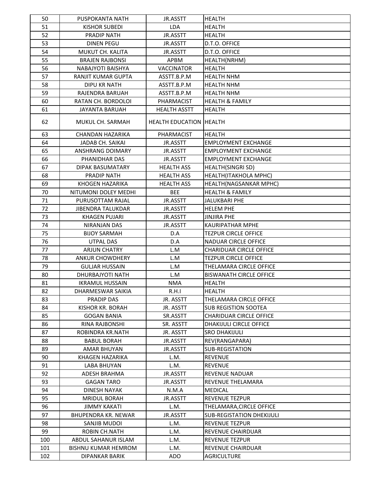| 50  | PUSPOKANTA NATH            | JR.ASSTT                       | <b>HEALTH</b>                    |
|-----|----------------------------|--------------------------------|----------------------------------|
| 51  | <b>KISHOR SUBEDI</b>       | LDA                            | <b>HEALTH</b>                    |
| 52  | PRADIP NATH                | JR.ASSTT                       | <b>HEALTH</b>                    |
| 53  | <b>DINEN PEGU</b>          | JR.ASSTT                       | D.T.O. OFFICE                    |
| 54  | MUKUT CH. KALITA           | JR.ASSTT                       | D.T.O. OFFICE                    |
| 55  | <b>BRAJEN RAJBONSI</b>     | APBM                           | HEALTH(NRHM)                     |
| 56  | NABAJYOTI BAISHYA          | <b>VACCINATOR</b>              | <b>HEALTH</b>                    |
| 57  | RANJIT KUMAR GUPTA         | ASSTT.B.P.M                    | <b>HEALTH NHM</b>                |
| 58  | <b>DIPU KR NATH</b>        | ASSTT.B.P.M                    | <b>HEALTH NHM</b>                |
| 59  | RAJENDRA BARUAH            | ASSTT.B.P.M                    | <b>HEALTH NHM</b>                |
| 60  | RATAN CH. BORDOLOI         | PHARMACIST                     | <b>HEALTH &amp; FAMILY</b>       |
| 61  | <b>JAYANTA BARUAH</b>      | <b>HEALTH ASSTT</b>            | <b>HEALTH</b>                    |
| 62  | MUKUL CH. SARMAH           | <b>HEALTH EDUCATION HEALTH</b> |                                  |
| 63  | <b>CHANDAN HAZARIKA</b>    | PHARMACIST                     | <b>HEALTH</b>                    |
| 64  | JADAB CH. SAIKAI           | JR.ASSTT                       | <b>EMPLOYMENT EXCHANGE</b>       |
| 65  | ANSHRANG DOIMARY           | JR.ASSTT                       | <b>EMPLOYMENT EXCHANGE</b>       |
| 66  | PHANIDHAR DAS              | JR.ASSTT                       | <b>EMPLOYMENT EXCHANGE</b>       |
| 67  | DIPAK BASUMATARY           | <b>HEALTH ASS</b>              | <b>HEALTH(SINGRI SD)</b>         |
| 68  | <b>PRADIP NATH</b>         | <b>HEALTH ASS</b>              | HEALTH(ITAKHOLA MPHC)            |
| 69  | <b>KHOGEN HAZARIKA</b>     | <b>HEALTH ASS</b>              | HEALTH(NAGSANKAR MPHC)           |
| 70  | NITUMONI DOLEY MEDHI       | <b>BEE</b>                     | <b>HEALTH &amp; FAMILY</b>       |
| 71  | PURUSOTTAM RAJAL           | JR.ASSTT                       | <b>JALUKBARI PHE</b>             |
| 72  | <b>JIBENDRA TALUKDAR</b>   | JR.ASSTT                       | <b>HELEM PHE</b>                 |
| 73  | <b>KHAGEN PUJARI</b>       | JR.ASSTT                       | <b>JINJIRA PHE</b>               |
| 74  | NIRANJAN DAS               | JR.ASSTT                       | <b>KAURIPATHAR MPHE</b>          |
| 75  | <b>BIJOY SARMAH</b>        | D.A                            | <b>TEZPUR CIRCLE OFFICE</b>      |
| 76  | UTPAL DAS                  | D.A                            | <b>NADUAR CIRCLE OFFICE</b>      |
| 77  | <b>ARJUN CHATRY</b>        | L.M                            | <b>CHARIDUAR CIRCLE OFFICE</b>   |
| 78  | <b>ANKUR CHOWDHERY</b>     | L.M                            | <b>TEZPUR CIRCLE OFFICE</b>      |
| 79  | <b>GULJAR HUSSAIN</b>      | L.M                            | THELAMARA CIRCLE OFFICE          |
| 80  | <b>DHURBAJYOTI NATH</b>    | L.M                            | <b>BISWANATH CIRCLE OFFICE</b>   |
| 81  | <b>IKRAMUL HUSSAIN</b>     | <b>NMA</b>                     | <b>HEALTH</b>                    |
| 82  | DHARMESWAR SAIKIA          | R.H.I                          | HEALTH                           |
| 83  | PRADIP DAS                 | JR. ASSTT                      | THELAMARA CIRCLE OFFICE          |
| 84  | KISHOR KR. BORAH           | JR. ASSTT                      | <b>SUB REGISTION SOOTEA</b>      |
| 85  | <b>GOGAN BANIA</b>         | SR.ASSTT                       | <b>CHARIDUAR CIRCLE OFFICE</b>   |
| 86  | RINA RAJBONSHI             | SR. ASSTT                      | DHAKIJULI CIRCLE OFFICE          |
| 87  | ROBINDRA KR.NATH           | JR. ASSTT                      | <b>SRO DHAKIJULI</b>             |
| 88  | <b>BABUL BORAH</b>         | JR.ASSTT                       | REV(RANGAPARA)                   |
| 89  | <b>AMAR BHUYAN</b>         | JR.ASSTT                       | <b>SUB-REGISTATION</b>           |
| 90  | KHAGEN HAZARIKA            | L.M.                           | <b>REVENUE</b>                   |
| 91  | <b>LABA BHUYAN</b>         | L.M.                           | <b>REVENUE</b>                   |
| 92  | ADESH BRAHMA               | JR.ASSTT                       | REVENUE NADUAR                   |
| 93  | <b>GAGAN TARO</b>          | JR.ASSTT                       | REVENUE THELAMARA                |
| 94  | <b>DINESH NAYAK</b>        | N.M.A                          | <b>MEDICAL</b>                   |
| 95  | <b>MRIDUL BORAH</b>        | JR.ASSTT                       | <b>REVENUE TEZPUR</b>            |
| 96  | <b>JIMMY KAKATI</b>        | L.M.                           | THELAMARA,CIRCLE OFFICE          |
| 97  | <b>BHUPENDRA KR. NEWAR</b> | JR.ASSTT                       | <b>SUB-REGISTATION DHEKIJULI</b> |
| 98  | SANJIB MUDOI               | L.M.                           | <b>REVENUE TEZPUR</b>            |
| 99  | ROBIN CH.NATH              | L.M.                           | REVENUE CHAIRDUAR                |
| 100 | ABDUL SAHANUR ISLAM        | L.M.                           | <b>REVENUE TEZPUR</b>            |
| 101 | <b>BISHNU KUMAR HEMROM</b> | L.M.                           | REVENUE CHAIRDUAR                |
| 102 | DIPANKAR BARIK             | ADO                            | AGRICULTURE                      |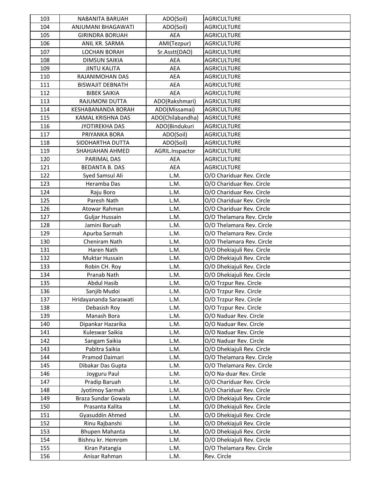| 103 | <b>NABANITA BARUAH</b>  | ADO(Soil)        | <b>AGRICULTURE</b>         |
|-----|-------------------------|------------------|----------------------------|
| 104 | ANJUMANI BHAGAWATI      | ADO(Soil)        | <b>AGRICULTURE</b>         |
| 105 | <b>GIRINDRA BORUAH</b>  | <b>AEA</b>       | <b>AGRICULTURE</b>         |
| 106 | ANIL KR. SARMA          | AMI(Tezpur)      | <b>AGRICULTURE</b>         |
| 107 | <b>LOCHAN BORAH</b>     | Sr.Asstt(DAO)    | <b>AGRICULTURE</b>         |
| 108 | <b>DIMSUN SAIKIA</b>    | AEA              | <b>AGRICULTURE</b>         |
| 109 | <b>JINTU KALITA</b>     | <b>AEA</b>       | <b>AGRICULTURE</b>         |
| 110 | RAJANIMOHAN DAS         | <b>AEA</b>       | <b>AGRICULTURE</b>         |
| 111 | <b>BISWAJIT DEBNATH</b> | <b>AEA</b>       | <b>AGRICULTURE</b>         |
| 112 | <b>BIBEK SAIKIA</b>     | <b>AEA</b>       | <b>AGRICULTURE</b>         |
| 113 | RAJUMONI DUTTA          | ADO(Rakshmari)   | <b>AGRICULTURE</b>         |
| 114 | KESHABANANDA BORAH      | ADO(Missamai)    | <b>AGRICULTURE</b>         |
| 115 | KAMAL KRISHNA DAS       | ADO(Chilabandha) | <b>AGRICULTURE</b>         |
| 116 | JYOTIREKHA DAS          | ADO(Bindukuri    | <b>AGRICULTURE</b>         |
| 117 | PRIYANKA BORA           | ADO(Soil)        | <b>AGRICULTURE</b>         |
| 118 | SIDDHARTHA DUTTA        | ADO(Soil)        | <b>AGRICULTURE</b>         |
| 119 | SHAHJAHAN AHMED         | AGRIL.Inspactor  | <b>AGRICULTURE</b>         |
| 120 | PARIMAL DAS             | AEA              | <b>AGRICULTURE</b>         |
| 121 | <b>BEDANTA B. DAS</b>   | AEA              | <b>AGRICULTURE</b>         |
| 122 | Syed Samsul Ali         | L.M.             | O/O Chariduar Rev. Circle  |
| 123 | Heramba Das             | L.M.             | O/O Chariduar Rev. Circle  |
| 124 | Raju Boro               | L.M.             | O/O Chariduar Rev. Circle  |
| 125 | Paresh Nath             | L.M.             | O/O Chariduar Rev. Circle  |
| 126 | Atowar Rahman           | L.M.             | O/O Chariduar Rev. Circle  |
| 127 | Guljar Hussain          | L.M.             | O/O Thelamara Rev. Circle  |
| 128 | Jamini Baruah           | L.M.             | O/O Thelamara Rev. Circle  |
| 129 | Apurba Sarmah           | L.M.             | O/O Thelamara Rev. Circle  |
| 130 | Cheniram Nath           | L.M.             | O/O Thelamara Rev. Circle  |
| 131 | Haren Nath              | L.M.             | O/O Dhekiajuli Rev. Circle |
| 132 | Muktar Hussain          | L.M.             | O/O Dhekiajuli Rev. Circle |
| 133 | Robin CH. Roy           | L.M.             | O/O Dhekiajuli Rev. Circle |
| 134 | Pranab Nath             | L.M.             | O/O Dhekiajuli Rev. Circle |
| 135 | Abdul Hasib             | L.M.             | O/O Trzpur Rev. Circle     |
| 136 | Sanjib Mudoi            | L.M.             | O/O Trzpur Rev. Circle     |
| 137 | Hridayananda Saraswati  | L.M.             | O/O Trzpur Rev. Circle     |
| 138 | Debasish Roy            | L.M.             | O/O Trzpur Rev. Circle     |
| 139 | Manash Bora             | L.M.             | O/O Naduar Rev. Circle     |
| 140 | Dipankar Hazarika       | L.M.             | O/O Naduar Rev. Circle     |
| 141 | Kuleswar Saikia         | L.M.             | O/O Naduar Rev. Circle     |
| 142 | Sangam Saikia           | L.M.             | O/O Naduar Rev. Circle     |
| 143 | Pabitra Saikia          | L.M.             | O/O Dhekiajuli Rev. Circle |
| 144 | Pramod Daimari          | L.M.             | O/O Thelamara Rev. Circle  |
| 145 | Dibakar Das Gupta       | L.M.             | O/O Thelamara Rev. Circle  |
| 146 | Joyguru Paul            | L.M.             | O/O Na-duar Rev. Circle    |
| 147 | Pradip Baruah           | L.M.             | O/O Chariduar Rev. Circle  |
| 148 | Jyotimoy Sarmah         | L.M.             | O/O Chariduar Rev. Circle  |
| 149 | Braza Sundar Gowala     | L.M.             | O/O Dhekiajuli Rev. Circle |
| 150 | Prasanta Kalita         | L.M.             | O/O Dhekiajuli Rev. Circle |
| 151 | Gyasuddin Ahmed         | L.M.             | O/O Dhekiajuli Rev. Circle |
| 152 | Rinu Rajbanshi          | L.M.             | O/O Dhekiajuli Rev. Circle |
| 153 | Bhupen Mahanta          | L.M.             | O/O Dhekiajuli Rev. Circle |
| 154 | Bishnu kr. Hemrom       | L.M.             | O/O Dhekiajuli Rev. Circle |
| 155 | Kiran Patangia          | L.M.             | O/O Thelamara Rev. Circle  |
| 156 | Anisar Rahman           | L.M.             | Rev. Circle                |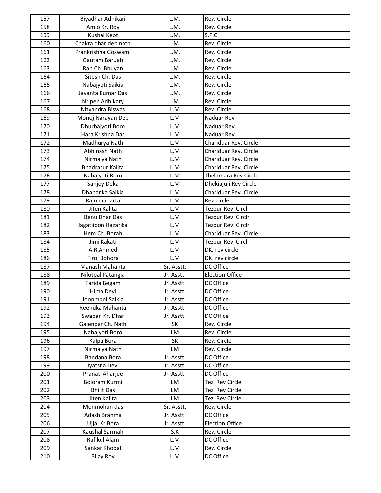| 157        | Biyadhar Adhikari            | L.M.       | Rev. Circle              |
|------------|------------------------------|------------|--------------------------|
| 158        | Amio Kr. Roy                 | L.M.       | Rev. Circle              |
| 159        | <b>Kushal Keot</b>           | L.M.       | S.P.C                    |
| 160        | Chakra dhar deb nath         | L.M.       | Rev. Circle              |
| 161        | Prankrishna Goswami          | L.M.       | Rev. Circle              |
| 162        | Gautam Baruah                | L.M.       | Rev. Circle              |
| 163        | Ran Ch. Bhuyan               | L.M.       | Rev. Circle              |
| 164        | Sitesh Ch. Das               | L.M.       | Rev. Circle              |
| 165        | Nabajyoti Saikia             | L.M.       | Rev. Circle              |
| 166        | Jayanta Kumar Das            | L.M.       | Rev. Circle              |
| 167        | Nripen Adhikary              | L.M.       | Rev. Circle              |
| 168        | Nityandra Biswas             | L.M        | Rev. Circle              |
| 169        | Monoj Narayan Deb            | L.M        | Naduar Rev.              |
| 170        | Dhurbajyoti Boro             | L.M        | Naduar Rev.              |
| 171        | Hara Krishna Das             | L.M        | Naduar Rev.              |
| 172        | Madhurya Nath                | L.M        | Chariduar Rev. Circle    |
| 173        | Abhinash Nath                | L.M        | Chariduar Rev. Circle    |
| 174        | Nirmalya Nath                | L.M        | Chariduar Rev. Circle    |
| 175        | <b>Bhadrasur Kalita</b>      | L.M        | Chariduar Rev. Circle    |
| 176        | Nabajyoti Boro               | L.M        | Thelamara Rev Circle     |
| 177        | Sanjoy Deka                  | L.M        | Dhekiajuli Rev Circle    |
| 178        | Dhananka Saikia              | L.M        | Chariduar Rev. Circle    |
| 179        | Raju maharta                 | L.M        | Rev.circle               |
| 180        | Jiten Kalita                 | L.M        | Tezpur Rev. Circlr       |
| 181        | Benu Dhar Das                | L.M        | Tezpur Rev. Circlr       |
| 182        | Jagatjibon Hazarika          | L.M        | Tezpur Rev. Circlr       |
| 183        | Hem Ch. Borah                | L.M        | Chariduar Rev. Circle    |
| 184        | Jimi Kakati                  | L.M        | Tezpur Rev. Circlr       |
| 185        | A.R.Ahmed                    | L.M        | DKJ rev circle           |
| 186        | Firoj Bohora                 | L.M        | DKJ rev circle           |
| 187        | Manash Mahanta               | Sr. Asstt. | DC Office                |
| 188        | Nilotpal Patangia            | Jr. Asstt. | <b>Election Office</b>   |
| 189        | Farida Begam                 | Jr. Asstt. | DC Office                |
| 190        | Hima Devi                    | Jr. Asstt. | DC Office                |
| 191        | Joonmoni Saikia              | Jr. Asstt. | DC Office                |
| 192        | Reenuka Mahanta              | Jr. Asstt. | DC Office                |
| 193        | Swapan Kr. Dhar              | Jr. Asstt. | DC Office                |
| 194        | Gajendar Ch. Nath            | SK         | Rev. Circle              |
| 195        | Nabajyoti Boro               | LM         | Rev. Circle              |
| 196        | Kalpa Bora                   | SK         | Rev. Circle              |
| 197        | Nirmalya Nath                | LM         | Rev. Circle              |
| 198        | Bandana Bora                 | Jr. Asstt. | DC Office                |
| 199        | Jyatsna Devi                 | Jr. Asstt. | DC Office                |
| 200        | Pranati Aharjee              | Jr. Asstt. | DC Office                |
| 201        | Boloram Kurmi                | LM         | Tez. Rev Circle          |
| 202        | <b>Bhijit Das</b>            | LM         | Tez. Rev Circle          |
| 203        | Jiten Kalita                 | LM         | Tez. Rev Circle          |
|            |                              |            |                          |
| 204<br>205 | Monmohan das<br>Adash Brahma | Sr. Asstt. | Rev. Circle<br>DC Office |
| 206        |                              | Jr. Asstt. | <b>Election Office</b>   |
|            | Ujjal Kr Bora                | Jr. Asstt. |                          |
| 207        | Kaushal Sarmah               | S.K        | Rev. Circle              |
| 208        | Rafikul Alam                 | L.M        | DC Office                |
| 209        | Sankar Khodal                | L.M        | Rev. Circle              |
| 210        | <b>Bijay Roy</b>             | L.M        | DC Office                |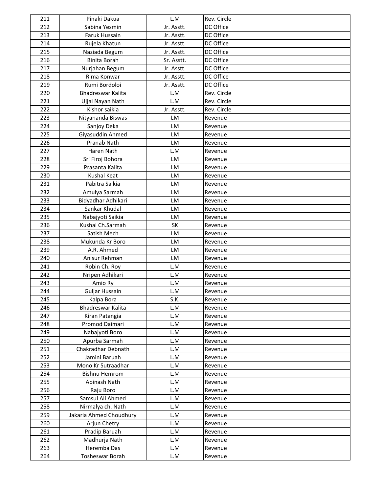| 211        | Pinaki Dakua                               | L.M        | Rev. Circle |
|------------|--------------------------------------------|------------|-------------|
| 212        | Sabina Yesmin                              | Jr. Asstt. | DC Office   |
| 213        | Faruk Hussain                              | Jr. Asstt. | DC Office   |
| 214        | Rujela Khatun                              | Jr. Asstt. | DC Office   |
| 215        | Naziada Begum                              | Jr. Asstt. | DC Office   |
| 216        | <b>Binita Borah</b>                        | Sr. Asstt. | DC Office   |
| 217        | Nurjahan Begum                             | Jr. Asstt. | DC Office   |
| 218        | Rima Konwar                                | Jr. Asstt. | DC Office   |
| 219        | Rumi Bordoloi                              | Jr. Asstt. | DC Office   |
| 220        | Bhadreswar Kalita                          | L.M        | Rev. Circle |
| 221        | Ujjal Nayan Nath                           | L.M        | Rev. Circle |
| 222        | Kishor saikia                              | Jr. Asstt. | Rev. Circle |
| 223        | Nityananda Biswas                          | LM         | Revenue     |
| 224        | Sanjoy Deka                                | LM         | Revenue     |
| 225        | Giyasuddin Ahmed                           | LM         | Revenue     |
| 226        | Pranab Nath                                | LM         | Revenue     |
| 227        | Haren Nath                                 | L.M        | Revenue     |
| 228        | Sri Firoj Bohora                           | LM         | Revenue     |
| 229        | Prasanta Kalita                            | LM         | Revenue     |
| 230        | <b>Kushal Keat</b>                         | LM         | Revenue     |
| 231        | Pabitra Saikia                             | <b>LM</b>  | Revenue     |
| 232        | Amulya Sarmah                              | LM         | Revenue     |
| 233        | Bidyadhar Adhikari                         | LM         | Revenue     |
| 234        | Sankar Khudal                              | <b>LM</b>  | Revenue     |
| 235        | Nabajyoti Saikia                           | LM         | Revenue     |
| 236        | Kushal Ch.Sarmah                           | <b>SK</b>  | Revenue     |
| 237        | Satish Mech                                | LM         | Revenue     |
| 238        | Mukunda Kr Boro                            | LM         | Revenue     |
| 239        | A.R. Ahmed                                 | LM         | Revenue     |
| 240        | Anisur Rehman                              | LM         | Revenue     |
| 241        | Robin Ch. Roy                              | L.M        | Revenue     |
| 242        | Nripen Adhikari                            | L.M        | Revenue     |
| 243        | Amio Ry                                    | L.M        | Revenue     |
| 244        | <b>Guljar Hussain</b>                      | L.M        | Revenue     |
| 245        | Kalpa Bora                                 | S.K.       | Revenue     |
| 246        | Bhadreswar Kalita                          | L.M        | Revenue     |
| 247        | Kiran Patangia                             | L.M        |             |
|            | Promod Daimari                             |            | Revenue     |
| 248<br>249 | Nabajyoti Boro                             | L.M<br>L.M | Revenue     |
| 250        | Apurba Sarmah                              | L.M        | Revenue     |
| 251        | Chakradhar Debnath                         | L.M        | Revenue     |
| 252        | Jamini Baruah                              | L.M        | Revenue     |
|            |                                            |            | Revenue     |
| 253<br>254 | Mono Kr Sutraadhar<br><b>Bishnu Hemrom</b> | L.M<br>L.M | Revenue     |
| 255        | Abinash Nath                               | L.M        | Revenue     |
|            |                                            |            | Revenue     |
| 256        | Raju Boro                                  | L.M        | Revenue     |
| 257        | Samsul Ali Ahmed                           | L.M        | Revenue     |
| 258        | Nirmalya ch. Nath                          | L.M        | Revenue     |
| 259        | Jakaria Ahmed Choudhury                    | L.M        | Revenue     |
| 260        | Arjun Chetry                               | L.M        | Revenue     |
| 261        | Pradip Baruah                              | L.M        | Revenue     |
| 262        | Madhurja Nath                              | L.M        | Revenue     |
| 263        | Heremba Das                                | L.M        | Revenue     |
| 264        | Tosheswar Borah                            | L.M        | Revenue     |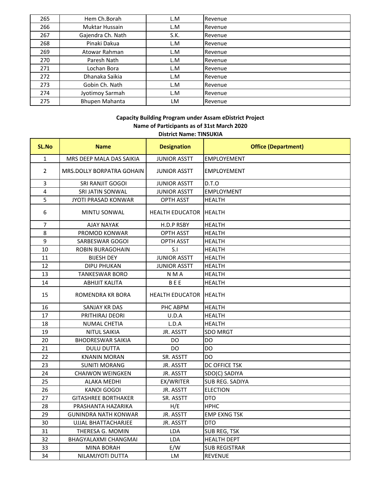| 265 | Hem Ch.Borah          | L.M  | Revenue |
|-----|-----------------------|------|---------|
| 266 | Muktar Hussain        | L.M  | Revenue |
| 267 | Gajendra Ch. Nath     | S.K. | Revenue |
| 268 | Pinaki Dakua          | L.M  | Revenue |
| 269 | Atowar Rahman         | L.M  | Revenue |
| 270 | Paresh Nath           | L.M  | Revenue |
| 271 | Lochan Bora           | L.M  | Revenue |
| 272 | Dhanaka Saikia        | L.M  | Revenue |
| 273 | Gobin Ch. Nath        | L.M  | Revenue |
| 274 | Jyotimoy Sarmah       | L.M  | Revenue |
| 275 | <b>Bhupen Mahanta</b> | LM   | Revenue |

#### **i ildi d i i j Capacity Building Program under Assam eDistrict Project District Name: TINSUKIA Name of Participants as of 31st March 2020**

| <b>SL.No</b>   | <b>Name</b>                 | <b>Designation</b>     | <b>Office (Department)</b> |
|----------------|-----------------------------|------------------------|----------------------------|
| $\mathbf{1}$   | MRS DEEP MALA DAS SAIKIA    | <b>JUNIOR ASSTT</b>    | <b>EMPLOYEMENT</b>         |
| $\overline{2}$ | MRS.DOLLY BORPATRA GOHAIN   | <b>JUNIOR ASSTT</b>    | <b>EMPLOYEMENT</b>         |
| $\overline{3}$ | SRI RANJIT GOGOI            | <b>JUNIOR ASSTT</b>    | D.T.O                      |
| 4              | SRI JATIN SONWAL            | <b>JUNIOR ASSTT</b>    | <b>EMPLOYMENT</b>          |
| 5              | <b>JYOTI PRASAD KONWAR</b>  | <b>OPTH ASST</b>       | <b>HEALTH</b>              |
| 6              | <b>MINTU SONWAL</b>         | <b>HEALTH EDUCATOR</b> | <b>HEALTH</b>              |
| $\overline{7}$ | AJAY NAYAK                  | H.D.P RSBY             | <b>HEALTH</b>              |
| 8              | PROMOD KONWAR               | <b>OPTH ASST</b>       | HEALTH                     |
| 9              | SARBESWAR GOGOI             | <b>OPTH ASST</b>       | <b>HEALTH</b>              |
| 10             | ROBIN BURAGOHAIN            | S.I                    | <b>HEALTH</b>              |
| 11             | <b>BIJESH DEY</b>           | <b>JUNIOR ASSTT</b>    | <b>HEALTH</b>              |
| 12             | <b>DIPU PHUKAN</b>          | <b>JUNIOR ASSTT</b>    | <b>HEALTH</b>              |
| 13             | <b>TANKESWAR BORO</b>       | N M A                  | <b>HEALTH</b>              |
| 14             | <b>ABHIJIT KALITA</b>       | <b>BEE</b>             | <b>HEALTH</b>              |
| 15             | ROMENDRA KR BORA            | <b>HEALTH EDUCATOR</b> | <b>HEALTH</b>              |
| 16             | <b>SANJAY KR DAS</b>        | PHC ABPM               | <b>HEALTH</b>              |
| 17             | PRITHIRAJ DEORI             | U.D.A                  | <b>HEALTH</b>              |
| 18             | <b>NUMAL CHETIA</b>         | L.D.A                  | <b>HEALTH</b>              |
| 19             | <b>NITUL SAIKIA</b>         | <b>JR. ASSTT</b>       | SDO MRGT                   |
| 20             | <b>BHODRESWAR SAIKIA</b>    | DO                     | DO                         |
| 21             | <b>DULU DUTTA</b>           | DO                     | DO                         |
| 22             | <b>KNANIN MORAN</b>         | SR. ASSTT              | DO                         |
| 23             | <b>SUNITI MORANG</b>        | JR. ASSTT              | DC OFFICE TSK              |
| 24             | <b>CHAIWON WEINGKEN</b>     | JR. ASSTT              | SDO(C) SADIYA              |
| 25             | <b>ALAKA MEDHI</b>          | EX/WRITER              | SUB REG. SADIYA            |
| 26             | <b>KANOI GOGOI</b>          | JR. ASSTT              | <b>ELECTION</b>            |
| 27             | <b>GITASHREE BORTHAKER</b>  | SR. ASSTT              | <b>DTO</b>                 |
| 28             | PRASHANTA HAZARIKA          | H/E                    | <b>HPHC</b>                |
| 29             | <b>GUNINDRA NATH KONWAR</b> | JR. ASSTT              | <b>EMP EXNG TSK</b>        |
| 30             | UJJAL BHATTACHARJEE         | <b>JR. ASSTT</b>       | <b>DTO</b>                 |
| 31             | THERESA G. MOMIN            | <b>LDA</b>             | SUB REG, TSK               |
| 32             | BHAGYALAXMI CHANGMAI        | <b>LDA</b>             | <b>HEALTH DEPT</b>         |
| 33             | <b>MINA BORAH</b>           | E/W                    | <b>SUB REGISTRAR</b>       |
| 34             | NILAMJYOTI DUTTA            | <b>LM</b>              | <b>REVENUE</b>             |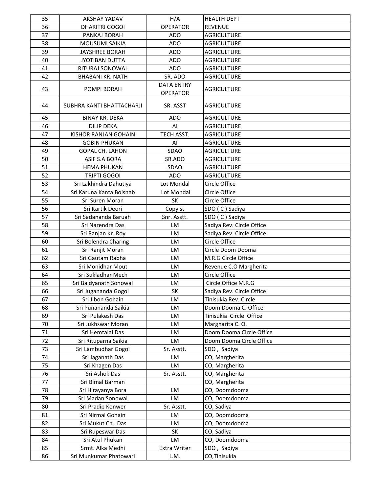| 35 | <b>AKSHAY YADAV</b>       | H/A                                  | <b>HEALTH DEPT</b>        |
|----|---------------------------|--------------------------------------|---------------------------|
| 36 | DHARITRI GOGOI            | <b>OPERATOR</b>                      | <b>REVENUE</b>            |
| 37 | PANKAJ BORAH              | <b>ADO</b>                           | <b>AGRICULTURE</b>        |
| 38 | <b>MOUSUMI SAIKIA</b>     | <b>ADO</b>                           | <b>AGRICULTURE</b>        |
| 39 | <b>JAYSHREE BORAH</b>     | <b>ADO</b>                           | <b>AGRICULTURE</b>        |
| 40 | <b>JYOTIBAN DUTTA</b>     | <b>ADO</b>                           | <b>AGRICULTURE</b>        |
| 41 | RITURAJ SONOWAL           | <b>ADO</b>                           | <b>AGRICULTURE</b>        |
| 42 | <b>BHABANI KR. NATH</b>   | SR. ADO                              | <b>AGRICULTURE</b>        |
| 43 | POMPI BORAH               | <b>DATA ENTRY</b><br><b>OPERATOR</b> | <b>AGRICULTURE</b>        |
| 44 | SUBHRA KANTI BHATTACHARJI | SR. ASST                             | <b>AGRICULTURE</b>        |
| 45 | <b>BINAY KR. DEKA</b>     | <b>ADO</b>                           | <b>AGRICULTURE</b>        |
| 46 | <b>DILIP DEKA</b>         | AI                                   | <b>AGRICULTURE</b>        |
| 47 | KISHOR RANJAN GOHAIN      | TECH ASST.                           | <b>AGRICULTURE</b>        |
| 48 | <b>GOBIN PHUKAN</b>       | Al                                   | <b>AGRICULTURE</b>        |
| 49 | <b>GOPAL CH. LAHON</b>    | SDAO                                 | <b>AGRICULTURE</b>        |
| 50 | ASIF S.A BORA             | SR.ADO                               | <b>AGRICULTURE</b>        |
| 51 | <b>HEMA PHUKAN</b>        | SDAO                                 | <b>AGRICULTURE</b>        |
| 52 | <b>TRIPTI GOGOI</b>       | <b>ADO</b>                           | <b>AGRICULTURE</b>        |
| 53 | Sri Lakhindra Dahutiya    | Lot Mondal                           | Circle Office             |
| 54 | Sri Karuna Kanta Boisnab  | Lot Mondal                           | Circle Office             |
| 55 | Sri Suren Moran           | SK                                   | Circle Office             |
| 56 | Sri Kartik Deori          | Copyist                              | SDO (C) Sadiya            |
| 57 | Sri Sadananda Baruah      | Snr. Asstt.                          | SDO (C) Sadiya            |
| 58 | Sri Narendra Das          | LM                                   | Sadiya Rev. Circle Office |
| 59 | Sri Ranjan Kr. Roy        | LM                                   | Sadiya Rev. Circle Office |
| 60 | Sri Bolendra Charing      | LM                                   | Circle Office             |
| 61 | Sri Ranjit Moran          | LM                                   | Circle Doom Dooma         |
| 62 | Sri Gautam Rabha          | LM                                   | M.R.G Circle Office       |
| 63 | Sri Monidhar Mout         | LM                                   | Revenue C.O Margherita    |
| 64 | Sri Sukladhar Mech        | <b>LM</b>                            | Circle Office             |
| 65 | Sri Baidyanath Sonowal    | LM                                   | Circle Office M.R.G       |
| 66 | Sri Jugananda Gogoi       | SK                                   | Sadiya Rev. Circle Office |
| 67 | Sri Jibon Gohain          | LM                                   | Tinisukia Rev. Circle     |
| 68 | Sri Punananda Saikia      | LM                                   | Doom Dooma C. Office      |
| 69 | Sri Pulakesh Das          | LM                                   | Tinisukia Circle Office   |
| 70 | Sri Jukhswar Moran        | LM                                   | Margharita C.O.           |
| 71 | Sri Hemtalal Das          | LM                                   | Doom Dooma Circle Office  |
| 72 | Sri Rituparna Saikia      | LM                                   | Doom Dooma Circle Office  |
| 73 | Sri Lambudhar Gogoi       | Sr. Asstt.                           | SDO, Sadiya               |
| 74 | Sri Jaganath Das          | LM                                   | CO, Margherita            |
| 75 | Sri Khagen Das            | LM                                   | CO, Margherita            |
| 76 | Sri Ashok Das             | Sr. Asstt.                           | CO, Margherita            |
| 77 | Sri Bimal Barman          |                                      | CO, Margherita            |
| 78 | Sri Hirayanya Bora        | LM                                   | CO, Doomdooma             |
| 79 | Sri Madan Sonowal         | LM                                   | CO, Doomdooma             |
| 80 | Sri Pradip Konwer         | Sr. Asstt.                           | CO, Sadiya                |
| 81 | Sri Nirmal Gohain         | LM                                   | CO, Doomdooma             |
| 82 | Sri Mukut Ch. Das         | LM                                   | CO, Doomdooma             |
| 83 | Sri Rupeswar Das          | SK                                   | CO, Sadiya                |
| 84 | Sri Atul Phukan           | LM                                   | CO, Doomdooma             |
| 85 | Srmt. Alka Medhi          | Extra Writer                         | SDO, Sadiya               |
| 86 | Sri Munkumar Phatowari    | L.M.                                 | CO, Tinisukia             |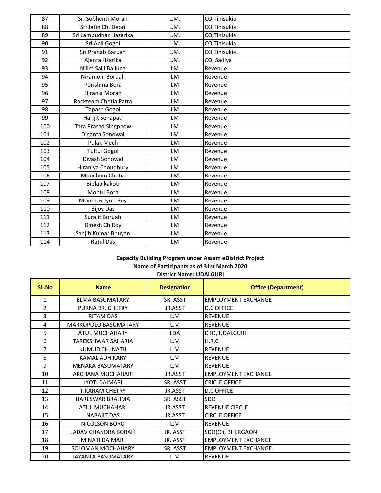| 87  | Sri Sobhenti Moran          | L.M. | CO, Tinisukia |
|-----|-----------------------------|------|---------------|
| 88  | Sri Jatin Ch. Deori         | L.M. | CO, Tinisukia |
| 89  | Sri Lambudhar Hazarika      | L.M. | CO, Tinisukia |
| 90  | Sri Anil Gogoi              | L.M. | CO, Tinisukia |
| 91  | Sri Pranab Baruah           | L.M. | CO, Tinisukia |
| 92  | Ajanta Hzarika              | L.M. | CO, Sadiya    |
| 93  | Nilim Salil Bailung         | LM   | Revenue       |
| 94  | Niramoni Boruah             | LM   | Revenue       |
| 95  | Porishma Bora               | LM   | Revenue       |
| 96  | Hirania Moran               | LM   | Revenue       |
| 97  | Rockteam Chetia Patra       | LM   | Revenue       |
| 98  | Tapash Gogoi                | LM   | Revenue       |
| 99  | Harijit Senapati            | LM   | Revenue       |
| 100 | <b>Tara Prasad Singphow</b> | LM   | Revenue       |
| 101 | Diganta Sonowal             | LM   | Revenue       |
| 102 | Pulak Mech                  | LM   | Revenue       |
| 103 | <b>Tultul Gogoi</b>         | LM   | Revenue       |
| 104 | Divash Sonowal              | LM   | Revenue       |
| 105 | Hiraniya Choudhury          | LM   | Revenue       |
| 106 | Mouchum Chetia              | LM   | Revenue       |
| 107 | Biplab kakoti               | LM   | Revenue       |
| 108 | Montu Bora                  | LM   | Revenue       |
| 109 | Mrinmoy Jyoti Roy           | LM   | Revenue       |
| 110 | <b>Bijoy Das</b>            | LM   | Revenue       |
| 111 | Surajit Boruah              | LM   | Revenue       |
| 112 | Dinesh Ch Roy               | LM   | Revenue       |
| 113 | Sanjib Kumar Bhuyan         | LM   | Revenue       |
| 114 | <b>Ratul Das</b>            | LM   | Revenue       |

# **Capacity Building Program under Assam eDistrict Project Name of Participants as of 31st March 2020**

| <b>SL.No</b>   | <b>Name</b>                 | <b>Designation</b> | <b>Office (Department)</b> |
|----------------|-----------------------------|--------------------|----------------------------|
| 1              | <b>ELMA BASUMATARY</b>      | SR. ASST           | <b>EMPLOYMENT EXCHANGE</b> |
| $\overline{2}$ | PURNA BR. CHETRY            | JR.ASST            | <b>D.C OFFICE</b>          |
| 3              | <b>RITAM DAS</b>            | L.M                | <b>REVENUE</b>             |
| 4              | <b>MARKOPOLO BASUMATARY</b> | L.M                | <b>REVENUE</b>             |
| 5              | ATUL MUCHAHARY              | LDA                | DTO, UDALGURI              |
| 6              | <b>TAREKSHWAR SAHARIA</b>   | L.M                | H.R.C                      |
| 7              | KUMUD CH. NATH              | L.M                | <b>REVENUE</b>             |
| 8              | <b>KAMAL ADHIKARY</b>       | L.M                | <b>REVENUE</b>             |
| 9              | <b>MENAKA BASUMATARY</b>    | L.M                | <b>REVENUE</b>             |
| 10             | ARCHANA MUCHAHARI           | JR.ASST            | <b>EMPLOYMENT EXCHANGE</b> |
| 11             | <b>JYOTI DAIMARI</b>        | SR. ASST           | <b>CRICLE OFFICE</b>       |
| 12             | <b>TIKARAM CHETRY</b>       | JR.ASST            | <b>D.C OFFICE</b>          |
| 13             | <b>HARESWAR BRAHMA</b>      | SR. ASST           | <b>SDO</b>                 |
| 14             | ATUL MUCHAHARI              | JR.ASST            | <b>REVENUE CIRCLE</b>      |
| 15             | <b>NABAJIT DAS</b>          | JR.ASST            | <b>CIRCLE OFFICE</b>       |
| 16             | NICOLSON BORO               | L.M                | <b>REVENUE</b>             |
| 17             | <b>JADAV CHANDRA BORAH</b>  | JR. ASST           | SDO(C), BHERGAON           |
| 18             | <b>MINATI DAIMARI</b>       | JR. ASST           | <b>EMPLOYMENT EXCHANGE</b> |
| 19             | SOLOMAN MOCHAHARY           | SR. ASST           | <b>EMPLOYMENT EXCHANGE</b> |
| 20             | <b>JAYANTA BASUMATARY</b>   | L.M                | <b>REVENUE</b>             |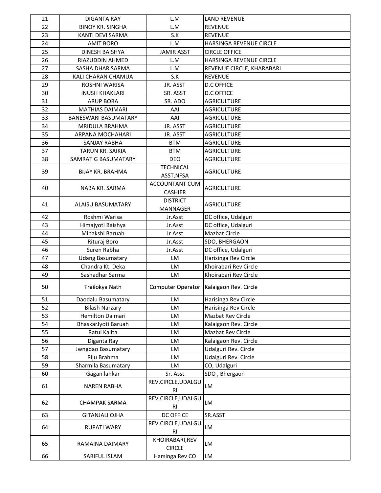| 21 | <b>DIGANTA RAY</b>       | L.M                                  | <b>LAND REVENUE</b>                       |
|----|--------------------------|--------------------------------------|-------------------------------------------|
| 22 | <b>BINOY KR. SINGHA</b>  | L.M                                  | <b>REVENUE</b>                            |
| 23 | KANTI DEVI SARMA         | S.K                                  | <b>REVENUE</b>                            |
| 24 | <b>AMIT BORO</b>         | L.M                                  | HARSINGA REVENUE CIRCLE                   |
| 25 | <b>DINESH BAISHYA</b>    | <b>JAMIR ASST</b>                    | <b>CIRCLE OFFICE</b>                      |
| 26 | RIAZUDDIN AHMED          | L.M                                  | HARSINGA REVENUE CIRCLE                   |
| 27 | SASHA DHAR SARMA         | L.M                                  | REVENUE CIRCLE, KHARABARI                 |
| 28 | KALI CHARAN CHAMUA       | S.K                                  | <b>REVENUE</b>                            |
| 29 | ROSHNI WARISA            | JR. ASST                             | <b>D.C OFFICE</b>                         |
| 30 | <b>INUSH KHAKLARI</b>    | SR. ASST                             | <b>D.C OFFICE</b>                         |
| 31 | <b>ARUP BORA</b>         | SR. ADO                              | <b>AGRICULTURE</b>                        |
| 32 | <b>MATHIAS DAIMARI</b>   | AAI                                  | <b>AGRICULTURE</b>                        |
| 33 | BANESWARI BASUMATARY     | AAI                                  | <b>AGRICULTURE</b>                        |
| 34 | MRIDULA BRAHMA           | JR. ASST                             | <b>AGRICULTURE</b>                        |
| 35 | ARPANA MOCHAHARI         | JR. ASST                             | <b>AGRICULTURE</b>                        |
| 36 | SANJAY RABHA             | <b>BTM</b>                           | <b>AGRICULTURE</b>                        |
| 37 | TARUN KR. SAIKIA         | <b>BTM</b>                           | <b>AGRICULTURE</b>                        |
| 38 | SAMRAT G BASUMATARY      | <b>DEO</b>                           | <b>AGRICULTURE</b>                        |
| 39 | <b>BIJAY KR. BRAHMA</b>  | <b>TECHNICAL</b><br>ASST, NFSA       | <b>AGRICULTURE</b>                        |
| 40 | NABA KR. SARMA           | ACCOUNTANT CUM<br><b>CASHIER</b>     | <b>AGRICULTURE</b>                        |
| 41 | <b>ALAISU BASUMATARY</b> | <b>DISTRICT</b><br><b>MANNAGER</b>   | <b>AGRICULTURE</b>                        |
| 42 | Roshmi Warisa            | Jr.Asst                              | DC office, Udalguri                       |
| 43 | Himajyoti Baishya        | Jr.Asst                              | DC office, Udalguri                       |
| 44 | Minakshi Baruah          | Jr.Asst                              | Mazbat Circle                             |
| 45 | Rituraj Boro             | Jr.Asst                              | SDO, BHERGAON                             |
| 46 | Suren Rabha              | Jr.Asst                              | DC office, Udalguri                       |
| 47 | <b>Udang Basumatary</b>  | LM                                   | Harisinga Rev Circle                      |
| 48 | Chandra Kt. Deka         | <b>LM</b>                            | Khoirabari Rev Circle                     |
| 49 | Sashadhar Sarma          | LM                                   | Khoirabari Rev Circle                     |
| 50 | Trailokya Nath           |                                      | Computer Operator   Kalaigaon Rev. Circle |
| 51 | Daodalu Basumatary       | LM                                   | Harisinga Rev Circle                      |
| 52 | <b>Bilash Narzary</b>    | LM                                   | Harisinga Rev Circle                      |
| 53 | Hemilton Daimari         | LM                                   | Mazbat Rev Circle                         |
| 54 | BhaskarJyoti Baruah      | LM                                   | Kalaigaon Rev. Circle                     |
| 55 | Ratul Kalita             | LM                                   | Mazbat Rev Circle                         |
| 56 | Diganta Ray              | LM                                   | Kalaigaon Rev. Circle                     |
| 57 | Jwngdao Basumatary       | LM                                   | Udalguri Rev. Circle                      |
| 58 | Riju Brahma              | <b>LM</b>                            | Udalguri Rev. Circle                      |
| 59 | Sharmila Basumatary      | LM                                   | CO, Udalguri                              |
| 60 | Gagan lahkar             | Sr. Asst                             | SDO, Bhergaon                             |
| 61 | <b>NAREN RABHA</b>       | REV.CIRCLE, UDALGU<br><b>RI</b>      | LM                                        |
| 62 | <b>CHAMPAK SARMA</b>     | REV.CIRCLE, UDALGU<br><b>RI</b>      | LM                                        |
| 63 | <b>GITANJALI OJHA</b>    | <b>DC OFFICE</b>                     | SR.ASST                                   |
| 64 | RUPATI WARY              | REV.CIRCLE, UDALGU<br>R <sub>l</sub> | <b>LM</b>                                 |
| 65 | RAMAINA DAIMARY          | KHOIRABARI, REV<br><b>CIRCLE</b>     | LM                                        |
| 66 | SARIFUL ISLAM            | Harsinga Rev CO                      | LM                                        |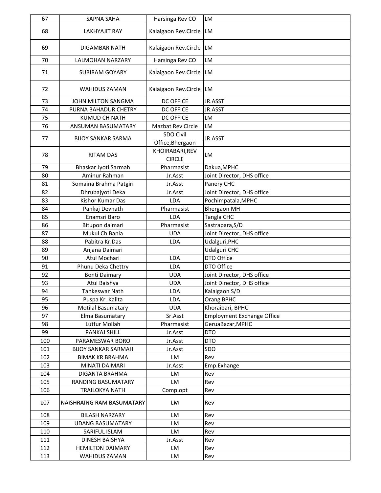| 67  | <b>SAPNA SAHA</b>          | Harsinga Rev CO                  | LM                                |
|-----|----------------------------|----------------------------------|-----------------------------------|
| 68  | <b>LAKHYAJIT RAY</b>       | Kalaigaon Rev.Circle             | <b>ILM</b>                        |
| 69  | <b>DIGAMBAR NATH</b>       | Kalaigaon Rev.Circle             | <b>ILM</b>                        |
| 70  | <b>LALMOHAN NARZARY</b>    | Harsinga Rev CO                  | LM                                |
| 71  | <b>SUBIRAM GOYARY</b>      | Kalaigaon Rev.Circle             | <b>ILM</b>                        |
| 72  | <b>WAHIDUS ZAMAN</b>       | Kalaigaon Rev.Circle             | <b>ILM</b>                        |
| 73  | JOHN MILTON SANGMA         | <b>DC OFFICE</b>                 | JR.ASST                           |
| 74  | PURNA BAHADUR CHETRY       | <b>DC OFFICE</b>                 | JR.ASST                           |
| 75  | KUMUD CH NATH              | <b>DC OFFICE</b>                 | LM                                |
| 76  | ANSUMAN BASUMATARY         | Mazbat Rev Circle                | LM                                |
| 77  | <b>BIJOY SANKAR SARMA</b>  | SDO Civil<br>Office, Bhergaon    | JR.ASST                           |
| 78  | <b>RITAM DAS</b>           | KHOIRABARI, REV<br><b>CIRCLE</b> | LM                                |
| 79  | Bhaskar Jyoti Sarmah       | Pharmasist                       | Dakua, MPHC                       |
| 80  | Aminur Rahman              | Jr.Asst                          | Joint Director, DHS office        |
| 81  | Somaina Brahma Patgiri     | Jr.Asst                          | Panery CHC                        |
| 82  | Dhrubajyoti Deka           | Jr.Asst                          | Joint Director, DHS office        |
| 83  | Kishor Kumar Das           | <b>LDA</b>                       | Pochimpatala, MPHC                |
| 84  | Pankaj Devnath             | Pharmasist                       | <b>Bhergaon MH</b>                |
| 85  | Enamsri Baro               | LDA                              | Tangla CHC                        |
| 86  | Bitupon daimari            | Pharmasist                       | Sastrapara, S/D                   |
| 87  | Mukul Ch Bania             | <b>UDA</b>                       | Joint Director, DHS office        |
| 88  | Pabitra Kr.Das             | <b>LDA</b>                       | Udalguri, PHC                     |
| 89  | Anjana Daimari             |                                  | Udalguri CHC                      |
| 90  | Atul Mochari               | LDA                              | DTO Office                        |
| 91  | Phunu Deka Chettry         | LDA                              | DTO Office                        |
| 92  | <b>Bonti Daimary</b>       | <b>UDA</b>                       | Joint Director, DHS office        |
| 93  | Atul Baishya               | <b>UDA</b>                       | Joint Director, DHS office        |
| 94  | Tankeswar Nath             | LDA                              | Kalaigaon S/D                     |
| 95  | Puspa Kr. Kalita           | LDA                              | Orang BPHC                        |
| 96  | <b>Motilal Basumatary</b>  | <b>UDA</b>                       | Khoraibari, BPHC                  |
| 97  | Elma Basumatary            | Sr.Asst                          | <b>Employment Exchange Office</b> |
| 98  | Lutfur Mollah              | Pharmasist                       | GeruaBazar, MPHC                  |
| 99  | PANKAJ SHILL               | Jr.Asst                          | <b>DTO</b>                        |
| 100 | PARAMESWAR BORO            | Jr.Asst                          | <b>DTO</b>                        |
| 101 | <b>BIJOY SANKAR SARMAH</b> | Jr.Asst                          | SDO                               |
| 102 | <b>BIMAK KR BRAHMA</b>     | LM                               | Rev                               |
| 103 | MINATI DAIMARI             | Jr.Asst                          | Emp.Exhange                       |
| 104 | DIGANTA BRAHMA             | LM                               | Rev                               |
| 105 | RANDING BASUMATARY         | LM                               | Rev                               |
| 106 | <b>TRAILOKYA NATH</b>      | Comp.opt                         | Rev                               |
| 107 | NAISHRAING RAM BASUMATARY  | LM                               | Rev                               |
| 108 | <b>BILASH NARZARY</b>      | LM                               | Rev                               |
| 109 | <b>UDANG BASUMATARY</b>    | LM                               | Rev                               |
| 110 | SARIFUL ISLAM              | LM                               | Rev                               |
| 111 | DINESH BAISHYA             | Jr.Asst                          | Rev                               |
| 112 | <b>HEMILTON DAIMARY</b>    | LM                               | Rev                               |
| 113 | WAHIDUS ZAMAN              | LM                               | Rev                               |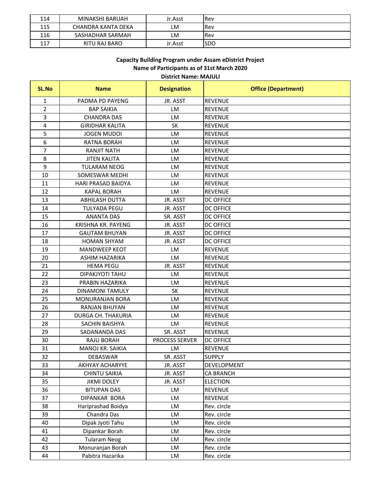| 114 | MINAKSHI BARUAH    | Jr.Asst | <b>Rev</b> |
|-----|--------------------|---------|------------|
| 115 | CHANDRA KANTA DEKA | ιM      | Rev        |
| 116 | SASHADHAR SARMAH   | LM      | Rev        |
| 117 | RITU RAJ BARO      | Jr.Asst | <b>SDC</b> |

#### **C i B ildi P d A Di i P j Capacity Building Program under Assam eDistrict Project District Name: MAJULI Name of Participants as of 31st March 2020**

| <b>SL.No</b>   | <b>Name</b>               | <b>Designation</b>    | <b>Office (Department)</b> |
|----------------|---------------------------|-----------------------|----------------------------|
| 1              | PADMA PD PAYENG           | JR. ASST              | <b>REVENUE</b>             |
| $\overline{2}$ | <b>BAP SAIKIA</b>         | LM                    | <b>REVENUE</b>             |
| 3              | <b>CHANDRA DAS</b>        | LM                    | <b>REVENUE</b>             |
| 4              | <b>GIRIDHAR KALITA</b>    | <b>SK</b>             | <b>REVENUE</b>             |
| 5              | <b>JOGEN MUDOI</b>        | LM                    | <b>REVENUE</b>             |
| 6              | <b>RATNA BORAH</b>        | <b>LM</b>             | <b>REVENUE</b>             |
| $\overline{7}$ | <b>RANJIT NATH</b>        | LM                    | <b>REVENUE</b>             |
| 8              | <b>JITEN KALITA</b>       | <b>LM</b>             | <b>REVENUE</b>             |
| 9              | <b>TULARAM NEOG</b>       | LM                    | <b>REVENUE</b>             |
| 10             | SOMESWAR MEDHI            | <b>LM</b>             | <b>REVENUE</b>             |
| 11             | <b>HARI PRASAD BAIDYA</b> | <b>LM</b>             | <b>REVENUE</b>             |
| 12             | <b>KAPAL BORAH</b>        | LM                    | <b>REVENUE</b>             |
| 13             | <b>ABHILASH DUTTA</b>     | JR. ASST              | <b>DC OFFICE</b>           |
| 14             | <b>TULYADA PEGU</b>       | JR. ASST              | <b>DC OFFICE</b>           |
| 15             | <b>ANANTA DAS</b>         | SR. ASST              | <b>DC OFFICE</b>           |
| 16             | KRISHNA KR. PAYENG        | JR. ASST              | <b>DC OFFICE</b>           |
| 17             | <b>GAUTAM BHUYAN</b>      | JR. ASST              | <b>DC OFFICE</b>           |
| 18             | <b>HOMAN SHYAM</b>        | JR. ASST              | <b>DC OFFICE</b>           |
| 19             | <b>MANDWEEP KEOT</b>      | LM                    | <b>REVENUE</b>             |
| 20             | ASHIM HAZARIKA            | <b>LM</b>             | <b>REVENUE</b>             |
| 21             | <b>HEMA PEGU</b>          | JR. ASST              | <b>REVENUE</b>             |
| 22             | DIPAKJYOTI TAHU           | LM                    | <b>REVENUE</b>             |
| 23             | PRABIN HAZARIKA           | <b>LM</b>             | <b>REVENUE</b>             |
| 24             | <b>DINAMONI TAMULY</b>    | <b>SK</b>             | <b>REVENUE</b>             |
| 25             | MONURANJAN BORA           | LM                    | <b>REVENUE</b>             |
| 26             | <b>RANJAN BHUYAN</b>      | LM                    | <b>REVENUE</b>             |
| 27             | DURGA CH. THAKURIA        | <b>LM</b>             | <b>REVENUE</b>             |
| 28             | SACHIN BAISHYA            | LM                    | <b>REVENUE</b>             |
| 29             | SADANANDA DAS             | SR. ASST              | <b>REVENUE</b>             |
| 30             | RAJU BORAH                | <b>PROCESS SERVER</b> | <b>DC OFFICE</b>           |
| 31             | MANOJ KR. SAIKIA          | LM                    | <b>REVENUE</b>             |
| 32             | DEBASWAR                  | SR. ASST              | <b>SUPPLY</b>              |
| 33             | <b>AKHYAY ACHARYYE</b>    | JR. ASST              | DEVELOPMENT                |
| 34             | <b>CHINTU SAIKIA</b>      | JR. ASST              | CA BRANCH                  |
| 35             | <b>JIKMI DOLEY</b>        | JR. ASST              | <b>ELECTION</b>            |
| 36             | <b>BITUPAN DAS</b>        | LM                    | <b>REVENUE</b>             |
| 37             | DIPANKAR BORA             | LM                    | <b>REVENUE</b>             |
| 38             | Hariprashad Boidya        | LM                    | Rev. circle                |
| 39             | Chandra Das               | LM                    | Rev. circle                |
| 40             | Dipak Jyoti Tahu          | LM                    | Rev. circle                |
| 41             | Dipankar Borah            | LM                    | Rev. circle                |
| 42             | <b>Tularam Neog</b>       | LM                    | Rev. circle                |
| 43             | Monuranjan Borah          | LM                    | Rev. circle                |
| 44             | Pabitra Hazarika          | LM                    | Rev. circle                |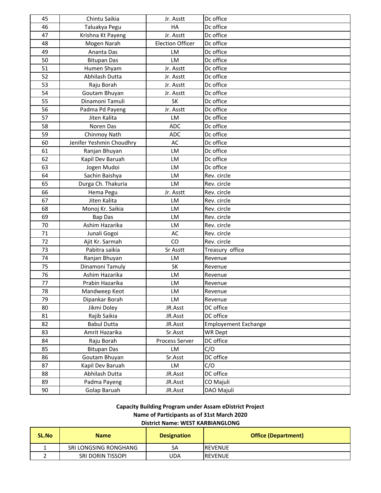| 45 | Chintu Saikia            | Jr. Asstt               | Dc office                   |
|----|--------------------------|-------------------------|-----------------------------|
| 46 | Taluakya Pegu            | HA                      | Dc office                   |
| 47 | Krishna Kt Payeng        | Jr. Asstt               | Dc office                   |
| 48 | Mogen Narah              | <b>Election Officer</b> | Dc office                   |
| 49 | Ananta Das               | LM                      | Dc office                   |
| 50 | <b>Bitupan Das</b>       | LM                      | Dc office                   |
| 51 | Humen Shyam              | Jr. Asstt               | Dc office                   |
| 52 | Abhilash Dutta           | Jr. Asstt               | Dc office                   |
| 53 | Raju Borah               | Jr. Asstt               | Dc office                   |
| 54 | Goutam Bhuyan            | Jr. Asstt               | Dc office                   |
| 55 | Dinamoni Tamuli          | SK                      | Dc office                   |
| 56 | Padma Pd Payeng          | Jr. Asstt               | Dc office                   |
| 57 | Jiten Kalita             | LM                      | Dc office                   |
| 58 | Noren Das                | <b>ADC</b>              | Dc office                   |
| 59 | Chinmoy Nath             | <b>ADC</b>              | Dc office                   |
| 60 | Jenifer Yeshmin Choudhry | <b>AC</b>               | Dc office                   |
| 61 | Ranjan Bhuyan            | LM                      | Dc office                   |
| 62 | Kapil Dev Baruah         | LM                      | Dc office                   |
| 63 | Jogen Mudoi              | LM                      | Dc office                   |
| 64 | Sachin Baishya           | LM                      | Rev. circle                 |
| 65 | Durga Ch. Thakuria       | LM                      | Rev. circle                 |
| 66 | Hema Pegu                | Jr. Asstt               | Rev. circle                 |
| 67 | Jiten Kalita             | LM                      | Rev. circle                 |
| 68 | Monoj Kr. Saikia         | LM                      | Rev. circle                 |
| 69 | <b>Bap Das</b>           | LM                      | Rev. circle                 |
| 70 | Ashim Hazarika           | LM                      | Rev. circle                 |
| 71 | Junali Gogoi             | AC                      | Rev. circle                 |
| 72 | Ajit Kr. Sarmah          | CO                      | Rev. circle                 |
| 73 | Pabitra saikia           | Sr Asstt                | Treasury office             |
| 74 | Ranjan Bhuyan            | LM                      | Revenue                     |
| 75 | Dinamoni Tamuly          | <b>SK</b>               | Revenue                     |
| 76 | Ashim Hazarika           | LM                      | Revenue                     |
| 77 | Prabin Hazarika          | LM                      | Revenue                     |
| 78 | Mandweep Keot            | LM                      | Revenue                     |
| 79 | Dipankar Borah           | LM                      | Revenue                     |
| 80 | Jikmi Doley              | JR.Asst                 | DC office                   |
| 81 | Rajib Saikia             | JR.Asst                 | DC office                   |
| 82 | <b>Babul Dutta</b>       | JR.Asst                 | <b>Employement Exchange</b> |
| 83 | Amrit Hazarika           | Sr.Asst                 | <b>WR Dept</b>              |
| 84 | Raju Borah               | Process Server          | DC office                   |
| 85 | <b>Bitupan Das</b>       | LM                      | C/O                         |
| 86 | Goutam Bhuyan            | Sr.Asst                 | DC office                   |
| 87 | Kapil Dev Baruah         | LM                      | C/O                         |
| 88 | Abhilash Dutta           | JR.Asst                 | DC office                   |
| 89 | Padma Payeng             | JR.Asst                 | CO Majuli                   |
| 90 | Golap Baruah             | JR.Asst                 | DAO Majuli                  |

# **Capacity Building Program under Assam eDistrict Project Name of Participants as of 31st March 2020**

# **District Name: WEST KARBIANGLONG**

| SL.No | <b>Name</b>           | <b>Designation</b> | <b>Office (Department)</b> |
|-------|-----------------------|--------------------|----------------------------|
|       | SRI LONGSING RONGHANG | SА                 | IREVENUE                   |
|       | SRI DORIN TISSOPI     | UDA                | <b>IREVENUE</b>            |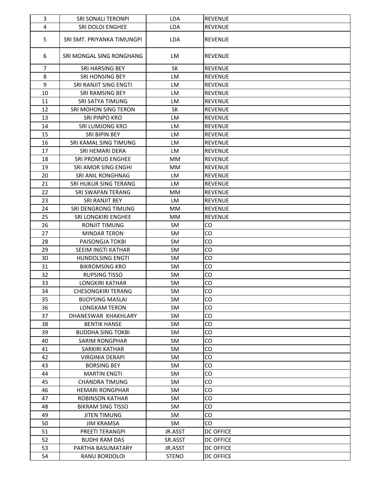| 3  | SRI SONALI TERONPI           | <b>LDA</b>   | <b>REVENUE</b>   |
|----|------------------------------|--------------|------------------|
| 4  | SRI DOLOI ENGHEE             | <b>LDA</b>   | <b>REVENUE</b>   |
| 5  | SRI SMT. PRIYANKA TIMUNGPI   | <b>LDA</b>   | <b>REVENUE</b>   |
| 6  | SRI MONGAL SING RONGHANG     | LM           | <b>REVENUE</b>   |
| 7  | <b>SRI HARSING BEY</b>       | <b>SK</b>    | <b>REVENUE</b>   |
| 8  | SRI HONSING BEY              | <b>LM</b>    | <b>REVENUE</b>   |
| 9  | SRI RANJIT SING ENGTI        | LM           | <b>REVENUE</b>   |
| 10 | SRI RAMSING BEY              | <b>LM</b>    | <b>REVENUE</b>   |
| 11 | SRI SATYA TIMUNG             | LM           | <b>REVENUE</b>   |
| 12 | SRI MOHON SING TERON         | <b>SK</b>    | <b>REVENUE</b>   |
| 13 | SRI PINPO KRO                | LM           | <b>REVENUE</b>   |
| 14 | SRI LUMJONG KRO              | LM           | <b>REVENUE</b>   |
| 15 | SRI BIPIN BEY                | LM           | <b>REVENUE</b>   |
| 16 | SRI KAMAL SING TIMUNG        | LM           | <b>REVENUE</b>   |
| 17 | SRI HEMARI DERA              | LM           | <b>REVENUE</b>   |
| 18 | SRI PROMUD ENGHEE            | MM           | <b>REVENUE</b>   |
| 19 | <b>SRI AMOR SING ENGHI</b>   | <b>MM</b>    | <b>REVENUE</b>   |
| 20 | SRI ANIL RONGHNAG            | <b>LM</b>    | <b>REVENUE</b>   |
| 21 | <b>SRI HUKUR SING TERANG</b> | LM           | <b>REVENUE</b>   |
| 22 | SRI SWAPAN TERANG            | <b>MM</b>    | <b>REVENUE</b>   |
| 23 | SRI RANJIT BEY               | LM           | <b>REVENUE</b>   |
| 24 | SRI DENGRONG TIMUNG          | MM           | <b>REVENUE</b>   |
| 25 | SRI LONGKIRI ENGHEE          | <b>MM</b>    | <b>REVENUE</b>   |
| 26 | <b>RONJIT TIMUNG</b>         | <b>SM</b>    | CO               |
| 27 | <b>MINDAR TERON</b>          | <b>SM</b>    | CO               |
| 28 | PAISONGJA TOKBI              | SM.          | CO               |
| 29 | SEEIM INGTI KATHAR           | <b>SM</b>    | CO               |
| 30 | <b>HUNDOLSING ENGTI</b>      | SM           | CO               |
| 31 | <b>BIKROMSING KRO</b>        | <b>SM</b>    | CO               |
| 32 | <b>RUPSING TISSO</b>         | <b>SM</b>    | CO               |
| 33 | <b>LONGKIRI KATHAR</b>       | <b>SM</b>    | CO               |
| 34 | <b>CHESONGKIRI TERANG</b>    | <b>SM</b>    | CO               |
| 35 | <b>BIJOYSING MASLAI</b>      | SM           | CO               |
| 36 | <b>LONGKAM TERON</b>         | SM           | CO               |
| 37 | DHANESWAR KHAKHLARY          | SM           | CO               |
| 38 | <b>BENTIK HANSE</b>          | SM           | CO               |
| 39 | <b>BUDDHA SING TOKBI</b>     | SM           | CO               |
| 40 | <b>SARIM RONGPHAR</b>        | <b>SM</b>    | CO               |
| 41 | SARKIRI KATHAR               | <b>SM</b>    | CO               |
| 42 | <b>VIRGINIA DERAPI</b>       | SM           | CO               |
| 43 | <b>BORSING BEY</b>           | SM           | CO               |
| 44 | <b>MARTIN ENGTI</b>          | SM           | CO               |
| 45 | <b>CHANDRA TIMUNG</b>        | SM           | CO               |
| 46 | <b>HEMARI RONGPHAR</b>       | <b>SM</b>    | CO               |
| 47 | <b>ROBINSON KATHAR</b>       | SM           | CO               |
| 48 | <b>BIKRAM SING TISSO</b>     | SM           | CO               |
| 49 | <b>JITEN TIMUNG</b>          | SM           | CO               |
| 50 | <b>JIM KRAMSA</b>            | SM           | CO               |
| 51 | PREETI TERANGPI              | JR.ASST      | <b>DC OFFICE</b> |
| 52 | <b>BUDHI RAM DAS</b>         | SR.ASST      | <b>DC OFFICE</b> |
| 53 | PARTHA BASUMATARY            | JR.ASST      | DC OFFICE        |
| 54 | RANU BORDOLOI                | <b>STENO</b> | DC OFFICE        |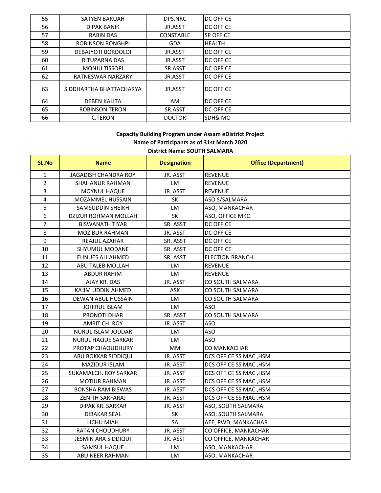| 55 | <b>SATYEN BARUAH</b>    | DPS, NRC         | <b>DC OFFICE</b> |
|----|-------------------------|------------------|------------------|
| 56 | <b>DIPAK BANIK</b>      | JR.ASST          | <b>DC OFFICE</b> |
| 57 | <b>RABIN DAS</b>        | <b>CONSTABLE</b> | SP OFFICE        |
| 58 | <b>ROBINSON RONGHPI</b> | <b>GDA</b>       | <b>HEALTH</b>    |
| 59 | DEBAJYOTI BORDOLOI      | JR.ASST          | <b>DC OFFICE</b> |
| 60 | RITUPARNA DAS           | JR.ASST          | <b>DC OFFICE</b> |
| 61 | <b>MONJU TISSOPI</b>    | SR.ASST          | <b>DC OFFICE</b> |
| 62 | RATNESWAR NARZARY       | JR.ASST          | <b>DC OFFICE</b> |
| 63 | SIDDHARTHA BHATTACHARYA | JR.ASST          | <b>DC OFFICE</b> |
| 64 | <b>DEBEN KALITA</b>     | AM.              | <b>DC OFFICE</b> |
| 65 | <b>ROBINSON TERON</b>   | SR.ASST          | <b>DC OFFICE</b> |
| 66 | C.TERON                 | <b>DOCTOR</b>    | SDH& MO          |

# **District Name: SOUTH SALMARA Capacity Building Program under Assam eDistrict Project Name of Participants as of 31st March 2020**

| <b>SL.No</b>            | <b>Name</b>               | <b>Designation</b> | <b>Office (Department)</b> |
|-------------------------|---------------------------|--------------------|----------------------------|
| $\mathbf{1}$            | JAGADISH CHANDRA ROY      | JR. ASST           | <b>REVENUE</b>             |
| $\overline{2}$          | SHAHANUR RAHMAN           | LM                 | <b>REVENUE</b>             |
| $\overline{3}$          | MOYNUL HAQUE              | JR. ASST           | <b>REVENUE</b>             |
| $\overline{\mathbf{4}}$ | MOZAMMEL HUSSAIN          | SK                 | ASO S/SALMARA              |
| 5                       | SAMSUDDIN SHEIKH          | LM                 | ASO, MANKACHAR             |
| 6                       | DZIZUR ROHMAN MOLLAH      | SK                 | ASO, OFFICE MKC            |
| $\overline{7}$          | <b>BISWANATH TIYAR</b>    | SR. ASST           | <b>DC OFFICE</b>           |
| 8                       | MOZIBUR RAHMAN            | JR. ASST           | <b>DC OFFICE</b>           |
| 9                       | REAJUL AZAHAR             | SR. ASST           | <b>DC OFFICE</b>           |
| 10                      | SHYUMUL MODANE            | SR. ASST           | <b>DC OFFICE</b>           |
| 11                      | <b>EUNUES ALI AHMED</b>   | SR. ASST           | <b>ELECTION BRANCH</b>     |
| 12                      | ABU TALEB MOLLAH          | LM                 | <b>REVENUE</b>             |
| 13                      | <b>ABDUR RAHIM</b>        | LM                 | <b>REVENUE</b>             |
| 14                      | AJAY KR. DAS              | JR. ASST           | CO SOUTH SALMARA           |
| 15                      | KAJIM UDDIN AHMED         | ASK                | CO SOUTH SALMARA           |
| 16                      | DEWAN ABUL HUSSAIN        | LM                 | CO SOUTH SALMARA           |
| 17                      | <b>JOHIRUL ISLAM</b>      | LM                 | ASO                        |
| 18                      | PRONOTI DHAR              | SR. ASST           | CO SOUTH SALMARA           |
| 19                      | AMRIT CH. ROY             | JR. ASST           | <b>ASO</b>                 |
| 20                      | NURUL ISLAM JODDAR        | LM                 | <b>ASO</b>                 |
| 21                      | <b>NURUL HAQUE SARKAR</b> | LM                 | ASO                        |
| 22                      | PROTAP CHAOUDHURY         | MM                 | CO MANKACHAR               |
| 23                      | ABU BOKKAR SIDDIQUI       | JR. ASST           | DCS OFFICE SS MAC, HSM     |
| 24                      | MAZIDUR ISLAM             | JR. ASST           | DCS OFFICE SS MAC, HSM     |
| 25                      | SUKAMALCH. ROY SARKAR     | JR. ASST           | DCS OFFICE SS MAC, HSM     |
| 26                      | <b>MOTIUR RAHMAN</b>      | JR. ASST           | DCS OFFICE SS MAC, HSM     |
| 27                      | <b>BONSHA RAM BISWAS</b>  | JR. ASST           | DCS OFFICE SS MAC, HSM     |
| 28                      | <b>ZENITH SARFARAJ</b>    | JR. ASST           | DCS OFFICE SS MAC, HSM     |
| 29                      | DIPAK KR. SARKAR          | JR. ASST           | ASO, SOUTH SALMARA         |
| 30                      | <b>DIBAKAR SEAL</b>       | SK                 | ASO, SOUTH SALMARA         |
| 31                      | LICHU MIAH                | SA                 | AEE, PWD, MANKACHAR        |
| 32                      | RATAN CHOUDHURY           | JR. ASST           | CO OFFICE, MANKACHAR       |
| 33                      | JESMIN ARA SIDDIQUI       | JR. ASST           | CO OFFICE, MANKACHAR       |
| 34                      | SAMSUL HAQUE              | LM                 | ASO, MANKACHAR             |
| 35                      | ABU NEER RAHMAN           | LM                 | ASO, MANKACHAR             |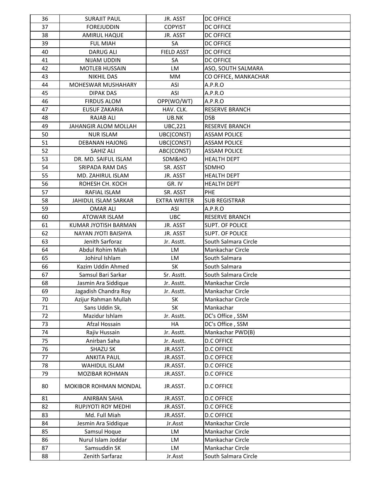| 36 | <b>SURAJIT PAUL</b>         | JR. ASST            | <b>DC OFFICE</b>        |
|----|-----------------------------|---------------------|-------------------------|
| 37 | <b>FOREJUDDIN</b>           | <b>COPYIST</b>      | <b>DC OFFICE</b>        |
| 38 | <b>AMIRUL HAQUE</b>         | JR. ASST            | <b>DC OFFICE</b>        |
| 39 | <b>FUL MIAH</b>             | <b>SA</b>           | <b>DC OFFICE</b>        |
| 40 | <b>DARUG ALI</b>            | <b>FIELD ASST</b>   | <b>DC OFFICE</b>        |
| 41 | NIJAM UDDIN                 | SA                  | <b>DC OFFICE</b>        |
| 42 | <b>MOTLEB HUSSAIN</b>       | <b>LM</b>           | ASO, SOUTH SALMARA      |
| 43 | <b>NIKHIL DAS</b>           | MM                  | CO OFFICE, MANKACHAR    |
| 44 | MOHESWAR MUSHAHARY          | <b>ASI</b>          | A.P.R.O                 |
| 45 | <b>DIPAK DAS</b>            | ASI                 | A.P.R.O                 |
| 46 | <b>FIRDUS ALOM</b>          | OPP(WO/WT)          | A.P.R.O                 |
| 47 | <b>EUSUF ZAKARIA</b>        | HAV. CLK.           | <b>RESERVE BRANCH</b>   |
| 48 | <b>RAJAB ALI</b>            | UB.NK               | <b>DSB</b>              |
| 49 | <b>JAHANGIR ALOM MOLLAH</b> | <b>UBC,221</b>      | <b>RESERVE BRANCH</b>   |
| 50 | <b>NUR ISLAM</b>            | UBC(CONST)          | <b>ASSAM POLICE</b>     |
| 51 | <b>DEBANAN HAJONG</b>       | UBC(CONST)          | <b>ASSAM POLICE</b>     |
| 52 | SAHIZ ALI                   | ABC(CONST)          | <b>ASSAM POLICE</b>     |
| 53 | DR. MD. SAIFUL ISLAM        | SDM&HO              | <b>HEALTH DEPT</b>      |
| 54 | SRIPADA RAM DAS             | SR. ASST            | SDMHO                   |
| 55 | MD. ZAHIRUL ISLAM           | JR. ASST            | <b>HEALTH DEPT</b>      |
| 56 | ROHESH CH. KOCH             | GR. IV              | <b>HEALTH DEPT</b>      |
| 57 | RAFIAL ISLAM                | SR. ASST            | PHE                     |
| 58 | JAHIDUL ISLAM SARKAR        | <b>EXTRA WRITER</b> | <b>SUB REGISTRAR</b>    |
| 59 | <b>OMAR ALI</b>             | <b>ASI</b>          | A.P.R.O                 |
| 60 | ATOWAR ISLAM                | <b>UBC</b>          | <b>RESERVE BRANCH</b>   |
| 61 | KUMAR JYOTISH BARMAN        | JR. ASST            | SUPT. OF POLICE         |
| 62 | NAYAN JYOTI BAISHYA         | JR. ASST            | SUPT. OF POLICE         |
| 63 | Jenith Sarforaz             | Jr. Asstt.          | South Salmara Circle    |
| 64 | Abdul Rohim Miah            | LM                  | <b>Mankachar Circle</b> |
| 65 | Johirul Ishlam              | LM                  | South Salmara           |
| 66 | Kazim Uddin Ahmed           | SK                  | South Salmara           |
| 67 | Samsul Bari Sarkar          | Sr. Asstt.          | South Salmara Circle    |
| 68 | Jasmin Ara Siddique         | Jr. Asstt.          | Mankachar Circle        |
| 69 | Jagadish Chandra Roy        | Jr. Asstt.          | Mankachar Circle        |
| 70 | Azijur Rahman Mullah        | <b>SK</b>           | Mankachar Circle        |
| 71 | Sans Uddin Sk,              | SK                  | Mankachar               |
| 72 | Mazidur Ishlam              | Jr. Asstt.          | DC's Office, SSM        |
| 73 | Afzal Hossain               | HA                  | DC's Office, SSM        |
| 74 | Rajiv Hussain               | Jr. Asstt.          | Mankachar PWD(B)        |
| 75 | Anirban Saha                | Jr. Asstt.          | <b>D.C OFFICE</b>       |
| 76 | SHAZU SK                    | JR.ASST.            | <b>D.C OFFICE</b>       |
| 77 | <b>ANKITA PAUL</b>          | JR.ASST.            | <b>D.C OFFICE</b>       |
| 78 | <b>WAHIDUL ISLAM</b>        | JR.ASST.            | <b>D.C OFFICE</b>       |
| 79 | <b>MOZIBAR ROHMAN</b>       | JR.ASST.            | <b>D.C OFFICE</b>       |
| 80 | MOKIBOR ROHMAN MONDAL       | JR.ASST.            | <b>D.C OFFICE</b>       |
| 81 | <b>ANIRBAN SAHA</b>         | JR.ASST.            | <b>D.C OFFICE</b>       |
| 82 | RUPJYOTI ROY MEDHI          | JR.ASST.            | <b>D.C OFFICE</b>       |
| 83 | Md. Full Miah               | JR.ASST.            | <b>D.C OFFICE</b>       |
| 84 | Jesmin Ara Siddique         | Jr.Asst             | Mankachar Circle        |
| 85 | Samsul Hoque                | LM                  | Mankachar Circle        |
| 86 | Nurul Islam Joddar          | LM                  | Mankachar Circle        |
| 87 | Samsuddin SK                | LM                  | Mankachar Circle        |
| 88 | Zenith Sarfaraz             | Jr.Asst             | South Salmara Circle    |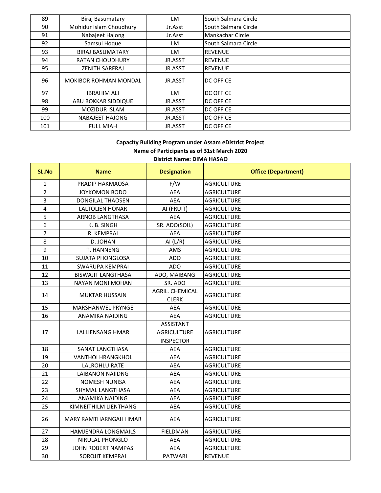| 89  | Biraj Basumatary             | LM      | South Salmara Circle |
|-----|------------------------------|---------|----------------------|
| 90  | Mohidur Islam Choudhury      | Jr.Asst | South Salmara Circle |
| 91  | Nabajeet Hajong              | Jr.Asst | Mankachar Circle     |
| 92  | Samsul Hoque                 | LM      | South Salmara Circle |
| 93  | <b>BIRAJ BASUMATARY</b>      | LM      | <b>REVENUE</b>       |
| 94  | <b>RATAN CHOUDHURY</b>       | JR.ASST | <b>REVENUE</b>       |
| 95  | <b>ZENITH SARFRAJ</b>        | JR.ASST | <b>REVENUE</b>       |
| 96  | <b>MOKIBOR ROHMAN MONDAL</b> | JR.ASST | <b>DC OFFICE</b>     |
| 97  | <b>IBRAHIM ALI</b>           | LM      | <b>DC OFFICE</b>     |
| 98  | ABU BOKKAR SIDDIQUE          | JR.ASST | <b>DC OFFICE</b>     |
| 99  | <b>MOZIDUR ISLAM</b>         | JR.ASST | <b>DC OFFICE</b>     |
| 100 | NABAJEET HAJONG              | JR.ASST | <b>DC OFFICE</b>     |
| 101 | <b>FULL MIAH</b>             | JR.ASST | <b>DC OFFICE</b>     |

# **District Name: DIMA HASAO Capacity Building Program under Assam eDistrict Project Name of Participants as of 31st March 2020**

| SL.No          | <b>Name</b>                  | <b>Designation</b>     | <b>Office (Department)</b> |
|----------------|------------------------------|------------------------|----------------------------|
| $\mathbf{1}$   | PRADIP HAKMAOSA              | F/W                    | <b>AGRICULTURE</b>         |
| $\overline{2}$ | JOYKOMON BODO                | AEA                    | <b>AGRICULTURE</b>         |
| 3              | <b>DONGILAL THAOSEN</b>      | <b>AEA</b>             | <b>AGRICULTURE</b>         |
| $\overline{4}$ | <b>LALTOLIEN HONAR</b>       | AI (FRUIT)             | <b>AGRICULTURE</b>         |
| 5              | ARNOB LANGTHASA              | AEA                    | <b>AGRICULTURE</b>         |
| 6              | K. B. SINGH                  | SR. ADO(SOIL)          | <b>AGRICULTURE</b>         |
| $\overline{7}$ | R. KEMPRAI                   | <b>AEA</b>             | <b>AGRICULTURE</b>         |
| 8              | D. JOHAN                     | AI $(L/R)$             | <b>AGRICULTURE</b>         |
| 9              | T. HANNENG                   | AMS                    | <b>AGRICULTURE</b>         |
| 10             | <b>SUJATA PHONGLOSA</b>      | <b>ADO</b>             | <b>AGRICULTURE</b>         |
| 11             | <b>SWARUPA KEMPRAI</b>       | <b>ADO</b>             | <b>AGRICULTURE</b>         |
| 12             | <b>BISWAJIT LANGTHASA</b>    | ADO, MAIBANG           | <b>AGRICULTURE</b>         |
| 13             | <b>NAYAN MONI MOHAN</b>      | SR. ADO                | <b>AGRICULTURE</b>         |
| 14             | <b>MUKTAR HUSSAIN</b>        | <b>AGRIL. CHEMICAL</b> | <b>AGRICULTURE</b>         |
|                |                              | <b>CLERK</b>           |                            |
| 15             | MARSHANWEL PRYNGE            | AEA                    | <b>AGRICULTURE</b>         |
| 16             | <b>ANAMIKA NAIDING</b>       | <b>AEA</b>             | <b>AGRICULTURE</b>         |
|                |                              | ASSISTANT              |                            |
| 17             | <b>LALLIENSANG HMAR</b>      | <b>AGRICULTURE</b>     | <b>AGRICULTURE</b>         |
|                |                              | <b>INSPECTOR</b>       |                            |
| 18             | SANAT LANGTHASA              | AEA                    | <b>AGRICULTURE</b>         |
| 19             | <b>VANTHOI HRANGKHOL</b>     | <b>AEA</b>             | <b>AGRICULTURE</b>         |
| 20             | <b>LALROHLU RATE</b>         | AEA                    | <b>AGRICULTURE</b>         |
| 21             | <b>LAIBANON NAIIDNG</b>      | <b>AEA</b>             | <b>AGRICULTURE</b>         |
| 22             | <b>NOMESH NUNISA</b>         | AEA                    | <b>AGRICULTURE</b>         |
| 23             | SHYMAL LANGTHASA             | AEA                    | <b>AGRICULTURE</b>         |
| 24             | ANAMIKA NAIDING              | <b>AEA</b>             | <b>AGRICULTURE</b>         |
| 25             | KIMNEITHILM LIENTHANG        | <b>AEA</b>             | <b>AGRICULTURE</b>         |
| 26             | <b>MARY RAMTHARNGAH HMAR</b> | <b>AEA</b>             | <b>AGRICULTURE</b>         |
| 27             | HAMJENDRA LONGMAILS          | <b>FIELDMAN</b>        | <b>AGRICULTURE</b>         |
| 28             | <b>NIRULAL PHONGLO</b>       | <b>AEA</b>             | <b>AGRICULTURE</b>         |
| 29             | <b>JOHN ROBERT NAMPAS</b>    | <b>AEA</b>             | <b>AGRICULTURE</b>         |
| 30             | SOROJIT KEMPRAI              | <b>PATWARI</b>         | <b>REVENUE</b>             |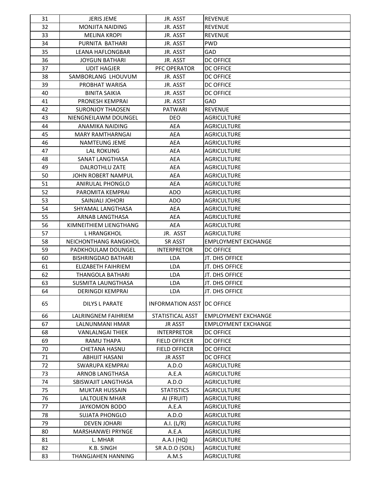| 31 | <b>JERIS JEME</b>          | JR. ASST                     | <b>REVENUE</b>             |
|----|----------------------------|------------------------------|----------------------------|
| 32 | <b>MONJITA NAIDING</b>     | JR. ASST                     | <b>REVENUE</b>             |
| 33 | <b>MELINA KROPI</b>        | JR. ASST                     | <b>REVENUE</b>             |
| 34 | PURNITA BATHARI            | JR. ASST                     | <b>PWD</b>                 |
| 35 | <b>LEANA HAFLONGBAR</b>    | JR. ASST                     | <b>GAD</b>                 |
| 36 | <b>JOYGUN BATHARI</b>      | JR. ASST                     | <b>DC OFFICE</b>           |
| 37 | <b>UDIT HAGJER</b>         | PFC OPERATOR                 | <b>DC OFFICE</b>           |
| 38 | SAMBORLANG LHOUVUM         | JR. ASST                     | <b>DC OFFICE</b>           |
| 39 | PROBHAT WARISA             | JR. ASST                     | <b>DC OFFICE</b>           |
| 40 | <b>BINITA SAIKIA</b>       | JR. ASST                     | <b>DC OFFICE</b>           |
| 41 | PRONESH KEMPRAI            | JR. ASST                     | GAD                        |
| 42 | <b>SURONJOY THAOSEN</b>    | <b>PATWARI</b>               | <b>REVENUE</b>             |
| 43 | NIENGNEILAWM DOUNGEL       | <b>DEO</b>                   | <b>AGRICULTURE</b>         |
| 44 | ANAMIKA NAIDING            | <b>AEA</b>                   | <b>AGRICULTURE</b>         |
| 45 | <b>MARY RAMTHARNGAI</b>    | <b>AEA</b>                   | <b>AGRICULTURE</b>         |
| 46 | <b>NAMTEUNG JEME</b>       | AEA                          | <b>AGRICULTURE</b>         |
| 47 | <b>LAL ROKUNG</b>          | <b>AEA</b>                   | <b>AGRICULTURE</b>         |
| 48 | SANAT LANGTHASA            | <b>AEA</b>                   | <b>AGRICULTURE</b>         |
| 49 | DALROTHLU ZATE             | <b>AEA</b>                   | <b>AGRICULTURE</b>         |
| 50 | JOHN ROBERT NAMPUL         | <b>AEA</b>                   | <b>AGRICULTURE</b>         |
| 51 | ANIRULAL PHONGLO           | <b>AEA</b>                   | <b>AGRICULTURE</b>         |
| 52 | PAROMITA KEMPRAI           | ADO                          | <b>AGRICULTURE</b>         |
| 53 | SAINJALI JOHORI            | <b>ADO</b>                   | <b>AGRICULTURE</b>         |
| 54 | SHYAMAL LANGTHASA          | AEA                          | <b>AGRICULTURE</b>         |
| 55 | ARNAB LANGTHASA            | <b>AEA</b>                   | <b>AGRICULTURE</b>         |
| 56 | KIMNEITHIEM LIENGTHANG     | <b>AEA</b>                   | <b>AGRICULTURE</b>         |
| 57 | L HRANGKHOL                | JR. ASST                     | <b>AGRICULTURE</b>         |
| 58 | NEICHONTHANG RANGKHOL      | SR ASST                      | <b>EMPLOYMENT EXCHANGE</b> |
| 59 | PADKHOULAM DOUNGEL         | <b>INTERPRETOR</b>           | <b>DC OFFICE</b>           |
| 60 | <b>BISHRINGDAO BATHARI</b> | <b>LDA</b>                   | JT. DHS OFFICE             |
| 61 | ELIZABETH FAIHRIEM         | LDA                          | JT. DHS OFFICE             |
| 62 | THANGOLA BATHARI           | <b>LDA</b>                   | JT. DHS OFFICE             |
| 63 | SUSMITA LAUNGTHASA         | LDA                          | JT. DHS OFFICE             |
| 64 | DERINGDI KEMPRAI           | <b>LDA</b>                   | JT. DHS OFFICE             |
| 65 | <b>DILYS L PARATE</b>      | INFORMATION ASST   DC OFFICE |                            |
| 66 | LALRINGNEM FAIHRIEM        | STATISTICAL ASST             | <b>EMPLOYMENT EXCHANGE</b> |
| 67 | LALNUNMANI HMAR            | <b>JR ASST</b>               | <b>EMPLOYMENT EXCHANGE</b> |
| 68 | <b>VANLALNGAI THIEK</b>    | <b>INTERPRETOR</b>           | <b>DC OFFICE</b>           |
| 69 | RAMU THAPA                 | <b>FIELD OFFICER</b>         | <b>DC OFFICE</b>           |
| 70 | <b>CHETANA HASNU</b>       | <b>FIELD OFFICER</b>         | <b>DC OFFICE</b>           |
| 71 | <b>ABHIJIT HASANI</b>      | <b>JR ASST</b>               | <b>DC OFFICE</b>           |
| 72 | SWARUPA KEMPRAI            | A.D.O                        | <b>AGRICULTURE</b>         |
| 73 | ARNOB LANGTHASA            | A.E.A                        | <b>AGRICULTURE</b>         |
| 74 | SBISWAJIT LANGTHASA        | A.D.O                        | <b>AGRICULTURE</b>         |
| 75 | <b>MUKTAR HUSSAIN</b>      | <b>STATISTICS</b>            | <b>AGRICULTURE</b>         |
| 76 | LALTOLIEN MHAR             | AI (FRUIT)                   | <b>AGRICULTURE</b>         |
| 77 | <b>JAYKOMON BODO</b>       | A.E.A                        | <b>AGRICULTURE</b>         |
| 78 |                            |                              |                            |
|    | <b>SUJATA PHONGLO</b>      | A.D.O                        | <b>AGRICULTURE</b>         |
| 79 | <b>DEVEN JOHARI</b>        | A.I. $(L/R)$                 | <b>AGRICULTURE</b>         |
| 80 | MARSHANWEI PRYNGE          | A.E.A                        | <b>AGRICULTURE</b>         |
| 81 | L. MHAR                    | A.A.I (HQ)                   | <b>AGRICULTURE</b>         |
| 82 | K.B. SINGH                 | SR A.D.O (SOIL)              | <b>AGRICULTURE</b>         |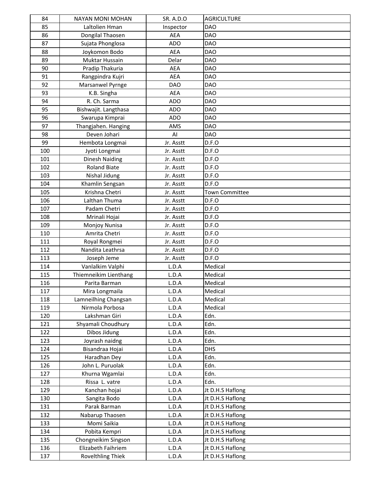| 84  | <b>NAYAN MONI MOHAN</b>  | <b>SR. A.D.O</b> | <b>AGRICULTURE</b>    |
|-----|--------------------------|------------------|-----------------------|
| 85  | Laltolien Hman           | Inspector        | <b>DAO</b>            |
| 86  | Dongilal Thaosen         | <b>AEA</b>       | <b>DAO</b>            |
| 87  | Sujata Phonglosa         | <b>ADO</b>       | <b>DAO</b>            |
| 88  | Joykomon Bodo            | <b>AEA</b>       | <b>DAO</b>            |
| 89  | Muktar Hussain           | Delar            | <b>DAO</b>            |
| 90  | Pradip Thakuria          | AEA              | <b>DAO</b>            |
| 91  | Rangpindra Kujri         | <b>AEA</b>       | <b>DAO</b>            |
| 92  | Marsanwel Pyrnge         | <b>DAO</b>       | <b>DAO</b>            |
| 93  | K.B. Singha              | <b>AEA</b>       | <b>DAO</b>            |
| 94  | R. Ch. Sarma             | <b>ADO</b>       | <b>DAO</b>            |
| 95  | Bishwajit. Langthasa     | <b>ADO</b>       | <b>DAO</b>            |
| 96  | Swarupa Kimprai          | <b>ADO</b>       | <b>DAO</b>            |
| 97  | Thangjahen. Hanging      | AMS              | <b>DAO</b>            |
| 98  | Deven Johari             | AI               | <b>DAO</b>            |
| 99  | Hembota Longmai          | Jr. Asstt        | D.F.O                 |
| 100 | Jyoti Longmai            | Jr. Asstt        | D.F.O                 |
| 101 | Dinesh Naiding           | Jr. Asstt        | D.F.O                 |
| 102 | <b>Roland Biate</b>      | Jr. Asstt        | D.F.O                 |
| 103 | Nishal Jidung            | Jr. Asstt        | D.F.O                 |
| 104 | Khamlin Sengsan          | Jr. Asstt        | D.F.O                 |
| 105 | Krishna Chetri           | Jr. Asstt        | <b>Town Committee</b> |
| 106 | Lalthan Thuma            | Jr. Asstt        | D.F.O                 |
| 107 | Padam Chetri             | Jr. Asstt        | D.F.O                 |
| 108 | Mrinali Hojai            | Jr. Asstt        | D.F.O                 |
| 109 | Monjoy Nunisa            | Jr. Asstt        | D.F.O                 |
| 110 | Amrita Chetri            | Jr. Asstt        | D.F.O                 |
| 111 | Royal Rongmei            | Jr. Asstt        | D.F.O                 |
| 112 | Nandita Leathrsa         | Jr. Asstt        | D.F.O                 |
| 113 | Joseph Jeme              | Jr. Asstt        | D.F.O                 |
| 114 | Vanlalkim Valphi         | L.D.A            | Medical               |
| 115 | Thiemneikim Lienthang    | L.D.A            | Medical               |
| 116 | Parita Barman            | L.D.A            | Medical               |
| 117 | Mira Longmaila           | L.D.A            | Medical               |
| 118 | Lamneilhing Changsan     | L.D.A            | Medical               |
| 119 | Nirmola Porbosa          | L.D.A            | Medical               |
| 120 | Lakshman Giri            | L.D.A            | Edn.                  |
| 121 | Shyamali Choudhury       | L.D.A            | Edn.                  |
| 122 | Dibos Jidung             | L.D.A            | Edn.                  |
| 123 | Joyrash naidng           | L.D.A            | Edn.                  |
| 124 | Bisandraa Hojai          | L.D.A            | <b>DHS</b>            |
| 125 | Haradhan Dey             | L.D.A            | Edn.                  |
| 126 | John L. Puruolak         | L.D.A            | Edn.                  |
| 127 | Khurna Wgamlai           | L.D.A            | Edn.                  |
| 128 | Rissa L. vatre           | L.D.A            | Edn.                  |
| 129 |                          | L.D.A            | Jt D.H.S Haflong      |
| 130 | Kanchan hojai            | L.D.A            |                       |
|     | Sangita Bodo             |                  | Jt D.H.S Haflong      |
| 131 | Parak Barman             | L.D.A            | Jt D.H.S Haflong      |
| 132 | Nabarup Thaosen          | L.D.A            | Jt D.H.S Haflong      |
| 133 | Momi Saikia              | L.D.A            | Jt D.H.S Haflong      |
| 134 | Pobita Kempri            | L.D.A            | Jt D.H.S Haflong      |
| 135 | Chongneikim Singson      | L.D.A            | Jt D.H.S Haflong      |
| 136 | Elizabeth Faihriem       | L.D.A            | Jt D.H.S Haflong      |
| 137 | <b>Rovelthling Thiek</b> | L.D.A            | Jt D.H.S Haflong      |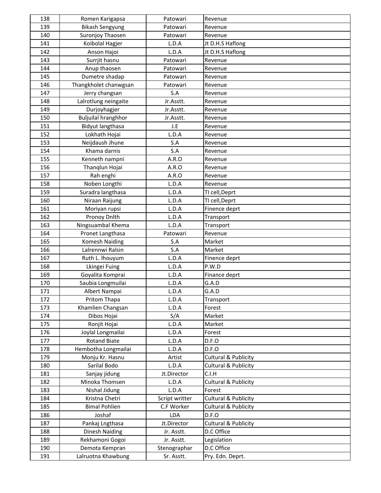| 138        | Romen Karigapsa                          | Patowari                     | Revenue                        |
|------------|------------------------------------------|------------------------------|--------------------------------|
| 139        | <b>Bikash Sengyung</b>                   | Patowari                     | Revenue                        |
| 140        | Suronjoy Thaosen                         | Patowari                     | Revenue                        |
| 141        | Koibolal Hagjer                          | L.D.A                        | Jt D.H.S Haflong               |
| 142        | Anson Hajoi                              | L.D.A                        | Jt D.H.S Haflong               |
| 143        | Surrjit hasnu                            | Patowari                     | Revenue                        |
| 144        | Anup thaosen                             | Patowari                     | Revenue                        |
| 145        | Dumetre shadap                           | Patowari                     | Revenue                        |
| 146        | Thangkholet chanwgsan                    | Patowari                     | Revenue                        |
| 147        | Jerry changsan                           | S.A                          | Revenue                        |
| 148        | Lalrotlung neingaite                     | Jr.Asstt.                    | Revenue                        |
| 149        | Durjoyhagjer                             | Jr.Asstt.                    | Revenue                        |
| 150        | <b>Buljuilal hranghhor</b>               | Jr.Asstt.                    | Revenue                        |
| 151        | Bidyut langthasa                         | J.E                          | Revenue                        |
| 152        | Lokhath Hojai                            | L.D.A                        | Revenue                        |
| 153        | Neijdaush Jhune                          | S.A                          | Revenue                        |
| 154        | Khama darnis                             | S.A                          | Revenue                        |
| 155        | Kenneth nampni                           | A.R.O                        | Revenue                        |
| 156        | Thanglun Hojai                           | A.R.O                        | Revenue                        |
| 157        | Rah enghi                                | A.R.O                        | Revenue                        |
| 158        | Noben Longthi                            | L.D.A                        | Revenue                        |
| 159        | Suradra langthasa                        | L.D.A                        | TI cell, Deprt                 |
| 160        | Niraan Raijung                           | L.D.A                        | TI cell, Deprt                 |
| 161        | Moriyan rupsi                            | L.D.A                        | Finence deprt                  |
| 162        | Pronoy Dnlth                             | L.D.A                        | Transport                      |
| 163        | Ningsuambal Khema                        | L.D.A                        | Transport                      |
| 164        | Pronet Langthasa                         | Patowari                     | Revenue                        |
| 165        | <b>Komesh Naiding</b>                    | S.A                          | Market                         |
| 166        | Lalrennwi Ralsin                         | S.A                          | Market                         |
| 167        | Ruth L. Ihouyum                          | L.D.A                        | Finence deprt                  |
| 168        | Lkingei Fuing                            | L.D.A                        | P.W.D                          |
| 169        | Goyalita Komprai                         | L.D.A                        | Finance deprt                  |
| 170        | Saubia Longmuilai                        | L.D.A                        | G.A.D                          |
| 171        | Albert Nampai                            | L.D.A                        | G.A.D                          |
| 172        | Pritom Thapa                             | L.D.A                        | Transport                      |
| 173        | Khamlien Changsan                        | L.D.A                        | Forest                         |
| 174        | Dibos Hojai                              | S/A                          | Market                         |
| 175        | Ronjit Hojai                             | L.D.A                        | Market                         |
| 176        | Joylal Longmailai                        | L.D.A                        | Forest                         |
| 177        | <b>Rotand Biate</b>                      | L.D.A                        | D.F.O                          |
| 178        | Hembotha Longmailai                      | L.D.A                        | D.F.O                          |
| 179        | Monju Kr. Hasnu                          | Artist                       | Cultural & Publicity           |
| 180        | Sarilal Bodo                             | L.D.A                        | Cultural & Publicity           |
| 181        | Sanjay jidung                            | Jt.Director                  | C.I.H                          |
| 182        | Minoka Thomsen                           | L.D.A                        | Cultural & Publicity           |
| 183<br>184 | Nishal Jidung<br>Kristna Chetri          | L.D.A                        | Forest<br>Cultural & Publicity |
|            | <b>Bimal Pohlien</b>                     | Script writter<br>C.F Worker |                                |
| 185<br>186 | Joshaf                                   | LDA                          | Cultural & Publicity<br>D.F.O  |
| 187        |                                          |                              | Cultural & Publicity           |
| 188        | Pankaj Lngthasa                          | Jt.Director                  | D.C Office                     |
| 189        | <b>Dinesh Naiding</b><br>Rekhamoni Gogoi | Jr. Asstt.<br>Jr. Asstt.     | Legislation                    |
| 190        | Demota Kempran                           | Stenographar                 | D.C Office                     |
| 191        | Lalruotna Khawbung                       | Sr. Asstt.                   | Pry. Edn. Deprt.               |
|            |                                          |                              |                                |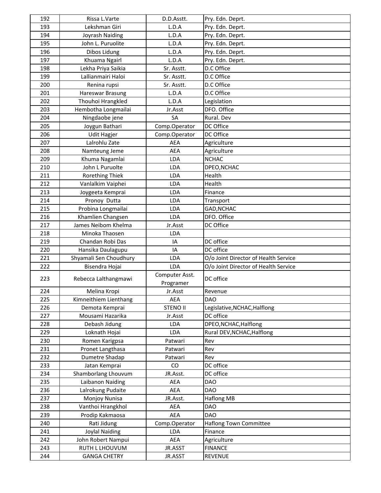| 192 | Rissa L.Varte          | D.D.Asstt.      | Pry. Edn. Deprt.                     |
|-----|------------------------|-----------------|--------------------------------------|
| 193 | Lekshman Giri          | L.D.A           | Pry. Edn. Deprt.                     |
| 194 | Joyrash Naiding        | L.D.A           | Pry. Edn. Deprt.                     |
| 195 | John L. Puruolite      | L.D.A           | Pry. Edn. Deprt.                     |
| 196 | Dibos Lidung           | L.D.A           | Pry. Edn. Deprt.                     |
| 197 | Khuama Ngairl          | L.D.A           | Pry. Edn. Deprt.                     |
| 198 | Lekha Priya Saikia     | Sr. Asstt.      | D.C Office                           |
| 199 | Lallianmairi Haloi     | Sr. Asstt.      | D.C Office                           |
| 200 | Renina rupsi           | Sr. Asstt.      | D.C Office                           |
| 201 | Hareswar Brasung       | L.D.A           | D.C Office                           |
| 202 | Thouhoi Hrangkled      | L.D.A           | Legislation                          |
| 203 | Hembotha Longmailai    | Jr.Asst         | DFO. Office                          |
| 204 | Ningdaobe jene         | <b>SA</b>       | Rural. Dev                           |
| 205 | Joygun Bathari         | Comp.Operator   | DC Office                            |
| 206 | <b>Udit Hagjer</b>     | Comp.Operator   | DC Office                            |
| 207 | Lalrohlu Zate          | <b>AEA</b>      | Agriculture                          |
| 208 | Namteung Jeme          | <b>AEA</b>      | Agriculture                          |
| 209 | Khuma Nagamlai         | LDA             | <b>NCHAC</b>                         |
| 210 | John L Puruolte        | LDA             | DPEO, NCHAC                          |
| 211 | Rorething Thiek        | LDA             | Health                               |
| 212 | Vanlalkim Vaiphei      | <b>LDA</b>      | Health                               |
| 213 | Joygeeta Kemprai       | <b>LDA</b>      | Finance                              |
| 214 | Pronoy Dutta           | LDA             | Transport                            |
| 215 | Probina Longmailai     | LDA             | GAD, NCHAC                           |
| 216 | Khamlien Changsen      | LDA             | DFO. Office                          |
| 217 | James Neibom Khelma    | Jr.Asst         | DC Office                            |
| 218 | Minoka Thaosen         | <b>LDA</b>      |                                      |
| 219 | Chandan Robi Das       | IA              | DC office                            |
| 220 | Hansika Daulagupu      | IA              | DC office                            |
| 221 | Shyamali Sen Choudhury | LDA             | O/o Joint Director of Health Service |
| 222 | Bisendra Hojai         | <b>LDA</b>      | O/o Joint Director of Health Service |
| 223 | Rebecca Lalthangmawi   | Computer Asst.  | DC office                            |
|     |                        | Programer       |                                      |
| 224 | Melina Kropi           | Jr.Asst         | Revenue                              |
| 225 | Kimneithiem Lienthang  | AEA             | <b>DAO</b>                           |
| 226 | Demota Kemprai         | <b>STENO II</b> | Legislative, NCHAC, Halflong         |
| 227 | Mousami Hazarika       | Jr.Asst         | DC office                            |
| 228 | Debash Jidung          | LDA             | DPEO, NCHAC, Halflong                |
| 229 | Loknath Hojai          | LDA             | Rural DEV, NCHAC, Halflong           |
| 230 | Romen Karigpsa         | Patwari         | Rev                                  |
| 231 | Pronet Langthasa       | Patwari         | Rev                                  |
| 232 | Dumetre Shadap         | Patwari         | Rev                                  |
| 233 | Jatan Kemprai          | CO              | DC office                            |
| 234 | Shamborlang Lhouvum    | JR.Asst.        | DC office                            |
| 235 | Laibanon Naiding       | AEA             | <b>DAO</b>                           |
| 236 | Lalrokung Pudaite      | AEA             | <b>DAO</b>                           |
| 237 | Monjoy Nunisa          | JR.Asst.        | <b>Haflong MB</b>                    |
| 238 | Vanthoi Hrangkhol      | <b>AEA</b>      | <b>DAO</b>                           |
| 239 | Prodip Kakmaosa        | AEA             | <b>DAO</b>                           |
| 240 | Rati Jidung            | Comp.Operator   | <b>Haflong Town Committee</b>        |
| 241 | <b>Joylal Naiding</b>  | <b>LDA</b>      | Finance                              |
| 242 | John Robert Nampui     | AEA             | Agriculture                          |
| 243 | RUTH L LHOUVUM         | JR.ASST         | <b>FINANCE</b>                       |
| 244 | <b>GANGA CHETRY</b>    | JR.ASST         | REVENUE                              |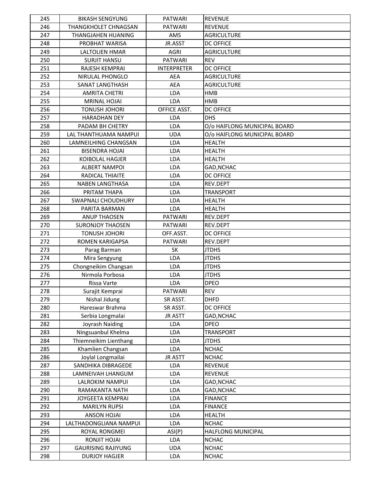| 245 | <b>BIKASH SENGYUNG</b>    | <b>PATWARI</b>     | <b>REVENUE</b>               |
|-----|---------------------------|--------------------|------------------------------|
| 246 | THANGKHOLET CHNAGSAN      | <b>PATWARI</b>     | <b>REVENUE</b>               |
| 247 | <b>THANGJAHEN HUANING</b> | AMS                | <b>AGRICULTURE</b>           |
| 248 | PROBHAT WARISA            | JR.ASST            | <b>DC OFFICE</b>             |
| 249 | LALTOLIEN HMAR            | AGRI               | <b>AGRICULTURE</b>           |
| 250 | <b>SURJIT HANSU</b>       | <b>PATWARI</b>     | <b>REV</b>                   |
| 251 | RAJESH KEMPRAI            | <b>INTERPRETER</b> | <b>DC OFFICE</b>             |
| 252 | NIRULAL PHONGLO           | <b>AEA</b>         | <b>AGRICULTURE</b>           |
| 253 | SANAT LANGTHASH           | <b>AEA</b>         | <b>AGRICULTURE</b>           |
| 254 | <b>AMRITA CHETRI</b>      | <b>LDA</b>         | <b>HMB</b>                   |
| 255 | <b>MRINAL HOJAI</b>       | LDA                | <b>HMB</b>                   |
| 256 | TONUSH JOHORI             | OFFICE ASST.       | <b>DC OFFICE</b>             |
| 257 | <b>HARADHAN DEY</b>       | <b>LDA</b>         | <b>DHS</b>                   |
| 258 | PADAM BH CHETRY           | LDA                | O/o HAIFLONG MUNICIPAL BOARD |
| 259 | LAL THANTHUAMA NAMPUI     | <b>UDA</b>         | O/o HAIFLONG MUNICIPAL BOARD |
| 260 | LAMNEILHING CHANGSAN      | LDA                | <b>HEALTH</b>                |
| 261 | <b>BISENDRA HOJAI</b>     | LDA                | <b>HEALTH</b>                |
| 262 | KOIBOLAL HAGJER           | LDA                | <b>HEALTH</b>                |
| 263 | <b>ALBERT NAMPOI</b>      | <b>LDA</b>         | GAD, NCHAC                   |
| 264 | RADICAL THIAITE           | LDA                | <b>DC OFFICE</b>             |
| 265 | <b>NABEN LANGTHASA</b>    | LDA                | REV.DEPT                     |
| 266 | PRITAM THAPA              | LDA                | <b>TRANSPORT</b>             |
| 267 | <b>SWAPNALI CHOUDHURY</b> | LDA                | <b>HEALTH</b>                |
| 268 | PARITA BARMAN             | LDA                | <b>HEALTH</b>                |
| 269 | <b>ANUP THAOSEN</b>       | <b>PATWARI</b>     | REV.DEPT                     |
| 270 | <b>SURONJOY THAOSEN</b>   | <b>PATWARI</b>     | REV.DEPT                     |
| 271 | <b>TONUSH JOHORI</b>      | OFF.ASST.          | DC OFFICE                    |
| 272 | <b>ROMEN KARIGAPSA</b>    | <b>PATWARI</b>     | REV.DEPT                     |
| 273 | Parag Barman              | <b>SK</b>          | <b>JTDHS</b>                 |
| 274 | Mira Sengyung             | LDA                | <b>JTDHS</b>                 |
| 275 | Chongneikim Changsan      | <b>LDA</b>         | <b>JTDHS</b>                 |
| 276 | Nirmola Porbosa           | <b>LDA</b>         | <b>JTDHS</b>                 |
| 277 | Rissa Varte               | LDA                | <b>DPEO</b>                  |
| 278 | Surajit Kemprai           | <b>PATWARI</b>     | REV                          |
| 279 | Nishal Jidung             | SR ASST.           | <b>DHFD</b>                  |
| 280 | Hareswar Brahma           | SR ASST.           | <b>DC OFFICE</b>             |
| 281 | Serbia Longmalai          | <b>JR ASTT</b>     | GAD, NCHAC                   |
| 282 | Joyrash Naiding           | LDA                | <b>DPEO</b>                  |
| 283 | Ningsuanbul Khelma        | LDA                | <b>TRANSPORT</b>             |
| 284 | Thiemneikim Lienthang     | LDA                | <b>JTDHS</b>                 |
| 285 | Khamlien Changsan         | LDA                | <b>NCHAC</b>                 |
| 286 | Joylal Longmailai         | <b>JR ASTT</b>     | <b>NCHAC</b>                 |
| 287 | SANDHIKA DIBRAGEDE        | LDA                | <b>REVENUE</b>               |
| 288 | LAMNEIVAH LHANGUM         | LDA                | <b>REVENUE</b>               |
| 289 | LALROKIM NAMPUI           | LDA                | GAD, NCHAC                   |
| 290 | RAMAKANTA NATH            | LDA                | GAD, NCHAC                   |
| 291 | JOYGEETA KEMPRAI          | LDA                | <b>FINANCE</b>               |
| 292 | <b>MARILYN RUPSI</b>      | LDA                | <b>FINANCE</b>               |
| 293 | <b>ANSON HOJAI</b>        | LDA                | <b>HEALTH</b>                |
| 294 | LALTHADONGLIANA NAMPUI    | LDA                | <b>NCHAC</b>                 |
| 295 | ROYAL RONGMEI             | ASI(P)             | HALFLONG MUNICIPAL           |
| 296 | RONJIT HOJAI              | LDA                | <b>NCHAC</b>                 |
| 297 | <b>GAURISING RAJIYUNG</b> | <b>UDA</b>         | <b>NCHAC</b>                 |
| 298 | <b>DURJOY HAGJER</b>      | LDA                | <b>NCHAC</b>                 |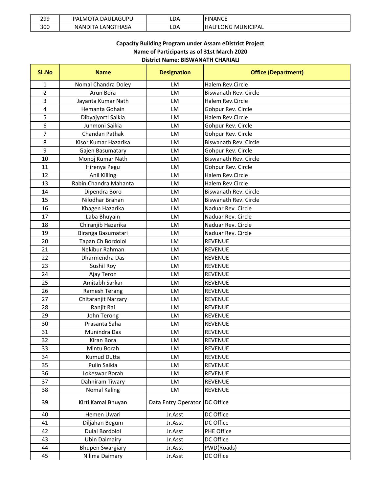| 299 | DAULAGUPU<br>PALMOTA | LDA | <b>FINANCE</b> |
|-----|----------------------|-----|----------------|
| 300 | LANGTHASA            | LDA | LONG MUNICIPAL |
|     | <b>NANDITA</b>       |     | <b>HAL.</b>    |

# **District Name: BISWANATH CHARIALI Capacity Building Program under Assam eDistrict Project Name of Participants as of 31st March 2020**

| <b>SL.No</b>   | <b>Name</b>             | <b>Designation</b>  | <b>Office (Department)</b>   |
|----------------|-------------------------|---------------------|------------------------------|
| 1              | Nomal Chandra Doley     | LM                  | <b>Halem Rev.Circle</b>      |
| $\overline{2}$ | Arun Bora               | <b>LM</b>           | Biswanath Rev. Circle        |
| 3              | Jayanta Kumar Nath      | <b>LM</b>           | <b>Halem Rev.Circle</b>      |
| 4              | Hemanta Gohain          | LM                  | Gohpur Rev. Circle           |
| 5              | Dibyajyorti Saikia      | LM                  | Halem Rev.Circle             |
| 6              | Junmoni Saikia          | LM                  | Gohpur Rev. Circle           |
| 7              | <b>Chandan Pathak</b>   | LM                  | Gohpur Rev. Circle           |
| 8              | Kisor Kumar Hazarika    | <b>LM</b>           | Biswanath Rev. Circle        |
| 9              | Gajen Basumatary        | LM                  | Gohpur Rev. Circle           |
| 10             | Monoj Kumar Nath        | <b>LM</b>           | Biswanath Rev. Circle        |
| 11             | Hirenya Pegu            | LM                  | Gohpur Rev. Circle           |
| 12             | Anil Killing            | <b>LM</b>           | Halem Rev.Circle             |
| 13             | Rabin Chandra Mahanta   | LM                  | Halem Rev.Circle             |
| 14             | Dipendra Boro           | LM                  | <b>Biswanath Rev. Circle</b> |
| 15             | Nilodhar Brahan         | LM                  | Biswanath Rev. Circle        |
| 16             | Khagen Hazarika         | LM                  | Naduar Rev. Circle           |
| 17             | Laba Bhuyain            | LM                  | Naduar Rev. Circle           |
| 18             | Chiranjib Hazarika      | LM                  | Naduar Rev. Circle           |
| 19             | Biranga Basumatari      | <b>LM</b>           | Naduar Rev. Circle           |
| 20             | Tapan Ch Bordoloi       | LM                  | <b>REVENUE</b>               |
| 21             | Nekibur Rahman          | LM                  | <b>REVENUE</b>               |
| 22             | Dharmendra Das          | <b>LM</b>           | <b>REVENUE</b>               |
| 23             | Sushil Roy              | LM                  | <b>REVENUE</b>               |
| 24             | Ajay Teron              | LM                  | <b>REVENUE</b>               |
| 25             | Amitabh Sarkar          | LM                  | <b>REVENUE</b>               |
| 26             | Ramesh Terang           | LM                  | <b>REVENUE</b>               |
| 27             | Chitaranjit Narzary     | LM                  | <b>REVENUE</b>               |
| 28             | Ranjit Rai              | LM                  | <b>REVENUE</b>               |
| 29             | John Terong             | <b>LM</b>           | <b>REVENUE</b>               |
| 30             | Prasanta Saha           | LM                  | <b>REVENUE</b>               |
| 31             | Munindra Das            | LM                  | <b>REVENUE</b>               |
| 32             | Kiran Bora              | <b>LM</b>           | <b>REVENUE</b>               |
| 33             | Mintu Borah             | LM                  | <b>REVENUE</b>               |
| 34             | Kumud Dutta             | LM                  | REVENUE                      |
| 35             | Pulin Saikia            | LM                  | <b>REVENUE</b>               |
| 36             | Lokeswar Borah          | LM                  | REVENUE                      |
| 37             | Dahniram Tiwary         | LM                  | <b>REVENUE</b>               |
| 38             | <b>Nomal Kaling</b>     | LM                  | <b>REVENUE</b>               |
| 39             | Kirti Kamal Bhuyan      | Data Entry Operator | <b>DC Office</b>             |
| 40             | Hemen Uwari             | Jr.Asst             | DC Office                    |
| 41             | Diljahan Begum          | Jr.Asst             | DC Office                    |
| 42             | Dulal Bordoloi          | Jr.Asst             | PHE Office                   |
| 43             | <b>Ubin Daimairy</b>    | Jr.Asst             | DC Office                    |
| 44             | <b>Bhupen Swargiary</b> | Jr.Asst             | PWD(Roads)                   |
| 45             | Nilima Daimary          | Jr.Asst             | DC Office                    |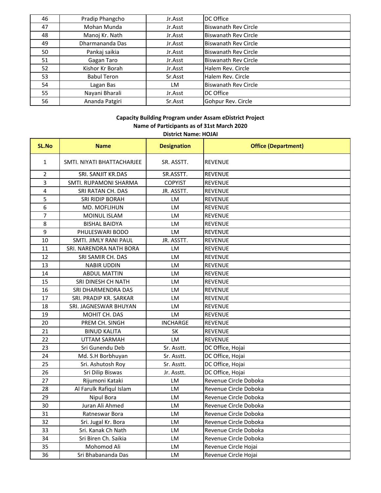| 46 | Pradip Phangcho    | Jr.Asst | DC Office                   |
|----|--------------------|---------|-----------------------------|
| 47 | Mohan Munda        | Jr.Asst | <b>Biswanath Rev Circle</b> |
| 48 | Manoj Kr. Nath     | Jr.Asst | <b>Biswanath Rev Circle</b> |
| 49 | Dharmananda Das    | Jr.Asst | <b>Biswanath Rev Circle</b> |
| 50 | Pankaj saikia      | Jr.Asst | <b>Biswanath Rev Circle</b> |
| 51 | Gagan Taro         | Jr.Asst | <b>Biswanath Rev Circle</b> |
| 52 | Kishor Kr Borah    | Jr.Asst | Halem Rev. Circle           |
| 53 | <b>Babul Teron</b> | Sr.Asst | Halem Rev. Circle           |
| 54 | Lagan Bas          | LM      | <b>Biswanath Rev Circle</b> |
| 55 | Nayani Bharali     | Jr.Asst | DC Office                   |
| 56 | Ananda Patgiri     | Sr.Asst | Gohpur Rev. Circle          |

#### **i ildi d i i j Capacity Building Program under Assam eDistrict Project District Name: HOJAI Name of Participants as of 31st March 2020**

|                         | ואנטוויכ. ווסוווכ          |                    |                            |  |
|-------------------------|----------------------------|--------------------|----------------------------|--|
| SL.No                   | <b>Name</b>                | <b>Designation</b> | <b>Office (Department)</b> |  |
| $\mathbf{1}$            | SMTI. NIYATI BHATTACHARJEE | SR. ASSTT.         | <b>REVENUE</b>             |  |
| $\overline{2}$          | SRI. SANJIT KR.DAS         | SR.ASSTT.          | <b>REVENUE</b>             |  |
| 3                       | SMTI. RUPAMONI SHARMA      | <b>COPYIST</b>     | <b>REVENUE</b>             |  |
| $\overline{\mathbf{4}}$ | SRI RATAN CH. DAS          | JR. ASSTT.         | <b>REVENUE</b>             |  |
| 5                       | <b>SRI RIDIP BORAH</b>     | LM                 | <b>REVENUE</b>             |  |
| 6                       | MD. MOFLIHUN               | LM                 | <b>REVENUE</b>             |  |
| $\overline{7}$          | MOINUL ISLAM               | LM                 | <b>REVENUE</b>             |  |
| 8                       | <b>BISHAL BAIDYA</b>       | LM                 | <b>REVENUE</b>             |  |
| 9                       | PHULESWARI BODO            | LM                 | <b>REVENUE</b>             |  |
| 10                      | SMTI. JIMLY RANI PAUL      | JR. ASSTT.         | <b>REVENUE</b>             |  |
| 11                      | SRI. NARENDRA NATH BORA    | LM                 | <b>REVENUE</b>             |  |
| 12                      | SRI SAMIR CH. DAS          | LM                 | <b>REVENUE</b>             |  |
| 13                      | <b>NABIR UDDIN</b>         | LM                 | <b>REVENUE</b>             |  |
| 14                      | <b>ABDUL MATTIN</b>        | LM                 | <b>REVENUE</b>             |  |
| 15                      | SRI DINESH CH NATH         | LM                 | <b>REVENUE</b>             |  |
| 16                      | SRI DHARMENDRA DAS         | LM                 | <b>REVENUE</b>             |  |
| 17                      | SRI. PRADIP KR. SARKAR     | LM                 | <b>REVENUE</b>             |  |
| 18                      | SRI. JAGNESWAR BHUYAN      | LM                 | <b>REVENUE</b>             |  |
| 19                      | MOHIT CH. DAS              | LM                 | <b>REVENUE</b>             |  |
| 20                      | PREM CH. SINGH             | <b>INCHARGE</b>    | <b>REVENUE</b>             |  |
| 21                      | <b>BINUD KALITA</b>        | <b>SK</b>          | <b>REVENUE</b>             |  |
| 22                      | UTTAM SARMAH               | LM                 | <b>REVENUE</b>             |  |
| 23                      | Sri Gunendu Deb            | Sr. Asstt.         | DC Office, Hojai           |  |
| 24                      | Md. S.H Borbhuyan          | Sr. Asstt.         | DC Office, Hojai           |  |
| 25                      | Sri. Ashutosh Roy          | Sr. Asstt.         | DC Office, Hojai           |  |
| 26                      | Sri Dilip Biswas           | Jr. Asstt.         | DC Office, Hojai           |  |
| 27                      | Rijumoni Kataki            | <b>LM</b>          | Revenue Circle Doboka      |  |
| 28                      | Al Farulk Rafiqul Islam    | <b>LM</b>          | Revenue Circle Doboka      |  |
| 29                      | Nipul Bora                 | LM                 | Revenue Circle Doboka      |  |
| 30                      | Juran Ali Ahmed            | LM                 | Revenue Circle Doboka      |  |
| 31                      | Ratneswar Bora             | <b>LM</b>          | Revenue Circle Doboka      |  |
| 32                      | Sri. Jugal Kr. Bora        | <b>LM</b>          | Revenue Circle Doboka      |  |
| 33                      | Sri. Kanak Ch Nath         | LM                 | Revenue Circle Doboka      |  |
| 34                      | Sri Biren Ch. Saikia       | LM                 | Revenue Circle Doboka      |  |
| 35                      | Mohomod Ali                | LM                 | Revenue Circle Hojai       |  |
| 36                      | Sri Bhabananda Das         | LM.                | Revenue Circle Hojai       |  |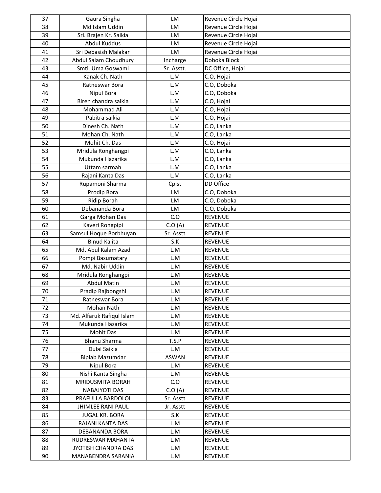| 37       | Gaura Singha                                      | LM               | Revenue Circle Hojai             |
|----------|---------------------------------------------------|------------------|----------------------------------|
| 38       | Md Islam Uddin                                    | LM               | Revenue Circle Hojai             |
| 39       | Sri. Brajen Kr. Saikia                            | LM               | Revenue Circle Hojai             |
| 40       | Abdul Kuddus                                      | LM               | Revenue Circle Hojai             |
| 41       | Sri Debasish Malakar                              | LM               | Revenue Circle Hojai             |
| 42       | Abdul Salam Choudhury                             | Incharge         | Doboka Block                     |
| 43       | Smti. Uma Goswami                                 | Sr. Asstt.       | DC Office, Hojai                 |
| 44       | Kanak Ch. Nath                                    | L.M              | C.O, Hojai                       |
| 45       | Ratneswar Bora                                    | L.M              | C.O, Doboka                      |
| 46       | Nipul Bora                                        | L.M              | C.O, Doboka                      |
| 47       | Biren chandra saikia                              | L.M              | C.O, Hojai                       |
| 48       | Mohammad Ali                                      | L.M              | C.O, Hojai                       |
| 49       | Pabitra saikia                                    | L.M              | C.O, Hojai                       |
| 50       | Dinesh Ch. Nath                                   | L.M              | C.O, Lanka                       |
| 51       | Mohan Ch. Nath                                    | L.M              | C.O, Lanka                       |
| 52       | Mohit Ch. Das                                     | L.M              | C.O, Hojai                       |
| 53       | Mridula Ronghangpi                                | L.M              | C.O, Lanka                       |
| 54       | Mukunda Hazarika                                  | L.M              | C.O, Lanka                       |
| 55       | Uttam sarmah                                      | L.M              | C.O, Lanka                       |
| 56       | Rajani Kanta Das                                  | L.M              | C.O, Lanka                       |
| 57       | Rupamoni Sharma                                   | Cpist            | DD Office                        |
| 58       | Prodip Bora                                       | LM               | C.O, Doboka                      |
| 59       | <b>Ridip Borah</b>                                | LM               | C.O, Doboka                      |
| 60       | Debananda Bora                                    | LM               | C.O, Doboka                      |
| 61       | Garga Mohan Das                                   | C.O              | <b>REVENUE</b>                   |
| 62       | Kaveri Rongpipi                                   | C.O(A)           | <b>REVENUE</b>                   |
| 63       | Samsul Hoque Borbhuyan                            | Sr. Asstt        | <b>REVENUE</b>                   |
| 64       | <b>Binud Kalita</b>                               | S.K              | <b>REVENUE</b>                   |
| 65       | Md. Abul Kalam Azad                               | L.M              | <b>REVENUE</b>                   |
| 66       | Pompi Basumatary                                  | L.M              | <b>REVENUE</b>                   |
| 67       | Md. Nabir Uddin                                   | L.M              | <b>REVENUE</b>                   |
| 68       | Mridula Ronghangpi                                | L.M              | <b>REVENUE</b>                   |
| 69       | <b>Abdul Matin</b>                                | L.M              | REVENUE                          |
| 70       | Pradip Rajbongshi                                 | L.M              | <b>REVENUE</b>                   |
| 71       | Ratneswar Bora                                    | L.M              | <b>REVENUE</b>                   |
| 72       | Mohan Nath                                        | L.M              | <b>REVENUE</b>                   |
| 73       | Md. Alfaruk Rafiqul Islam                         | L.M              | <b>REVENUE</b>                   |
| 74       | Mukunda Hazarika                                  | L.M              | <b>REVENUE</b>                   |
| 75       | Mohit Das                                         | L.M              | <b>REVENUE</b>                   |
| 76       | <b>Bhanu Sharma</b>                               | T.S.P            | <b>REVENUE</b>                   |
| 77       | Dulal Saikia                                      | L.M              | <b>REVENUE</b>                   |
| 78       | <b>Biplab Mazumdar</b>                            | <b>ASWAN</b>     | <b>REVENUE</b>                   |
| 79       | <b>Nipul Bora</b>                                 | L.M              | <b>REVENUE</b>                   |
| 80       | Nishi Kanta Singha                                | L.M              | <b>REVENUE</b>                   |
| 81       | MRIDUSMITA BORAH                                  | C.O              | <b>REVENUE</b>                   |
| 82<br>83 | <b>NABAJYOTI DAS</b>                              | C.O(A)           | <b>REVENUE</b>                   |
|          | PRAFULLA BARDOLOI                                 | Sr. Asstt        | <b>REVENUE</b>                   |
| 84<br>85 | <b>JHIMLEE RANI PAUL</b><br><b>JUGAL KR. BORA</b> | Jr. Asstt<br>S.K | <b>REVENUE</b><br><b>REVENUE</b> |
| 86       | RAJANI KANTA DAS                                  | L.M              | REVENUE                          |
| 87       | DEBANANDA BORA                                    | L.M              | <b>REVENUE</b>                   |
| 88       | RUDRESWAR MAHANTA                                 | L.M              | <b>REVENUE</b>                   |
| 89       | JYOTISH CHANDRA DAS                               | L.M              | <b>REVENUE</b>                   |
| 90       | MANABENDRA SARANIA                                | L.M              | <b>REVENUE</b>                   |
|          |                                                   |                  |                                  |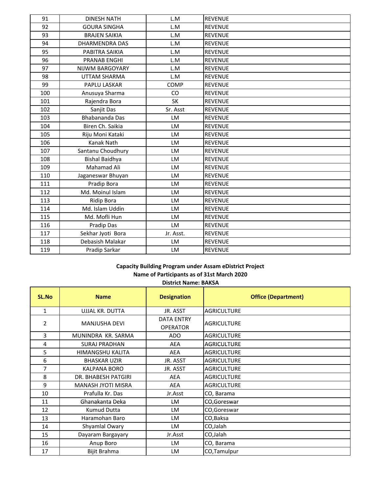| 91  | <b>DINESH NATH</b>    | L.M       | <b>REVENUE</b> |
|-----|-----------------------|-----------|----------------|
| 92  | <b>GOURA SINGHA</b>   | L.M       | <b>REVENUE</b> |
| 93  | <b>BRAJEN SAIKIA</b>  | L.M       | <b>REVENUE</b> |
| 94  | <b>DHARMENDRA DAS</b> | L.M       | <b>REVENUE</b> |
| 95  | PABITRA SAIKIA        | L.M       | <b>REVENUE</b> |
| 96  | <b>PRANAB ENGHI</b>   | L.M       | <b>REVENUE</b> |
| 97  | NIJWM BARGOYARY       | L.M       | <b>REVENUE</b> |
| 98  | UTTAM SHARMA          | L.M       | <b>REVENUE</b> |
| 99  | PAPLU LASKAR          | COMP      | <b>REVENUE</b> |
| 100 | Anusuya Sharma        | CO        | <b>REVENUE</b> |
| 101 | Rajendra Bora         | <b>SK</b> | <b>REVENUE</b> |
| 102 | Sanjit Das            | Sr. Asst  | <b>REVENUE</b> |
| 103 | <b>Bhabananda Das</b> | LM        | <b>REVENUE</b> |
| 104 | Biren Ch. Saikia      | LM        | <b>REVENUE</b> |
| 105 | Riju Moni Kataki      | LM        | <b>REVENUE</b> |
| 106 | Kanak Nath            | LM        | <b>REVENUE</b> |
| 107 | Santanu Choudhury     | LM        | <b>REVENUE</b> |
| 108 | <b>Bishal Baidhya</b> | LM        | <b>REVENUE</b> |
| 109 | Mahamad Ali           | LM        | <b>REVENUE</b> |
| 110 | Jaganeswar Bhuyan     | LM        | <b>REVENUE</b> |
| 111 | Pradip Bora           | LM        | <b>REVENUE</b> |
| 112 | Md. Moinul Islam      | LM        | <b>REVENUE</b> |
| 113 | <b>Ridip Bora</b>     | LM        | <b>REVENUE</b> |
| 114 | Md. Islam Uddin       | LM        | <b>REVENUE</b> |
| 115 | Md. Mofli Hun         | LM        | <b>REVENUE</b> |
| 116 | Pradip Das            | LM        | <b>REVENUE</b> |
| 117 | Sekhar Jyoti Bora     | Jr. Asst. | <b>REVENUE</b> |
| 118 | Debasish Malakar      | LM        | <b>REVENUE</b> |
| 119 | Pradip Sarkar         | LM        | <b>REVENUE</b> |

### **District Name: BAKSA Capacity Building Program under Assam eDistrict Project Name of Participants as of 31st March 2020**

| <b>SL.No</b>   | <b>Name</b>                | <b>Designation</b>                   | <b>Office (Department)</b> |
|----------------|----------------------------|--------------------------------------|----------------------------|
| $\mathbf{1}$   | UJJAL KR. DUTTA            | JR. ASST                             | <b>AGRICULTURE</b>         |
| $\overline{2}$ | <b>MANJUSHA DEVI</b>       | <b>DATA ENTRY</b><br><b>OPERATOR</b> | <b>AGRICULTURE</b>         |
| 3              | MUNINDRA KR. SARMA         | ADO                                  | <b>AGRICULTURE</b>         |
| 4              | <b>SURAJ PRADHAN</b>       | <b>AEA</b>                           | <b>AGRICULTURE</b>         |
| 5              | HIMANGSHU KALITA           | AEA                                  | <b>AGRICULTURE</b>         |
| 6              | <b>BHASKAR UZIR</b>        | JR. ASST                             | <b>AGRICULTURE</b>         |
| 7              | <b>KALPANA BORO</b>        | JR. ASST                             | <b>AGRICULTURE</b>         |
| 8              | <b>DR. BHABESH PATGIRI</b> | AEA                                  | <b>AGRICULTURE</b>         |
| 9              | MANASH JYOTI MISRA         | AEA                                  | <b>AGRICULTURE</b>         |
| 10             | Prafulla Kr. Das           | Jr.Asst                              | CO, Barama                 |
| 11             | Ghanakanta Deka            | LM                                   | CO, Goreswar               |
| 12             | Kumud Dutta                | LM.                                  | CO, Goreswar               |
| 13             | Haramohan Baro             | <b>LM</b>                            | CO, Baksa                  |
| 14             | Shyamlal Owary             | LM                                   | CO, Jalah                  |
| 15             | Dayaram Bargayary          | Jr.Asst                              | CO,Jalah                   |
| 16             | Anup Boro                  | LM.                                  | CO, Barama                 |
| 17             | Bijit Brahma               | LM                                   | CO, Tamulpur               |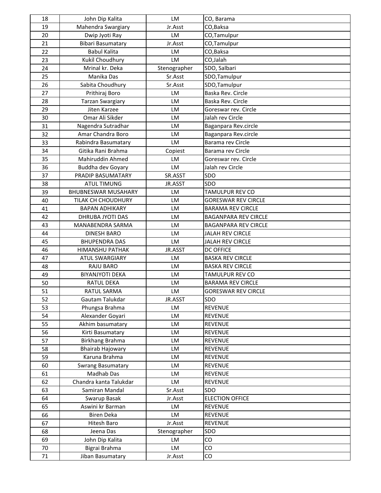| 18 | John Dip Kalita            | <b>LM</b>    | CO, Barama                  |
|----|----------------------------|--------------|-----------------------------|
| 19 | Mahendra Swargiary         | Jr.Asst      | CO, Baksa                   |
| 20 | Dwip Jyoti Ray             | LM           | CO,Tamulpur                 |
| 21 | <b>Bibari Basumatary</b>   | Jr.Asst      | CO,Tamulpur                 |
| 22 | <b>Babul Kalita</b>        | <b>LM</b>    | CO, Baksa                   |
| 23 | Kukil Choudhury            | LM           | CO,Jalah                    |
| 24 | Mrinal kr. Deka            | Stenographer | SDO, Salbari                |
| 25 | Manika Das                 | Sr.Asst      | SDO, Tamulpur               |
| 26 | Sabita Choudhury           | Sr.Asst      | SDO, Tamulpur               |
| 27 | Prithiraj Boro             | <b>LM</b>    | Baska Rev. Circle           |
| 28 | <b>Tarzan Swargiary</b>    | LM           | Baska Rev. Circle           |
| 29 | Jiten Karzee               | <b>LM</b>    | Goreswar rev. Circle        |
| 30 | Omar Ali Sikder            | <b>LM</b>    | Jalah rev Circle            |
| 31 | Nagendra Sutradhar         | LM           | Baganpara Rev.circle        |
| 32 | Amar Chandra Boro          | LM           | Baganpara Rev.circle        |
| 33 | Rabindra Basumatary        | LM           | Barama rev Circle           |
| 34 | Gitika Rani Brahma         | Copiest      | Barama rev Circle           |
| 35 | Mahiruddin Ahmed           | LM           | Goreswar rev. Circle        |
| 36 | Buddha dev Goyary          | LM           | Jalah rev Circle            |
| 37 | PRADIP BASUMATARY          | SR.ASST      | SDO                         |
| 38 | <b>ATUL TIMUNG</b>         | JR.ASST      | SDO                         |
| 39 | <b>BHUBNESWAR MUSAHARY</b> | LM           | TAMULPUR REV CO             |
| 40 | TILAK CH CHOUDHURY         | LM           | <b>GORESWAR REV CIRCLE</b>  |
| 41 | <b>BAPAN ADHIKARY</b>      | <b>LM</b>    | <b>BARAMA REV CIRCLE</b>    |
| 42 | DHRUBA JYOTI DAS           | LM           | <b>BAGANPARA REV CIRCLE</b> |
| 43 | MANABENDRA SARMA           | LM           | <b>BAGANPARA REV CIRCLE</b> |
| 44 | <b>DINESH BARO</b>         | LM           | <b>JALAH REV CIRCLE</b>     |
| 45 | <b>BHUPENDRA DAS</b>       | LM           | <b>JALAH REV CIRCLE</b>     |
| 46 | <b>HIMANSHU PATHAK</b>     | JR.ASST      | <b>DC OFFICE</b>            |
| 47 | <b>ATUL SWARGIARY</b>      | <b>LM</b>    | <b>BASKA REV CIRCLE</b>     |
| 48 | RAJU BARO                  | <b>LM</b>    | <b>BASKA REV CIRCLE</b>     |
| 49 | <b>BIYANJYOTI DEKA</b>     | <b>LM</b>    | <b>TAMULPUR REV CO</b>      |
| 50 | RATUL DEKA                 | LM           | <b>BARAMA REV CIRCLE</b>    |
| 51 | RATUL SARMA                | LM           | <b>GORESWAR REV CIRCLE</b>  |
| 52 | Gautam Talukdar            | JR.ASST      | SDO                         |
| 53 | Phungsa Brahma             | LM           | <b>REVENUE</b>              |
| 54 | Alexander Goyari           | LM           | <b>REVENUE</b>              |
| 55 | Akhim basumatary           | LM           | <b>REVENUE</b>              |
| 56 | Kirti Basumatary           | LM           | <b>REVENUE</b>              |
| 57 | Birkhang Brahma            | LM           | <b>REVENUE</b>              |
| 58 | <b>Bhairab Hajowary</b>    | LM           | <b>REVENUE</b>              |
| 59 | Karuna Brahma              | LM           | <b>REVENUE</b>              |
| 60 | Swrang Basumatary          | <b>LM</b>    | <b>REVENUE</b>              |
| 61 | Madhab Das                 | LM           | <b>REVENUE</b>              |
| 62 | Chandra kanta Talukdar     | LM           | <b>REVENUE</b>              |
| 63 | Samiran Mandal             | Sr.Asst      | SDO                         |
| 64 | Swarup Basak               | Jr.Asst      | <b>ELECTION OFFICE</b>      |
| 65 | Aswini kr Barman           | <b>LM</b>    | <b>REVENUE</b>              |
| 66 | Biren Deka                 | LM           | <b>REVENUE</b>              |
| 67 | Hitesh Baro                | Jr.Asst      | <b>REVENUE</b>              |
| 68 | Jeena Das                  | Stenographer | SDO                         |
| 69 | John Dip Kalita            | LM           | CO                          |
| 70 | Bigrai Brahma              | LM           | CO                          |
| 71 | Jiban Basumatary           | Jr.Asst      | CO                          |